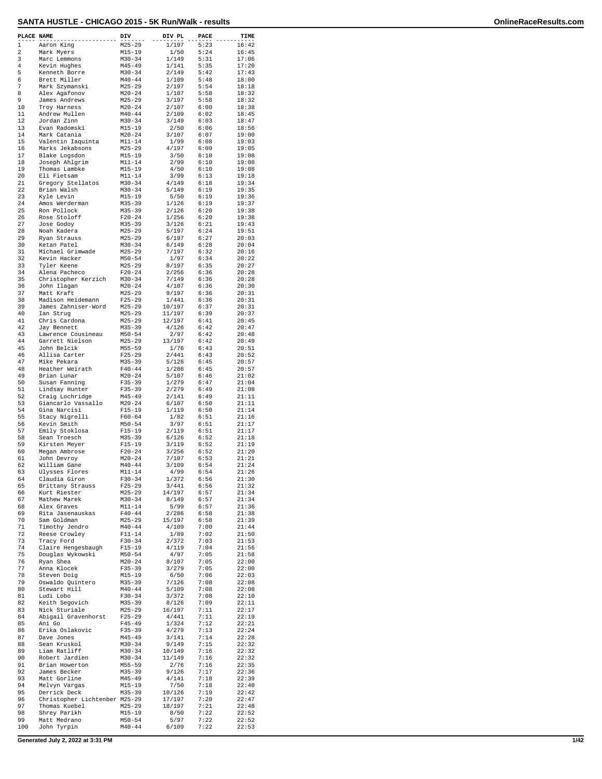| PLACE NAME |                                      | DIV                      | DIV PL           | PACE         | TIME           |
|------------|--------------------------------------|--------------------------|------------------|--------------|----------------|
| $1\,$      | Aaron King                           | $M25 - 29$               | 1/197            | 5:23         | 16:42          |
| 2<br>3     | Mark Myers<br>Marc Lemmons           | $M15 - 19$<br>$M30 - 34$ | 1/50<br>1/149    | 5:24<br>5:31 | 16:45<br>17:06 |
| 4          | Kevin Hughes                         | $M45 - 49$               | 1/141            | 5:35         | 17:20          |
| 5          | Kenneth Borre                        | $M30 - 34$               | 2/149            | 5:42         | 17:43          |
| 6<br>7     | Brett Miller<br>Mark Szymanski       | $M40 - 44$<br>$M25 - 29$ | 1/109<br>2/197   | 5:48<br>5:54 | 18:00<br>18:18 |
| 8          | Alex Agafonov                        | $M20 - 24$               | 1/107            | 5:58         | 18:32          |
| 9          | James Andrews                        | $M25 - 29$               | 3/197            | 5:58         | 18:32          |
| 10         | Troy Harness                         | $M20 - 24$               | 2/107            | 6:00         | 18:38          |
| 11<br>12   | Andrew Mullen<br>Jordan Zinn         | $M40 - 44$<br>$M30 - 34$ | 2/109<br>3/149   | 6:02<br>6:03 | 18:45<br>18:47 |
| 13         | Evan Radomski                        | $M15 - 19$               | 2/50             | 6:06         | 18:56          |
| 14         | Mark Catania                         | $M20 - 24$               | 3/107            | 6:07         | 19:00          |
| 15         | Valentin Iaquinta                    | $M11 - 14$               | 1/99             | 6:08         | 19:03          |
| 16<br>17   | Marks Jekabsons<br>Blake Logsdon     | $M25 - 29$<br>$M15 - 19$ | 4/197<br>3/50    | 6:09<br>6:10 | 19:05<br>19:08 |
| 18         | Joseph Ahlgrim                       | $M11 - 14$               | 2/99             | 6:10         | 19:08          |
| 19         | Thomas Lambke                        | $M15 - 19$               | 4/50             | 6:10         | 19:08          |
| 20<br>21   | Eli Fietsam<br>Gregory Stellatos     | $M11 - 14$<br>$M30 - 34$ | 3/99<br>4/149    | 6:13<br>6:18 | 19:18<br>19:34 |
| 22         | Brian Walsh                          | $M30 - 34$               | 5/149            | 6:19         | 19:35          |
| 23         | Kyle Levin                           | $M15 - 19$               | 5/50             | 6:19         | 19:36          |
| 24         | Amos Werderman                       | $M35 - 39$               | 1/126            | 6:19         | 19:37          |
| 25<br>26   | Ron Pollock<br>Rose Stoloff          | $M35 - 39$<br>$F20 - 24$ | 2/126<br>1/256   | 6:20<br>6:20 | 19:38<br>19:38 |
| 27         | Jose Godoy                           | $M35 - 39$               | 3/126            | 6:21         | 19:43          |
| 28         | Noah Kadera                          | $M25 - 29$               | 5/197            | 6:24         | 19:51          |
| 29<br>30   | Ryan Strauss                         | $M25 - 29$<br>$M30 - 34$ | 6/197<br>6/149   | 6:27<br>6:28 | 20:03<br>20:04 |
| 31         | Ketan Patel<br>Michael Grimwade      | $M25 - 29$               | 7/197            | 6:32         | 20:16          |
| 32         | Kevin Hacker                         | $M50 - 54$               | 1/97             | 6:34         | 20:22          |
| 33         | Tyler Keene                          | $M25 - 29$               | 8/197            | 6:35         | 20:27          |
| 34<br>35   | Alena Pacheco<br>Christopher Kerzich | $F20-24$                 | 2/256<br>7/149   | 6:36<br>6:36 | 20:28          |
| 36         | John Ilagan                          | $M30 - 34$<br>$M20 - 24$ | 4/107            | 6:36         | 20:28<br>20:30 |
| 37         | Matt Kraft                           | $M25 - 29$               | 9/197            | 6:36         | 20:31          |
| 38         | Madison Heidemann                    | $F25 - 29$               | 1/441            | 6:36         | 20:31          |
| 39<br>40   | James Zahniser-Word<br>Ian Strug     | $M25 - 29$<br>$M25 - 29$ | 10/197<br>11/197 | 6:37<br>6:39 | 20:31<br>20:37 |
| 41         | Chris Cardona                        | $M25 - 29$               | 12/197           | 6:41         | 20:45          |
| 42         | Jay Bennett                          | $M35 - 39$               | 4/126            | 6:42         | 20:47          |
| 43         | Lawrence Cousineau                   | $M50 - 54$               | 2/97             | 6:42         | 20:48          |
| 44<br>45   | Garrett Nielson<br>John Belcik       | $M25 - 29$<br>$M55 - 59$ | 13/197<br>1/76   | 6:42<br>6:43 | 20:49<br>20:51 |
| 46         | Allisa Carter                        | $F25 - 29$               | 2/441            | 6:43         | 20:52          |
| 47         | Mike Pekara                          | $M35 - 39$               | 5/126            | 6:45         | 20:57          |
| 48<br>49   | Heather Weirath                      | $F40 - 44$<br>$M20 - 24$ | 1/286<br>5/107   | 6:45<br>6:46 | 20:57<br>21:02 |
| 50         | Brian Lunar<br>Susan Fanning         | $F35 - 39$               | 1/279            | 6:47         | 21:04          |
| 51         | Lindsay Hunter                       | $F35 - 39$               | 2/279            | 6:49         | 21:08          |
| 52         | Craig Lochridge                      | $M45 - 49$               | 2/141            | 6:49         | 21:11          |
| 53<br>54   | Giancarlo Vassallo<br>Gina Narcisi   | $M20 - 24$<br>$F15 - 19$ | 6/107<br>1/119   | 6:50<br>6:50 | 21:11<br>21:14 |
| 55         | Stacy Nigrelli                       | $F60 - 64$               | 1/82             | 6:51         | 21:16          |
| 56         | Kevin Smith                          | $M50 - 54$               | 3/97             | 6:51         | 21:17          |
| 57<br>58   | Emily Stoklosa                       | $F15 - 19$               | 2/119            | 6:51<br>6:52 | 21:17<br>21:18 |
| 59         | Sean Troesch<br>Kirsten Meyer        | M35-39<br>$F15 - 19$     | 6/126<br>3/119   | 6:52         | 21:19          |
| 60         | Megan Ambrose                        | $F20-24$                 | 3/256            | 6:52         | 21:20          |
| 61         | John Devroy                          | $M20 - 24$               | 7/107            | 6:53         | 21:21          |
| 62<br>63   | William Gane<br>Ulysses Flores       | $M40 - 44$<br>$M11 - 14$ | 3/109<br>4/99    | 6:54<br>6:54 | 21:24<br>21:26 |
| 64         | Claudia Giron                        | $F30-34$                 | 1/372            | 6:56         | 21:30          |
| 65         | Brittany Strauss                     | $F25 - 29$               | 3/441            | 6:56         | 21:32          |
| 66<br>67   | Kurt Riester<br>Mathew Marek         | $M25 - 29$<br>$M30 - 34$ | 14/197<br>8/149  | 6:57<br>6:57 | 21:34<br>21:34 |
| 68         | Alex Graves                          | $M11 - 14$               | 5/99             | 6:57         | 21:36          |
| 69         | Rita Jasenauskas                     | $F40 - 44$               | 2/286            | 6:58         | 21:38          |
| 70         | Sam Goldman                          | $M25 - 29$               | 15/197           | 6:58         | 21:39          |
| 71<br>72   | Timothy Jendro<br>Reese Crowley      | $M40 - 44$<br>$F11 - 14$ | 4/109<br>1/89    | 7:00<br>7:02 | 21:44<br>21:50 |
| 73         | Tracy Ford                           | $F30-34$                 | 2/372            | 7:03         | 21:53          |
| 74         | Claire Hengesbaugh                   | $F15 - 19$               | 4/119            | 7:04         | 21:56          |
| 75<br>76   | Douglas Wykowski<br>Ryan Shea        | $M50 - 54$<br>$M20 - 24$ | 4/97<br>8/107    | 7:05<br>7:05 | 21:58<br>22:00 |
| 77         | Anna Klocek                          | $F35 - 39$               | 3/279            | 7:05         | 22:00          |
| 78         | Steven Doig                          | M15-19                   | 6/50             | 7:06         | 22:03          |
| 79         | Oswaldo Quintero                     | M35-39                   | 7/126            | 7:08         | 22:08          |
| 80<br>81   | Stewart Hill<br>Ludi Lobo            | $M40 - 44$<br>$F30-34$   | 5/109<br>3/372   | 7:08<br>7:08 | 22:08<br>22:10 |
| 82         | Keith Segovich                       | M35-39                   | 8/126            | 7:09         | 22:11          |
| 83         | Nick Sturiale                        | $M25 - 29$               | 16/197           | 7:11         | 22:17          |
| 84         | Abigail Gravenhorst                  | $F25-29$                 | 4/441            | 7:11         | 22:19          |
| 85<br>86   | Ani Go<br>Erika Oslakovic            | $F45 - 49$<br>$F35 - 39$ | 1/324<br>4/279   | 7:12<br>7:13 | 22:21<br>22:24 |
| 87         | Dave Jones                           | M45-49                   | 3/141            | 7:14         | 22:28          |
| 88         | Sean Kruskol                         | $M30 - 34$               | 9/149            | 7:15         | 22:32          |
| 89<br>90   | Liam Ratliff<br>Robert Jardien       | $M30 - 34$<br>$M30 - 34$ | 10/149<br>11/149 | 7:16<br>7:16 | 22:32<br>22:32 |
| 91         | Brian Howerton                       | $M55 - 59$               | 2/76             | 7:16         | 22:35          |
| 92         | James Becker                         | $M35 - 39$               | 9/126            | 7:17         | 22:36          |
| 93<br>94   | Matt Gorline                         | M45-49                   | 4/141            | 7:18         | 22:39          |
| 95         | Melvyn Vargas<br>Derrick Deck        | M15-19<br>M35-39         | 7/50<br>10/126   | 7:18<br>7:19 | 22:40<br>22:42 |
| 96         | Christopher Lichtenber M25-29        |                          | 17/197           | 7:20         | 22:47          |
| 97         | Thomas Kuebel                        | $M25 - 29$               | 18/197           | 7:21         | 22:48          |
| 98<br>99   | Shrey Parikh<br>Matt Medrano         | M15-19<br>$M50 - 54$     | 8/50<br>5/97     | 7:22<br>7:22 | 22:52<br>22:52 |
| 100        | John Tyrpin                          | $M40 - 44$               | 6/109            | 7:22         | 22:53          |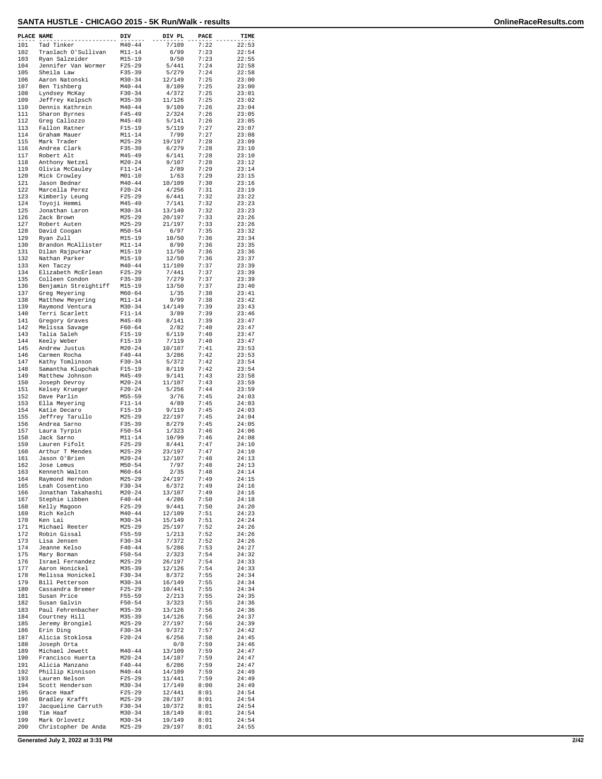| PLACE NAME |                                       | DIV                      | DIV PL           | PACE         | TIME           |
|------------|---------------------------------------|--------------------------|------------------|--------------|----------------|
| 101        | Tad Tinker                            | $M40 - 44$               | 7/109            | 7:22         | 22:53          |
| 102        | Traolach O'Sullivan                   | $M11 - 14$               | 6/99             | 7:23         | 22:54          |
| 103<br>104 | Ryan Salzeider<br>Jennifer Van Wormer | $M15 - 19$<br>$F25 - 29$ | 9/50<br>5/441    | 7:23<br>7:24 | 22:55<br>22:58 |
| 105        | Sheila Law                            | $F35 - 39$               | 5/279            | 7:24         | 22:58          |
| 106        | Aaron Natonski                        | $M30 - 34$               | 12/149           | 7:25         | 23:00          |
| 107<br>108 | Ben Tishberg                          | $M40 - 44$<br>$F30 - 34$ | 8/109<br>4/372   | 7:25<br>7:25 | 23:00<br>23:01 |
| 109        | Lyndsey McKay<br>Jeffrey Kelpsch      | $M35 - 39$               | 11/126           | 7:25         | 23:02          |
| 110        | Dennis Kathrein                       | $M40 - 44$               | 9/109            | 7:26         | 23:04          |
| 111        | Sharon Byrnes                         | $F45 - 49$               | 2/324            | 7:26         | 23:05          |
| 112<br>113 | Greg Callozzo<br>Fallon Ratner        | $M45 - 49$<br>$F15 - 19$ | 5/141<br>5/119   | 7:26<br>7:27 | 23:05<br>23:07 |
| 114        | Graham Mauer                          | $M11 - 14$               | 7/99             | 7:27         | 23:08          |
| 115        | Mark Trader                           | $M25 - 29$               | 19/197           | 7:28         | 23:09          |
| 116<br>117 | Andrea Clark<br>Robert Alt            | $F35 - 39$<br>$M45 - 49$ | 6/279<br>6/141   | 7:28<br>7:28 | 23:10<br>23:10 |
| 118        | Anthony Netzel                        | $M20 - 24$               | 9/107            | 7:28         | 23:12          |
| 119        | Olivia McCauley                       | $F11 - 14$               | 2/89             | 7:29         | 23:14          |
| 120        | Mick Crowley                          | $M01 - 10$               | 1/63             | 7:29         | 23:15          |
| 121<br>122 | Jason Bednar<br>Marcella Perez        | $M40 - 44$<br>$F20 - 24$ | 10/109<br>4/256  | 7:30<br>7:31 | 23:16<br>23:19 |
| 123        | Kimberly Leung                        | $F25 - 29$               | 6/441            | 7:32         | 23:22          |
| 124        | Toyoji Hemmi                          | $M45 - 49$               | 7/141            | 7:32         | 23:23          |
| 125<br>126 | Jonathan Laron                        | $M30 - 34$<br>$M25 - 29$ | 13/149<br>20/197 | 7:32<br>7:33 | 23:23<br>23:26 |
| 127        | Zack Brown<br>Robert Auten            | $M25 - 29$               | 21/197           | 7:33         | 23:26          |
| 128        | David Coogan                          | $M50 - 54$               | 6/97             | 7:35         | 23:32          |
| 129        | Ryan Zull                             | $M15 - 19$               | 10/50            | 7:36         | 23:34          |
| 130<br>131 | Brandon McAllister<br>Dilan Rajpurkar | $M11 - 14$<br>$M15 - 19$ | 8/99<br>11/50    | 7:36<br>7:36 | 23:35<br>23:36 |
| 132        | Nathan Parker                         | $M15 - 19$               | 12/50            | 7:36         | 23:37          |
| 133        | Ken Taczy                             | $M40 - 44$               | 11/109           | 7:37         | 23:39          |
| 134<br>135 | Elizabeth McErlean<br>Colleen Condon  | $F25 - 29$               | 7/441<br>7/279   | 7:37<br>7:37 | 23:39<br>23:39 |
| 136        | Benjamin Streightiff                  | $F35 - 39$<br>M15-19     | 13/50            | 7:37         | 23:40          |
| 137        | Greg Meyering                         | $M60 - 64$               | 1/35             | 7:38         | 23:41          |
| 138        | Matthew Meyering                      | $M11 - 14$               | 9/99             | 7:38         | 23:42          |
| 139<br>140 | Raymond Ventura<br>Terri Scarlett     | $M30 - 34$<br>$F11 - 14$ | 14/149<br>3/89   | 7:39<br>7:39 | 23:43<br>23:46 |
| 141        | Gregory Graves                        | $M45 - 49$               | 8/141            | 7:39         | 23:47          |
| 142        | Melissa Savage                        | $F60 - 64$               | 2/82             | 7:40         | 23:47          |
| 143<br>144 | Talia Saleh<br>Keely Weber            | $F15 - 19$<br>$F15 - 19$ | 6/119<br>7/119   | 7:40<br>7:40 | 23:47<br>23:47 |
| 145        | Andrew Justus                         | $M20 - 24$               | 10/107           | 7:41         | 23:53          |
| 146        | Carmen Rocha                          | $F40 - 44$               | 3/286            | 7:42         | 23:53          |
| 147        | Kathy Tomlinson                       | $F30 - 34$               | 5/372            | 7:42         | 23:54          |
| 148<br>149 | Samantha Klupchak<br>Matthew Johnson  | $F15 - 19$<br>$M45 - 49$ | 8/119<br>9/141   | 7:42<br>7:43 | 23:54<br>23:58 |
| 150        | Joseph Devroy                         | $M20 - 24$               | 11/107           | 7:43         | 23:59          |
| 151        | Kelsey Krueger                        | $F20 - 24$               | 5/256            | 7:44         | 23:59          |
| 152<br>153 | Dave Parlin<br>Ella Meyering          | $M55 - 59$<br>$F11 - 14$ | 3/76<br>4/89     | 7:45<br>7:45 | 24:03<br>24:03 |
| 154        | Katie Decaro                          | $F15-19$                 | 9/119            | 7:45         | 24:03          |
| 155        | Jeffrey Tarullo                       | $M25 - 29$               | 22/197           | 7:45         | 24:04          |
| 156<br>157 | Andrea Sarno                          | $F35 - 39$               | 8/279            | 7:45<br>7:46 | 24:05          |
| 158        | Laura Tyrpin<br>Jack Sarno            | $F50 - 54$<br>$M11 - 14$ | 1/323<br>10/99   | 7:46         | 24:06<br>24:08 |
| 159        | Lauren Fifolt                         | $F25 - 29$               | 8/441            | 7:47         | 24:10          |
| 160        | Arthur T Mendes                       | $M25 - 29$<br>$M20 - 24$ | 23/197           | 7:47         | 24:10          |
| 161<br>162 | Jason O'Brien<br>Jose Lemus           | $M50 - 54$               | 12/107<br>7/97   | 7:48<br>7:48 | 24:13<br>24:13 |
| 163        | Kenneth Walton                        | M60-64                   | 2/35             | 7:48         | 24:14          |
| 164        | Raymond Herndon                       | $M25 - 29$               | 24/197           | 7:49         | 24:15          |
| 165<br>166 | Leah Cosentino<br>Jonathan Takahashi  | $F30 - 34$<br>$M20 - 24$ | 6/372<br>13/107  | 7:49<br>7:49 | 24:16<br>24:16 |
| 167        | Stephie Libben                        | $F40 - 44$               | 4/286            | 7:50         | 24:18          |
| 168        | Kelly Magoon                          | $F25 - 29$               | 9/441            | 7:50         | 24:20          |
| 169<br>170 | Rich Kelch<br>Ken Lai                 | $M40 - 44$<br>$M30 - 34$ | 12/109<br>15/149 | 7:51<br>7:51 | 24:23<br>24:24 |
| 171        | Michael Reeter                        | $M25 - 29$               | 25/197           | 7:52         | 24:26          |
| 172        | Robin Gissal                          | F55-59                   | 1/213            | 7:52         | 24:26          |
| 173        | Lisa Jensen                           | $F30-34$                 | 7/372            | 7:52         | 24:26          |
| 174<br>175 | Jeanne Kelso<br>Mary Borman           | $F40 - 44$<br>$F50 - 54$ | 5/286<br>2/323   | 7:53<br>7:54 | 24:27<br>24:32 |
| 176        | Israel Fernandez                      | $M25 - 29$               | 26/197           | 7:54         | 24:33          |
| 177        | Aaron Honickel                        | $M35 - 39$               | 12/126           | 7:54         | 24:33          |
| 178<br>179 | Melissa Honickel<br>Bill Petterson    | F30-34<br>$M30 - 34$     | 8/372<br>16/149  | 7:55<br>7:55 | 24:34<br>24:34 |
| 180        | Cassandra Bremer                      | $F25 - 29$               | 10/441           | 7:55         | 24:34          |
| 181        | Susan Price                           | F55-59                   | 2/213            | 7:55         | 24:35          |
| 182        | Susan Galvin                          | $F50 - 54$               | 3/323            | 7:55         | 24:36          |
| 183<br>184 | Paul Fehrenbacher<br>Courtney Hill    | $M35 - 39$<br>$M35 - 39$ | 13/126<br>14/126 | 7:56<br>7:56 | 24:36<br>24:37 |
| 185        | Jeremy Brongiel                       | $M25 - 29$               | 27/197           | 7:56         | 24:39          |
| 186        | Erin Ding                             | $F30 - 34$               | 9/372            | 7:57         | 24:42          |
| 187<br>188 | Alicia Stoklosa<br>Joseph Orta        | $F20 - 24$               | 6/256<br>0/0     | 7:58<br>7:59 | 24:45<br>24:46 |
| 189        | Michael Jewett                        | $M40 - 44$               | 13/109           | 7:59         | 24:47          |
| 190        | Francisco Huerta                      | $M20 - 24$               | 14/107           | 7:59         | 24:47          |
| 191        | Alicia Manzano                        | $F40 - 44$               | 6/286            | 7:59         | 24:47          |
| 192<br>193 | Phillip Kinnison<br>Lauren Nelson     | $M40 - 44$<br>$F25 - 29$ | 14/109<br>11/441 | 7:59<br>7:59 | 24:49<br>24:49 |
| 194        | Scott Henderson                       | $M30 - 34$               | 17/149           | 8:00         | 24:49          |
| 195        | Grace Haaf                            | $F25 - 29$               | 12/441           | 8:01         | 24:54          |
| 196<br>197 | Bradley Krafft<br>Jacqueline Carruth  | $M25 - 29$<br>F30-34     | 28/197<br>10/372 | 8:01<br>8:01 | 24:54<br>24:54 |
| 198        | Tim Haaf                              | $M30 - 34$               | 18/149           | 8:01         | 24:54          |
| 199        | Mark Orlovetz                         | $M30 - 34$               | 19/149           | 8:01         | 24:54          |
| 200        | Christopher De Anda                   | $M25 - 29$               | 29/197           | 8:01         | 24:55          |

**Generated July 2, 2022 at 3:31 PM 2/42**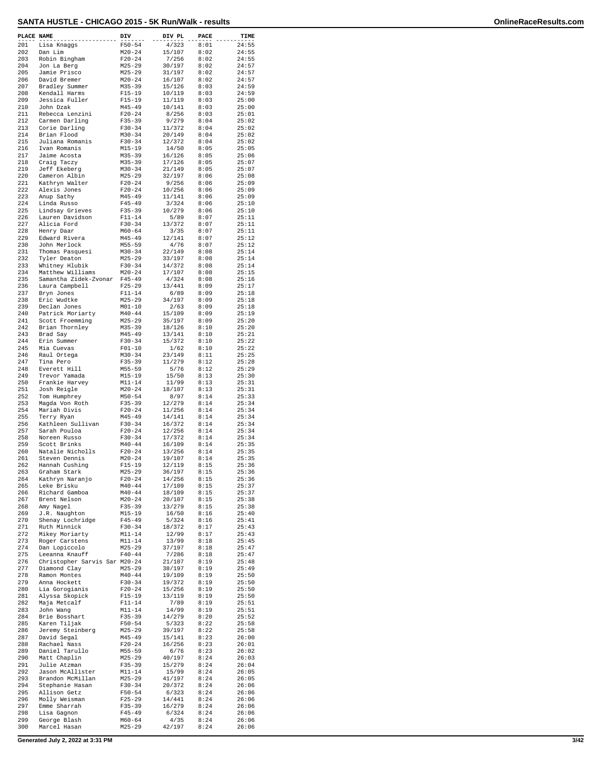| PLACE NAME |                                                | DIV                      | DIV PL           | PACE         | TIME           |
|------------|------------------------------------------------|--------------------------|------------------|--------------|----------------|
| 201        | Lisa Knaggs                                    | $F50 - 54$               | 4/323            | 8:01         | 24:55          |
| 202        | Dan Lim                                        | $M20 - 24$               | 15/107           | 8:02         | 24:55          |
| 203        | Robin Bingham                                  | $F20 - 24$               | 7/256            | 8:02         | 24:55          |
| 204<br>205 | Jon La Berg                                    | $M25 - 29$               | 30/197           | 8:02<br>8:02 | 24:57<br>24:57 |
| 206        | Jamie Prisco<br>David Bremer                   | $M25 - 29$<br>$M20 - 24$ | 31/197<br>16/107 | 8:02         | 24:57          |
| 207        | Bradley Summer                                 | $M35 - 39$               | 15/126           | 8:03         | 24:59          |
| 208        | Kendall Harms                                  | $F15-19$                 | 10/119           | 8:03         | 24:59          |
| 209        | Jessica Fuller                                 | $F15 - 19$               | 11/119           | 8:03         | 25:00          |
| 210        | John Dzak                                      | $M45 - 49$               | 10/141           | 8:03         | 25:00          |
| 211        | Rebecca Lenzini                                | $F20 - 24$               | 8/256            | 8:03         | 25:01          |
| 212        | Carmen Darling                                 | $F35 - 39$               | 9/279            | 8:04         | 25:02          |
| 213        | Corie Darling                                  | $F30-34$                 | 11/372           | 8:04         | 25:02          |
| 214<br>215 | Brian Flood<br>Juliana Romanis                 | $M30 - 34$<br>$F30-34$   | 20/149<br>12/372 | 8:04<br>8:04 | 25:02<br>25:02 |
| 216        | Ivan Romanis                                   | $M15 - 19$               | 14/50            | 8:05         | 25:05          |
| 217        | Jaime Acosta                                   | $M35 - 39$               | 16/126           | 8:05         | 25:06          |
| 218        | Craig Taczy                                    | $M35 - 39$               | 17/126           | 8:05         | 25:07          |
| 219        | Jeff Ekeberg                                   | $M30 - 34$               | 21/149           | 8:05         | 25:07          |
| 220        | Cameron Albin                                  | $M25 - 29$               | 32/197           | 8:06         | 25:08          |
| 221        | Kathryn Walter                                 | $F20 - 24$               | 9/256            | 8:06         | 25:09          |
| 222        | Alexis Jones                                   | $F20 - 24$               | 10/256           | 8:06         | 25:09          |
| 223        | Anup Sathy                                     | $M45 - 49$               | 11/141           | 8:06         | 25:09          |
| 224        | Linda Russo                                    | $F45 - 49$               | 3/324            | 8:06         | 25:10          |
| 225<br>226 | Lindsay Grieves<br>Lauren Davidson             | $F35 - 39$<br>$F11 - 14$ | 10/279<br>5/89   | 8:06<br>8:07 | 25:10<br>25:11 |
| 227        | Alicia Ford                                    | $F30-34$                 | 13/372           | 8:07         | 25:11          |
| 228        | Henry Daar                                     | $M60 - 64$               | 3/35             | 8:07         | 25:11          |
| 229        | Edward Rivera                                  | $M45 - 49$               | 12/141           | 8:07         | 25:12          |
| 230        | John Merlock                                   | $M55 - 59$               | 4/76             | 8:07         | 25:12          |
| 231        | Thomas Pasquesi                                | $M30 - 34$               | 22/149           | 8:08         | 25:14          |
| 232        | Tyler Deaton                                   | $M25 - 29$               | 33/197           | 8:08         | 25:14          |
| 233        | Whitney Hlubik                                 | $F30-34$                 | 14/372           | 8:08         | 25:14          |
| 234        | Matthew Williams                               | $M20 - 24$               | 17/107           | 8:08         | 25:15          |
| 235<br>236 | Samantha Zidek-Zvonar F45-49<br>Laura Campbell | $F25 - 29$               | 4/324<br>13/441  | 8:08<br>8:09 | 25:16<br>25:17 |
| 237        | Bryn Jones                                     | $F11 - 14$               | 6/89             | 8:09         | 25:18          |
| 238        | Eric Wudtke                                    | $M25 - 29$               | 34/197           | 8:09         | 25:18          |
| 239        | Declan Jones                                   | $M01 - 10$               | 2/63             | 8:09         | 25:18          |
| 240        | Patrick Moriarty                               | $M40 - 44$               | 15/109           | 8:09         | 25:19          |
| 241        | Scott Froemming                                | $M25 - 29$               | 35/197           | 8:09         | 25:20          |
| 242        | Brian Thornley                                 | $M35 - 39$               | 18/126           | 8:10         | 25:20          |
| 243        | Brad Say                                       | $M45 - 49$               | 13/141           | 8:10         | 25:21          |
| 244        | Erin Summer                                    | $F30 - 34$               | 15/372           | 8:10         | 25:22          |
| 245        | Mia Cuevas                                     | $F01 - 10$               | 1/62             | 8:10         | 25:22          |
| 246<br>247 | Raul Ortega<br>Tina Pero                       | $M30 - 34$<br>$F35 - 39$ | 23/149<br>11/279 | 8:11<br>8:12 | 25:25<br>25:28 |
| 248        | Everett Hill                                   | $M55 - 59$               | 5/76             | 8:12         | 25:29          |
| 249        | Trevor Yamada                                  | $M15 - 19$               | 15/50            | 8:13         | 25:30          |
| 250        | Frankie Harvey                                 | $M11 - 14$               | 11/99            | 8:13         | 25:31          |
| 251        | Josh Reigle                                    | $M20 - 24$               | 18/107           | 8:13         | 25:31          |
| 252        | Tom Humphrey                                   | $M50 - 54$               | 8/97             | 8:14         | 25:33          |
| 253        | Magda Von Roth                                 | $F35 - 39$               | 12/279           | 8:14         | 25:34          |
| 254        | Mariah Divis                                   | $F20 - 24$               | 11/256           | 8:14         | 25:34          |
| 255<br>256 | Terry Ryan<br>Kathleen Sullivan                | $M45 - 49$               | 14/141           | 8:14         | 25:34<br>25:34 |
| 257        | Sarah Pouloa                                   | $F30 - 34$<br>$F20 - 24$ | 16/372<br>12/256 | 8:14<br>8:14 | 25:34          |
| 258        | Noreen Russo                                   | $F30 - 34$               | 17/372           | 8:14         | 25:34          |
| 259        | Scott Brinks                                   | $M40 - 44$               | 16/109           | 8:14         | 25:35          |
| 260        | Natalie Nicholls                               | $F20 - 24$               | 13/256           | 8:14         | 25:35          |
| 261        | Steven Dennis                                  | $M20 - 24$               | 19/107           | 8:14         | 25:35          |
| 262        | Hannah Cushing                                 | $F15 - 19$               | 12/119           | 8:15         | 25:36          |
| 263        | Graham Stark                                   | $M25 - 29$               | 36/197           | 8:15         | 25:36          |
| 264        | Kathryn Naranjo                                | $F20 - 24$               | 14/256           | 8:15         | 25:36          |
| 265        | Leke Brisku                                    | $M40 - 44$               | 17/109           | 8:15         | 25:37          |
| 266<br>267 | Richard Gamboa<br>Brent Nelson                 | $M40 - 44$<br>$M20 - 24$ | 18/109<br>20/107 | 8:15<br>8:15 | 25:37<br>25:38 |
| 268        | Amy Nagel                                      | $F35 - 39$               | 13/279           | 8:15         | 25:38          |
| 269        | J.R. Naughton                                  | $M15 - 19$               | 16/50            | 8:16         | 25:40          |
| 270        | Shenay Lochridge                               | $F45 - 49$               | 5/324            | 8:16         | 25:41          |
| 271        | Ruth Minnick                                   | $F30 - 34$               | 18/372           | 8:17         | 25:43          |
| 272        | Mikey Moriarty                                 | $M11 - 14$               | 12/99            | 8:17         | 25:43          |
| 273        | Roger Carstens                                 | $M11 - 14$               | 13/99            | 8:18         | 25:45          |
| 274        | Dan Lopiccolo                                  | $M25 - 29$               | 37/197           | 8:18         | 25:47          |
| 275        | Leeanna Knauff                                 | $F40 - 44$               | 7/286            | 8:18         | 25:47          |
| 276        | Christopher Sarvis Sar M20-24                  |                          | 21/107<br>38/197 | 8:19         | 25:48          |
| 277<br>278 | Diamond Clay<br>Ramon Montes                   | $M25 - 29$<br>$M40 - 44$ | 19/109           | 8:19<br>8:19 | 25:49<br>25:50 |
| 279        | Anna Hockett                                   | $F30-34$                 | 19/372           | 8:19         | 25:50          |
| 280        | Lia Gorogianis                                 | $F20 - 24$               | 15/256           | 8:19         | 25:50          |
| 281        | Alyssa Skopick                                 | $F15 - 19$               | 13/119           | 8:19         | 25:50          |
| 282        | Maja Metcalf                                   | $F11 - 14$               | 7/89             | 8:19         | 25:51          |
| 283        | John Wang                                      | $M11 - 14$               | 14/99            | 8:19         | 25:51          |
| 284        | Brie Bosshart                                  | $F35 - 39$               | 14/279           | 8:20         | 25:52          |
| 285        | Karen Tiljak                                   | $F50 - 54$               | 5/323            | 8:22         | 25:58          |
| 286        | Jeremy Steinberg                               | $M25 - 29$               | 39/197           | 8:22         | 25:58          |
| 287        | David Segal                                    | $M45 - 49$               | 15/141           | 8:23         | 26:00          |
| 288<br>289 | Rachael Nass<br>Daniel Tarullo                 | $F20 - 24$<br>$M55 - 59$ | 16/256<br>6/76   | 8:23<br>8:23 | 26:01<br>26:02 |
| 290        | Matt Chaplin                                   | $M25 - 29$               | 40/197           | 8:24         | 26:03          |
| 291        | Julie Atzman                                   | $F35 - 39$               | 15/279           | 8:24         | 26:04          |
| 292        | Jason McAllister                               | $M11 - 14$               | 15/99            | 8:24         | 26:05          |
| 293        | Brandon McMillan                               | $M25 - 29$               | 41/197           | 8:24         | 26:05          |
| 294        | Stephanie Hasan                                | $F30-34$                 | 20/372           | 8:24         | 26:06          |
| 295        | Allison Getz                                   | $F50 - 54$               | 6/323            | 8:24         | 26:06          |
| 296        | Molly Weisman                                  | $F25 - 29$               | 14/441           | 8:24         | 26:06          |
| 297<br>298 | Emme Sharrah<br>Lisa Gagnon                    | $F35 - 39$<br>$F45 - 49$ | 16/279<br>6/324  | 8:24<br>8:24 | 26:06<br>26:06 |
| 299        | George Blash                                   | $M60 - 64$               | 4/35             | 8:24         | 26:06          |
| 300        | Marcel Hasan                                   | M25-29                   | 42/197           | 8:24         | 26:06          |
|            |                                                |                          |                  |              |                |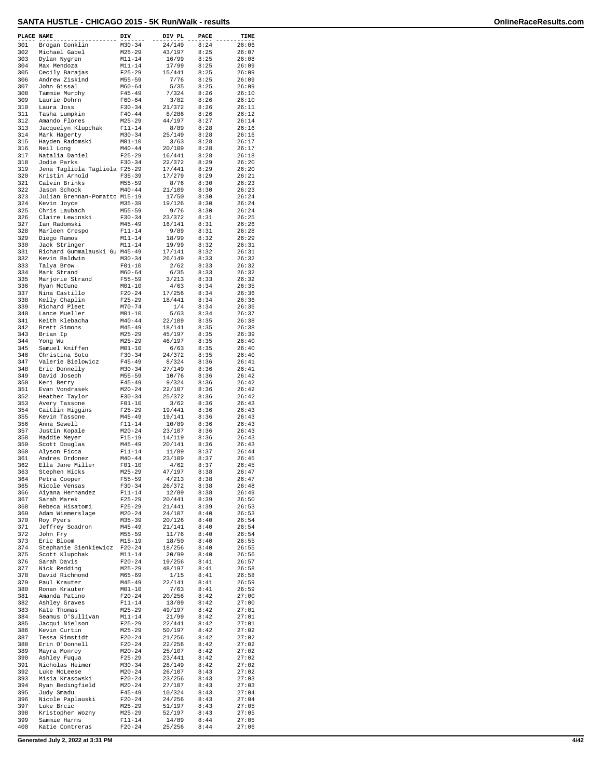| PLACE NAME |                                                | DIV                      | DIV PL           | PACE         | TIME           |
|------------|------------------------------------------------|--------------------------|------------------|--------------|----------------|
| 301        | Brogan Conklin                                 | $M30 - 34$               | 24/149           | 8:24         | 26:06          |
| 302<br>303 | Michael Gabel<br>Dylan Nygren                  | $M25 - 29$<br>$M11 - 14$ | 43/197<br>16/99  | 8:25<br>8:25 | 26:07<br>26:08 |
| 304        | Max Mendoza                                    | $M11 - 14$               | 17/99            | 8:25         | 26:09          |
| 305        | Cecily Barajas                                 | $F25 - 29$               | 15/441           | 8:25         | 26:09          |
| 306<br>307 | Andrew Ziskind<br>John Gissal                  | $M55 - 59$<br>$M60 - 64$ | 7/76<br>5/35     | 8:25<br>8:25 | 26:09<br>26:09 |
| 308        | Tammie Murphy                                  | $F45 - 49$               | 7/324            | 8:26         | 26:10          |
| 309        | Laurie Dohrn                                   | $F60 - 64$               | 3/82             | 8:26         | 26:10          |
| 310<br>311 | Laura Joss<br>Tasha Lumpkin                    | $F30 - 34$<br>$F40 - 44$ | 21/372<br>8/286  | 8:26<br>8:26 | 26:11<br>26:12 |
| 312        | Amando Flores                                  | $M25 - 29$               | 44/197           | 8:27         | 26:14          |
| 313        | Jacquelyn Klupchak                             | $F11 - 14$               | 8/89             | 8:28         | 26:16          |
| 314<br>315 | Mark Hagerty<br>Hayden Radomski                | $M30 - 34$<br>$M01 - 10$ | 25/149<br>3/63   | 8:28<br>8:28 | 26:16<br>26:17 |
| 316        | Neil Long                                      | $M40 - 44$               | 20/109           | 8:28         | 26:17          |
| 317        | Natalia Daniel                                 | $F25 - 29$               | 16/441           | 8:28         | 26:18          |
| 318<br>319 | Jodie Parks<br>Jena Tagliola Tagliola F25-29   | $F30-34$                 | 22/372<br>17/441 | 8:29<br>8:29 | 26:20<br>26:20 |
| 320        | Kristin Arnold                                 | $F35 - 39$               | 17/279           | 8:29         | 26:21          |
| 321        | Calvin Brinks                                  | $M55 - 59$               | 8/76             | 8:30         | 26:23          |
| 322<br>323 | Jason Schock<br>Julian Brennan-Pomatto M15-19  | $M40 - 44$               | 21/109<br>17/50  | 8:30<br>8:30 | 26:23<br>26:24 |
| 324        | Kevin Joyce                                    | $M35 - 39$               | 19/126           | 8:30         | 26:24          |
| 325        | Chris Laubach                                  | $M55 - 59$               | 9/76             | 8:30         | 26:24          |
| 326<br>327 | Claire Lewinski<br>Ian Radomski                | $F30 - 34$<br>$M45 - 49$ | 23/372<br>16/141 | 8:31<br>8:31 | 26:25<br>26:26 |
| 328        | Marleen Crespo                                 | $F11 - 14$               | 9/89             | 8:31         | 26:28          |
| 329        | Diego Ramos                                    | $M11 - 14$               | 18/99            | 8:32         | 26:29          |
| 330<br>331 | Jack Stringer<br>Richard Gummalauski Gu M45-49 | $M11 - 14$               | 19/99<br>17/141  | 8:32<br>8:32 | 26:31<br>26:31 |
| 332        | Kevin Baldwin                                  | $M30 - 34$               | 26/149           | 8:33         | 26:32          |
| 333<br>334 | Talya Brow                                     | $F01 - 10$<br>$M60 - 64$ | 2/62             | 8:33         | 26:32          |
| 335        | Mark Strand<br>Marjorie Strand                 | $F55 - 59$               | 6/35<br>3/213    | 8:33<br>8:33 | 26:32<br>26:32 |
| 336        | Ryan McCune                                    | $M01 - 10$               | 4/63             | 8:34         | 26:35          |
| 337<br>338 | Nina Castillo                                  | $F20 - 24$<br>$F25 - 29$ | 17/256<br>18/441 | 8:34<br>8:34 | 26:36<br>26:36 |
| 339        | Kelly Chaplin<br>Richard Pleet                 | $M70 - 74$               | 1/4              | 8:34         | 26:36          |
| 340        | Lance Mueller                                  | $M01 - 10$               | 5/63             | 8:34         | 26:37          |
| 341<br>342 | Keith Klebacha<br>Brett Simons                 | $M40 - 44$<br>$M45 - 49$ | 22/109<br>18/141 | 8:35<br>8:35 | 26:38<br>26:38 |
| 343        | Brian Ip                                       | $M25 - 29$               | 45/197           | 8:35         | 26:39          |
| 344        | Yong Wu                                        | $M25 - 29$               | 46/197           | 8:35         | 26:40          |
| 345<br>346 | Samuel Kniffen<br>Christina Soto               | $M01 - 10$<br>$F30 - 34$ | 6/63<br>24/372   | 8:35<br>8:35 | 26:40<br>26:40 |
| 347        | Valerie Bielowicz                              | $F45 - 49$               | 8/324            | 8:36         | 26:41          |
| 348        | Eric Donnelly                                  | $M30 - 34$               | 27/149           | 8:36         | 26:41          |
| 349<br>350 | David Joseph<br>Keri Berry                     | $M55 - 59$<br>$F45 - 49$ | 10/76<br>9/324   | 8:36<br>8:36 | 26:42<br>26:42 |
| 351        | Evan Vondrasek                                 | $M20 - 24$               | 22/107           | 8:36         | 26:42          |
| 352        | Heather Taylor                                 | $F30 - 34$               | 25/372           | 8:36         | 26:42          |
| 353<br>354 | Avery Tassone<br>Caitlin Higgins               | $F01 - 10$<br>$F25 - 29$ | 3/62<br>19/441   | 8:36<br>8:36 | 26:43<br>26:43 |
| 355        | Kevin Tassone                                  | $M45 - 49$               | 19/141           | 8:36         | 26:43          |
| 356        | Anna Sewell                                    | $F11 - 14$               | 10/89            | 8:36         | 26:43          |
| 357<br>358 | Justin Kopale<br>Maddie Meyer                  | $M20 - 24$<br>$F15 - 19$ | 23/107<br>14/119 | 8:36<br>8:36 | 26:43<br>26:43 |
| 359        | Scott Douglas                                  | $M45 - 49$               | 20/141           | 8:36         | 26:43          |
| 360<br>361 | Alyson Ficca                                   | $F11 - 14$<br>$M40 - 44$ | 11/89<br>23/109  | 8:37<br>8:37 | 26:44<br>26:45 |
| 362        | Andres Ordonez<br>Ella Jane Miller             | $F01 - 10$               | 4/62             | 8:37         | 26:45          |
| 363        | Stephen Hicks                                  | M25-29                   | 47/197           | 8:38         | 26:47          |
| 364<br>365 | Petra Cooper                                   | F55-59<br>$F30-34$       | 4/213<br>26/372  | 8:38         | 26:47<br>26:48 |
| 366        | Nicole Vensas<br>Aiyana Hernandez              | F11-14                   | 12/89            | 8:38<br>8:38 | 26:49          |
| 367        | Sarah Marek                                    | $F25-29$                 | 20/441           | 8:39         | 26:50          |
| 368<br>369 | Rebeca Hisatomi<br>Adam Wiemerslage            | $F25-29$<br>$M20 - 24$   | 21/441<br>24/107 | 8:39<br>8:40 | 26:53<br>26:53 |
| 370        | Roy Pyers                                      | $M35 - 39$               | 20/126           | 8:40         | 26:54          |
| 371        | Jeffrey Scadron                                | $M45 - 49$               | 21/141           | 8:40         | 26:54          |
| 372<br>373 | John Fry<br>Eric Bloom                         | M55-59<br>M15-19         | 11/76<br>18/50   | 8:40<br>8:40 | 26:54<br>26:55 |
| 374        | Stephanie Sienkiewicz F20-24                   |                          | 18/256           | 8:40         | 26:55          |
| 375        | Scott Klupchak                                 | M11-14                   | 20/99            | 8:40         | 26:56          |
| 376<br>377 | Sarah Davis<br>Nick Redding                    | $F20 - 24$<br>$M25 - 29$ | 19/256<br>48/197 | 8:41<br>8:41 | 26:57<br>26:58 |
| 378        | David Richmond                                 | M65-69                   | 1/15             | 8:41         | 26:58          |
| 379        | Paul Krauter                                   | M45-49                   | 22/141           | 8:41         | 26:59          |
| 380<br>381 | Ronan Krauter<br>Amanda Patino                 | $M01 - 10$<br>$F20-24$   | 7/63<br>20/256   | 8:41<br>8:42 | 26:59<br>27:00 |
| 382        | Ashley Graves                                  | F11-14                   | 13/89            | 8:42         | 27:00          |
| 383        | Kate Thomas                                    | $M25 - 29$               | 49/197           | 8:42         | 27:01          |
| 384<br>385 | Seamus O'Sullivan<br>Jacqui Nielson            | M11-14<br>F25-29         | 21/99<br>22/441  | 8:42<br>8:42 | 27:01<br>27:01 |
| 386        | Kevin Curtin                                   | $M25 - 29$               | 50/197           | 8:42         | 27:02          |
| 387        | Tessa Rimstidt                                 | F20-24                   | 21/256           | 8:42         | 27:02          |
| 388<br>389 | Erin O'Donnell<br>Mayra Monroy                 | F20-24<br>$M20-24$       | 22/256<br>25/107 | 8:42<br>8:42 | 27:02<br>27:02 |
| 390        | Ashley Fuqua                                   | F25-29                   | 23/441           | 8:42         | 27:02          |
| 391<br>392 | Nicholas Heimer                                | M30-34<br>$M20 - 24$     | 28/149           | 8:42         | 27:02          |
| 393        | Luke McLeese<br>Misia Krasowski                | F20-24                   | 26/107<br>23/256 | 8:43<br>8:43 | 27:02<br>27:03 |
| 394        | Ryan Bedingfield                               | $M20 - 24$               | 27/107           | 8:43         | 27:03          |
| 395<br>396 | Judy Smadu<br>Nicole Paplauski                 | $F45 - 49$<br>$F20-24$   | 10/324<br>24/256 | 8:43<br>8:43 | 27:04<br>27:04 |
| 397        | Luke Brcic                                     | M25-29                   | 51/197           | 8:43         | 27:05          |
| 398        | Kristopher Wozny                               | $M25 - 29$               | 52/197           | 8:43         | 27:05          |
| 399<br>400 | Sammie Harms<br>Katie Contreras                | $F11 - 14$<br>$F20-24$   | 14/89<br>25/256  | 8:44<br>8:44 | 27:05<br>27:06 |
|            |                                                |                          |                  |              |                |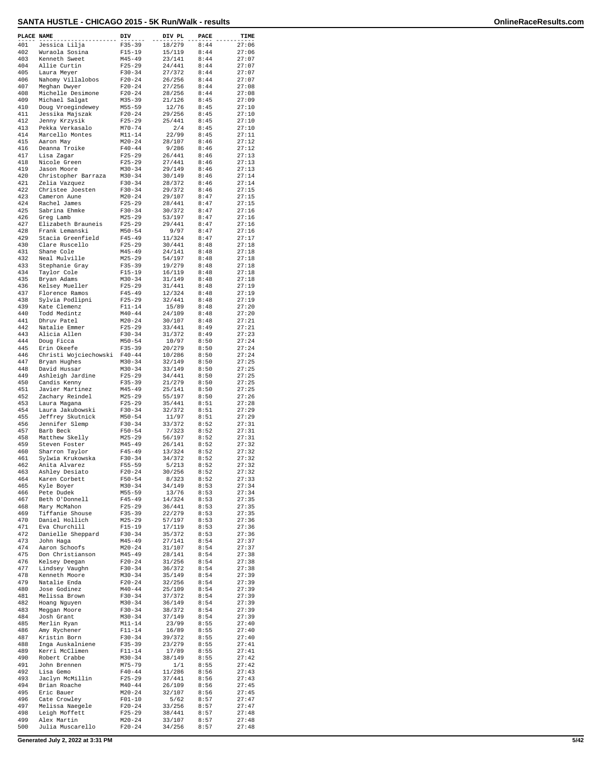| 401<br>Jessica Lilja<br>402<br>Wuraola Sosina      | $F35 - 39$<br>$F15 - 19$ | 18/279           | 8:44         | 27:06          |
|----------------------------------------------------|--------------------------|------------------|--------------|----------------|
|                                                    |                          | 15/119           | 8:44         | 27:06          |
| 403<br>Kenneth Sweet                               | $M45 - 49$               | 23/141           | 8:44         | 27:07          |
| 404<br>Allie Curtin                                | $F25 - 29$               | 24/441           | 8:44         | 27:07          |
| 405<br>Laura Meyer<br>406<br>Nahomy Villalobos     | $F30 - 34$<br>$F20 - 24$ | 27/372<br>26/256 | 8:44<br>8:44 | 27:07<br>27:07 |
| 407<br>Meghan Dwyer                                | $F20 - 24$               | 27/256           | 8:44         | 27:08          |
| 408<br>Michelle Desimone<br>409<br>Michael Salgat  | $F20 - 24$<br>$M35 - 39$ | 28/256<br>21/126 | 8:44<br>8:45 | 27:08<br>27:09 |
| 410<br>Doug Vroegindewey                           | $M55 - 59$               | 12/76            | 8:45         | 27:10          |
| 411<br>Jessika Majszak<br>412<br>Jenny Krzysik     | $F20 - 24$<br>$F25 - 29$ | 29/256<br>25/441 | 8:45<br>8:45 | 27:10<br>27:10 |
| 413<br>Pekka Verkasalo                             | $M70 - 74$               | 2/4              | 8:45         | 27:10          |
| 414<br>Marcello Montes                             | $M11 - 14$               | 22/99            | 8:45         | 27:11          |
| 415<br>Aaron May<br>416<br>Deanna Troike           | $M20 - 24$<br>$F40 - 44$ | 28/107<br>9/286  | 8:46<br>8:46 | 27:12<br>27:12 |
| 417<br>Lisa Zagar                                  | $F25 - 29$               | 26/441           | 8:46         | 27:13          |
| 418<br>Nicole Green<br>419<br>Jason Moore          | $F25 - 29$<br>$M30 - 34$ | 27/441<br>29/149 | 8:46<br>8:46 | 27:13<br>27:13 |
| 420<br>Christopher Barraza                         | $M30 - 34$               | 30/149           | 8:46         | 27:14          |
| 421<br>Zelia Vazquez<br>422<br>Christee Joesten    | $F30 - 34$<br>$F30-34$   | 28/372<br>29/372 | 8:46<br>8:46 | 27:14<br>27:15 |
| 423<br>Cameron Aune                                | $M20 - 24$               | 29/107           | 8:47         | 27:15          |
| 424<br>Rachel James<br>425<br>Sabrina Ehmke        | $F25 - 29$<br>$F30-34$   | 28/441<br>30/372 | 8:47<br>8:47 | 27:15<br>27:16 |
| 426<br>Greg Lamb                                   | $M25 - 29$               | 53/197           | 8:47         | 27:16          |
| 427<br>Elizabeth Brauneis<br>428<br>Frank Lemanski | $F25 - 29$<br>$M50 - 54$ | 29/441<br>9/97   | 8:47<br>8:47 | 27:16<br>27:16 |
| 429<br>Stacia Greenfield                           | $F45 - 49$               | 11/324           | 8:47         | 27:17          |
| 430<br>Clare Ruscello                              | $F25 - 29$               | 30/441           | 8:48         | 27:18          |
| 431<br>Shane Cole<br>432<br>Neal Mulville          | $M45 - 49$<br>$M25 - 29$ | 24/141<br>54/197 | 8:48<br>8:48 | 27:18<br>27:18 |
| 433<br>Stephanie Gray                              | $F35 - 39$               | 19/279           | 8:48         | 27:18          |
| 434<br>Taylor Cole<br>435<br>Bryan Adams           | $F15-19$<br>$M30 - 34$   | 16/119<br>31/149 | 8:48<br>8:48 | 27:18<br>27:18 |
| 436<br>Kelsey Mueller                              | $F25 - 29$               | 31/441           | 8:48         | 27:19          |
| 437<br>Florence Ramos                              | $F45 - 49$               | 12/324           | 8:48         | 27:19          |
| 438<br>Sylvia Podlipni<br>439<br>Kate Clemenz      | $F25 - 29$<br>$F11 - 14$ | 32/441<br>15/89  | 8:48<br>8:48 | 27:19<br>27:20 |
| 440<br>Todd Medintz                                | $M40 - 44$               | 24/109           | 8:48         | 27:20          |
| 441<br>Dhruv Patel<br>442<br>Natalie Emmer         | $M20 - 24$<br>$F25 - 29$ | 30/107<br>33/441 | 8:48<br>8:49 | 27:21<br>27:21 |
| 443<br>Alicia Allen                                | $F30 - 34$               | 31/372           | 8:49         | 27:23          |
| 444<br>Doug Ficca<br>445<br>Erin Okeefe            | $M50 - 54$<br>$F35 - 39$ | 10/97<br>20/279  | 8:50<br>8:50 | 27:24<br>27:24 |
| 446<br>Christi Wojciechowski                       | $F40 - 44$               | 10/286           | 8:50         | 27:24          |
| 447<br>Bryan Hughes<br>448<br>David Hussar         | $M30 - 34$<br>$M30 - 34$ | 32/149<br>33/149 | 8:50<br>8:50 | 27:25<br>27:25 |
| 449<br>Ashleigh Jardine                            | $F25 - 29$               | 34/441           | 8:50         | 27:25          |
| 450<br>Candis Kenny<br>451                         | $F35 - 39$<br>$M45 - 49$ | 21/279<br>25/141 | 8:50<br>8:50 | 27:25<br>27:25 |
| Javier Martinez<br>452<br>Zachary Reindel          | $M25 - 29$               | 55/197           | 8:50         | 27:26          |
| 453<br>Laura Magana                                | $F25 - 29$               | 35/441           | 8:51         | 27:28          |
| 454<br>Laura Jakubowski<br>455<br>Jeffrey Skutnick | $F30 - 34$<br>$M50 - 54$ | 32/372<br>11/97  | 8:51<br>8:51 | 27:29<br>27:29 |
| 456<br>Jennifer Slemp                              | $F30 - 34$               | 33/372           | 8:52         | 27:31          |
| 457<br>Barb Beck<br>458<br>Matthew Skelly          | $F50 - 54$<br>$M25 - 29$ | 7/323<br>56/197  | 8:52<br>8:52 | 27:31<br>27:31 |
| 459<br>Steven Foster                               | $M45 - 49$               | 26/141           | 8:52         | 27:32          |
| 460<br>Sharron Taylor<br>461<br>Sylwia Krukowska   | $F45 - 49$<br>$F30 - 34$ | 13/324<br>34/372 | 8:52<br>8:52 | 27:32<br>27:32 |
| 462<br>Anita Alvarez                               | $F55 - 59$               | 5/213            | 8:52         | 27:32          |
| 463<br>Ashley Desiato<br>464<br>Karen Corbett      | $F20 - 24$<br>$F50 - 54$ | 30/256<br>8/323  | 8:52<br>8:52 | 27:32<br>27:33 |
| 465<br>Kyle Boyer                                  | $M30 - 34$               | 34/149           | 8:53         | 27:34          |
| 466<br>Pete Dudek                                  | $M55 - 59$               | 13/76            | 8:53         | 27:34<br>27:35 |
| 467<br>Beth O'Donnell<br>Mary McMahon<br>468       | F45-49<br>$F25-29$       | 14/324<br>36/441 | 8:53<br>8:53 | 27:35          |
| 469<br>Tiffanie Shouse                             | $F35 - 39$               | 22/279           | 8:53         | 27:35          |
| 470<br>Daniel Hollich<br>471<br>Eva Churchill      | $M25 - 29$<br>$F15-19$   | 57/197<br>17/119 | 8:53<br>8:53 | 27:36<br>27:36 |
| 472<br>Danielle Sheppard                           | $F30-34$                 | 35/372           | 8:53         | 27:36          |
| 473<br>John Haga<br>474<br>Aaron Schoofs           | $M45 - 49$<br>$M20 - 24$ | 27/141<br>31/107 | 8:54<br>8:54 | 27:37<br>27:37 |
| 475<br>Don Christianson                            | $M45 - 49$               | 28/141           | 8:54         | 27:38          |
| 476<br>Kelsey Deegan<br>477<br>Lindsey Vaughn      | $F20-24$<br>$F30-34$     | 31/256<br>36/372 | 8:54<br>8:54 | 27:38<br>27:38 |
| 478<br>Kenneth Moore                               | $M30 - 34$               | 35/149           | 8:54         | 27:39          |
| 479<br>Natalie Enda<br>480<br>Jose Godinez         | $F20-24$<br>$M40 - 44$   | 32/256<br>25/109 | 8:54<br>8:54 | 27:39<br>27:39 |
| 481<br>Melissa Brown                               | F30-34                   | 37/372           | 8:54         | 27:39          |
| 482<br>Hoang Nguyen                                | M30-34                   | 36/149           | 8:54         | 27:39          |
| 483<br>Meggan Moore<br>484<br>Josh Grant           | $F30-34$<br>$M30 - 34$   | 38/372<br>37/149 | 8:54<br>8:54 | 27:39<br>27:39 |
| 485<br>Merlin Ryan                                 | M11-14                   | 23/99            | 8:55         | 27:40          |
| 486<br>Amy Rychener<br>487<br>Kristin Born         | $F11 - 14$<br>$F30-34$   | 16/89<br>39/372  | 8:55<br>8:55 | 27:40<br>27:40 |
| 488<br>Inga Auskalniene                            | $F35 - 39$               | 23/279           | 8:55         | 27:41          |
| Kerri McClimen<br>489<br>490<br>Robert Crabbe      | $F11 - 14$<br>$M30 - 34$ | 17/89<br>38/149  | 8:55<br>8:55 | 27:41<br>27:42 |
| 491<br>John Brennen                                | M75-79                   | 1/1              | 8:55         | 27:42          |
| 492<br>Lisa Gemo<br>493<br>Jaclyn McMillin         | $F40 - 44$<br>$F25-29$   | 11/286<br>37/441 | 8:56<br>8:56 | 27:43<br>27:43 |
| 494<br>Brian Roache                                | M40-44                   | 26/109           | 8:56         | 27:45          |
| 495<br>Eric Bauer<br>496<br>Cate Crowley           | $M20-24$<br>$F01 - 10$   | 32/107<br>5/62   | 8:56<br>8:57 | 27:45<br>27:47 |
| 497<br>Melissa Naegele                             | $F20-24$                 | 33/256           | 8:57         | 27:47          |
| 498<br>Leigh Moffett<br>499<br>Alex Martin         | $F25-29$<br>$M20 - 24$   | 38/441<br>33/107 | 8:57<br>8:57 | 27:48<br>27:48 |
| 500<br>Julia Muscarello                            | $F20 - 24$               | 34/256           | 8:57         | 27:48          |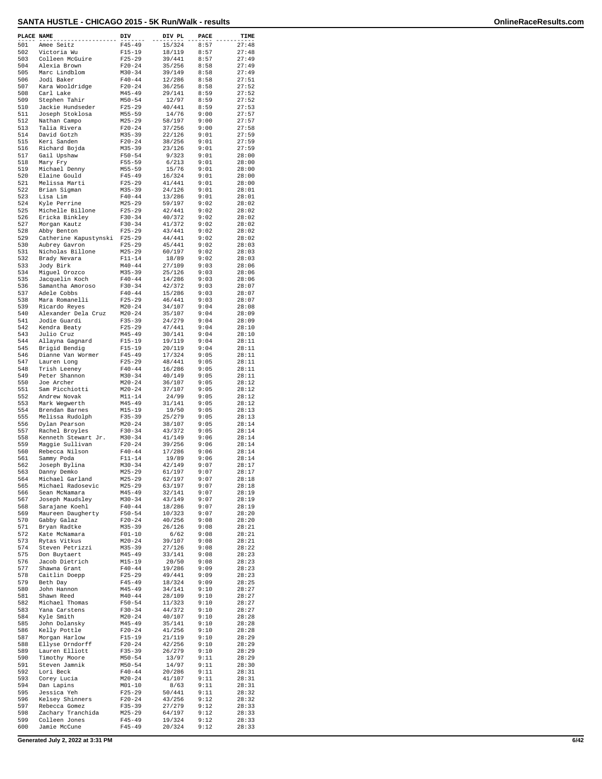| PLACE NAME |                                    | DIV                      | DIV PL           | PACE         | TIME           |
|------------|------------------------------------|--------------------------|------------------|--------------|----------------|
| 501        | Amee Seitz                         | $F45 - 49$               | 15/324           | 8:57         | 27:48          |
| 502        | Victoria Wu                        | $F15 - 19$               | 18/119           | 8:57         | 27:48          |
| 503<br>504 | Colleen McGuire<br>Alexia Brown    | $F25-29$<br>$F20 - 24$   | 39/441<br>35/256 | 8:57<br>8:58 | 27:49<br>27:49 |
| 505        | Marc Lindblom                      | $M30 - 34$               | 39/149           | 8:58         | 27:49          |
| 506        | Jodi Baker                         | $F40 - 44$               | 12/286           | 8:58         | 27:51          |
| 507<br>508 | Kara Wooldridge<br>Carl Lake       | $F20 - 24$<br>$M45 - 49$ | 36/256<br>29/141 | 8:58<br>8:59 | 27:52<br>27:52 |
| 509        | Stephen Tahir                      | $M50 - 54$               | 12/97            | 8:59         | 27:52          |
| 510        | Jackie Hundseder                   | $F25 - 29$               | 40/441           | 8:59         | 27:53          |
| 511        | Joseph Stoklosa                    | $M55 - 59$               | 14/76            | 9:00         | 27:57          |
| 512<br>513 | Nathan Campo<br>Talia Rivera       | $M25 - 29$<br>$F20 - 24$ | 58/197<br>37/256 | 9:00<br>9:00 | 27:57<br>27:58 |
| 514        | David Gotzh                        | $M35 - 39$               | 22/126           | 9:01         | 27:59          |
| 515        | Keri Sanden                        | $F20 - 24$               | 38/256           | 9:01         | 27:59          |
| 516        | Richard Bojda                      | $M35 - 39$               | 23/126           | 9:01         | 27:59          |
| 517<br>518 | Gail Upshaw<br>Mary Fry            | $F50 - 54$<br>$F55 - 59$ | 9/323<br>6/213   | 9:01<br>9:01 | 28:00<br>28:00 |
| 519        | Michael Denny                      | $M55 - 59$               | 15/76            | 9:01         | 28:00          |
| 520        | Elaine Gould                       | $F45 - 49$               | 16/324           | 9:01         | 28:00          |
| 521<br>522 | Melissa Marti                      | $F25 - 29$<br>$M35 - 39$ | 41/441           | 9:01<br>9:01 | 28:00<br>28:01 |
| 523        | Brian Sigman<br>Lisa Lim           | $F40 - 44$               | 24/126<br>13/286 | 9:01         | 28:01          |
| 524        | Kyle Perrine                       | $M25 - 29$               | 59/197           | 9:02         | 28:02          |
| 525        | Michelle Billone                   | $F25 - 29$               | 42/441           | 9:02         | 28:02          |
| 526<br>527 | Ericka Binkley                     | $F30-34$<br>$F30-34$     | 40/372<br>41/372 | 9:02<br>9:02 | 28:02<br>28:02 |
| 528        | Morgan Kautz<br>Abby Benton        | $F25 - 29$               | 43/441           | 9:02         | 28:02          |
| 529        | Catherine Kapustynski              | $F25 - 29$               | 44/441           | 9:02         | 28:02          |
| 530        | Aubrey Gavron                      | $F25 - 29$               | 45/441           | 9:02         | 28:03          |
| 531<br>532 | Nicholas Billone<br>Brady Nevara   | $M25 - 29$<br>$F11 - 14$ | 60/197<br>18/89  | 9:02<br>9:02 | 28:03<br>28:03 |
| 533        | Jody Birk                          | $M40 - 44$               | 27/109           | 9:03         | 28:06          |
| 534        | Miguel Orozco                      | $M35 - 39$               | 25/126           | 9:03         | 28:06          |
| 535        | Jacquelin Koch                     | $F40 - 44$               | 14/286           | 9:03         | 28:06          |
| 536<br>537 | Samantha Amoroso<br>Adele Cobbs    | $F30-34$<br>$F40 - 44$   | 42/372<br>15/286 | 9:03<br>9:03 | 28:07<br>28:07 |
| 538        | Mara Romanelli                     | $F25 - 29$               | 46/441           | 9:03         | 28:07          |
| 539        | Ricardo Reyes                      | $M20 - 24$               | 34/107           | 9:04         | 28:08          |
| 540        | Alexander Dela Cruz                | $M20 - 24$               | 35/107           | 9:04         | 28:09          |
| 541<br>542 | Jodie Guardi<br>Kendra Beaty       | $F35 - 39$<br>$F25-29$   | 24/279<br>47/441 | 9:04<br>9:04 | 28:09<br>28:10 |
| 543        | Julio Cruz                         | $M45 - 49$               | 30/141           | 9:04         | 28:10          |
| 544        | Allayna Gagnard                    | $F15 - 19$               | 19/119           | 9:04         | 28:11          |
| 545        | Brigid Bendig                      | $F15-19$                 | 20/119           | 9:04         | 28:11          |
| 546<br>547 | Dianne Van Wormer<br>Lauren Long   | $F45 - 49$<br>$F25 - 29$ | 17/324<br>48/441 | 9:05<br>9:05 | 28:11<br>28:11 |
| 548        | Trish Leeney                       | $F40 - 44$               | 16/286           | 9:05         | 28:11          |
| 549        | Peter Shannon                      | $M30 - 34$               | 40/149           | 9:05         | 28:11          |
| 550        | Joe Archer                         | $M20 - 24$               | 36/107           | 9:05         | 28:12          |
| 551<br>552 | Sam Picchiotti<br>Andrew Novak     | $M20 - 24$<br>$M11 - 14$ | 37/107<br>24/99  | 9:05<br>9:05 | 28:12<br>28:12 |
| 553        | Mark Weqwerth                      | $M45 - 49$               | 31/141           | 9:05         | 28:12          |
| 554        | Brendan Barnes                     | $M15 - 19$               | 19/50            | 9:05         | 28:13          |
| 555        | Melissa Rudolph                    | $F35 - 39$               | 25/279           | 9:05         | 28:13          |
| 556<br>557 | Dylan Pearson<br>Rachel Broyles    | $M20 - 24$<br>$F30-34$   | 38/107<br>43/372 | 9:05<br>9:05 | 28:14<br>28:14 |
| 558        | Kenneth Stewart Jr.                | $M30 - 34$               | 41/149           | 9:06         | 28:14          |
| 559        | Maggie Sullivan                    | $F20 - 24$               | 39/256           | 9:06         | 28:14          |
| 560<br>561 | Rebecca Nilson<br>Sammy Poda       | $F40 - 44$<br>$F11 - 14$ | 17/286<br>19/89  | 9:06<br>9:06 | 28:14<br>28:14 |
| 562        | Joseph Bylina                      | $M30 - 34$               | 42/149           | 9:07         | 28:17          |
| 563        | Danny Demko                        | M25-29                   | 61/197           | 9:07         | 28:17          |
| 564        | Michael Garland                    | $M25 - 29$               | 62/197           | 9:07         | 28:18          |
| 565<br>566 | Michael Radosevic<br>Sean McNamara | $M25 - 29$<br>M45-49     | 63/197<br>32/141 | 9:07<br>9:07 | 28:18<br>28:19 |
| 567        | Joseph Maudsley                    | $M30 - 34$               | 43/149           | 9:07         | 28:19          |
| 568        | Sarajane Koehl                     | $F40 - 44$               | 18/286           | 9:07         | 28:19          |
| 569<br>570 | Maureen Daugherty                  | $F50 - 54$               | 10/323           | 9:07<br>9:08 | 28:20          |
| 571        | Gabby Galaz<br>Bryan Radtke        | $F20-24$<br>$M35 - 39$   | 40/256<br>26/126 | 9:08         | 28:20<br>28:21 |
| 572        | Kate McNamara                      | $F01-10$                 | 6/62             | 9:08         | 28:21          |
| 573        | Rytas Vitkus                       | $M20 - 24$               | 39/107           | 9:08         | 28:21          |
| 574<br>575 | Steven Petrizzi<br>Don Buytaert    | $M35 - 39$<br>M45-49     | 27/126<br>33/141 | 9:08<br>9:08 | 28:22<br>28:23 |
| 576        | Jacob Dietrich                     | $M15 - 19$               | 20/50            | 9:08         | 28:23          |
| 577        | Shawna Grant                       | $F40 - 44$               | 19/286           | 9:09         | 28:23          |
| 578        | Caitlin Doepp                      | $F25-29$                 | 49/441           | 9:09         | 28:23          |
| 579<br>580 | Beth Day<br>John Hannon            | $F45 - 49$<br>$M45 - 49$ | 18/324<br>34/141 | 9:09<br>9:10 | 28:25<br>28:27 |
| 581        | Shawn Reed                         | $M40 - 44$               | 28/109           | 9:10         | 28:27          |
| 582        | Michael Thomas                     | F50-54                   | 11/323           | 9:10         | 28:27          |
| 583        | Yana Carstens                      | $F30-34$                 | 44/372           | 9:10         | 28:27          |
| 584<br>585 | Kyle Smith<br>John Dolansky        | M20-24<br>M45-49         | 40/107<br>35/141 | 9:10<br>9:10 | 28:28<br>28:28 |
| 586        | Kelly Pottle                       | $F20 - 24$               | 41/256           | 9:10         | 28:28          |
| 587        | Morgan Harlow                      | F15-19                   | 21/119           | 9:10         | 28:29          |
| 588        | Ellyse Orndorff                    | F20-24                   | 42/256           | 9:10         | 28:29          |
| 589<br>590 | Lauren Elliott<br>Timothy Moore    | $F35 - 39$<br>M50-54     | 26/279<br>13/97  | 9:10<br>9:11 | 28:29<br>28:29 |
| 591        | Steven Jamnik                      | $M50 - 54$               | 14/97            | 9:11         | 28:30          |
| 592        | Lori Beck                          | $F40 - 44$               | 20/286           | 9:11         | 28:31          |
| 593        | Corey Lucia                        | $M20-24$                 | 41/107           | 9:11         | 28:31          |
| 594<br>595 | Dan Lapins<br>Jessica Yeh          | M01-10<br>$F25-29$       | 8/63<br>50/441   | 9:11<br>9:11 | 28:31<br>28:32 |
| 596        | Kelsey Shinners                    | $F20-24$                 | 43/256           | 9:12         | 28:32          |
| 597        | Rebecca Gomez                      | F35-39                   | 27/279           | 9:12         | 28:33          |
| 598        | Zachary Tranchida                  | $M25 - 29$               | 64/197           | 9:12         | 28:33          |
| 599<br>600 | Colleen Jones<br>Jamie McCune      | F45-49<br>$F45 - 49$     | 19/324<br>20/324 | 9:12<br>9:12 | 28:33<br>28:33 |
|            |                                    |                          |                  |              |                |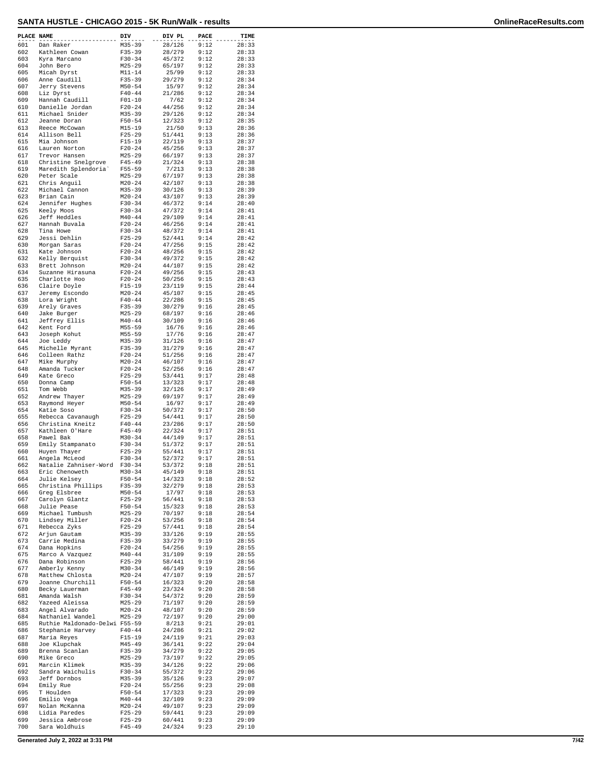| PLACE NAME |                                                   | DIV                      | DIV PL           | PACE         | TIME           |
|------------|---------------------------------------------------|--------------------------|------------------|--------------|----------------|
| 601        | Dan Raker                                         | M35-39                   | 28/126           | 9:12         | 28:33          |
| 602        | Kathleen Cowan                                    | $F35 - 39$               | 28/279           | 9:12         | 28:33          |
| 603<br>604 | Kyra Marcano<br>John Bero                         | $F30-34$<br>$M25 - 29$   | 45/372<br>65/197 | 9:12<br>9:12 | 28:33<br>28:33 |
| 605        | Micah Dyrst                                       | $M11 - 14$               | 25/99            | 9:12         | 28:33          |
| 606        | Anne Caudill                                      | $F35 - 39$               | 29/279           | 9:12         | 28:34          |
| 607<br>608 | Jerry Stevens<br>Liz Dyrst                        | $M50 - 54$<br>$F40 - 44$ | 15/97<br>21/286  | 9:12<br>9:12 | 28:34<br>28:34 |
| 609        | Hannah Caudill                                    | $F01 - 10$               | 7/62             | 9:12         | 28:34          |
| 610        | Danielle Jordan                                   | $F20-24$                 | 44/256           | 9:12         | 28:34          |
| 611<br>612 | Michael Snider<br>Jeanne Doran                    | $M35 - 39$<br>$F50 - 54$ | 29/126<br>12/323 | 9:12<br>9:12 | 28:34<br>28:35 |
| 613        | Reece McCowan                                     | M15-19                   | 21/50            | 9:13         | 28:36          |
| 614        | Allison Bell                                      | $F25 - 29$               | 51/441           | 9:13         | 28:36          |
| 615<br>616 | Mia Johnson<br>Lauren Norton                      | $F15 - 19$<br>$F20-24$   | 22/119<br>45/256 | 9:13<br>9:13 | 28:37<br>28:37 |
| 617        | Trevor Hansen                                     | $M25 - 29$               | 66/197           | 9:13         | 28:37          |
| 618        | Christine Snelgrove                               | $F45 - 49$               | 21/324           | 9:13         | 28:38          |
| 619<br>620 | Maredith Splendoria'<br>Peter Scale               | $F55 - 59$<br>$M25 - 29$ | 7/213<br>67/197  | 9:13<br>9:13 | 28:38<br>28:38 |
| 621        | Chris Anguil                                      | $M20 - 24$               | 42/107           | 9:13         | 28:38          |
| 622        | Michael Cannon                                    | $M35 - 39$               | 30/126           | 9:13         | 28:39          |
| 623<br>624 | Brian Cain<br>Jennifer Hughes                     | $M20 - 24$<br>$F30-34$   | 43/107<br>46/372 | 9:13<br>9:14 | 28:39<br>28:40 |
| 625        | Keely Moos                                        | $F30-34$                 | 47/372           | 9:14         | 28:41          |
| 626        | Jeff Heddles                                      | $M40 - 44$               | 29/109           | 9:14         | 28:41          |
| 627<br>628 | Hannah Buvala<br>Tina Howe                        | $F20 - 24$<br>$F30-34$   | 46/256<br>48/372 | 9:14<br>9:14 | 28:41<br>28:41 |
| 629        | Jessi Dehlin                                      | $F25 - 29$               | 52/441           | 9:14         | 28:42          |
| 630        | Morgan Saras                                      | $F20 - 24$               | 47/256           | 9:15         | 28:42          |
| 631<br>632 | Kate Johnson<br>Kelly Berquist                    | $F20-24$<br>$F30 - 34$   | 48/256<br>49/372 | 9:15<br>9:15 | 28:42<br>28:42 |
| 633        | Brett Johnson                                     | $M20 - 24$               | 44/107           | 9:15         | 28:42          |
| 634        | Suzanne Hirasuna                                  | $F20-24$                 | 49/256           | 9:15         | 28:43          |
| 635<br>636 | Charlotte Hoo<br>Claire Doyle                     | $F20-24$<br>$F15 - 19$   | 50/256<br>23/119 | 9:15<br>9:15 | 28:43<br>28:44 |
| 637        | Jeremy Escondo                                    | $M20 - 24$               | 45/107           | 9:15         | 28:45          |
| 638        | Lora Wright                                       | $F40 - 44$               | 22/286           | 9:15         | 28:45          |
| 639<br>640 | Arely Graves<br>Jake Burger                       | $F35 - 39$<br>$M25 - 29$ | 30/279<br>68/197 | 9:16<br>9:16 | 28:45<br>28:46 |
| 641        | Jeffrey Ellis                                     | $M40 - 44$               | 30/109           | 9:16         | 28:46          |
| 642        | Kent Ford                                         | $M55 - 59$               | 16/76            | 9:16         | 28:46          |
| 643<br>644 | Joseph Kohut<br>Joe Leddy                         | $M55 - 59$<br>$M35 - 39$ | 17/76<br>31/126  | 9:16<br>9:16 | 28:47<br>28:47 |
| 645        | Michelle Myrant                                   | $F35 - 39$               | 31/279           | 9:16         | 28:47          |
| 646        | Colleen Rathz                                     | $F20-24$                 | 51/256           | 9:16         | 28:47          |
| 647<br>648 | Mike Murphy<br>Amanda Tucker                      | $M20 - 24$<br>$F20 - 24$ | 46/107<br>52/256 | 9:16<br>9:16 | 28:47<br>28:47 |
| 649        | Kate Greco                                        | $F25 - 29$               | 53/441           | 9:17         | 28:48          |
| 650        | Donna Camp                                        | $F50 - 54$               | 13/323           | 9:17         | 28:48          |
| 651<br>652 | Tom Webb<br>Andrew Thayer                         | $M35 - 39$<br>$M25 - 29$ | 32/126<br>69/197 | 9:17<br>9:17 | 28:49<br>28:49 |
| 653        | Raymond Heyer                                     | $M50 - 54$               | 16/97            | 9:17         | 28:49          |
| 654        | Katie Soso                                        | $F30-34$                 | 50/372           | 9:17         | 28:50          |
| 655<br>656 | Rebecca Cavanaugh                                 | $F25 - 29$<br>$F40 - 44$ | 54/441           | 9:17<br>9:17 | 28:50<br>28:50 |
| 657        | Christina Kneitz<br>Kathleen O'Hare               | $F45 - 49$               | 23/286<br>22/324 | 9:17         | 28:51          |
| 658        | Pawel Bak                                         | $M30 - 34$               | 44/149           | 9:17         | 28:51          |
| 659<br>660 | Emily Stampanato                                  | $F30-34$<br>$F25 - 29$   | 51/372<br>55/441 | 9:17<br>9:17 | 28:51<br>28:51 |
| 661        | Huyen Thayer<br>Angela McLeod                     | $F30-34$                 | 52/372           | 9:17         | 28:51          |
| 662        | Natalie Zahniser-Word                             | $F30 - 34$               | 53/372           | 9:18         | 28:51          |
| 663        | Eric Chenoweth                                    | $M30 - 34$               | 45/149           | 9:18         | 28:51          |
| 664<br>665 | Julie Kelsey<br>Christina Phillips                | $F50 - 54$<br>$F35 - 39$ | 14/323<br>32/279 | 9:18<br>9:18 | 28:52<br>28:53 |
| 666        | Greg Elsbree                                      | $M50 - 54$               | 17/97            | 9:18         | 28:53          |
| 667        | Carolyn Glantz                                    | $F25 - 29$<br>$F50 - 54$ | 56/441           | 9:18<br>9:18 | 28:53          |
| 668<br>669 | Julie Pease<br>Michael Tumbush                    | $M25 - 29$               | 15/323<br>70/197 | 9:18         | 28:53<br>28:54 |
| 670        | Lindsey Miller                                    | $F20 - 24$               | 53/256           | 9:18         | 28:54          |
| 671<br>672 | Rebecca Zyks                                      | $F25-29$<br>$M35 - 39$   | 57/441<br>33/126 | 9:18<br>9:19 | 28:54<br>28:55 |
| 673        | Arjun Gautam<br>Carrie Medina                     | $F35 - 39$               | 33/279           | 9:19         | 28:55          |
| 674        | Dana Hopkins                                      | $F20 - 24$               | 54/256           | 9:19         | 28:55          |
| 675<br>676 | Marco A Vazquez<br>Dana Robinson                  | $M40 - 44$<br>$F25 - 29$ | 31/109<br>58/441 | 9:19<br>9:19 | 28:55<br>28:56 |
| 677        | Amberly Kenny                                     | $M30 - 34$               | 46/149           | 9:19         | 28:56          |
| 678        | Matthew Chlosta                                   | $M20 - 24$               | 47/107           | 9:19         | 28:57          |
| 679        | Joanne Churchill                                  | $F50 - 54$               | 16/323           | 9:20         | 28:58          |
| 680<br>681 | Becky Lauerman<br>Amanda Walsh                    | $F45 - 49$<br>$F30-34$   | 23/324<br>54/372 | 9:20<br>9:20 | 28:58<br>28:59 |
| 682        | Yazeed Aleissa                                    | $M25 - 29$               | 71/197           | 9:20         | 28:59          |
| 683        | Angel Alvarado                                    | $M20 - 24$               | 48/107           | 9:20         | 28:59          |
| 684<br>685 | Nathaniel Wandel<br>Ruthie Maldonado-Delwi F55-59 | $M25 - 29$               | 72/197<br>8/213  | 9:20<br>9:21 | 29:00<br>29:01 |
| 686        | Stephanie Harvey                                  | $F40 - 44$               | 24/286           | 9:21         | 29:02          |
| 687        | Maria Reyes                                       | $F15 - 19$               | 24/119           | 9:21         | 29:03          |
| 688<br>689 | Joe Klupchak<br>Brenna Scanlan                    | $M45 - 49$<br>$F35 - 39$ | 36/141<br>34/279 | 9:22<br>9:22 | 29:04<br>29:05 |
| 690        | Mike Greco                                        | $M25 - 29$               | 73/197           | 9:22         | 29:05          |
| 691        | Marcin Klimek                                     | $M35 - 39$               | 34/126           | 9:22         | 29:06          |
| 692<br>693 | Sandra Waichulis<br>Jeff Dornbos                  | $F30-34$<br>$M35 - 39$   | 55/372<br>35/126 | 9:22<br>9:23 | 29:06<br>29:07 |
| 694        | Emily Rue                                         | $F20-24$                 | 55/256           | 9:23         | 29:08          |
| 695        | T Houlden                                         | $F50 - 54$               | 17/323           | 9:23         | 29:09          |
| 696<br>697 | Emilio Vega<br>Nolan McKanna                      | $M40 - 44$<br>$M20 - 24$ | 32/109<br>49/107 | 9:23<br>9:23 | 29:09<br>29:09 |
| 698        | Lidia Paredes                                     | $F25 - 29$               | 59/441           | 9:23         | 29:09          |
| 699        | Jessica Ambrose                                   | $F25 - 29$               | 60/441           | 9:23         | 29:09          |
| 700        | Sara Woldhuis                                     | $F45 - 49$               | 24/324           | 9:23         | 29:10          |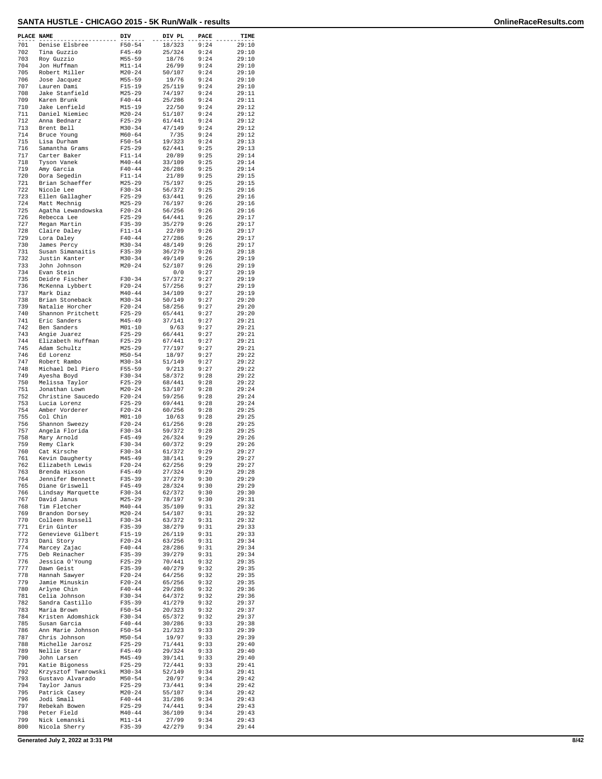| PLACE NAME |                                       | DIV                      | DIV PL           | PACE         | TIME           |
|------------|---------------------------------------|--------------------------|------------------|--------------|----------------|
| 701        | Denise Elsbree                        | $F50 - 54$               | 18/323           | 9:24         | 29:10          |
| 702<br>703 | Tina Guzzio<br>Roy Guzzio             | $F45 - 49$<br>$M55 - 59$ | 25/324<br>18/76  | 9:24<br>9:24 | 29:10<br>29:10 |
| 704        | Jon Huffman                           | $M11 - 14$               | 26/99            | 9:24         | 29:10          |
| 705        | Robert Miller                         | $M20 - 24$               | 50/107           | 9:24         | 29:10          |
| 706<br>707 | Jose Jacquez<br>Lauren Dami           | $M55 - 59$<br>$F15 - 19$ | 19/76<br>25/119  | 9:24<br>9:24 | 29:10<br>29:10 |
| 708        | Jake Stanfield                        | $M25 - 29$               | 74/197           | 9:24         | 29:11          |
| 709        | Karen Brunk                           | $F40 - 44$               | 25/286           | 9:24         | 29:11          |
| 710<br>711 | Jake Lenfield<br>Daniel Niemiec       | $M15 - 19$<br>$M20 - 24$ | 22/50<br>51/107  | 9:24<br>9:24 | 29:12<br>29:12 |
| 712        | Anna Bednarz                          | $F25 - 29$               | 61/441           | 9:24         | 29:12          |
| 713        | Brent Bell                            | $M30 - 34$               | 47/149           | 9:24         | 29:12          |
| 714        | Bruce Young                           | $M60 - 64$               | 7/35             | 9:24         | 29:12          |
| 715<br>716 | Lisa Durham<br>Samantha Grams         | $F50 - 54$<br>$F25 - 29$ | 19/323<br>62/441 | 9:24<br>9:25 | 29:13<br>29:13 |
| 717        | Carter Baker                          | $F11 - 14$               | 20/89            | 9:25         | 29:14          |
| 718        | Tyson Vanek                           | $M40 - 44$               | 33/109           | 9:25         | 29:14          |
| 719<br>720 | Amy Garcia<br>Dora Segedin            | $F40 - 44$<br>$F11 - 14$ | 26/286<br>21/89  | 9:25<br>9:25 | 29:14<br>29:15 |
| 721        | Brian Schaeffer                       | $M25 - 29$               | 75/197           | 9:25         | 29:15          |
| 722        | Nicole Lee                            | $F30 - 34$               | 56/372           | 9:25         | 29:16          |
| 723<br>724 | Ellen Gallagher<br>Matt Mechnig       | $F25 - 29$<br>$M25 - 29$ | 63/441<br>76/197 | 9:26<br>9:26 | 29:16<br>29:16 |
| 725        | Agatha Lewandowska                    | $F20 - 24$               | 56/256           | 9:26         | 29:16          |
| 726        | Rebecca Lee                           | $F25 - 29$               | 64/441           | 9:26         | 29:17          |
| 727<br>728 | Megan Martin<br>Claire Daley          | $F35 - 39$<br>$F11 - 14$ | 35/279<br>22/89  | 9:26<br>9:26 | 29:17<br>29:17 |
| 729        | Lora Daley                            | $F40 - 44$               | 27/286           | 9:26         | 29:17          |
| 730        | James Percy                           | $M30 - 34$               | 48/149           | 9:26         | 29:17          |
| 731        | Susan Simanaitis                      | $F35 - 39$               | 36/279           | 9:26         | 29:18          |
| 732<br>733 | Justin Kanter<br>John Johnson         | $M30 - 34$<br>$M20 - 24$ | 49/149<br>52/107 | 9:26<br>9:26 | 29:19<br>29:19 |
| 734        | Evan Stein                            |                          | 0/0              | 9:27         | 29:19          |
| 735        | Deidre Fischer                        | $F30 - 34$               | 57/372           | 9:27         | 29:19          |
| 736        | McKenna Lybbert                       | $F20 - 24$               | 57/256           | 9:27         | 29:19          |
| 737<br>738 | Mark Diaz<br>Brian Stoneback          | $M40 - 44$<br>$M30 - 34$ | 34/109<br>50/149 | 9:27<br>9:27 | 29:19<br>29:20 |
| 739        | Natalie Horcher                       | $F20 - 24$               | 58/256           | 9:27         | 29:20          |
| 740        | Shannon Pritchett                     | $F25 - 29$               | 65/441           | 9:27         | 29:20          |
| 741        | Eric Sanders                          | $M45 - 49$               | 37/141           | 9:27         | 29:21          |
| 742<br>743 | Ben Sanders<br>Angie Juarez           | $M01 - 10$<br>$F25 - 29$ | 9/63<br>66/441   | 9:27<br>9:27 | 29:21<br>29:21 |
| 744        | Elizabeth Huffman                     | $F25 - 29$               | 67/441           | 9:27         | 29:21          |
| 745        | Adam Schultz                          | $M25 - 29$               | 77/197           | 9:27         | 29:21          |
| 746        | Ed Lorenz                             | $M50 - 54$               | 18/97            | 9:27         | 29:22          |
| 747<br>748 | Robert Rambo<br>Michael Del Piero     | $M30 - 34$<br>$F55 - 59$ | 51/149<br>9/213  | 9:27<br>9:27 | 29:22<br>29:22 |
| 749        | Ayesha Boyd                           | $F30 - 34$               | 58/372           | 9:28         | 29:22          |
| 750        | Melissa Taylor                        | $F25 - 29$               | 68/441           | 9:28         | 29:22          |
| 751        | Jonathan Lown                         | $M20 - 24$               | 53/107           | 9:28         | 29:24          |
| 752<br>753 | Christine Saucedo<br>Lucia Lorenz     | $F20 - 24$<br>$F25 - 29$ | 59/256<br>69/441 | 9:28<br>9:28 | 29:24<br>29:24 |
| 754        | Amber Vorderer                        | $F20 - 24$               | 60/256           | 9:28         | 29:25          |
| 755        | Col Chin                              | $M01 - 10$               | 10/63            | 9:28         | 29:25          |
| 756        | Shannon Sweezy                        | $F20 - 24$               | 61/256           | 9:28         | 29:25<br>29:25 |
| 757<br>758 | Angela Florida<br>Mary Arnold         | $F30-34$<br>$F45 - 49$   | 59/372<br>26/324 | 9:28<br>9:29 | 29:26          |
| 759        | Remy Clark                            | $F30 - 34$               | 60/372           | 9:29         | 29:26          |
| 760        | Cat Kirsche                           | $F30 - 34$               | 61/372           | 9:29         | 29:27          |
| 761<br>762 | Kevin Daugherty<br>Elizabeth Lewis    | $M45 - 49$<br>$F20 - 24$ | 38/141<br>62/256 | 9:29<br>9:29 | 29:27<br>29:27 |
| 763        | Brenda Hixson                         | $F45 - 49$               | 27/324           | 9:29         | 29:28          |
| 764        | Jennifer Bennett                      | $F35 - 39$               | 37/279           | 9:30         | 29:29          |
| 765        | Diane Griswell                        | $F45 - 49$               | 28/324           | 9:30         | 29:29          |
| 766<br>767 | Lindsay Marquette<br>David Janus      | $F30 - 34$<br>$M25 - 29$ | 62/372<br>78/197 | 9:30<br>9:30 | 29:30<br>29:31 |
| 768        | Tim Fletcher                          | $M40 - 44$               | 35/109           | 9:31         | 29:32          |
| 769        | Brandon Dorsey                        | $M20 - 24$               | 54/107           | 9:31         | 29:32          |
| 770        | Colleen Russell                       | $F30 - 34$               | 63/372           | 9:31         | 29:32          |
| 771<br>772 | Erin Ginter<br>Genevieve Gilbert      | $F35 - 39$<br>$F15-19$   | 38/279<br>26/119 | 9:31<br>9:31 | 29:33<br>29:33 |
| 773        | Dani Story                            | $F20-24$                 | 63/256           | 9:31         | 29:34          |
| 774        | Marcey Zajac                          | $F40 - 44$               | 28/286           | 9:31         | 29:34          |
| 775        | Deb Reinacher                         | $F35 - 39$               | 39/279           | 9:31         | 29:34          |
| 776<br>777 | Jessica O'Young<br>Dawn Geist         | $F25 - 29$<br>$F35 - 39$ | 70/441<br>40/279 | 9:32<br>9:32 | 29:35<br>29:35 |
| 778        | Hannah Sawyer                         | $F20 - 24$               | 64/256           | 9:32         | 29:35          |
| 779        | Jamie Minuskin                        | $F20 - 24$               | 65/256           | 9:32         | 29:35          |
| 780        | Arlyne Chin                           | $F40 - 44$               | 29/286           | 9:32         | 29:36          |
| 781<br>782 | Celia Johnson<br>Sandra Castillo      | $F30-34$<br>$F35 - 39$   | 64/372<br>41/279 | 9:32<br>9:32 | 29:36<br>29:37 |
| 783        | Maria Brown                           | $F50 - 54$               | 20/323           | 9:32         | 29:37          |
| 784        | Kristen Adomshick                     | $F30 - 34$               | 65/372           | 9:32         | 29:37          |
| 785        | Susan Garcia                          | $F40 - 44$               | 30/286           | 9:33         | 29:38          |
| 786<br>787 | Ann Marie Johnson<br>Chris Johnson    | $F50 - 54$<br>$M50 - 54$ | 21/323<br>19/97  | 9:33<br>9:33 | 29:39<br>29:39 |
| 788        | Michelle Jarosz                       | $F25 - 29$               | 71/441           | 9:33         | 29:40          |
| 789        | Nellie Starr                          | $F45 - 49$               | 29/324           | 9:33         | 29:40          |
| 790        | John Larsen                           | $M45 - 49$               | 39/141<br>72/441 | 9:33<br>9:33 | 29:40          |
| 791<br>792 | Katie Bigoness<br>Krzysztof Twarowski | $F25 - 29$<br>$M30 - 34$ | 52/149           | 9:34         | 29:41<br>29:41 |
| 793        | Gustavo Alvarado                      | $M50 - 54$               | 20/97            | 9:34         | 29:42          |
| 794        | Taylor Janus                          | $F25 - 29$               | 73/441           | 9:34         | 29:42          |
| 795<br>796 | Patrick Casey<br>Jodi Small           | $M20 - 24$<br>$F40 - 44$ | 55/107<br>31/286 | 9:34<br>9:34 | 29:42<br>29:43 |
| 797        | Rebekah Bowen                         | $F25 - 29$               | 74/441           | 9:34         | 29:43          |
| 798        | Peter Field                           | $M40 - 44$               | 36/109           | 9:34         | 29:43          |
| 799        | Nick Lemanski                         | $M11 - 14$               | 27/99            | 9:34         | 29:43          |
| 800        | Nicola Sherry                         | $F35 - 39$               | 42/279           | 9:34         | 29:44          |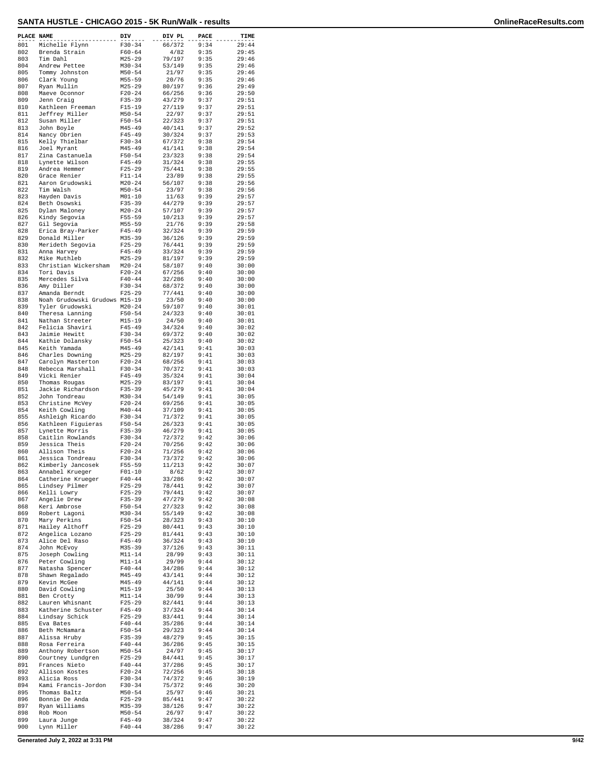| PLACE NAME |                                       | DIV                      | DIV PL           | PACE         | TIME           |
|------------|---------------------------------------|--------------------------|------------------|--------------|----------------|
| 801        | Michelle Flynn                        | $F30 - 34$               | 66/372           | 9:34         | 29:44          |
| 802        | Brenda Strain                         | $F60 - 64$               | 4/82             | 9:35         | 29:45          |
| 803        | Tim Dahl                              | $M25 - 29$               | 79/197           | 9:35         | 29:46          |
| 804        | Andrew Pettee                         | $M30 - 34$               | 53/149           | 9:35         | 29:46          |
| 805        | Tommy Johnston                        | $M50 - 54$               | 21/97            | 9:35         | 29:46          |
| 806        | Clark Young                           | $M55 - 59$               | 20/76            | 9:35         | 29:46          |
| 807        | Ryan Mullin                           | $M25 - 29$               | 80/197           | 9:36         | 29:49          |
| 808<br>809 | Maeve Oconnor<br>Jenn Craig           | $F20 - 24$<br>$F35 - 39$ | 66/256<br>43/279 | 9:36<br>9:37 | 29:50<br>29:51 |
| 810        | Kathleen Freeman                      | $F15 - 19$               | 27/119           | 9:37         | 29:51          |
| 811        | Jeffrey Miller                        | $M50 - 54$               | 22/97            | 9:37         | 29:51          |
| 812        | Susan Miller                          | $F50 - 54$               | 22/323           | 9:37         | 29:51          |
| 813        | John Boyle                            | $M45 - 49$               | 40/141           | 9:37         | 29:52          |
| 814        | Nancy Obrien                          | $F45 - 49$               | 30/324           | 9:37         | 29:53          |
| 815        | Kelly Thielbar                        | $F30-34$                 | 67/372           | 9:38         | 29:54          |
| 816        | Joel Myrant                           | $M45 - 49$               | 41/141           | 9:38         | 29:54          |
| 817        | Zina Castanuela                       | $F50 - 54$               | 23/323           | 9:38         | 29:54          |
| 818        | Lynette Wilson                        | $F45 - 49$               | 31/324           | 9:38         | 29:55          |
| 819        | Andrea Hemmer                         | $F25 - 29$               | 75/441           | 9:38         | 29:55          |
| 820        | Grace Renier                          | $F11 - 14$               | 23/89            | 9:38         | 29:55          |
| 821        | Aaron Grudowski                       | $M20 - 24$               | 56/107           | 9:38         | 29:56          |
| 822        | Tim Walsh                             | $M50 - 54$               | 23/97            | 9:38         | 29:56          |
| 823<br>824 | Hayden Davis<br>Beth Osowski          | $M01 - 10$<br>$F35 - 39$ | 11/63<br>44/279  | 9:39<br>9:39 | 29:57<br>29:57 |
| 825        | Dylan Maloney                         | $M20 - 24$               | 57/107           | 9:39         | 29:57          |
| 826        | Kindy Segovia                         | $F55 - 59$               | 10/213           | 9:39         | 29:57          |
| 827        | Gil Segovia                           | $M55 - 59$               | 21/76            | 9:39         | 29:58          |
| 828        | Erica Bray-Parker                     | $F45 - 49$               | 32/324           | 9:39         | 29:59          |
| 829        | Donald Miller                         | $M35 - 39$               | 36/126           | 9:39         | 29:59          |
| 830        | Merideth Segovia                      | $F25 - 29$               | 76/441           | 9:39         | 29:59          |
| 831        | Anna Harvey                           | $F45 - 49$               | 33/324           | 9:39         | 29:59          |
| 832        | Mike Muthleb                          | $M25 - 29$               | 81/197           | 9:39         | 29:59          |
| 833        | Christian Wickersham                  | $M20 - 24$               | 58/107           | 9:40         | 30:00          |
| 834        | Tori Davis                            | $F20 - 24$               | 67/256           | 9:40         | 30:00          |
| 835<br>836 | Mercedes Silva<br>Amy Diller          | $F40 - 44$<br>$F30-34$   | 32/286           | 9:40         | 30:00<br>30:00 |
| 837        | Amanda Berndt                         | $F25 - 29$               | 68/372<br>77/441 | 9:40<br>9:40 | 30:00          |
| 838        | Noah Grudowski Grudows M15-19         |                          | 23/50            | 9:40         | 30:00          |
| 839        | Tyler Grudowski                       | $M20 - 24$               | 59/107           | 9:40         | 30:01          |
| 840        | Theresa Lanning                       | $F50 - 54$               | 24/323           | 9:40         | 30:01          |
| 841        | Nathan Streeter                       | $M15 - 19$               | 24/50            | 9:40         | 30:01          |
| 842        | Felicia Shaviri                       | $F45 - 49$               | 34/324           | 9:40         | 30:02          |
| 843        | Jaimie Hewitt                         | $F30-34$                 | 69/372           | 9:40         | 30:02          |
| 844        | Kathie Dolansky                       | $F50 - 54$               | 25/323           | 9:40         | 30:02          |
| 845        | Keith Yamada                          | $M45 - 49$               | 42/141           | 9:41         | 30:03          |
| 846        | Charles Downing                       | $M25 - 29$               | 82/197           | 9:41         | 30:03          |
| 847        | Carolyn Masterton                     | $F20-24$                 | 68/256           | 9:41         | 30:03          |
| 848        | Rebecca Marshall                      | $F30-34$                 | 70/372           | 9:41         | 30:03          |
| 849<br>850 | Vicki Renier                          | $F45 - 49$<br>$M25 - 29$ | 35/324           | 9:41<br>9:41 | 30:04<br>30:04 |
| 851        | Thomas Rougas<br>Jackie Richardson    | $F35 - 39$               | 83/197<br>45/279 | 9:41         | 30:04          |
| 852        | John Tondreau                         | $M30 - 34$               | 54/149           | 9:41         | 30:05          |
| 853        | Christine McVey                       | $F20 - 24$               | 69/256           | 9:41         | 30:05          |
| 854        | Keith Cowling                         | $M40 - 44$               | 37/109           | 9:41         | 30:05          |
| 855        | Ashleigh Ricardo                      | $F30-34$                 | 71/372           | 9:41         | 30:05          |
| 856        | Kathleen Fiquieras                    | $F50 - 54$               | 26/323           | 9:41         | 30:05          |
| 857        | Lynette Morris                        | $F35 - 39$               | 46/279           | 9:41         | 30:05          |
| 858        | Caitlin Rowlands                      | $F30-34$                 | 72/372           | 9:42         | 30:06          |
| 859        | Jessica Theis                         | $F20 - 24$               | 70/256           | 9:42         | 30:06          |
| 860        | Allison Theis                         | $F20-24$                 | 71/256           | 9:42         | 30:06          |
| 861<br>862 | Jessica Tondreau<br>Kimberly Jancosek | $F30-34$<br>$F55 - 59$   | 73/372<br>11/213 | 9:42<br>9:42 | 30:06<br>30:07 |
| 863        | Annabel Krueger                       | $F01 - 10$               | 8/62             | 9:42         | 30:07          |
| 864        | Catherine Krueger                     | $F40 - 44$               | 33/286           | 9:42         | 30:07          |
| 865        | Lindsey Pilmer                        | $F25 - 29$               | 78/441           | 9:42         | 30:07          |
| 866        | Kelli Lowry                           | $F25 - 29$               | 79/441           | 9:42         | 30:07          |
| 867        | Angelie Drew                          | $F35 - 39$               | 47/279           | 9:42         | 30:08          |
| 868        | Keri Ambrose                          | $F50 - 54$               | 27/323           | 9:42         | 30:08          |
| 869        | Robert Lagoni                         | $M30 - 34$               | 55/149           | 9:42         | 30:08          |
| 870        | Mary Perkins                          | $F50 - 54$               | 28/323           | 9:43         | 30:10          |
| 871        | Hailey Althoff                        | $F25 - 29$               | 80/441           | 9:43         | 30:10          |
| 872        | Angelica Lozano                       | $F25-29$                 | 81/441           | 9:43         | 30:10          |
| 873<br>874 | Alice Del Raso<br>John McEvoy         | $F45 - 49$<br>$M35 - 39$ | 36/324           | 9:43<br>9:43 | 30:10          |
| 875        | Joseph Cowling                        | $M11 - 14$               | 37/126<br>28/99  | 9:43         | 30:11<br>30:11 |
| 876        | Peter Cowling                         | $M11 - 14$               | 29/99            | 9:44         | 30:12          |
| 877        | Natasha Spencer                       | $F40 - 44$               | 34/286           | 9:44         | 30:12          |
| 878        | Shawn Regalado                        | $M45 - 49$               | 43/141           | 9:44         | 30:12          |
| 879        | Kevin McGee                           | $M45 - 49$               | 44/141           | 9:44         | 30:12          |
| 880        | David Cowling                         | $M15 - 19$               | 25/50            | 9:44         | 30:13          |
| 881        | Ben Crotty                            | $M11 - 14$               | 30/99            | 9:44         | 30:13          |
| 882        | Lauren Whisnant                       | $F25 - 29$               | 82/441           | 9:44         | 30:13          |
| 883        | Katherine Schuster                    | $F45 - 49$               | 37/324           | 9:44         | 30:14          |
| 884        | Lindsay Schick                        | $F25 - 29$               | 83/441           | 9:44         | 30:14          |
| 885        | Eva Bates                             | $F40 - 44$               | 35/286           | 9:44         | 30:14          |
| 886<br>887 | Beth McNamara<br>Alissa Hruby         | $F50 - 54$<br>$F35 - 39$ | 29/323<br>48/279 | 9:44<br>9:45 | 30:14<br>30:15 |
| 888        | Rosa Ferreira                         | $F40 - 44$               | 36/286           | 9:45         | 30:15          |
| 889        | Anthony Robertson                     | $M50 - 54$               | 24/97            | 9:45         | 30:17          |
| 890        | Courtney Lundgren                     | $F25 - 29$               | 84/441           | 9:45         | 30:17          |
| 891        | Frances Nieto                         | $F40 - 44$               | 37/286           | 9:45         | 30:17          |
| 892        | Allison Kostes                        | $F20 - 24$               | 72/256           | 9:45         | 30:18          |
| 893        | Alicia Ross                           | $F30-34$                 | 74/372           | 9:46         | 30:19          |
| 894        | Kami Francis-Jordon                   | $F30-34$                 | 75/372           | 9:46         | 30:20          |
| 895        | Thomas Baltz                          | $M50 - 54$               | 25/97            | 9:46         | 30:21          |
| 896        | Bonnie De Anda                        | $F25 - 29$               | 85/441           | 9:47         | 30:22          |
| 897        | Ryan Williams                         | M35-39                   | 38/126           | 9:47         | 30:22          |
| 898<br>899 | Rob Moon<br>Laura Junge               | $M50 - 54$<br>$F45 - 49$ | 26/97<br>38/324  | 9:47<br>9:47 | 30:22<br>30:22 |
| 900        | Lynn Miller                           | $F40 - 44$               | 38/286           | 9:47         | 30:22          |
|            |                                       |                          |                  |              |                |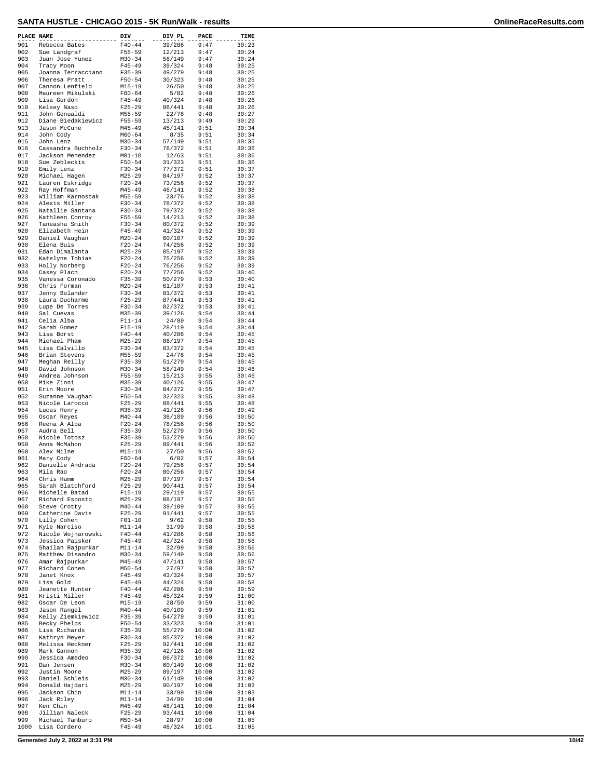| PLACE NAME |                                     | DIV                      | DIV PL           | PACE           | TIME           |
|------------|-------------------------------------|--------------------------|------------------|----------------|----------------|
| 901        | Rebecca Bates                       | $F40 - 44$               | 39/286           | 9:47           | 30:23          |
| 902        | Sue Landgraf                        | $F55 - 59$               | 12/213           | 9:47           | 30:24          |
| 903        | Juan Jose Yunez                     | $M30 - 34$               | 56/149           | 9:47           | 30:24          |
| 904<br>905 | Tracy Moon                          | $F45 - 49$<br>$F35 - 39$ | 39/324           | 9:48<br>9:48   | 30:25<br>30:25 |
| 906        | Joanna Terracciano<br>Theresa Pratt | $F50 - 54$               | 49/279<br>30/323 | 9:48           | 30:25          |
| 907        | Cannon Lenfield                     | $M15 - 19$               | 26/50            | 9:48           | 30:25          |
| 908        | Maureen Mikulski                    | $F60 - 64$               | 5/82             | 9:48           | 30:26          |
| 909        | Lisa Gordon                         | $F45 - 49$               | 40/324           | 9:48           | 30:26          |
| 910        | Kelsey Naso                         | $F25 - 29$               | 86/441           | 9:48           | 30:26          |
| 911        | John Genualdi                       | $M55 - 59$               | 22/76            | 9:48           | 30:27          |
| 912        | Diane Biedakiewicz                  | $F55 - 59$               | 13/213           | 9:49           | 30:29          |
| 913        | Jason McCune                        | $M45 - 49$               | 45/141           | 9:51           | 30:34          |
| 914<br>915 | John Cody<br>John Lenz              | $M60 - 64$<br>$M30 - 34$ | 8/35<br>57/149   | 9:51<br>9:51   | 30:34<br>30:35 |
| 916        | Cassandra Buchholz                  | $F30-34$                 | 76/372           | 9:51           | 30:36          |
| 917        | Jackson Menendez                    | $M01 - 10$               | 12/63            | 9:51           | 30:36          |
| 918        | Sue Zebleckis                       | $F50 - 54$               | 31/323           | 9:51           | 30:36          |
| 919        | Emily Lenz                          | $F30 - 34$               | 77/372           | 9:51           | 30:37          |
| 920        | Michael Hagen                       | $M25 - 29$               | 84/197           | 9:52           | 30:37          |
| 921        | Lauren Eskridge                     | $F20 - 24$               | 73/256           | 9:52           | 30:37          |
| 922        | Ray Hoffman                         | $M45 - 49$               | 46/141           | 9:52           | 30:38          |
| 923<br>924 | William Karnoscak<br>Alexis Miller  | $M55 - 59$<br>$F30-34$   | 23/76<br>78/372  | 9:52<br>9:52   | 30:38          |
| 925        | Natallie Santana                    | $F30-34$                 | 79/372           | 9:52           | 30:38<br>30:38 |
| 926        | Kathleen Conroy                     | $F55 - 59$               | 14/213           | 9:52           | 30:38          |
| 927        | Taneasha Smith                      | $F30-34$                 | 80/372           | 9:52           | 30:39          |
| 928        | Elizabeth Hein                      | $F45 - 49$               | 41/324           | 9:52           | 30:39          |
| 929        | Daniel Vaughan                      | $M20 - 24$               | 60/107           | 9:52           | 30:39          |
| 930        | Elena Buis                          | $F20 - 24$               | 74/256           | 9:52           | 30:39          |
| 931        | Edan Dimalanta                      | $M25 - 29$               | 85/197           | 9:52           | 30:39          |
| 932<br>933 | Katelyne Tobias                     | $F20-24$                 | 75/256           | 9:52           | 30:39          |
| 934        | Holly Norberg<br>Casey Plach        | $F20 - 24$<br>$F20 - 24$ | 76/256<br>77/256 | 9:52<br>9:52   | 30:39<br>30:40 |
| 935        | Vanessa Coronado                    | $F35 - 39$               | 50/279           | 9:53           | 30:40          |
| 936        | Chris Forman                        | $M20 - 24$               | 61/107           | 9:53           | 30:41          |
| 937        | Jenny Bolander                      | $F30-34$                 | 81/372           | 9:53           | 30:41          |
| 938        | Laura Ducharme                      | $F25 - 29$               | 87/441           | 9:53           | 30:41          |
| 939        | Lupe De Torres                      | $F30-34$                 | 82/372           | 9:53           | 30:41          |
| 940        | Sal Cuevas                          | $M35 - 39$               | 39/126           | 9:54           | 30:44          |
| 941        | Celia Alba                          | $F11 - 14$               | 24/89            | 9:54           | 30:44          |
| 942        | Sarah Gomez                         | $F15-19$                 | 28/119           | 9:54           | 30:44          |
| 943<br>944 | Lisa Borst<br>Michael Pham          | $F40 - 44$               | 40/286           | 9:54<br>9:54   | 30:45<br>30:45 |
| 945        | Lisa Calvillo                       | $M25 - 29$<br>$F30-34$   | 86/197<br>83/372 | 9:54           | 30:45          |
| 946        | Brian Stevens                       | $M55 - 59$               | 24/76            | 9:54           | 30:45          |
| 947        | Meghan Reilly                       | $F35 - 39$               | 51/279           | 9:54           | 30:45          |
| 948        | David Johnson                       | $M30 - 34$               | 58/149           | 9:54           | 30:46          |
| 949        | Andrea Johnson                      | $F55 - 59$               | 15/213           | 9:55           | 30:46          |
| 950        | Mike Zinni                          | $M35 - 39$               | 40/126           | 9:55           | 30:47          |
| 951        | Erin Moore                          | $F30-34$                 | 84/372           | 9:55           | 30:47          |
| 952<br>953 | Suzanne Vaughan                     | $F50 - 54$               | 32/323<br>88/441 | 9:55<br>9:55   | 30:48<br>30:48 |
| 954        | Nicole Larocco<br>Lucas Henry       | $F25 - 29$<br>$M35 - 39$ | 41/126           | 9:56           | 30:49          |
| 955        | Oscar Reyes                         | $M40 - 44$               | 38/109           | 9:56           | 30:50          |
| 956        | Reena A Alba                        | $F20 - 24$               | 78/256           | 9:56           | 30:50          |
| 957        | Audra Bell                          | $F35 - 39$               | 52/279           | 9:56           | 30:50          |
| 958        | Nicole Totosz                       | $F35 - 39$               | 53/279           | 9:56           | 30:50          |
| 959        | Anna McMahon                        | $F25 - 29$               | 89/441           | 9:56           | 30:52          |
| 960        | Alex Milne                          | M15-19                   | 27/50            | 9:56           | 30:52          |
| 961        | Mary Cody                           | $F60 - 64$               | 6/82<br>79/256   | 9:57           | 30:54          |
| 962<br>963 | Danielle Andrada<br>Mila Rao        | $F20 - 24$<br>$F20 - 24$ | 80/256           | 9:57<br>9:57   | 30:54<br>30:54 |
| 964        | Chris Hamm                          | $M25 - 29$               | 87/197           | 9:57           | 30:54          |
| 965        | Sarah Blatchford                    | $F25 - 29$               | 90/441           | 9:57           | 30:54          |
| 966        | Michelle Batad                      | $F15 - 19$               | 29/119           | 9:57           | 30:55          |
| 967        | Richard Esposto                     | $M25 - 29$               | 88/197           | 9:57           | 30:55          |
| 968        | Steve Crotty                        | $M40 - 44$               | 39/109           | 9:57           | 30:55          |
| 969        | Catherine Davis                     | $F25 - 29$               | 91/441           | 9:57           | 30:55          |
| 970        | Lilly Cohen                         | $F01 - 10$<br>$M11 - 14$ | 9/62             | 9:58           | 30:55          |
| 971<br>972 | Kyle Narciso<br>Nicole Wojnarowski  | $F40 - 44$               | 31/99<br>41/286  | 9:58<br>9:58   | 30:56<br>30:56 |
| 973        | Jessica Paisker                     | $F45 - 49$               | 42/324           | 9:58           | 30:56          |
| 974        | Shailan Rajpurkar                   | $M11 - 14$               | 32/99            | 9:58           | 30:56          |
| 975        | Matthew Disandro                    | $M30 - 34$               | 59/149           | 9:58           | 30:56          |
| 976        | Amar Rajpurkar                      | $M45 - 49$               | 47/141           | 9:58           | 30:57          |
| 977        | Richard Cohen                       | $M50 - 54$               | 27/97            | 9:58           | 30:57          |
| 978        | Janet Knox                          | $F45 - 49$               | 43/324           | 9:58           | 30:57          |
| 979        | Lisa Gold                           | $F45 - 49$               | 44/324           | 9:58           | 30:58          |
| 980        | Jeanette Hunter                     | $F40 - 44$               | 42/286           | 9:59           | 30:59          |
| 981<br>982 | Kristi Miller<br>Oscar De Leon      | $F45 - 49$<br>M15-19     | 45/324<br>28/50  | 9:59<br>9:59   | 31:00<br>31:00 |
| 983        | Jason Rangel                        | $M40 - 44$               | 40/109           | 9:59           | 31:01          |
| 984        | Kelly Ziemkiewicz                   | $F35 - 39$               | 54/279           | 9:59           | 31:01          |
| 985        | Becky Phelps                        | $F50 - 54$               | 33/323           | 9:59           | 31:01          |
| 986        | Lisa Richards                       | $F35 - 39$               | 55/279           | 10:00          | 31:02          |
| 987        | Kathryn Meyer                       | $F30-34$                 | 85/372           | 10:00          | 31:02          |
| 988        | Melissa Heckner                     | $F25 - 29$               | 92/441           | 10:00          | 31:02          |
| 989        | Mark Gannon                         | $M35 - 39$               | 42/126           | 10:00          | 31:02          |
| 990        | Jessica Amedeo                      | $F30-34$                 | 86/372           | 10:00          | 31:02          |
| 991<br>992 | Dan Jensen<br>Justin Moore          | $M30 - 34$<br>$M25 - 29$ | 60/149<br>89/197 | 10:00<br>10:00 | 31:02<br>31:02 |
| 993        | Daniel Schleis                      | $M30 - 34$               | 61/149           | 10:00          | 31:02          |
| 994        | Donald Hajdari                      | $M25 - 29$               | 90/197           | 10:00          | 31:03          |
| 995        | Jackson Chin                        | $M11 - 14$               | 33/99            | 10:00          | 31:03          |
| 996        | Jack Riley                          | $M11 - 14$               | 34/99            | 10:00          | 31:04          |
| 997        | Ken Chin                            | $M45 - 49$               | 48/141           | 10:00          | 31:04          |
| 998        | Jillian Naleck                      | $F25 - 29$               | 93/441           | 10:00          | 31:04          |
| 999        | Michael Tamburo                     | $M50 - 54$               | 28/97            | 10:00          | 31:05          |
| 1000       | Lisa Cordero                        | $F45 - 49$               | 46/324           | 10:01          | 31:05          |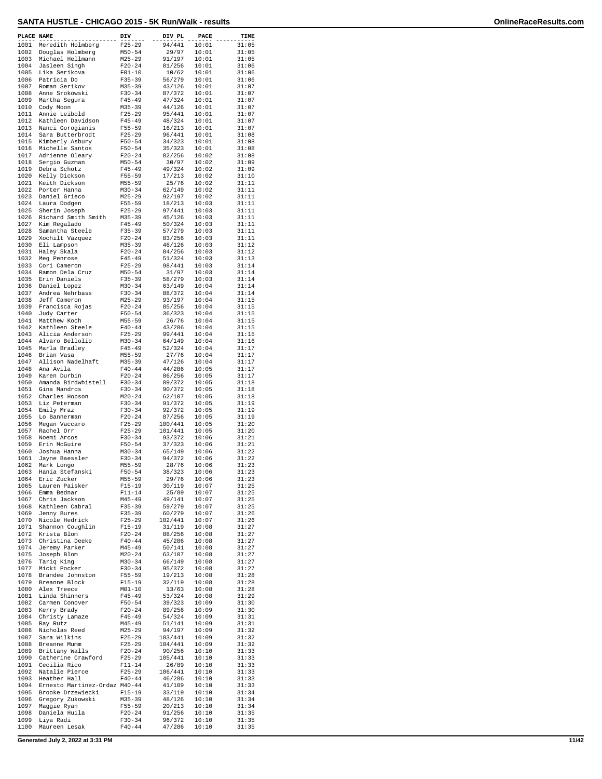| PLACE NAME   |                                     | DIV                      | DIV PL            | PACE           | TIME           |
|--------------|-------------------------------------|--------------------------|-------------------|----------------|----------------|
| 1001         | Meredith Holmberg                   | $F25 - 29$               | 94/441            | 10:01          | 31:05          |
| 1002         | Douglas Holmberg                    | $M50 - 54$               | 29/97             | 10:01          | 31:05          |
| 1003<br>1004 | Michael Hellmann<br>Jasleen Singh   | $M25 - 29$<br>$F20 - 24$ | 91/197<br>81/256  | 10:01<br>10:01 | 31:05<br>31:06 |
| 1005         | Lika Serikova                       | $F01 - 10$               | 10/62             | 10:01          | 31:06          |
| 1006         | Patricia Do                         | $F35 - 39$               | 56/279            | 10:01          | 31:06          |
| 1007<br>1008 | Roman Serikov<br>Anne Srokowski     | $M35 - 39$<br>$F30 - 34$ | 43/126<br>87/372  | 10:01<br>10:01 | 31:07<br>31:07 |
| 1009         | Martha Segura                       | $F45 - 49$               | 47/324            | 10:01          | 31:07          |
| 1010         | Cody Moon                           | $M35 - 39$               | 44/126            | 10:01          | 31:07          |
| 1011<br>1012 | Annie Leibold<br>Kathleen Davidson  | $F25 - 29$<br>$F45 - 49$ | 95/441<br>48/324  | 10:01<br>10:01 | 31:07<br>31:07 |
| 1013         | Nanci Gorogianis                    | $F55 - 59$               | 16/213            | 10:01          | 31:07          |
| 1014         | Sara Butterbrodt                    | $F25 - 29$               | 96/441            | 10:01<br>10:01 | 31:08          |
| 1015<br>1016 | Kimberly Asbury<br>Michelle Santos  | $F50 - 54$<br>$F50 - 54$ | 34/323<br>35/323  | 10:01          | 31:08<br>31:08 |
| 1017         | Adrienne Oleary                     | $F20 - 24$               | 82/256            | 10:02          | 31:08          |
| 1018         | Sergio Guzman<br>Debra Schotz       | $M50 - 54$               | 30/97             | 10:02          | 31:09          |
| 1019<br>1020 | Kelly Dickson                       | $F45 - 49$<br>$F55 - 59$ | 49/324<br>17/213  | 10:02<br>10:02 | 31:09<br>31:10 |
| 1021         | Keith Dickson                       | $M55 - 59$               | 25/76             | 10:02          | 31:11          |
| 1022<br>1023 | Porter Hanna<br>Daniel Grieco       | $M30 - 34$<br>$M25 - 29$ | 62/149<br>92/197  | 10:02<br>10:02 | 31:11<br>31:11 |
| 1024         | Laura Dodgen                        | $F55 - 59$               | 18/213            | 10:03          | 31:11          |
| 1025         | Sherin Joseph                       | $F25 - 29$               | 97/441            | 10:03          | 31:11          |
| 1026<br>1027 | Richard Smith Smith<br>Kim Regalado | $M35 - 39$<br>$F45 - 49$ | 45/126<br>50/324  | 10:03<br>10:03 | 31:11<br>31:11 |
| 1028         | Samantha Steele                     | $F35 - 39$               | 57/279            | 10:03          | 31:11          |
| 1029         | Xochilt Vazquez                     | $F20 - 24$               | 83/256            | 10:03          | 31:11          |
| 1030<br>1031 | Eli Lampson<br>Haley Skala          | $M35 - 39$<br>$F20 - 24$ | 46/126<br>84/256  | 10:03<br>10:03 | 31:12<br>31:12 |
| 1032         | Meg Penrose                         | $F45 - 49$               | 51/324            | 10:03          | 31:13          |
| 1033         | Cori Cameron                        | $F25-29$                 | 98/441            | 10:03          | 31:14          |
| 1034<br>1035 | Ramon Dela Cruz<br>Erin Daniels     | $M50 - 54$<br>$F35 - 39$ | 31/97<br>58/279   | 10:03<br>10:03 | 31:14<br>31:14 |
| 1036         | Daniel Lopez                        | $M30 - 34$               | 63/149            | 10:04          | 31:14          |
| 1037         | Andrea Nehrbass                     | $F30-34$                 | 88/372            | 10:04          | 31:14          |
| 1038<br>1039 | Jeff Cameron<br>Francisca Rojas     | $M25 - 29$<br>$F20-24$   | 93/197<br>85/256  | 10:04<br>10:04 | 31:15<br>31:15 |
| 1040         | Judy Carter                         | $F50 - 54$               | 36/323            | 10:04          | 31:15          |
| 1041         | Matthew Koch                        | $M55 - 59$               | 26/76             | 10:04          | 31:15          |
| 1042<br>1043 | Kathleen Steele<br>Alicia Anderson  | $F40 - 44$<br>$F25-29$   | 43/286<br>99/441  | 10:04<br>10:04 | 31:15<br>31:15 |
| 1044         | Alvaro Bellolio                     | $M30 - 34$               | 64/149            | 10:04          | 31:16          |
| 1045         | Marla Bradley                       | $F45 - 49$               | 52/324            | 10:04          | 31:17          |
| 1046<br>1047 | Brian Vasa<br>Allison Nadelhaft     | $M55 - 59$<br>M35-39     | 27/76<br>47/126   | 10:04<br>10:04 | 31:17<br>31:17 |
| 1048         | Ana Avila                           | $F40 - 44$               | 44/286            | 10:05          | 31:17          |
| 1049         | Karen Durbin<br>Amanda Birdwhistell | $F20 - 24$<br>$F30 - 34$ | 86/256            | 10:05          | 31:17          |
| 1050<br>1051 | Gina Mandros                        | $F30 - 34$               | 89/372<br>90/372  | 10:05<br>10:05 | 31:18<br>31:18 |
| 1052         | Charles Hopson                      | $M20 - 24$               | 62/107            | 10:05          | 31:18          |
| 1053<br>1054 | Liz Peterman<br>Emily Mraz          | $F30-34$<br>$F30 - 34$   | 91/372<br>92/372  | 10:05<br>10:05 | 31:19<br>31:19 |
| 1055         | Lo Bannerman                        | $F20 - 24$               | 87/256            | 10:05          | 31:19          |
| 1056         | Megan Vaccaro                       | $F25 - 29$               | 100/441           | 10:05          | 31:20          |
| 1057<br>1058 | Rachel Orr<br>Noemi Arcos           | $F25 - 29$<br>$F30-34$   | 101/441<br>93/372 | 10:05<br>10:06 | 31:20<br>31:21 |
| 1059         | Erin McGuire                        | $F50 - 54$               | 37/323            | 10:06          | 31:21          |
| 1060         | Joshua Hanna                        | $M30 - 34$               | 65/149            | 10:06          | 31:22          |
| 1061<br>1062 | Jayne Baessler<br>Mark Longo        | $F30-34$<br>$M55 - 59$   | 94/372<br>28/76   | 10:06<br>10:06 | 31:22<br>31:23 |
| 1063         | Hania Stefanski                     | $F50 - 54$               | 38/323            | 10:06          | 31:23          |
| 1064         | Eric Zucker                         | $M55 - 59$               | 29/76             | 10:06          | 31:23          |
| 1065<br>1066 | Lauren Paisker<br>Emma Bednar       | $F15 - 19$<br>F11-14     | 30/119<br>25/89   | 10:07<br>10:07 | 31:25<br>31:25 |
| 1067         | Chris Jackson                       | $M45 - 49$               | 49/141            | 10:07          | 31:25          |
| 1068<br>1069 | Kathleen Cabral                     | $F35 - 39$               | 59/279            | 10:07<br>10:07 | 31:25          |
| 1070         | Jenny Bures<br>Nicole Hedrick       | $F35 - 39$<br>$F25-29$   | 60/279<br>102/441 | 10:07          | 31:26<br>31:26 |
| 1071         | Shannon Coughlin                    | $F15-19$                 | 31/119            | 10:08          | 31:27          |
| 1072<br>1073 | Krista Blom<br>Christina Deeke      | $F20 - 24$<br>$F40 - 44$ | 88/256<br>45/286  | 10:08<br>10:08 | 31:27<br>31:27 |
| 1074         | Jeremy Parker                       | $M45 - 49$               | 50/141            | 10:08          | 31:27          |
| 1075         | Joseph Blom                         | $M20 - 24$               | 63/107            | 10:08          | 31:27          |
| 1076<br>1077 | Tariq Kinq<br>Micki Pocker          | $M30 - 34$<br>$F30-34$   | 66/149<br>95/372  | 10:08<br>10:08 | 31:27<br>31:27 |
| 1078         | Brandee Johnston                    | $F55 - 59$               | 19/213            | 10:08          | 31:28          |
| 1079         | Breanne Block                       | $F15-19$                 | 32/119            | 10:08          | 31:28          |
| 1080<br>1081 | Alex Treece<br>Linda Shinners       | $M01 - 10$<br>$F45 - 49$ | 13/63<br>53/324   | 10:08<br>10:08 | 31:28<br>31:29 |
| 1082         | Carmen Conover                      | $F50 - 54$               | 39/323            | 10:09          | 31:30          |
| 1083         | Kerry Brady                         | $F20-24$                 | 89/256            | 10:09          | 31:30          |
| 1084<br>1085 | Christy Lamaze<br>Ray Rutz          | $F45 - 49$<br>$M45 - 49$ | 54/324<br>51/141  | 10:09<br>10:09 | 31:31<br>31:31 |
| 1086         | Nicholas Reed                       | $M25 - 29$               | 94/197            | 10:09          | 31:32          |
| 1087         | Sara Wilkins                        | $F25 - 29$               | 103/441           | 10:09          | 31:32          |
| 1088<br>1089 | Breanne Mumm<br>Brittany Walls      | $F25-29$<br>$F20-24$     | 104/441<br>90/256 | 10:09<br>10:10 | 31:32<br>31:33 |
| 1090         | Catherine Crawford                  | $F25 - 29$               | 105/441           | 10:10          | 31:33          |
| 1091         | Cecilia Rico                        | $F11 - 14$               | 26/89             | 10:10          | 31:33          |
| 1092<br>1093 | Natalie Pierce<br>Heather Hall      | $F25 - 29$<br>$F40 - 44$ | 106/441<br>46/286 | 10:10<br>10:10 | 31:33<br>31:33 |
| 1094         | Ernesto Martinez-Ordaz M40-44       |                          | 41/109            | 10:10          | 31:33          |
| 1095<br>1096 | Brooke Drzewiecki                   | $F15-19$                 | 33/119            | 10:10          | 31:34          |
| 1097         | Gregory Zukowski<br>Maggie Ryan     | $M35 - 39$<br>$F55 - 59$ | 48/126<br>20/213  | 10:10<br>10:10 | 31:34<br>31:34 |
| 1098         | Daniela Huila                       | $F20-24$                 | 91/256            | 10:10          | 31:35          |
| 1099<br>1100 | Liya Radi<br>Maureen Lesak          | $F30-34$<br>$F40 - 44$   | 96/372<br>47/286  | 10:10<br>10:10 | 31:35<br>31:35 |
|              |                                     |                          |                   |                |                |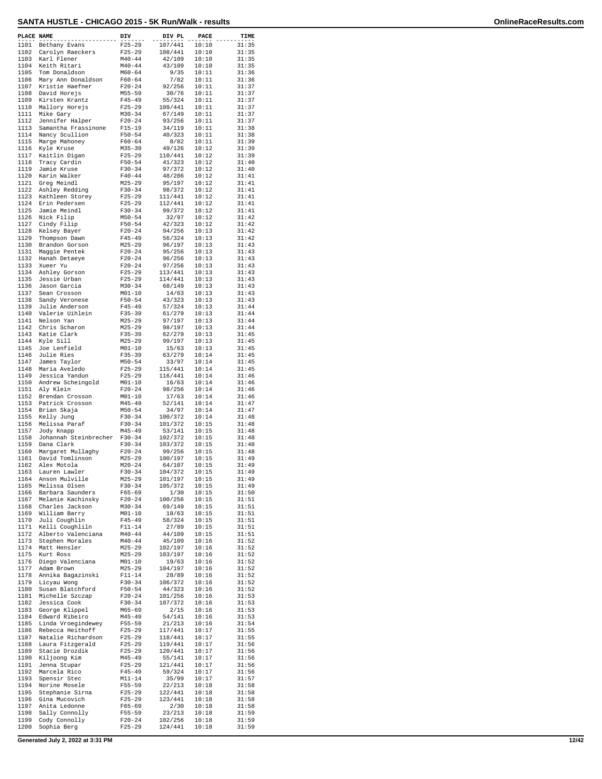| PLACE NAME   |                                       | DIV                      | DIV PL             | PACE           | TIME           |
|--------------|---------------------------------------|--------------------------|--------------------|----------------|----------------|
| 1101         | Bethany Evans                         | $F25 - 29$               | 107/441            | 10:10          | 31:35          |
| 1102<br>1103 | Carolyn Raeckers<br>Karl Flener       | $F25 - 29$<br>$M40 - 44$ | 108/441<br>42/109  | 10:10<br>10:10 | 31:35<br>31:35 |
| 1104         | Keith Ritari                          | $M40 - 44$               | 43/109             | 10:10          | 31:35          |
| 1105         | Tom Donaldson                         | $M60 - 64$               | 9/35               | 10:11          | 31:36          |
| 1106<br>1107 | Mary Ann Donaldson<br>Kristie Haefner | $F60 - 64$<br>$F20-24$   | 7/82<br>92/256     | 10:11<br>10:11 | 31:36<br>31:37 |
| 1108         | David Horejs                          | $M55 - 59$               | 30/76              | 10:11          | 31:37          |
| 1109         | Kirsten Krantz                        | $F45 - 49$               | 55/324             | 10:11          | 31:37          |
| 1110<br>1111 | Mallory Horejs<br>Mike Gary           | $F25 - 29$<br>$M30 - 34$ | 109/441<br>67/149  | 10:11<br>10:11 | 31:37<br>31:37 |
| 1112         | Jennifer Halper                       | $F20 - 24$               | 93/256             | 10:11          | 31:37          |
| 1113         | Samantha Frassinone                   | $F15-19$                 | 34/119             | 10:11          | 31:38          |
| 1114<br>1115 | Nancy Scullion<br>Marge Mahoney       | $F50 - 54$<br>$F60 - 64$ | 40/323<br>8/82     | 10:11<br>10:11 | 31:38<br>31:39 |
| 1116         | Kyle Kruse                            | $M35 - 39$               | 49/126             | 10:12          | 31:39          |
| 1117<br>1118 | Kaitlin Digan<br>Tracy Cardin         | $F25 - 29$<br>$F50 - 54$ | 110/441<br>41/323  | 10:12<br>10:12 | 31:39<br>31:40 |
| 1119         | Jamie Kruse                           | $F30-34$                 | 97/372             | 10:12          | 31:40          |
| 1120         | Karin Walker                          | $F40 - 44$               | 48/286             | 10:12          | 31:41          |
| 1121<br>1122 | Greg Meindl<br>Ashley Redding         | $M25 - 29$<br>$F30 - 34$ | 95/197<br>98/372   | 10:12<br>10:12 | 31:41<br>31:41 |
| 1123         | Kathleen Storey                       | $F25 - 29$               | 111/441            | 10:12          | 31:41          |
| 1124         | Erin Pedersen                         | $F25 - 29$               | 112/441            | 10:12          | 31:41          |
| 1125<br>1126 | Jamie Meindl<br>Nick Filip            | $F30-34$<br>$M50 - 54$   | 99/372<br>32/97    | 10:12<br>10:12 | 31:41<br>31:42 |
| 1127         | Cindy Filip                           | $F50 - 54$               | 42/323             | 10:12          | 31:42          |
| 1128         | Kelsey Bayer                          | $F20 - 24$               | 94/256             | 10:13          | 31:42          |
| 1129<br>1130 | Thompson Dawn<br>Brandon Gorson       | $F45 - 49$<br>$M25 - 29$ | 56/324<br>96/197   | 10:13<br>10:13 | 31:42<br>31:43 |
| 1131         | Maggie Pentek                         | $F20-24$                 | 95/256             | 10:13          | 31:43          |
| 1132<br>1133 | Hanah Detaeye                         | $F20 - 24$<br>$F20-24$   | 96/256<br>97/256   | 10:13<br>10:13 | 31:43<br>31:43 |
| 1134         | Xueer Yu<br>Ashley Gorson             | $F25 - 29$               | 113/441            | 10:13          | 31:43          |
| 1135         | Jessie Urban                          | $F25 - 29$               | 114/441            | 10:13          | 31:43          |
| 1136<br>1137 | Jason Garcia<br>Sean Crosson          | $M30 - 34$<br>$M01 - 10$ | 68/149<br>14/63    | 10:13<br>10:13 | 31:43<br>31:43 |
| 1138         | Sandy Veronese                        | $F50 - 54$               | 43/323             | 10:13          | 31:43          |
| 1139         | Julie Anderson                        | $F45 - 49$               | 57/324             | 10:13          | 31:44          |
| 1140<br>1141 | Valerie Uihlein<br>Nelson Yan         | $F35 - 39$<br>$M25 - 29$ | 61/279<br>97/197   | 10:13<br>10:13 | 31:44<br>31:44 |
| 1142         | Chris Scharon                         | $M25 - 29$               | 98/197             | 10:13          | 31:44          |
| 1143<br>1144 | Katie Clark                           | $F35 - 39$               | 62/279             | 10:13<br>10:13 | 31:45<br>31:45 |
| 1145         | Kyle Sill<br>Joe Lenfield             | $M25 - 29$<br>$M01 - 10$ | 99/197<br>15/63    | 10:13          | 31:45          |
| 1146         | Julie Ries                            | $F35 - 39$               | 63/279             | 10:14          | 31:45          |
| 1147<br>1148 | James Taylor<br>Maria Aveledo         | $M50 - 54$<br>$F25 - 29$ | 33/97<br>115/441   | 10:14<br>10:14 | 31:45<br>31:45 |
| 1149         | Jessica Yandun                        | $F25 - 29$               | 116/441            | 10:14          | 31:46          |
| 1150         | Andrew Scheingold                     | $M01 - 10$               | 16/63              | 10:14          | 31:46          |
| 1151<br>1152 | Aly Klein<br>Brendan Crosson          | $F20-24$<br>$M01 - 10$   | 98/256<br>17/63    | 10:14<br>10:14 | 31:46<br>31:46 |
| 1153         | Patrick Crosson                       | $M45 - 49$               | 52/141             | 10:14          | 31:47          |
| 1154<br>1155 | Brian Skaja                           | $M50 - 54$               | 34/97<br>100/372   | 10:14          | 31:47          |
| 1156         | Kelly Jung<br>Melissa Paraf           | $F30-34$<br>$F30 - 34$   | 101/372            | 10:14<br>10:15 | 31:48<br>31:48 |
| 1157         | Jody Knapp                            | $M45 - 49$               | 53/141             | 10:15          | 31:48          |
| 1158<br>1159 | Johannah Steinbrecher<br>Dana Clark   | $F30 - 34$<br>$F30-34$   | 102/372<br>103/372 | 10:15<br>10:15 | 31:48<br>31:48 |
| 1160         | Margaret Mullaghy                     | $F20 - 24$               | 99/256             | 10:15          | 31:48          |
| 1161         | David Tomlinson                       | $M25 - 29$               | 100/197            | 10:15          | 31:49          |
| 1162<br>1163 | Alex Motola<br>Lauren Lawler          | $M20 - 24$<br>F30-34     | 64/107<br>104/372  | 10:15<br>10:15 | 31:49<br>31:49 |
| 1164         | Anson Mulville                        | $M25 - 29$               | 101/197            | 10:15          | 31:49          |
| 1165         | Melissa Olsen                         | $F30-34$                 | 105/372            | 10:15          | 31:49          |
| 1166<br>1167 | Barbara Saunders<br>Melanie Kachinsky | F65-69<br>$F20-24$       | 1/30<br>100/256    | 10:15<br>10:15 | 31:50<br>31:51 |
| 1168         | Charles Jackson                       | $M30 - 34$               | 69/149             | 10:15          | 31:51          |
| 1169<br>1170 | William Barry<br>Juli Coughlin        | $M01 - 10$<br>$F45 - 49$ | 18/63<br>58/324    | 10:15<br>10:15 | 31:51<br>31:51 |
| 1171         | Kelli Coughliln                       | $F11 - 14$               | 27/89              | 10:15          | 31:51          |
| 1172         | Alberto Valenciana                    | $M40 - 44$               | 44/109             | 10:15          | 31:51          |
| 1173<br>1174 | Stephen Morales<br>Matt Hensler       | $M40 - 44$<br>$M25 - 29$ | 45/109<br>102/197  | 10:16<br>10:16 | 31:52<br>31:52 |
| 1175         | Kurt Ross                             | M25-29                   | 103/197            | 10:16          | 31:52          |
| 1176         | Diego Valenciana                      | $M01 - 10$               | 19/63              | 10:16          | 31:52          |
| 1177<br>1178 | Adam Brown<br>Annika Bagazinski       | $M25 - 29$<br>$F11 - 14$ | 104/197<br>28/89   | 10:16<br>10:16 | 31:52<br>31:52 |
| 1179         | Licyau Wong                           | $F30-34$                 | 106/372            | 10:16          | 31:52          |
| 1180<br>1181 | Susan Blatchford                      | $F50 - 54$               | 44/323<br>101/256  | 10:16<br>10:16 | 31:52<br>31:53 |
| 1182         | Michelle Szczap<br>Jessica Cook       | $F20-24$<br>F30-34       | 107/372            | 10:16          | 31:53          |
| 1183         | George Klippel                        | $M65 - 69$               | 2/15               | 10:16          | 31:53          |
| 1184<br>1185 | Edward Ribeiro<br>Linda Vroegindewey  | M45-49<br>$F55 - 59$     | 54/141<br>21/213   | 10:16<br>10:16 | 31:53<br>31:54 |
| 1186         | Rebecca Heithoff                      | $F25 - 29$               | 117/441            | 10:17          | 31:55          |
| 1187         | Natalie Richardson                    | $F25 - 29$               | 118/441            | 10:17          | 31:55          |
| 1188<br>1189 | Laura Fitzgerald<br>Stacie Drozdik    | $F25 - 29$<br>$F25 - 29$ | 119/441<br>120/441 | 10:17<br>10:17 | 31:56<br>31:56 |
| 1190         | Kiljoong Kim                          | M45-49                   | 55/141             | 10:17          | 31:56          |
| 1191<br>1192 | Jenna Stupar                          | $F25 - 29$               | 121/441<br>59/324  | 10:17<br>10:17 | 31:56          |
| 1193         | Marcela Rico<br>Spensir Stec          | $F45 - 49$<br>$M11 - 14$ | 35/99              | 10:17          | 31:56<br>31:57 |
| 1194         | Norine Mosele                         | F55-59                   | 22/213             | 10:18          | 31:58          |
| 1195<br>1196 | Stephanie Sirna<br>Gina Mucovich      | $F25 - 29$<br>$F25 - 29$ | 122/441<br>123/441 | 10:18<br>10:18 | 31:58<br>31:58 |
| 1197         | Anita Ledonne                         | F65-69                   | 2/30               | 10:18          | 31:58          |
| 1198         | Sally Connolly                        | F55-59                   | 23/213             | 10:18          | 31:59          |
| 1199<br>1200 | Cody Connolly<br>Sophia Berg          | $F20-24$<br>$F25 - 29$   | 102/256<br>124/441 | 10:18<br>10:18 | 31:59<br>31:59 |
|              |                                       |                          |                    |                |                |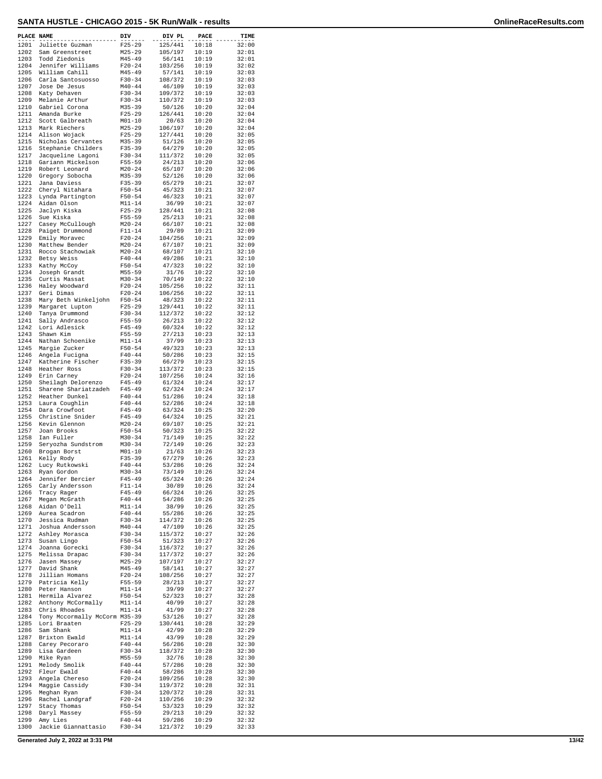| PLACE NAME   | .                                          | DIV                      | DIV PL             | PACE           | TIME           |
|--------------|--------------------------------------------|--------------------------|--------------------|----------------|----------------|
| 1201         | Juliette Guzman                            | $F25 - 29$               | 125/441            | 10:18          | 32:00          |
| 1202         | Sam Greenstreet                            | $M25 - 29$               | 105/197            | 10:19          | 32:01          |
| 1203<br>1204 | Todd Ziedonis<br>Jennifer Williams         | $M45 - 49$<br>$F20 - 24$ | 56/141<br>103/256  | 10:19<br>10:19 | 32:01<br>32:02 |
| 1205         | William Cahill                             | $M45 - 49$               | 57/141             | 10:19          | 32:03          |
| 1206         | Carla Santosuosso                          | $F30 - 34$               | 108/372            | 10:19          | 32:03          |
| 1207         | Jose De Jesus                              | $M40 - 44$               | 46/109             | 10:19          | 32:03          |
| 1208<br>1209 | Katy Dehaven<br>Melanie Arthur             | $F30-34$<br>$F30-34$     | 109/372<br>110/372 | 10:19<br>10:19 | 32:03<br>32:03 |
| 1210         | Gabriel Corona                             | $M35 - 39$               | 50/126             | 10:20          | 32:04          |
| 1211         | Amanda Burke                               | $F25 - 29$               | 126/441            | 10:20          | 32:04          |
| 1212         | Scott Galbreath                            | $M01 - 10$               | 20/63              | 10:20          | 32:04          |
| 1213         | Mark Riechers                              | $M25 - 29$               | 106/197            | 10:20<br>10:20 | 32:04<br>32:05 |
| 1214<br>1215 | Alison Wojack<br>Nicholas Cervantes        | $F25 - 29$<br>$M35 - 39$ | 127/441<br>51/126  | 10:20          | 32:05          |
| 1216         | Stephanie Childers                         | $F35 - 39$               | 64/279             | 10:20          | 32:05          |
| 1217         | Jacqueline Lagoni                          | $F30 - 34$               | 111/372            | 10:20          | 32:05          |
| 1218         | Gariann Mickelson                          | F55-59                   | 24/213             | 10:20          | 32:06          |
| 1219<br>1220 | Robert Leonard<br>Gregory Sobocha          | $M20 - 24$<br>$M35 - 39$ | 65/107<br>52/126   | 10:20<br>10:20 | 32:06<br>32:06 |
| 1221         | Jana Daviess                               | $F35 - 39$               | 65/279             | 10:21          | 32:07          |
| 1222         | Cheryl Nitahara                            | $F50 - 54$               | 45/323             | 10:21          | 32:07          |
| 1223         | Lynda Partington                           | $F50 - 54$               | 46/323             | 10:21          | 32:07          |
| 1224<br>1225 | Aidan Olson<br>Jaclyn Kiska                | $M11 - 14$<br>$F25 - 29$ | 36/99<br>128/441   | 10:21<br>10:21 | 32:07<br>32:08 |
| 1226         | Sue Kiska                                  | $F55 - 59$               | 25/213             | 10:21          | 32:08          |
| 1227         | Casey McCullough                           | $M20 - 24$               | 66/107             | 10:21          | 32:08          |
| 1228         | Paiget Drummond                            | $F11 - 14$               | 29/89              | 10:21          | 32:09          |
| 1229<br>1230 | Emily Moravec<br>Matthew Bender            | $F20 - 24$<br>$M20 - 24$ | 104/256<br>67/107  | 10:21<br>10:21 | 32:09<br>32:09 |
| 1231         | Rocco Stachowiak                           | $M20 - 24$               | 68/107             | 10:21          | 32:10          |
| 1232         | Betsy Weiss                                | $F40 - 44$               | 49/286             | 10:21          | 32:10          |
| 1233         | Kathy McCoy                                | $F50 - 54$               | 47/323             | 10:22          | 32:10          |
| 1234<br>1235 | Joseph Grandt<br>Curtis Massat             | $M55 - 59$<br>$M30 - 34$ | 31/76<br>70/149    | 10:22<br>10:22 | 32:10<br>32:10 |
| 1236         | Haley Woodward                             | $F20 - 24$               | 105/256            | 10:22          | 32:11          |
| 1237         | Geri Dimas                                 | $F20 - 24$               | 106/256            | 10:22          | 32:11          |
| 1238         | Mary Beth Winkeljohn                       | $F50 - 54$               | 48/323             | 10:22          | 32:11          |
| 1239<br>1240 | Margaret Lupton                            | $F25 - 29$               | 129/441            | 10:22<br>10:22 | 32:11          |
| 1241         | Tanya Drummond<br>Sally Andrasco           | $F30 - 34$<br>$F55 - 59$ | 112/372<br>26/213  | 10:22          | 32:12<br>32:12 |
| 1242         | Lori Adlesick                              | $F45 - 49$               | 60/324             | 10:22          | 32:12          |
| 1243         | Shawn Kim                                  | $F55 - 59$               | 27/213             | 10:23          | 32:13          |
| 1244         | Nathan Schoenike                           | $M11 - 14$               | 37/99              | 10:23          | 32:13          |
| 1245<br>1246 | Margie Zucker<br>Angela Fucigna            | $F50 - 54$<br>$F40 - 44$ | 49/323<br>50/286   | 10:23<br>10:23 | 32:13<br>32:15 |
| 1247         | Katherine Fischer                          | $F35 - 39$               | 66/279             | 10:23          | 32:15          |
| 1248         | Heather Ross                               | $F30-34$                 | 113/372            | 10:23          | 32:15          |
| 1249         | Erin Carney                                | $F20 - 24$               | 107/256            | 10:24          | 32:16          |
| 1250<br>1251 | Sheilagh Delorenzo<br>Sharene Shariatzadeh | $F45 - 49$<br>$F45 - 49$ | 61/324<br>62/324   | 10:24<br>10:24 | 32:17<br>32:17 |
| 1252         | Heather Dunkel                             | $F40 - 44$               | 51/286             | 10:24          | 32:18          |
| 1253         | Laura Coughlin                             | $F40 - 44$               | 52/286             | 10:24          | 32:18          |
| 1254<br>1255 | Dara Crowfoot<br>Christine Snider          | $F45 - 49$<br>$F45 - 49$ | 63/324             | 10:25          | 32:20          |
| 1256         | Kevin Glennon                              | $M20 - 24$               | 64/324<br>69/107   | 10:25<br>10:25 | 32:21<br>32:21 |
| 1257         | Joan Brooks                                | $F50 - 54$               | 50/323             | 10:25          | 32:22          |
| 1258         | Ian Fuller                                 | $M30 - 34$               | 71/149             | 10:25          | 32:22          |
| 1259         | Seryozha Sundstrom                         | $M30 - 34$<br>$M01 - 10$ | 72/149<br>21/63    | 10:26          | 32:23          |
| 1260<br>1261 | Brogan Borst<br>Kelly Rody                 | $F35 - 39$               | 67/279             | 10:26<br>10:26 | 32:23<br>32:23 |
| 1262         | Lucy Rutkowski                             | $F40 - 44$               | 53/286             | 10:26          | 32:24          |
| 1263         | Ryan Gordon                                | $M30 - 34$               | 73/149             | 10:26          | 32:24          |
| 1264         | Jennifer Bercier                           | $F45 - 49$               | 65/324             | 10:26          | 32:24          |
| 1265<br>1266 | Carly Andersson<br>Tracy Rager             | $F11 - 14$<br>$F45 - 49$ | 30/89<br>66/324    | 10:26<br>10:26 | 32:24<br>32:25 |
| 1267         | Megan McGrath                              | $F40 - 44$               | 54/286             | 10:26          | 32:25          |
| 1268         | Aidan O'Dell                               | M11-14                   | 38/99              | 10:26          | 32:25          |
| 1269         | Aurea Scadron                              | $F40 - 44$               | 55/286             | 10:26          | 32:25          |
| 1270<br>1271 | Jessica Rudman<br>Joshua Andersson         | $F30-34$<br>$M40 - 44$   | 114/372<br>47/109  | 10:26<br>10:26 | 32:25<br>32:25 |
| 1272         | Ashley Morasca                             | $F30-34$                 | 115/372            | 10:27          | 32:26          |
| 1273         | Susan Lingo                                | $F50 - 54$               | 51/323             | 10:27          | 32:26          |
| 1274         | Joanna Gorecki                             | F30-34                   | 116/372            | 10:27          | 32:26          |
| 1275<br>1276 | Melissa Drapac<br>Jasen Massey             | F30-34<br>$M25 - 29$     | 117/372<br>107/197 | 10:27<br>10:27 | 32:26<br>32:27 |
| 1277         | David Shank                                | $M45 - 49$               | 58/141             | 10:27          | 32:27          |
| 1278         | Jillian Homans                             | $F20-24$                 | 108/256            | 10:27          | 32:27          |
| 1279         | Patricia Kelly                             | F55-59                   | 28/213             | 10:27          | 32:27          |
| 1280<br>1281 | Peter Hanson                               | M11-14                   | 39/99              | 10:27<br>10:27 | 32:27          |
| 1282         | Hermila Alvarez<br>Anthony McCormally      | F50-54<br>$M11 - 14$     | 52/323<br>40/99    | 10:27          | 32:28<br>32:28 |
| 1283         | Chris Rhoades                              | $M11 - 14$               | 41/99              | 10:27          | 32:28          |
| 1284         | Tony Mccormally McCorm M35-39              |                          | 53/126             | 10:27          | 32:28          |
| 1285         | Lori Braaten                               | $F25 - 29$               | 130/441            | 10:28          | 32:29          |
| 1286<br>1287 | Sam Shank<br>Brixton Ewald                 | $M11 - 14$<br>$M11 - 14$ | 42/99<br>43/99     | 10:28<br>10:28 | 32:29<br>32:29 |
| 1288         | Carey Pecoraro                             | $F40 - 44$               | 56/286             | 10:28          | 32:30          |
| 1289         | Lisa Gardeen                               | $F30-34$                 | 118/372            | 10:28          | 32:30          |
| 1290         | Mike Ryan                                  | M55-59                   | 32/76              | 10:28          | 32:30          |
| 1291<br>1292 | Melody Smolik<br>Fleur Ewald               | $F40 - 44$<br>F40-44     | 57/286<br>58/286   | 10:28<br>10:28 | 32:30<br>32:30 |
| 1293         | Angela Chereso                             | F20-24                   | 109/256            | 10:28          | 32:30          |
| 1294         | Maggie Cassidy                             | F30-34                   | 119/372            | 10:28          | 32:31          |
| 1295         | Meghan Ryan                                | $F30-34$                 | 120/372            | 10:28          | 32:31          |
| 1296<br>1297 | Rachel Landgraf<br>Stacy Thomas            | $F20-24$<br>$F50 - 54$   | 110/256<br>53/323  | 10:29<br>10:29 | 32:32<br>32:32 |
| 1298         | Daryl Massey                               | $F55 - 59$               | 29/213             | 10:29          | 32:32          |
| 1299         | Amy Lies                                   | $F40 - 44$               | 59/286             | 10:29          | 32:32          |
| 1300         | Jackie Giannattasio                        | $F30-34$                 | 121/372            | 10:29          | 32:33          |

**Generated July 2, 2022 at 3:31 PM 13/42**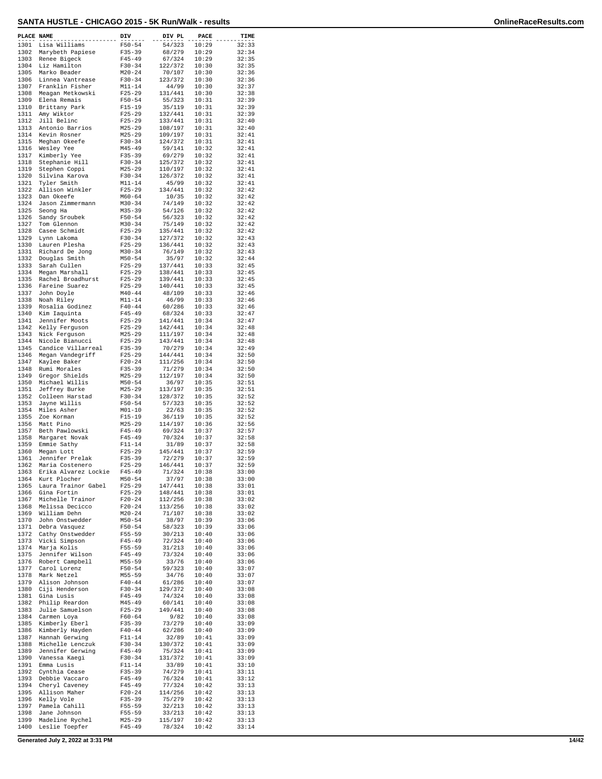| PLACE NAME   |                                      | DIV                      | DIV PL             | PACE           | TIME           |
|--------------|--------------------------------------|--------------------------|--------------------|----------------|----------------|
| 1301         | Lisa Williams                        | $F50 - 54$               | 54/323             | 10:29          | 32:33          |
| 1302         | Marybeth Papiese                     | $F35 - 39$               | 68/279             | 10:29          | 32:34          |
| 1303<br>1304 | Renee Bigeck<br>Liz Hamilton         | $F45 - 49$               | 67/324<br>122/372  | 10:29<br>10:30 | 32:35          |
| 1305         | Marko Beader                         | $F30-34$<br>$M20 - 24$   | 70/107             | 10:30          | 32:35<br>32:36 |
| 1306         | Linnea Vantrease                     | $F30 - 34$               | 123/372            | 10:30          | 32:36          |
| 1307         | Franklin Fisher                      | $M11 - 14$               | 44/99              | 10:30          | 32:37          |
| 1308         | Meagan Metkowski                     | $F25 - 29$               | 131/441            | 10:30          | 32:38          |
| 1309<br>1310 | Elena Remais                         | $F50 - 54$<br>$F15 - 19$ | 55/323<br>35/119   | 10:31<br>10:31 | 32:39<br>32:39 |
| 1311         | Brittany Park<br>Amy Wiktor          | $F25 - 29$               | 132/441            | 10:31          | 32:39          |
| 1312         | Jill Belinc                          | $F25 - 29$               | 133/441            | 10:31          | 32:40          |
| 1313         | Antonio Barrios                      | $M25 - 29$               | 108/197            | 10:31          | 32:40          |
| 1314<br>1315 | Kevin Rosner<br>Meghan Okeefe        | $M25 - 29$<br>$F30-34$   | 109/197            | 10:31          | 32:41<br>32:41 |
| 1316         | Wesley Yee                           | $M45 - 49$               | 124/372<br>59/141  | 10:31<br>10:32 | 32:41          |
| 1317         | Kimberly Yee                         | $F35 - 39$               | 69/279             | 10:32          | 32:41          |
| 1318         | Stephanie Hill                       | $F30 - 34$               | 125/372            | 10:32          | 32:41          |
| 1319         | Stephen Coppi                        | $M25 - 29$               | 110/197            | 10:32          | 32:41          |
| 1320<br>1321 | Silvina Karova<br>Tyler Smith        | $F30-34$<br>$M11 - 14$   | 126/372<br>45/99   | 10:32<br>10:32 | 32:41<br>32:41 |
| 1322         | Allison Winkler                      | $F25 - 29$               | 134/441            | 10:32          | 32:42          |
| 1323         | Dan Okeefe                           | $M60 - 64$               | 10/35              | 10:32          | 32:42          |
| 1324         | Jason Zimmermann                     | $M30 - 34$               | 74/149             | 10:32          | 32:42          |
| 1325<br>1326 | Seong Ha                             | $M35 - 39$<br>$F50 - 54$ | 54/126<br>56/323   | 10:32<br>10:32 | 32:42<br>32:42 |
| 1327         | Sandy Sroubek<br>Tom Glennon         | $M30 - 34$               | 75/149             | 10:32          | 32:42          |
| 1328         | Casee Schmidt                        | $F25 - 29$               | 135/441            | 10:32          | 32:42          |
| 1329         | Lynn Lakoma                          | $F30 - 34$               | 127/372            | 10:32          | 32:43          |
| 1330         | Lauren Plesha                        | $F25 - 29$               | 136/441            | 10:32          | 32:43          |
| 1331<br>1332 | Richard De Jong<br>Douglas Smith     | $M30 - 34$<br>$M50 - 54$ | 76/149<br>35/97    | 10:32<br>10:32 | 32:43<br>32:44 |
| 1333         | Sarah Cullen                         | $F25 - 29$               | 137/441            | 10:33          | 32:45          |
| 1334         | Megan Marshall                       | $F25 - 29$               | 138/441            | 10:33          | 32:45          |
| 1335         | Rachel Broadhurst                    | $F25 - 29$               | 139/441            | 10:33          | 32:45          |
| 1336         | Fareine Suarez                       | $F25 - 29$               | 140/441            | 10:33          | 32:45          |
| 1337<br>1338 | John Doyle<br>Noah Riley             | $M40 - 44$<br>$M11 - 14$ | 48/109<br>46/99    | 10:33<br>10:33 | 32:46<br>32:46 |
| 1339         | Rosalia Godinez                      | $F40 - 44$               | 60/286             | 10:33          | 32:46          |
| 1340         | Kim Iaquinta                         | $F45 - 49$               | 68/324             | 10:33          | 32:47          |
| 1341         | Jennifer Moots                       | $F25 - 29$               | 141/441            | 10:34          | 32:47          |
| 1342<br>1343 | Kelly Ferguson                       | $F25 - 29$<br>$M25 - 29$ | 142/441            | 10:34          | 32:48          |
| 1344         | Nick Ferguson<br>Nicole Bianucci     | $F25 - 29$               | 111/197<br>143/441 | 10:34<br>10:34 | 32:48<br>32:48 |
| 1345         | Candice Villarreal                   | $F35 - 39$               | 70/279             | 10:34          | 32:49          |
| 1346         | Megan Vandegriff                     | $F25 - 29$               | 144/441            | 10:34          | 32:50          |
| 1347         | Kaylee Baker                         | $F20 - 24$               | 111/256            | 10:34          | 32:50          |
| 1348<br>1349 | Rumi Morales<br>Gregor Shields       | $F35 - 39$<br>$M25 - 29$ | 71/279<br>112/197  | 10:34<br>10:34 | 32:50<br>32:50 |
| 1350         | Michael Willis                       | $M50 - 54$               | 36/97              | 10:35          | 32:51          |
| 1351         | Jeffrey Burke                        | $M25 - 29$               | 113/197            | 10:35          | 32:51          |
| 1352         | Colleen Harstad                      | $F30-34$                 | 128/372            | 10:35          | 32:52          |
| 1353<br>1354 | Jayne Willis                         | $F50 - 54$               | 57/323             | 10:35          | 32:52          |
| 1355         | Miles Asher<br>Zoe Korman            | $M01 - 10$<br>$F15 - 19$ | 22/63<br>36/119    | 10:35<br>10:35 | 32:52<br>32:52 |
| 1356         | Matt Pino                            | $M25 - 29$               | 114/197            | 10:36          | 32:56          |
| 1357         | Beth Pawlowski                       | $F45 - 49$               | 69/324             | 10:37          | 32:57          |
| 1358         | Margaret Novak                       | $F45 - 49$               | 70/324             | 10:37          | 32:58          |
| 1359<br>1360 | Emmie Sathy<br>Megan Lott            | $F11 - 14$<br>$F25 - 29$ | 31/89<br>145/441   | 10:37<br>10:37 | 32:58<br>32:59 |
| 1361         | Jennifer Prelak                      | $F35 - 39$               | 72/279             | 10:37          | 32:59          |
| 1362         | Maria Costenero                      | $F25 - 29$               | 146/441            | 10:37          | 32:59          |
| 1363         | Erika Alvarez Lockie                 | $F45 - 49$               | 71/324             | 10:38          | 33:00          |
| 1364         | Kurt Plocher                         | $M50 - 54$               | 37/97              | 10:38          | 33:00          |
| 1365<br>1366 | Laura Trainor Gabel<br>Gina Fortin   | $F25 - 29$<br>F25-29     | 147/441<br>148/441 | 10:38<br>10:38 | 33:01<br>33:01 |
| 1367         | Michelle Trainor                     | $F20-24$                 | 112/256            | 10:38          | 33:02          |
| 1368         | Melissa Decicco                      | $F20-24$                 | 113/256            | 10:38          | 33:02          |
| 1369         | William Dehn                         | $M20 - 24$               | 71/107             | 10:38          | 33:02          |
| 1370<br>1371 | John Onstwedder<br>Debra Vasquez     | $M50 - 54$<br>$F50 - 54$ | 38/97<br>58/323    | 10:39<br>10:39 | 33:06<br>33:06 |
| 1372         | Cathy Onstwedder                     | F55-59                   | 30/213             | 10:40          | 33:06          |
| 1373         | Vicki Simpson                        | $F45 - 49$               | 72/324             | 10:40          | 33:06          |
| 1374         | Marja Kolis                          | $F55 - 59$               | 31/213             | 10:40          | 33:06          |
| 1375         | Jennifer Wilson                      | F45-49                   | 73/324             | 10:40          | 33:06          |
| 1376<br>1377 | Robert Campbell<br>Carol Lorenz      | $M55 - 59$<br>$F50 - 54$ | 33/76<br>59/323    | 10:40<br>10:40 | 33:06<br>33:07 |
| 1378         | Mark Netzel                          | $M55 - 59$               | 34/76              | 10:40          | 33:07          |
| 1379         | Alison Johnson                       | $F40 - 44$               | 61/286             | 10:40          | 33:07          |
| 1380         | Ciji Henderson                       | $F30-34$                 | 129/372            | 10:40          | 33:08          |
| 1381         | Gina Lusis                           | F45-49                   | 74/324             | 10:40          | 33:08          |
| 1382<br>1383 | Philip Reardon<br>Julie Samuelson    | M45-49<br>$F25 - 29$     | 60/141<br>149/441  | 10:40<br>10:40 | 33:08<br>33:08 |
| 1384         | Carmen Loya                          | F60-64                   | 9/82               | 10:40          | 33:08          |
| 1385         | Kimberly Eberl                       | F35-39                   | 73/279             | 10:40          | 33:09          |
| 1386         | Kimberly Hayden                      | $F40 - 44$               | 62/286             | 10:40          | 33:09          |
| 1387         | Hannah Gerwing                       | F11-14                   | 32/89              | 10:41          | 33:09          |
| 1388<br>1389 | Michelle Lenczuk<br>Jennifer Gerwing | $F30 - 34$<br>$F45 - 49$ | 130/372<br>75/324  | 10:41<br>10:41 | 33:09<br>33:09 |
| 1390         | Vanessa Kaegi                        | F30-34                   | 131/372            | 10:41          | 33:09          |
| 1391         | Emma Lusis                           | F11-14                   | 33/89              | 10:41          | 33:10          |
| 1392         | Cynthia Cease                        | $F35 - 39$               | 74/279             | 10:41          | 33:11          |
| 1393         | Debbie Vaccaro                       | F45-49                   | 76/324             | 10:41          | 33:12          |
| 1394<br>1395 | Cheryl Caveney<br>Allison Maher      | F45-49<br>$F20 - 24$     | 77/324<br>114/256  | 10:42<br>10:42 | 33:13<br>33:13 |
| 1396         | Kelly Vole                           | F35-39                   | 75/279             | 10:42          | 33:13          |
| 1397         | Pamela Cahill                        | F55-59                   | 32/213             | 10:42          | 33:13          |
| 1398         | Jane Johnson                         | $F55 - 59$               | 33/213             | 10:42          | 33:13          |
| 1399<br>1400 | Madeline Rychel<br>Leslie Toepfer    | $M25 - 29$<br>F45-49     | 115/197<br>78/324  | 10:42<br>10:42 | 33:13<br>33:14 |
|              |                                      |                          |                    |                |                |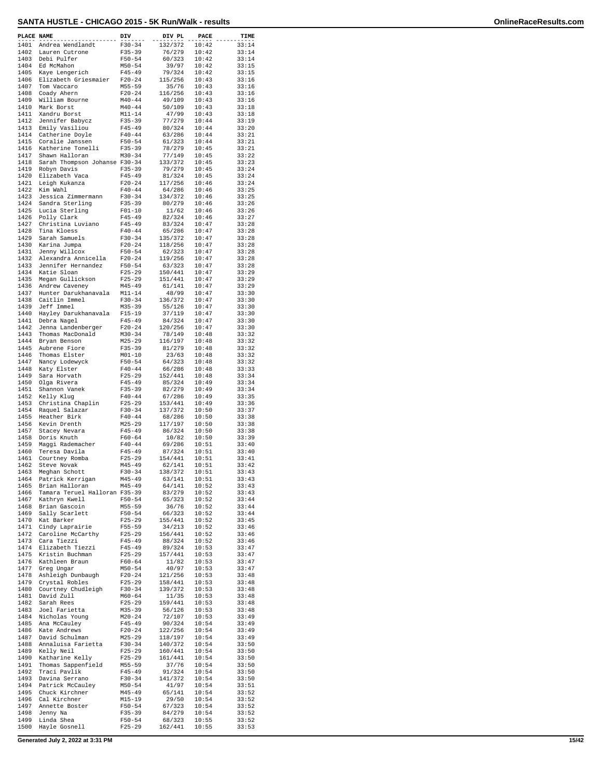| PLACE NAME   |                                        | DIV                      | DIV PL             | PACE           | TIME           |
|--------------|----------------------------------------|--------------------------|--------------------|----------------|----------------|
| 1401         | Andrea Wendlandt                       | $F30-34$                 | 132/372            | 10:42          | 33:14          |
| 1402         | Lauren Cutrone                         | $F35 - 39$               | 76/279             | 10:42          | 33:14          |
| 1403         | Debi Pulfer                            | $F50 - 54$               | 60/323             | 10:42          | 33:14          |
| 1404<br>1405 | Ed McMahon                             | $M50 - 54$               | 39/97<br>79/324    | 10:42          | 33:15<br>33:15 |
| 1406         | Kaye Lengerich<br>Elizabeth Griesmaier | $F45 - 49$<br>$F20-24$   | 115/256            | 10:42<br>10:43 | 33:16          |
| 1407         | Tom Vaccaro                            | $M55 - 59$               | 35/76              | 10:43          | 33:16          |
| 1408         | Coady Ahern                            | $F20 - 24$               | 116/256            | 10:43          | 33:16          |
| 1409<br>1410 | William Bourne<br>Mark Borst           | $M40 - 44$<br>$M40 - 44$ | 49/109<br>50/109   | 10:43<br>10:43 | 33:16<br>33:18 |
| 1411         | Xandru Borst                           | $M11 - 14$               | 47/99              | 10:43          | 33:18          |
| 1412         | Jennifer Babycz                        | $F35 - 39$               | 77/279             | 10:44          | 33:19          |
| 1413         | Emily Vasiliou                         | $F45 - 49$               | 80/324             | 10:44          | 33:20          |
| 1414<br>1415 | Catherine Doyle<br>Coralie Janssen     | $F40 - 44$<br>$F50 - 54$ | 63/286<br>61/323   | 10:44<br>10:44 | 33:21<br>33:21 |
| 1416         | Katherine Tonelli                      | $F35 - 39$               | 78/279             | 10:45          | 33:21          |
| 1417         | Shawn Halloran                         | $M30 - 34$               | 77/149             | 10:45          | 33:22          |
| 1418         | Sarah Thompson Johanse F30-34          |                          | 133/372            | 10:45          | 33:23          |
| 1419<br>1420 | Robyn Davis<br>Elizabeth Vaca          | $F35 - 39$<br>$F45 - 49$ | 79/279<br>81/324   | 10:45<br>10:45 | 33:24<br>33:24 |
| 1421         | Leigh Kukanza                          | $F20-24$                 | 117/256            | 10:46          | 33:24          |
| 1422         | Kim Wahl                               | $F40 - 44$               | 64/286             | 10:46          | 33:25          |
| 1423         | Jessica Zimmermann                     | $F30-34$                 | 134/372            | 10:46          | 33:25          |
| 1424<br>1425 | Sandra Sterling<br>Lucia Sterling      | $F35 - 39$<br>$F01 - 10$ | 80/279<br>11/62    | 10:46<br>10:46 | 33:26<br>33:26 |
| 1426         | Polly Clark                            | $F45 - 49$               | 82/324             | 10:46          | 33:27          |
| 1427         | Christina Luviano                      | $F45 - 49$               | 83/324             | 10:47          | 33:28          |
| 1428         | Tina Kloess                            | $F40 - 44$               | 65/286             | 10:47          | 33:28          |
| 1429<br>1430 | Sarah Samuels<br>Karina Jumpa          | $F30-34$<br>$F20-24$     | 135/372<br>118/256 | 10:47<br>10:47 | 33:28<br>33:28 |
| 1431         | Jenny Willcox                          | $F50 - 54$               | 62/323             | 10:47          | 33:28          |
| 1432         | Alexandra Annicella                    | $F20 - 24$               | 119/256            | 10:47          | 33:28          |
| 1433         | Jennifer Hernandez                     | $F50 - 54$               | 63/323             | 10:47          | 33:28          |
| 1434<br>1435 | Katie Sloan<br>Megan Gullickson        | $F25 - 29$<br>$F25 - 29$ | 150/441<br>151/441 | 10:47<br>10:47 | 33:29<br>33:29 |
| 1436         | Andrew Caveney                         | $M45 - 49$               | 61/141             | 10:47          | 33:29          |
| 1437         | Hunter Darukhanavala                   | $M11 - 14$               | 48/99              | 10:47          | 33:30          |
| 1438         | Caitlin Immel                          | $F30 - 34$               | 136/372            | 10:47<br>10:47 | 33:30          |
| 1439<br>1440 | Jeff Immel<br>Hayley Darukhanavala     | $M35 - 39$<br>$F15-19$   | 55/126<br>37/119   | 10:47          | 33:30<br>33:30 |
| 1441         | Debra Nagel                            | $F45 - 49$               | 84/324             | 10:47          | 33:30          |
| 1442         | Jenna Landenberger                     | $F20-24$                 | 120/256            | 10:47          | 33:30          |
| 1443<br>1444 | Thomas MacDonald                       | $M30 - 34$               | 78/149             | 10:48          | 33:32          |
| 1445         | Bryan Benson<br>Aubrene Fiore          | $M25 - 29$<br>$F35 - 39$ | 116/197<br>81/279  | 10:48<br>10:48 | 33:32<br>33:32 |
| 1446         | Thomas Elster                          | $M01 - 10$               | 23/63              | 10:48          | 33:32          |
| 1447         | Nancy Lodewyck                         | $F50 - 54$               | 64/323             | 10:48          | 33:32          |
| 1448<br>1449 | Katy Elster<br>Sara Horvath            | $F40 - 44$<br>$F25-29$   | 66/286<br>152/441  | 10:48<br>10:48 | 33:33<br>33:34 |
| 1450         | Olga Rivera                            | $F45 - 49$               | 85/324             | 10:49          | 33:34          |
| 1451         | Shannon Vanek                          | $F35 - 39$               | 82/279             | 10:49          | 33:34          |
| 1452         | Kelly Klug                             | $F40 - 44$               | 67/286             | 10:49          | 33:35          |
| 1453<br>1454 | Christina Chaplin<br>Raquel Salazar    | $F25-29$<br>$F30-34$     | 153/441<br>137/372 | 10:49<br>10:50 | 33:36<br>33:37 |
| 1455         | Heather Birk                           | $F40 - 44$               | 68/286             | 10:50          | 33:38          |
| 1456         | Kevin Drenth                           | $M25 - 29$               | 117/197            | 10:50          | 33:38          |
| 1457         | Stacey Nevara                          | $F45 - 49$               | 86/324             | 10:50          | 33:38          |
| 1458<br>1459 | Doris Knuth<br>Maggi Rademacher        | $F60 - 64$<br>$F40 - 44$ | 10/82<br>69/286    | 10:50<br>10:51 | 33:39<br>33:40 |
| 1460         | Teresa Davila                          | $F45 - 49$               | 87/324             | 10:51          | 33:40          |
| 1461         | Courtney Romba                         | $F25 - 29$               | 154/441            | 10:51          | 33:41          |
| 1462         | Steve Novak                            | $M45 - 49$<br>$F30 - 34$ | 62/141             | 10:51          | 33:42<br>33:43 |
| 1463<br>1464 | Meghan Schott<br>Patrick Kerrigan      | $M45 - 49$               | 138/372<br>63/141  | 10:51<br>10:51 | 33:43          |
| 1465         | Brian Halloran                         | $M45 - 49$               | 64/141             | 10:52          | 33:43          |
| 1466         | Tamara Teruel Halloran F35-39          |                          | 83/279             | 10:52          | 33:43          |
| 1467<br>1468 | Kathryn Kwell<br>Brian Gascoin         | $F50 - 54$<br>M55-59     | 65/323<br>36/76    | 10:52<br>10:52 | 33:44<br>33:44 |
| 1469         | Sally Scarlett                         | $F50 - 54$               | 66/323             | 10:52          | 33:44          |
| 1470         | Kat Barker                             | $F25 - 29$               | 155/441            | 10:52          | 33:45          |
| 1471         | Cindy Laprairie                        | F55-59                   | 34/213             | 10:52          | 33:46          |
| 1472<br>1473 | Caroline McCarthy<br>Cara Tiezzi       | $F25 - 29$<br>$F45 - 49$ | 156/441<br>88/324  | 10:52<br>10:52 | 33:46<br>33:46 |
| 1474         | Elizabeth Tiezzi                       | $F45 - 49$               | 89/324             | 10:53          | 33:47          |
| 1475         | Kristin Buchman                        | $F25 - 29$               | 157/441            | 10:53          | 33:47          |
| 1476         | Kathleen Braun                         | $F60 - 64$               | 11/82              | 10:53          | 33:47          |
| 1477<br>1478 | Greg Ungar<br>Ashleigh Dunbaugh        | $M50 - 54$<br>$F20 - 24$ | 40/97<br>121/256   | 10:53<br>10:53 | 33:47<br>33:48 |
| 1479         | Crystal Robles                         | $F25 - 29$               | 158/441            | 10:53          | 33:48          |
| 1480         | Courtney Chudleigh                     | $F30-34$                 | 139/372            | 10:53          | 33:48          |
| 1481         | David Zull                             | M60-64                   | 11/35              | 10:53          | 33:48          |
| 1482<br>1483 | Sarah Rees<br>Joel Farietta            | $F25 - 29$<br>$M35 - 39$ | 159/441<br>56/126  | 10:53<br>10:53 | 33:48<br>33:48 |
| 1484         | Nicholas Young                         | $M20 - 24$               | 72/107             | 10:53          | 33:49          |
| 1485         | Ana McCauley                           | $F45 - 49$               | 90/324             | 10:54          | 33:49          |
| 1486<br>1487 | Kate Andrews                           | $F20 - 24$               | 122/256            | 10:54          | 33:49          |
| 1488         | David Schulman<br>Annaluisa Farietta   | M25-29<br>$F30-34$       | 118/197<br>140/372 | 10:54<br>10:54 | 33:49<br>33:50 |
| 1489         | Kelly Neil                             | $F25 - 29$               | 160/441            | 10:54          | 33:50          |
| 1490         | Katharine Kelly                        | $F25 - 29$               | 161/441            | 10:54          | 33:50          |
| 1491         | Thomas Sappenfield                     | M55-59                   | 37/76              | 10:54          | 33:50          |
| 1492<br>1493 | Traci Pavlik<br>Davina Serrano         | $F45 - 49$<br>F30-34     | 91/324<br>141/372  | 10:54<br>10:54 | 33:50<br>33:50 |
| 1494         | Patrick McCauley                       | $M50 - 54$               | 41/97              | 10:54          | 33:51          |
| 1495         | Chuck Kirchner                         | $M45 - 49$               | 65/141             | 10:54          | 33:52          |
| 1496<br>1497 | Cal Kirchner<br>Annette Boster         | M15-19<br>$F50 - 54$     | 29/50<br>67/323    | 10:54<br>10:54 | 33:52<br>33:52 |
| 1498         | Jenny Na                               | $F35 - 39$               | 84/279             | 10:54          | 33:52          |
| 1499         | Linda Shea                             | F50-54                   | 68/323             | 10:55          | 33:52          |
| 1500         | Hayle Gosnell                          | $F25 - 29$               | 162/441            | 10:55          | 33:53          |

**Generated July 2, 2022 at 3:31 PM 15/42**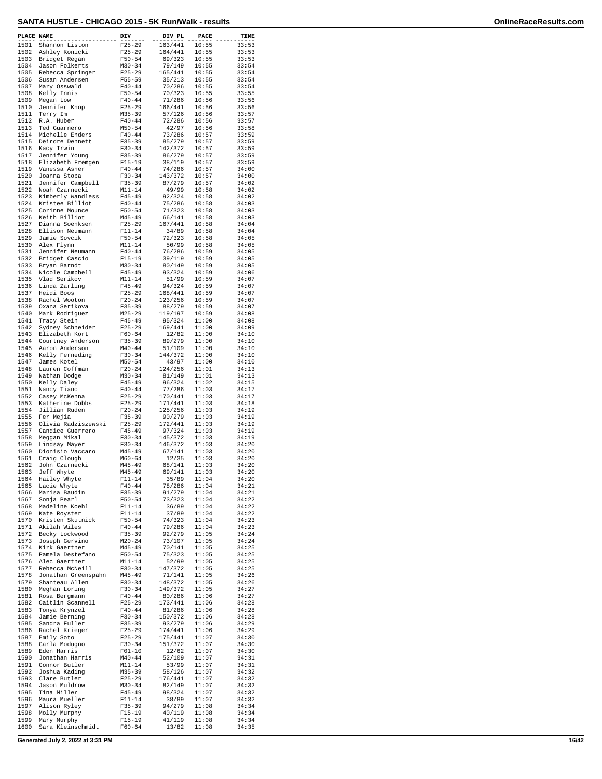| PLACE NAME   |                                      | DIV                      | DIV PL             | PACE           | TIME           |
|--------------|--------------------------------------|--------------------------|--------------------|----------------|----------------|
| 1501         | Shannon Liston                       | $F25 - 29$               | 163/441            | 10:55          | 33:53          |
| 1502<br>1503 | Ashley Konicki                       | $F25 - 29$<br>$F50 - 54$ | 164/441<br>69/323  | 10:55<br>10:55 | 33:53<br>33:53 |
| 1504         | Bridget Regan<br>Jason Folkerts      | $M30 - 34$               | 79/149             | 10:55          | 33:54          |
| 1505         | Rebecca Springer                     | $F25 - 29$               | 165/441            | 10:55          | 33:54          |
| 1506<br>1507 | Susan Andersen                       | $F55 - 59$               | 35/213<br>70/286   | 10:55<br>10:55 | 33:54<br>33:54 |
| 1508         | Mary Osswald<br>Kelly Innis          | $F40 - 44$<br>$F50 - 54$ | 70/323             | 10:55          | 33:55          |
| 1509         | Megan Low                            | $F40 - 44$               | 71/286             | 10:56          | 33:56          |
| 1510         | Jennifer Knop                        | $F25 - 29$               | 166/441            | 10:56          | 33:56          |
| 1511<br>1512 | Terry Im<br>R.A. Huber               | $M35 - 39$<br>$F40 - 44$ | 57/126<br>72/286   | 10:56<br>10:56 | 33:57<br>33:57 |
| 1513         | Ted Guarnero                         | $M50 - 54$               | 42/97              | 10:56          | 33:58          |
| 1514         | Michelle Enders                      | $F40 - 44$               | 73/286             | 10:57          | 33:59          |
| 1515<br>1516 | Deirdre Dennett<br>Kacy Irwin        | F35-39<br>$F30 - 34$     | 85/279<br>142/372  | 10:57<br>10:57 | 33:59<br>33:59 |
| 1517         | Jennifer Young                       | $F35 - 39$               | 86/279             | 10:57          | 33:59          |
| 1518         | Elizabeth Fremgen                    | $F15 - 19$               | 38/119             | 10:57          | 33:59          |
| 1519<br>1520 | Vanessa Asher<br>Joanna Stopa        | $F40 - 44$<br>$F30-34$   | 74/286<br>143/372  | 10:57<br>10:57 | 34:00<br>34:00 |
| 1521         | Jennifer Campbell                    | $F35 - 39$               | 87/279             | 10:57          | 34:02          |
| 1522         | Noah Czarnecki                       | $M11 - 14$               | 49/99              | 10:58          | 34:02          |
| 1523<br>1524 | Kimberly Wandless<br>Kristee Billiot | $F45 - 49$<br>$F40 - 44$ | 92/324<br>75/286   | 10:58<br>10:58 | 34:02<br>34:03 |
| 1525         | Corinne Mounce                       | $F50 - 54$               | 71/323             | 10:58          | 34:03          |
| 1526         | Keith Billiot                        | $M45 - 49$               | 66/141             | 10:58          | 34:03          |
| 1527<br>1528 | Dianna Soenksen<br>Ellison Neumann   | $F25-29$<br>$F11 - 14$   | 167/441<br>34/89   | 10:58<br>10:58 | 34:04<br>34:04 |
| 1529         | Jamie Sovcik                         | $F50 - 54$               | 72/323             | 10:58          | 34:05          |
| 1530         | Alex Flynn                           | $M11 - 14$               | 50/99              | 10:58          | 34:05          |
| 1531         | Jennifer Neumann                     | $F40 - 44$               | 76/286             | 10:59          | 34:05          |
| 1532<br>1533 | Bridget Cascio<br>Bryan Barndt       | $F15-19$<br>$M30 - 34$   | 39/119<br>80/149   | 10:59<br>10:59 | 34:05<br>34:05 |
| 1534         | Nicole Campbell                      | $F45 - 49$               | 93/324             | 10:59          | 34:06          |
| 1535         | Vlad Serikov                         | $M11 - 14$               | 51/99              | 10:59          | 34:07          |
| 1536<br>1537 | Linda Zarling<br>Heidi Boos          | $F45 - 49$<br>$F25 - 29$ | 94/324<br>168/441  | 10:59<br>10:59 | 34:07<br>34:07 |
| 1538         | Rachel Wooton                        | $F20 - 24$               | 123/256            | 10:59          | 34:07          |
| 1539         | Oxana Serikova                       | $F35 - 39$               | 88/279             | 10:59          | 34:07          |
| 1540<br>1541 | Mark Rodriguez                       | $M25 - 29$<br>$F45 - 49$ | 119/197            | 10:59<br>11:00 | 34:08<br>34:08 |
| 1542         | Tracy Stein<br>Sydney Schneider      | $F25 - 29$               | 95/324<br>169/441  | 11:00          | 34:09          |
| 1543         | Elizabeth Kort                       | $F60 - 64$               | 12/82              | 11:00          | 34:10          |
| 1544         | Courtney Anderson                    | $F35 - 39$               | 89/279             | 11:00          | 34:10          |
| 1545<br>1546 | Aaron Anderson<br>Kelly Ferneding    | $M40 - 44$<br>$F30 - 34$ | 51/109<br>144/372  | 11:00<br>11:00 | 34:10<br>34:10 |
| 1547         | James Kotel                          | $M50 - 54$               | 43/97              | 11:00          | 34:10          |
| 1548         | Lauren Coffman                       | $F20 - 24$               | 124/256            | 11:01          | 34:13          |
| 1549<br>1550 | Nathan Dodge<br>Kelly Daley          | $M30 - 34$<br>$F45 - 49$ | 81/149<br>96/324   | 11:01<br>11:02 | 34:13<br>34:15 |
| 1551         | Nancy Tiano                          | $F40 - 44$               | 77/286             | 11:03          | 34:17          |
| 1552         | Casey McKenna                        | $F25 - 29$               | 170/441            | 11:03          | 34:17          |
| 1553<br>1554 | Katherine Dobbs<br>Jillian Ruden     | $F25 - 29$<br>$F20 - 24$ | 171/441<br>125/256 | 11:03<br>11:03 | 34:18<br>34:19 |
| 1555         | Fer Mejia                            | $F35 - 39$               | 90/279             | 11:03          | 34:19          |
| 1556         | Olivia Radziszewski                  | $F25 - 29$               | 172/441            | 11:03          | 34:19          |
| 1557<br>1558 | Candice Guerrero<br>Meggan Mikal     | $F45 - 49$<br>$F30 - 34$ | 97/324<br>145/372  | 11:03<br>11:03 | 34:19<br>34:19 |
| 1559         | Lindsay Mayer                        | $F30-34$                 | 146/372            | 11:03          | 34:20          |
| 1560         | Dionisio Vaccaro                     | $M45 - 49$               | 67/141             | 11:03          | 34:20          |
| 1561<br>1562 | Craig Clough                         | $M60 - 64$<br>$M45 - 49$ | 12/35<br>68/141    | 11:03<br>11:03 | 34:20<br>34:20 |
| 1563         | John Czarnecki<br>Jeff Whyte         | $M45 - 49$               | 69/141             | 11:03          | 34:20          |
| 1564         | Hailey Whyte                         | $F11 - 14$               | 35/89              | 11:04          | 34:20          |
| 1565         | Lacie Whyte                          | $F40 - 44$               | 78/286             | 11:04          | 34:21          |
| 1566<br>1567 | Marisa Baudin<br>Sonja Pearl         | $F35 - 39$<br>$F50 - 54$ | 91/279<br>73/323   | 11:04<br>11:04 | 34:21<br>34:22 |
| 1568         | Madeline Koehl                       | $F11 - 14$               | 36/89              | 11:04          | 34:22          |
| 1569         | Kate Royster                         | $F11 - 14$               | 37/89              | 11:04          | 34:22          |
| 1570<br>1571 | Kristen Skutnick<br>Akilah Wiles     | $F50 - 54$<br>$F40 - 44$ | 74/323<br>79/286   | 11:04<br>11:04 | 34:23<br>34:23 |
| 1572         | Becky Lockwood                       | $F35 - 39$               | 92/279             | 11:05          | 34:24          |
| 1573         | Joseph Gervino                       | $M20 - 24$               | 73/107             | 11:05          | 34:24          |
| 1574<br>1575 | Kirk Gaertner<br>Pamela Destefano    | $M45 - 49$<br>$F50 - 54$ | 70/141<br>75/323   | 11:05<br>11:05 | 34:25<br>34:25 |
| 1576         | Alec Gaertner                        | $M11 - 14$               | 52/99              | 11:05          | 34:25          |
| 1577         | Rebecca McNeill                      | $F30-34$                 | 147/372            | 11:05          | 34:25          |
| 1578         | Jonathan Greenspahn                  | M45-49                   | 71/141             | 11:05          | 34:26          |
| 1579<br>1580 | Shanteau Allen<br>Meghan Loring      | $F30 - 34$<br>$F30-34$   | 148/372<br>149/372 | 11:05<br>11:05 | 34:26<br>34:27 |
| 1581         | Rosa Bergmann                        | $F40 - 44$               | 80/286             | 11:06          | 34:27          |
| 1582         | Caitlin Scannell                     | $F25 - 29$               | 173/441            | 11:06          | 34:28          |
| 1583<br>1584 | Tonya Krynzel<br>Jamie Berning       | $F40 - 44$<br>$F30 - 34$ | 81/286<br>150/372  | 11:06<br>11:06 | 34:28<br>34:28 |
| 1585         | Sandra Fuller                        | $F35 - 39$               | 93/279             | 11:06          | 34:29          |
| 1586         | Rachel Krieger                       | $F25-29$                 | 174/441            | 11:06          | 34:29          |
| 1587<br>1588 | Emily Soto<br>Carla Modugno          | $F25 - 29$<br>$F30-34$   | 175/441<br>151/372 | 11:07<br>11:07 | 34:30<br>34:30 |
| 1589         | Eden Harris                          | $F01 - 10$               | 12/62              | 11:07          | 34:30          |
| 1590         | Jonathan Harris                      | $M40 - 44$               | 52/109             | 11:07          | 34:31          |
| 1591         | Connor Butler                        | $M11 - 14$               | 53/99              | 11:07          | 34:31          |
| 1592<br>1593 | Joshua Kading<br>Clare Butler        | $M35 - 39$<br>$F25 - 29$ | 58/126<br>176/441  | 11:07<br>11:07 | 34:32<br>34:32 |
| 1594         | Jason Muldrow                        | $M30 - 34$               | 82/149             | 11:07          | 34:32          |
| 1595         | Tina Miller                          | $F45 - 49$               | 98/324             | 11:07          | 34:32          |
| 1596<br>1597 | Maura Mueller<br>Alison Ryley        | $F11 - 14$<br>$F35 - 39$ | 38/89<br>94/279    | 11:07<br>11:08 | 34:32<br>34:34 |
| 1598         | Molly Murphy                         | $F15-19$                 | 40/119             | 11:08          | 34:34          |
| 1599         | Mary Murphy                          | F15-19                   | 41/119             | 11:08          | 34:34          |
| 1600         | Sara Kleinschmidt                    | F60-64                   | 13/82              | 11:08          | 34:35          |

**Generated July 2, 2022 at 3:31 PM 16/42**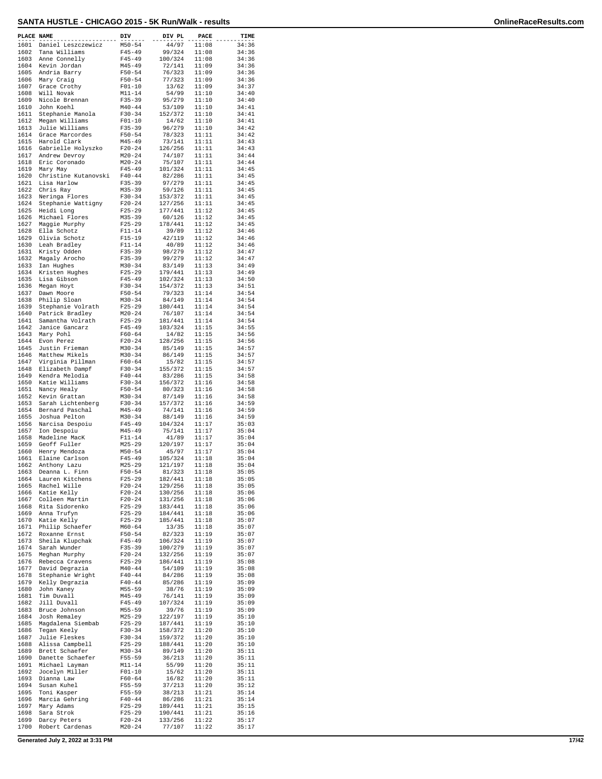| PLACE NAME   |                                      | DIV                      | DIV PL             | PACE           | TIME           |
|--------------|--------------------------------------|--------------------------|--------------------|----------------|----------------|
| 1601         | Daniel Leszczewicz                   | $M50 - 54$               | 44/97              | 11:08          | 34:36          |
| 1602         | Tana Williams                        | $F45 - 49$               | 99/324             | 11:08          | 34:36          |
| 1603         | Anne Connelly                        | $F45 - 49$               | 100/324            | 11:08          | 34:36          |
| 1604<br>1605 | Kevin Jordan                         | $M45 - 49$<br>$F50 - 54$ | 72/141             | 11:09<br>11:09 | 34:36<br>34:36 |
| 1606         | Andria Barry<br>Mary Craig           | $F50 - 54$               | 76/323<br>77/323   | 11:09          | 34:36          |
| 1607         | Grace Crothy                         | $F01-10$                 | 13/62              | 11:09          | 34:37          |
| 1608         | Will Novak                           | $M11 - 14$               | 54/99              | 11:10          | 34:40          |
| 1609<br>1610 | Nicole Brennan                       | $F35 - 39$               | 95/279             | 11:10          | 34:40          |
| 1611         | John Koehl<br>Stephanie Manola       | $M40 - 44$<br>$F30 - 34$ | 53/109<br>152/372  | 11:10<br>11:10 | 34:41<br>34:41 |
| 1612         | Megan Williams                       | $F01 - 10$               | 14/62              | 11:10          | 34:41          |
| 1613         | Julie Williams                       | $F35 - 39$               | 96/279             | 11:10          | 34:42          |
| 1614<br>1615 | Grace Marcordes<br>Harold Clark      | $F50 - 54$<br>$M45 - 49$ | 78/323<br>73/141   | 11:11<br>11:11 | 34:42<br>34:43 |
| 1616         | Gabrielle Holyszko                   | $F20-24$                 | 126/256            | 11:11          | 34:43          |
| 1617         | Andrew Devroy                        | $M20 - 24$               | 74/107             | 11:11          | 34:44          |
| 1618         | Eric Coronado                        | $M20 - 24$               | 75/107             | 11:11          | 34:44          |
| 1619<br>1620 | Mary May<br>Christine Kutanovski     | $F45 - 49$<br>$F40 - 44$ | 101/324<br>82/286  | 11:11<br>11:11 | 34:45<br>34:45 |
| 1621         | Lisa Harlow                          | $F35 - 39$               | 97/279             | 11:11          | 34:45          |
| 1622         | Chris Ray                            | $M35 - 39$               | 59/126             | 11:11          | 34:45          |
| 1623         | Neringa Flores                       | $F30-34$                 | 153/372            | 11:11          | 34:45          |
| 1624<br>1625 | Stephanie Wattigny<br>Heidi Long     | $F20-24$<br>$F25 - 29$   | 127/256<br>177/441 | 11:11<br>11:12 | 34:45<br>34:45 |
| 1626         | Michael Flores                       | $M35 - 39$               | 60/126             | 11:12          | 34:45          |
| 1627         | Maggie Murphy                        | $F25 - 29$               | 178/441            | 11:12          | 34:45          |
| 1628         | Ella Schotz                          | $F11 - 14$               | 39/89              | 11:12          | 34:46          |
| 1629<br>1630 | Olivia Schotz<br>Leah Bradley        | $F15 - 19$<br>$F11 - 14$ | 42/119<br>40/89    | 11:12<br>11:12 | 34:46<br>34:46 |
| 1631         | Kristy Odden                         | $F35 - 39$               | 98/279             | 11:12          | 34:47          |
| 1632         | Magaly Arocho                        | $F35 - 39$               | 99/279             | 11:12          | 34:47          |
| 1633         | Ian Hughes                           | $M30 - 34$               | 83/149             | 11:13          | 34:49          |
| 1634<br>1635 | Kristen Hughes<br>Lisa Gibson        | $F25 - 29$<br>$F45 - 49$ | 179/441<br>102/324 | 11:13<br>11:13 | 34:49<br>34:50 |
| 1636         | Megan Hoyt                           | $F30-34$                 | 154/372            | 11:13          | 34:51          |
| 1637         | Dawn Moore                           | $F50 - 54$               | 79/323             | 11:14          | 34:54          |
| 1638         | Philip Sloan                         | $M30 - 34$               | 84/149             | 11:14          | 34:54          |
| 1639<br>1640 | Stephanie Volrath<br>Patrick Bradley | $F25 - 29$<br>$M20 - 24$ | 180/441<br>76/107  | 11:14<br>11:14 | 34:54<br>34:54 |
| 1641         | Samantha Volrath                     | $F25 - 29$               | 181/441            | 11:14          | 34:54          |
| 1642         | Janice Gancarz                       | $F45 - 49$               | 103/324            | 11:15          | 34:55          |
| 1643         | Mary Pohl                            | $F60 - 64$               | 14/82              | 11:15          | 34:56          |
| 1644<br>1645 | Evon Perez<br>Justin Frieman         | $F20 - 24$<br>$M30 - 34$ | 128/256<br>85/149  | 11:15<br>11:15 | 34:56<br>34:57 |
| 1646         | Matthew Mikels                       | $M30 - 34$               | 86/149             | 11:15          | 34:57          |
| 1647         | Virginia Pillman                     | $F60 - 64$               | 15/82              | 11:15          | 34:57          |
| 1648         | Elizabeth Dampf                      | $F30 - 34$               | 155/372            | 11:15          | 34:57          |
| 1649<br>1650 | Kendra Melodia<br>Katie Williams     | $F40 - 44$<br>$F30-34$   | 83/286<br>156/372  | 11:15<br>11:16 | 34:58<br>34:58 |
| 1651         | Nancy Healy                          | $F50 - 54$               | 80/323             | 11:16          | 34:58          |
| 1652         | Kevin Grattan                        | $M30 - 34$               | 87/149             | 11:16          | 34:58          |
| 1653         | Sarah Lichtenberg                    | $F30-34$                 | 157/372            | 11:16          | 34:59          |
| 1654<br>1655 | Bernard Paschal<br>Joshua Pelton     | $M45 - 49$<br>$M30 - 34$ | 74/141<br>88/149   | 11:16<br>11:16 | 34:59<br>34:59 |
| 1656         | Narcisa Despoiu                      | $F45 - 49$               | 104/324            | 11:17          | 35:03          |
| 1657         | Ion Despoiu                          | $M45 - 49$               | 75/141             | 11:17          | 35:04          |
| 1658         | Madeline MacK                        | $F11 - 14$               | 41/89              | 11:17          | 35:04          |
| 1659<br>1660 | Geoff Fuller<br>Henry Mendoza        | $M25 - 29$<br>$M50 - 54$ | 120/197<br>45/97   | 11:17<br>11:17 | 35:04<br>35:04 |
| 1661         | Elaine Carlson                       | $F45 - 49$               | 105/324            | 11:18          | 35:04          |
| 1662         | Anthony Lazu                         | $M25 - 29$               | 121/197            | 11:18          | 35:04          |
| 1663         | Deanna L. Finn                       | $F50 - 54$               | 81/323             | 11:18          | 35:05          |
| 1664<br>1665 | Lauren Kitchens<br>Rachel Wille      | $F25 - 29$<br>$F20 - 24$ | 182/441<br>129/256 | 11:18<br>11:18 | 35:05<br>35:05 |
| 1666         | Katie Kelly                          | $F20 - 24$               | 130/256            | 11:18          | 35:06          |
| 1667         | Colleen Martin                       | $F20 - 24$               | 131/256            | 11:18          | 35:06          |
| 1668         | Rita Sidorenko                       | $F25 - 29$               | 183/441            | 11:18          | 35:06          |
| 1669<br>1670 | Anna Trufyn<br>Katie Kelly           | $F25 - 29$<br>$F25 - 29$ | 184/441<br>185/441 | 11:18<br>11:18 | 35:06<br>35:07 |
| 1671         | Philip Schaefer                      | $M60 - 64$               | 13/35              | 11:18          | 35:07          |
| 1672         | Roxanne Ernst                        | $F50 - 54$               | 82/323             | 11:19          | 35:07          |
| 1673<br>1674 | Sheila Klupchak<br>Sarah Wunder      | $F45 - 49$               | 106/324<br>100/279 | 11:19<br>11:19 | 35:07<br>35:07 |
| 1675         | Meghan Murphy                        | $F35 - 39$<br>$F20-24$   | 132/256            | 11:19          | 35:07          |
| 1676         | Rebecca Cravens                      | $F25 - 29$               | 186/441            | 11:19          | 35:08          |
| 1677         | David Degrazia                       | $M40 - 44$               | 54/109             | 11:19          | 35:08          |
| 1678<br>1679 | Stephanie Wright<br>Kelly Degrazia   | $F40 - 44$<br>$F40 - 44$ | 84/286<br>85/286   | 11:19<br>11:19 | 35:08<br>35:09 |
| 1680         | John Kaney                           | $M55 - 59$               | 38/76              | 11:19          | 35:09          |
| 1681         | Tim Duvall                           | $M45 - 49$               | 76/141             | 11:19          | 35:09          |
| 1682         | Jill Duvall                          | $F45 - 49$               | 107/324            | 11:19          | 35:09          |
| 1683<br>1684 | Bruce Johnson<br>Josh Remaley        | $M55 - 59$<br>$M25 - 29$ | 39/76<br>122/197   | 11:19<br>11:19 | 35:09<br>35:10 |
| 1685         | Magdalena Siembab                    | $F25 - 29$               | 187/441            | 11:19          | 35:10          |
| 1686         | Tegan Keely                          | $F30-34$                 | 158/372            | 11:20          | 35:10          |
| 1687         | Julie Fleskes                        | F30-34                   | 159/372            | 11:20          | 35:10          |
| 1688<br>1689 | Alissa Campbell<br>Brett Schaefer    | $F25 - 29$<br>$M30 - 34$ | 188/441<br>89/149  | 11:20<br>11:20 | 35:10<br>35:11 |
| 1690         | Danette Schaefer                     | F55-59                   | 36/213             | 11:20          | 35:11          |
| 1691         | Michael Layman                       | $M11 - 14$               | 55/99              | 11:20          | 35:11          |
| 1692         | Jocelyn Miller                       | $F01 - 10$               | 15/62              | 11:20          | 35:11          |
| 1693<br>1694 | Dianna Law<br>Susan Kuhel            | F60-64<br>F55-59         | 16/82<br>37/213    | 11:20<br>11:20 | 35:11<br>35:12 |
| 1695         | Toni Kasper                          | $F55 - 59$               | 38/213             | 11:21          | 35:14          |
| 1696         | Marcia Gehring                       | $F40 - 44$               | 86/286             | 11:21          | 35:14          |
| 1697         | Mary Adams                           | $F25 - 29$               | 189/441            | 11:21          | 35:15          |
| 1698<br>1699 | Sara Strok<br>Darcy Peters           | $F25 - 29$<br>$F20-24$   | 190/441<br>133/256 | 11:21<br>11:22 | 35:16<br>35:17 |
| 1700         | Robert Cardenas                      | $M20 - 24$               | 77/107             | 11:22          | 35:17          |
|              |                                      |                          |                    |                |                |

**Generated July 2, 2022 at 3:31 PM 17/42**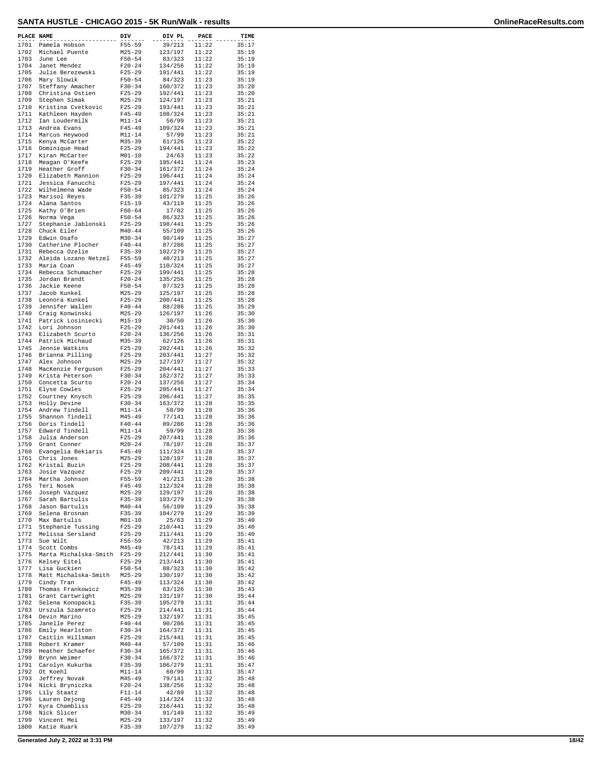| PLACE NAME   |                                       | DIV                      | DIV PL             | PACE           | TIME           |
|--------------|---------------------------------------|--------------------------|--------------------|----------------|----------------|
| 1701         | Pamela Hobson                         | $F55 - 59$               | 39/213             | 11:22          | 35:17          |
| 1702         | Michael Puente                        | $M25 - 29$               | 123/197            | 11:22          | 35:19          |
| 1703         | June Lee                              | $F50 - 54$               | 83/323             | 11:22          | 35:19          |
| 1704         | Janet Mendez                          | $F20-24$                 | 134/256            | 11:22          | 35:19          |
| 1705<br>1706 | Julie Berezewski                      | $F25 - 29$               | 191/441            | 11:22          | 35:19<br>35:19 |
| 1707         | Mary Slowik<br>Steffany Amacher       | $F50 - 54$<br>$F30-34$   | 84/323<br>160/372  | 11:23<br>11:23 | 35:20          |
| 1708         | Christina Ostien                      | $F25 - 29$               | 192/441            | 11:23          | 35:20          |
| 1709         | Stephen Simak                         | $M25 - 29$               | 124/197            | 11:23          | 35:21          |
| 1710         | Kristina Cvetkovic                    | $F25 - 29$               | 193/441            | 11:23          | 35:21          |
| 1711         | Kathleen Hayden                       | $F45 - 49$               | 108/324            | 11:23          | 35:21          |
| 1712         | Ian Loudermilk                        | $M11 - 14$               | 56/99              | 11:23          | 35:21          |
| 1713         | Andrea Evans                          | $F45 - 49$               | 109/324            | 11:23          | 35:21          |
| 1714         | Marcus Heywood                        | $M11 - 14$               | 57/99              | 11:23          | 35:21          |
| 1715         | Kenya McCarter                        | $M35 - 39$               | 61/126<br>194/441  | 11:23          | 35:22          |
| 1716<br>1717 | Dominique Head<br>Kiran McCarter      | $F25-29$<br>$M01 - 10$   | 24/63              | 11:23<br>11:23 | 35:22<br>35:22 |
| 1718         | Meagan O'Keefe                        | $F25-29$                 | 195/441            | 11:24          | 35:23          |
| 1719         | Heather Groff                         | $F30 - 34$               | 161/372            | 11:24          | 35:24          |
| 1720         | Elizabeth Mannion                     | $F25 - 29$               | 196/441            | 11:24          | 35:24          |
| 1721         | Jessica Fanucchi                      | $F25 - 29$               | 197/441            | 11:24          | 35:24          |
| 1722         | Wilhelmena Wade                       | $F50 - 54$               | 85/323             | 11:24          | 35:24          |
| 1723         | Marisol Reyes                         | $F35 - 39$               | 101/279            | 11:25          | 35:26          |
| 1724         | Alana Santos                          | $F15-19$                 | 43/119             | 11:25          | 35:26          |
| 1725         | Kathy O'Brien                         | $F60 - 64$               | 17/82              | 11:25          | 35:26          |
| 1726         | Norma Vega                            | $F50 - 54$               | 86/323             | 11:25          | 35:26          |
| 1727         | Stephanie Jablonski                   | $F25 - 29$               | 198/441            | 11:25          | 35:26          |
| 1728<br>1729 | Chuck Eiler<br>Edwin Osafo            | $M40 - 44$<br>$M30 - 34$ | 55/109<br>90/149   | 11:25<br>11:25 | 35:26<br>35:27 |
| 1730         | Catherine Plocher                     | $F40 - 44$               | 87/286             | 11:25          | 35:27          |
| 1731         | Rebecca Ozelie                        | $F35 - 39$               | 102/279            | 11:25          | 35:27          |
| 1732         | Aleida Lozano Netzel                  | $F55 - 59$               | 40/213             | 11:25          | 35:27          |
| 1733         | Maria Coan                            | $F45 - 49$               | 110/324            | 11:25          | 35:27          |
| 1734         | Rebecca Schumacher                    | $F25 - 29$               | 199/441            | 11:25          | 35:28          |
| 1735         | Jordan Brandt                         | $F20-24$                 | 135/256            | 11:25          | 35:28          |
| 1736         | Jackie Keene                          | $F50 - 54$               | 87/323             | 11:25          | 35:28          |
| 1737         | Jacob Kunkel                          | $M25 - 29$               | 125/197            | 11:25          | 35:28          |
| 1738         | Leonora Kunkel                        | $F25 - 29$               | 200/441            | 11:25          | 35:28          |
| 1739         | Jennifer Wallen                       | $F40 - 44$               | 88/286             | 11:25          | 35:29          |
| 1740         | Craig Konwinski                       | M25-29                   | 126/197            | 11:26          | 35:30          |
| 1741         | Patrick Losiniecki                    | $M15 - 19$               | 30/50              | 11:26          | 35:30          |
| 1742         | Lori Johnson                          | $F25-29$                 | 201/441            | 11:26          | 35:30          |
| 1743         | Elizabeth Scurto                      | $F20 - 24$               | 136/256            | 11:26          | 35:31          |
| 1744<br>1745 | Patrick Michaud                       | $M35 - 39$               | 62/126             | 11:26          | 35:31<br>35:32 |
| 1746         | Jennie Watkins<br>Brianna Pilling     | $F25 - 29$<br>$F25-29$   | 202/441<br>203/441 | 11:26<br>11:27 | 35:32          |
| 1747         | Alex Johnson                          | $M25 - 29$               | 127/197            | 11:27          | 35:32          |
| 1748         | MacKenzie Ferguson                    | $F25-29$                 | 204/441            | 11:27          | 35:33          |
| 1749         | Krista Peterson                       | $F30 - 34$               | 162/372            | 11:27          | 35:33          |
| 1750         | Concetta Scurto                       | $F20 - 24$               | 137/256            | 11:27          | 35:34          |
| 1751         | Elyse Cowles                          | $F25 - 29$               | 205/441            | 11:27          | 35:34          |
| 1752         | Courtney Knysch                       | $F25 - 29$               | 206/441            | 11:27          | 35:35          |
| 1753         | Holly Devine                          | $F30-34$                 | 163/372            | 11:28          | 35:35          |
| 1754         | Andrew Tindell                        | $M11 - 14$               | 58/99              | 11:28          | 35:36          |
| 1755         | Shannon Tindell                       | $M45 - 49$               | 77/141             | 11:28          | 35:36          |
| 1756         | Doris Tindell                         | $F40 - 44$               | 89/286             | 11:28          | 35:36          |
| 1757         | Edward Tindell                        | $M11 - 14$               | 59/99              | 11:28          | 35:36          |
| 1758         | Julia Anderson                        | $F25-29$                 | 207/441            | 11:28          | 35:36          |
| 1759<br>1760 | Grant Conner<br>Evangelia Bekiaris    | $M20 - 24$<br>$F45 - 49$ | 78/107<br>111/324  | 11:28<br>11:28 | 35:37<br>35:37 |
| 1761         | Chris Jones                           | $M25 - 29$               | 128/197            | 11:28          | 35:37          |
| 1762         | Kristal Buzin                         | $F25 - 29$               | 208/441            | 11:28          | 35:37          |
| 1763         | Josie Vazquez                         | F25-29                   | 209/441            | 11:28          | 35:37          |
| 1764         | Martha Johnson                        | F55-59                   | 41/213             | 11:28          | 35:38          |
| 1765         | Teri Nosek                            | $F45 - 49$               | 112/324            | 11:28          | 35:38          |
| 1766         | Joseph Vazquez                        | M25-29                   | 129/197            | 11:28          | 35:38          |
| 1767         | Sarah Bartulis                        | $F35 - 39$               | 103/279            | 11:29          | 35:38          |
| 1768         | Jason Bartulis                        | $M40 - 44$               | 56/109             | 11:29          | 35:38          |
| 1769         | Selena Brosnan                        | F35-39                   | 104/279            | 11:29          | 35:39          |
| 1770         | Max Bartulis                          | $M01 - 10$               | 25/63              | 11:29          | 35:40          |
| 1771<br>1772 | Stephanie Tussing<br>Melissa Sersland | $F25 - 29$<br>$F25 - 29$ | 210/441<br>211/441 | 11:29<br>11:29 | 35:40<br>35:40 |
| 1773         | Sue Wilt                              | $F55 - 59$               | 42/213             | 11:29          | 35:41          |
| 1774         | Scott Combs                           | $M45 - 49$               | 78/141             | 11:29          | 35:41          |
| 1775         | Marta Michalska-Smith                 | $F25 - 29$               | 212/441            | 11:30          | 35:41          |
| 1776         | Kelsey Eitel                          | $F25 - 29$               | 213/441            | 11:30          | 35:41          |
| 1777         | Lisa Guckien                          | $F50 - 54$               | 88/323             | 11:30          | 35:42          |
| 1778         | Matt Michalska-Smith                  | $M25 - 29$               | 130/197            | 11:30          | 35:42          |
| 1779         | Cindy Tran                            | $F45 - 49$               | 113/324            | 11:30          | 35:42          |
| 1780         | Thomas Frankowicz                     | $M35 - 39$               | 63/126             | 11:30          | 35:43          |
| 1781         | Grant Cartwright                      | M25-29                   | 131/197            | 11:30          | 35:44          |
| 1782         | Selena Konopacki                      | $F35 - 39$               | 105/279            | 11:31          | 35:44          |
| 1783         | Urszula Szamreto                      | $F25 - 29$               | 214/441            | 11:31          | 35:44          |
| 1784         | Devin Marino                          | M25-29                   | 132/197            | 11:31          | 35:45          |
| 1785         | Janelle Perez                         | $F40 - 44$<br>$F30 - 34$ | 90/286<br>164/372  | 11:31<br>11:31 | 35:45<br>35:45 |
| 1786<br>1787 | Emily Hearlston<br>Caitlin Hillsman   | F25-29                   | 215/441            | 11:31          | 35:45          |
| 1788         | Robert Kramer                         | $M40 - 44$               | 57/109             | 11:31          | 35:46          |
| 1789         | Heather Schaefer                      | $F30 - 34$               | 165/372            | 11:31          | 35:46          |
| 1790         | Brynn Weimer                          | F30-34                   | 166/372            | 11:31          | 35:46          |
| 1791         | Carolyn Kukurba                       | $F35 - 39$               | 106/279            | 11:31          | 35:47          |
| 1792         | Ot Koehl                              | $M11 - 14$               | 60/99              | 11:31          | 35:47          |
| 1793         | Jeffrey Novak                         | $M45 - 49$               | 79/141             | 11:32          | 35:48          |
| 1794         | Nicki Bryniczka                       | $F20-24$                 | 138/256            | 11:32          | 35:48          |
| 1795         | Lily Staatz                           | $F11 - 14$               | 42/89              | 11:32          | 35:48          |
| 1796         | Lauren Dejong                         | F45-49                   | 114/324            | 11:32          | 35:48          |
| 1797         | Kyra Chambliss                        | $F25-29$                 | 216/441            | 11:32          | 35:48          |
| 1798         | Nick Slicer                           | $M30 - 34$               | 91/149             | 11:32          | 35:49          |
| 1799         | Vincent Mei                           | $M25 - 29$               | 133/197            | 11:32          | 35:49          |
| 1800         | Katie Ruark                           | F35-39                   | 107/279            | 11:32          | 35:49          |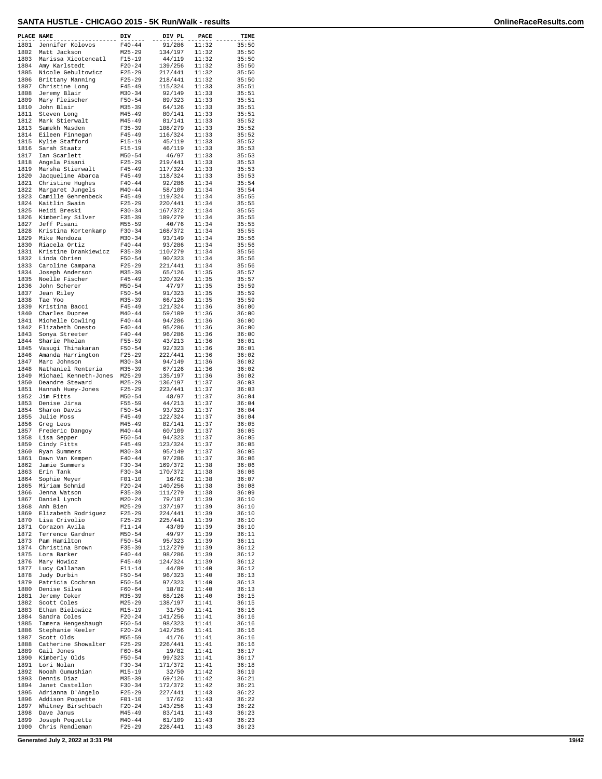| PLACE NAME   |                                        |                          |                    |                |                |
|--------------|----------------------------------------|--------------------------|--------------------|----------------|----------------|
| 1801         | Jennifer Kolovos                       | DIV<br>$F40 - 44$        | DIV PL<br>91/286   | PACE<br>11:32  | TIME<br>35:50  |
| 1802         | Matt Jackson                           | $M25 - 29$               | 134/197            | 11:32          | 35:50          |
| 1803         | Marissa Xicotencatl                    | $F15-19$                 | 44/119             | 11:32          | 35:50          |
| 1804         | Amy Karlstedt                          | $F20 - 24$               | 139/256            | 11:32          | 35:50          |
| 1805<br>1806 | Nicole Gebultowicz<br>Brittany Manning | $F25 - 29$<br>$F25-29$   | 217/441<br>218/441 | 11:32<br>11:32 | 35:50<br>35:50 |
| 1807         | Christine Long                         | $F45 - 49$               | 115/324            | 11:33          | 35:51          |
| 1808         | Jeremy Blair                           | $M30 - 34$               | 92/149             | 11:33          | 35:51          |
| 1809<br>1810 | Mary Fleischer<br>John Blair           | $F50 - 54$<br>$M35 - 39$ | 89/323<br>64/126   | 11:33<br>11:33 | 35:51<br>35:51 |
| 1811         | Steven Long                            | $M45 - 49$               | 80/141             | 11:33          | 35:51          |
| 1812         | Mark Stierwalt                         | $M45 - 49$               | 81/141             | 11:33          | 35:52          |
| 1813         | Samekh Masden                          | $F35 - 39$               | 108/279            | 11:33          | 35:52          |
| 1814<br>1815 | Eileen Finnegan<br>Kylie Stafford      | $F45 - 49$<br>$F15-19$   | 116/324<br>45/119  | 11:33<br>11:33 | 35:52<br>35:52 |
| 1816         | Sarah Staatz                           | $F15 - 19$               | 46/119             | 11:33          | 35:53          |
| 1817         | Ian Scarlett                           | $M50 - 54$               | 46/97              | 11:33          | 35:53          |
| 1818<br>1819 | Angela Pisani                          | $F25 - 29$<br>$F45 - 49$ | 219/441<br>117/324 | 11:33<br>11:33 | 35:53<br>35:53 |
| 1820         | Marsha Stierwalt<br>Jacqueline Abarca  | $F45 - 49$               | 118/324            | 11:33          | 35:53          |
| 1821         | Christine Hughes                       | $F40 - 44$               | 92/286             | 11:34          | 35:54          |
| 1822         | Margaret Jungels                       | $M40 - 44$               | 58/109             | 11:34          | 35:54          |
| 1823<br>1824 | Camille Gehrenbeck<br>Kaitlin Swain    | $F45 - 49$<br>$F25-29$   | 119/324<br>220/441 | 11:34<br>11:34 | 35:55<br>35:55 |
| 1825         | Heidi Breski                           | $F30 - 34$               | 167/372            | 11:34          | 35:55          |
| 1826         | Kimberley Silver                       | $F35 - 39$               | 109/279            | 11:34          | 35:55          |
| 1827<br>1828 | Jeff Pisani                            | M55-59                   | 40/76<br>168/372   | 11:34          | 35:55          |
| 1829         | Kristina Kortenkamp<br>Mike Mendoza    | $F30-34$<br>$M30 - 34$   | 93/149             | 11:34<br>11:34 | 35:55<br>35:56 |
| 1830         | Riacela Ortiz                          | $F40 - 44$               | 93/286             | 11:34          | 35:56          |
| 1831         | Kristine Drankiewicz                   | $F35 - 39$               | 110/279            | 11:34          | 35:56          |
| 1832<br>1833 | Linda Obrien<br>Caroline Campana       | $F50 - 54$<br>$F25 - 29$ | 90/323<br>221/441  | 11:34<br>11:34 | 35:56<br>35:56 |
| 1834         | Joseph Anderson                        | $M35 - 39$               | 65/126             | 11:35          | 35:57          |
| 1835         | Noelle Fischer                         | $F45 - 49$               | 120/324            | 11:35          | 35:57          |
| 1836         | John Scherer                           | $M50 - 54$<br>$F50 - 54$ | 47/97              | 11:35          | 35:59          |
| 1837<br>1838 | Jean Riley<br>Tae Yoo                  | $M35 - 39$               | 91/323<br>66/126   | 11:35<br>11:35 | 35:59<br>35:59 |
| 1839         | Kristina Bacci                         | F45-49                   | 121/324            | 11:36          | 36:00          |
| 1840         | Charles Dupree                         | $M40 - 44$               | 59/109             | 11:36          | 36:00          |
| 1841<br>1842 | Michelle Cowling<br>Elizabeth Onesto   | $F40 - 44$<br>$F40 - 44$ | 94/286<br>95/286   | 11:36<br>11:36 | 36:00<br>36:00 |
| 1843         | Sonya Streeter                         | $F40 - 44$               | 96/286             | 11:36          | 36:00          |
| 1844         | Sharie Phelan                          | $F55 - 59$               | 43/213             | 11:36          | 36:01          |
| 1845         | Vasugi Thinakaran                      | $F50 - 54$               | 92/323             | 11:36          | 36:01          |
| 1846<br>1847 | Amanda Harrington<br>Marc Johnson      | $F25 - 29$<br>$M30 - 34$ | 222/441<br>94/149  | 11:36<br>11:36 | 36:02<br>36:02 |
| 1848         | Nathaniel Renteria                     | M35-39                   | 67/126             | 11:36          | 36:02          |
| 1849         | Michael Kenneth-Jones                  | $M25 - 29$               | 135/197            | 11:36          | 36:02          |
| 1850<br>1851 | Deandre Steward<br>Hannah Huey-Jones   | $M25 - 29$<br>$F25-29$   | 136/197<br>223/441 | 11:37<br>11:37 | 36:03<br>36:03 |
| 1852         | Jim Fitts                              | $M50 - 54$               | 48/97              | 11:37          | 36:04          |
| 1853         | Denise Jirsa                           | $F55 - 59$               | 44/213             | 11:37          | 36:04          |
| 1854<br>1855 | Sharon Davis                           | $F50 - 54$               | 93/323             | 11:37          | 36:04          |
| 1856         | Julie Moss<br>Greg Leos                | $F45 - 49$<br>$M45 - 49$ | 122/324<br>82/141  | 11:37<br>11:37 | 36:04<br>36:05 |
| 1857         | Frederic Dangoy                        | $M40 - 44$               | 60/109             | 11:37          | 36:05          |
| 1858         | Lisa Sepper                            | $F50 - 54$               | 94/323             | 11:37          | 36:05          |
| 1859<br>1860 | Cindy Fitts<br>Ryan Summers            | $F45 - 49$<br>$M30 - 34$ | 123/324<br>95/149  | 11:37<br>11:37 | 36:05<br>36:05 |
| 1861         | Dawn Van Kempen                        | $F40 - 44$               | 97/286             | 11:37          | 36:06          |
| 1862         | Jamie Summers                          | $F30 - 34$               | 169/372            | 11:38          | 36:06          |
| 1863         | Erin Tank                              | F30-34                   | 170/372            | 11:38          | 36:06          |
| 1864<br>1865 | Sophie Meyer<br>Miriam Schmid          | $F01-10$<br>$F20 - 24$   | 16/62<br>140/256   | 11:38<br>11:38 | 36:07<br>36:08 |
| 1866         | Jenna Watson                           | $F35 - 39$               | 111/279            | 11:38          | 36:09          |
| 1867         | Daniel Lynch                           | $M20 - 24$               | 79/107             | 11:39          | 36:10          |
| 1868<br>1869 | Anh Bien<br>Elizabeth Rodriquez        | $M25 - 29$<br>$F25 - 29$ | 137/197<br>224/441 | 11:39<br>11:39 | 36:10<br>36:10 |
| 1870         | Lisa Crivolio                          | $F25 - 29$               | 225/441            | 11:39          | 36:10          |
| 1871         | Corazon Avila                          | $F11 - 14$               | 43/89              | 11:39          | 36:10          |
| 1872         | Terrence Gardner                       | $M50 - 54$               | 49/97<br>95/323    | 11:39          | 36:11          |
| 1873<br>1874 | Pam Hamilton<br>Christina Brown        | $F50 - 54$<br>$F35 - 39$ | 112/279            | 11:39<br>11:39 | 36:11<br>36:12 |
| 1875         | Lora Barker                            | $F40 - 44$               | 98/286             | 11:39          | 36:12          |
| 1876         | Mary Howicz                            | $F45 - 49$               | 124/324            | 11:39          | 36:12          |
| 1877<br>1878 | Lucy Callahan<br>Judy Durbin           | $F11 - 14$<br>$F50 - 54$ | 44/89<br>96/323    | 11:40<br>11:40 | 36:12<br>36:13 |
| 1879         | Patricia Cochran                       | $F50 - 54$               | 97/323             | 11:40          | 36:13          |
| 1880         | Denise Silva                           | $F60 - 64$               | 18/82              | 11:40          | 36:13          |
| 1881         | Jeremy Coker                           | M35-39                   | 68/126             | 11:40          | 36:15          |
| 1882<br>1883 | Scott Coles<br>Ethan Bielowicz         | $M25 - 29$<br>$M15 - 19$ | 138/197<br>31/50   | 11:41<br>11:41 | 36:15<br>36:16 |
| 1884         | Sandra Coles                           | $F20-24$                 | 141/256            | 11:41          | 36:16          |
| 1885         | Tamera Hengesbaugh                     | $F50 - 54$               | 98/323             | 11:41          | 36:16          |
| 1886<br>1887 | Stephanie Keeler<br>Scott Olds         | $F20 - 24$<br>M55-59     | 142/256<br>41/76   | 11:41<br>11:41 | 36:16<br>36:16 |
| 1888         | Catherine Showalter                    | F25-29                   | 226/441            | 11:41          | 36:16          |
| 1889         | Gail Jones                             | $F60 - 64$               | 19/82              | 11:41          | 36:17          |
| 1890         | Kimberly Olds                          | F50-54                   | 99/323             | 11:41          | 36:17          |
| 1891<br>1892 | Lori Nolan<br>Nooah Gumushian          | $F30 - 34$<br>$M15 - 19$ | 171/372<br>32/50   | 11:41<br>11:42 | 36:18<br>36:19 |
| 1893         | Dennis Diaz                            | M35-39                   | 69/126             | 11:42          | 36:21          |
| 1894         | Janet Castellon                        | F30-34                   | 172/372            | 11:42          | 36:21          |
| 1895<br>1896 | Adrianna D'Angelo<br>Addison Poquette  | $F25 - 29$<br>$F01 - 10$ | 227/441<br>17/62   | 11:43<br>11:43 | 36:22<br>36:22 |
| 1897         | Whitney Birschbach                     | $F20 - 24$               | 143/256            | 11:43          | 36:22          |
| 1898         | Dave Janus                             | $M45 - 49$               | 83/141             | 11:43          | 36:23          |
| 1899         | Joseph Poquette                        | $M40 - 44$               | 61/109             | 11:43          | 36:23          |
| 1900         | Chris Rendleman                        | F25-29                   | 228/441            | 11:43          | 36:23          |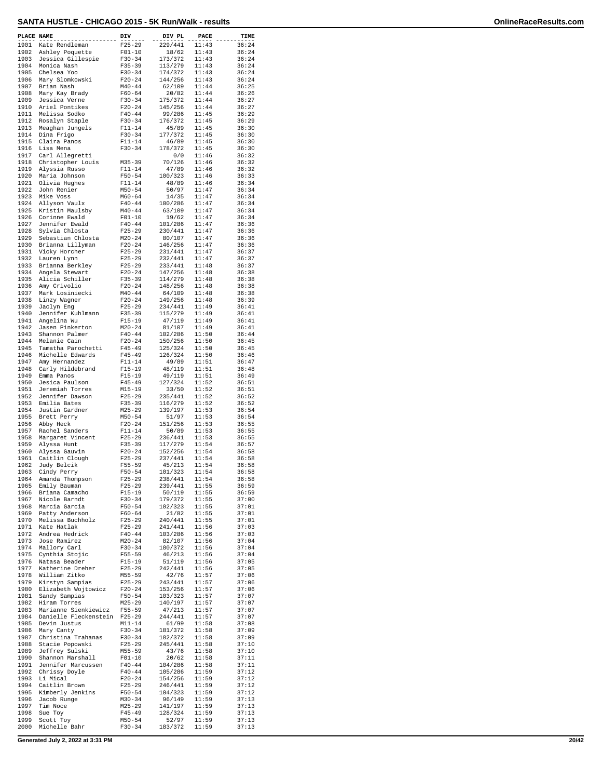| PLACE NAME   |                                       | DIV                      | DIV PL             | <b>PACE</b>    | TIME           |
|--------------|---------------------------------------|--------------------------|--------------------|----------------|----------------|
| 1901         | Kate Rendleman                        | $F25 - 29$               | 229/441            | 11:43          | 36:24          |
| 1902<br>1903 | Ashley Poquette<br>Jessica Gillespie  | $F01 - 10$               | 18/62<br>173/372   | 11:43          | 36:24          |
| 1904         | Monica Nash                           | $F30-34$<br>$F35 - 39$   | 113/279            | 11:43<br>11:43 | 36:24<br>36:24 |
| 1905         | Chelsea Yoo                           | $F30-34$                 | 174/372            | 11:43          | 36:24          |
| 1906         | Mary Slomkowski                       | $F20-24$                 | 144/256            | 11:43          | 36:24          |
| 1907         | Brian Nash                            | $M40 - 44$               | 62/109             | 11:44          | 36:25          |
| 1908         | Mary Kay Brady                        | $F60 - 64$               | 20/82<br>175/372   | 11:44          | 36:26          |
| 1909<br>1910 | Jessica Verne<br>Ariel Pontikes       | $F30 - 34$<br>$F20-24$   | 145/256            | 11:44<br>11:44 | 36:27<br>36:27 |
| 1911         | Melissa Sodko                         | $F40 - 44$               | 99/286             | 11:45          | 36:29          |
| 1912         | Rosalyn Staple                        | $F30 - 34$               | 176/372            | 11:45          | 36:29          |
| 1913         | Meaghan Jungels                       | $F11 - 14$               | 45/89              | 11:45          | 36:30          |
| 1914         | Dina Frigo                            | $F30-34$                 | 177/372            | 11:45          | 36:30          |
| 1915         | Claira Panos                          | $F11 - 14$               | 46/89              | 11:45          | 36:30          |
| 1916<br>1917 | Lisa Mena<br>Carl Allegretti          | $F30-34$                 | 178/372<br>0/0     | 11:45<br>11:46 | 36:30<br>36:32 |
| 1918         | Christopher Louis                     | $M35 - 39$               | 70/126             | 11:46          | 36:32          |
| 1919         | Alyssia Russo                         | $F11 - 14$               | 47/89              | 11:46          | 36:32          |
| 1920         | Maria Johnson                         | $F50 - 54$               | 100/323            | 11:46          | 36:33          |
| 1921         | Olivia Hughes                         | $F11 - 14$               | 48/89              | 11:46          | 36:34          |
| 1922<br>1923 | John Renier<br>Mike Voss              | $M50 - 54$<br>$M60 - 64$ | 50/97<br>14/35     | 11:47<br>11:47 | 36:34<br>36:34 |
| 1924         | Allyson Vaulx                         | $F40 - 44$               | 100/286            | 11:47          | 36:34          |
| 1925         | Kristin Maulsby                       | $M40 - 44$               | 63/109             | 11:47          | 36:34          |
| 1926         | Corinne Ewald                         | $F01 - 10$               | 19/62              | 11:47          | 36:34          |
| 1927         | Jennifer Ewald                        | $F40 - 44$               | 101/286            | 11:47          | 36:36          |
| 1928<br>1929 | Sylvia Chlosta                        | $F25 - 29$               | 230/441            | 11:47<br>11:47 | 36:36          |
| 1930         | Sebastian Chlosta<br>Brianna Lillyman | $M20 - 24$<br>$F20 - 24$ | 80/107<br>146/256  | 11:47          | 36:36<br>36:36 |
| 1931         | Vicky Horcher                         | $F25 - 29$               | 231/441            | 11:47          | 36:37          |
| 1932         | Lauren Lynn                           | $F25 - 29$               | 232/441            | 11:47          | 36:37          |
| 1933         | Brianna Berkley                       | $F25 - 29$               | 233/441            | 11:48          | 36:37          |
| 1934         | Angela Stewart                        | $F20-24$                 | 147/256            | 11:48          | 36:38          |
| 1935<br>1936 | Alicia Schiller                       | $F35 - 39$               | 114/279            | 11:48<br>11:48 | 36:38<br>36:38 |
| 1937         | Amy Crivolio<br>Mark Losiniecki       | $F20-24$<br>$M40 - 44$   | 148/256<br>64/109  | 11:48          | 36:38          |
| 1938         | Linzy Wagner                          | $F20 - 24$               | 149/256            | 11:48          | 36:39          |
| 1939         | Jaclyn Eng                            | $F25 - 29$               | 234/441            | 11:49          | 36:41          |
| 1940         | Jennifer Kuhlmann                     | $F35 - 39$               | 115/279            | 11:49          | 36:41          |
| 1941         | Angelina Wu                           | $F15-19$                 | 47/119             | 11:49          | 36:41          |
| 1942<br>1943 | Jasen Pinkerton                       | $M20 - 24$               | 81/107             | 11:49          | 36:41          |
| 1944         | Shannon Palmer<br>Melanie Cain        | $F40 - 44$<br>$F20 - 24$ | 102/286<br>150/256 | 11:50<br>11:50 | 36:44<br>36:45 |
| 1945         | Tamatha Parochetti                    | $F45 - 49$               | 125/324            | 11:50          | 36:45          |
| 1946         | Michelle Edwards                      | F45-49                   | 126/324            | 11:50          | 36:46          |
| 1947         | Amy Hernandez                         | $F11 - 14$               | 49/89              | 11:51          | 36:47          |
| 1948         | Carly Hildebrand                      | $F15-19$                 | 48/119             | 11:51          | 36:48          |
| 1949<br>1950 | Emma Panos<br>Jesica Paulson          | $F15-19$<br>$F45 - 49$   | 49/119<br>127/324  | 11:51<br>11:52 | 36:49<br>36:51 |
| 1951         | Jeremiah Torres                       | $M15 - 19$               | 33/50              | 11:52          | 36:51          |
| 1952         | Jennifer Dawson                       | $F25-29$                 | 235/441            | 11:52          | 36:52          |
| 1953         | Emilia Bates                          | $F35 - 39$               | 116/279            | 11:52          | 36:52          |
| 1954         | Justin Gardner                        | $M25 - 29$               | 139/197            | 11:53          | 36:54          |
| 1955<br>1956 | Brett Perry                           | $M50 - 54$<br>$F20 - 24$ | 51/97<br>151/256   | 11:53<br>11:53 | 36:54<br>36:55 |
| 1957         | Abby Heck<br>Rachel Sanders           | $F11-14$                 | 50/89              | 11:53          | 36:55          |
| 1958         | Margaret Vincent                      | $F25 - 29$               | 236/441            | 11:53          | 36:55          |
| 1959         | Alyssa Hunt                           | $F35 - 39$               | 117/279            | 11:54          | 36:57          |
| 1960         | Alyssa Gauvin                         | $F20-24$                 | 152/256            | 11:54          | 36:58          |
| 1961         | Caitlin Clough                        | $F25-29$<br>$F55 - 59$   | 237/441<br>45/213  | 11:54          | 36:58          |
| 1962<br>1963 | Judy Belcik<br>Cindy Perry            | $F50 - 54$               | 101/323            | 11:54<br>11:54 | 36:58<br>36:58 |
| 1964         | Amanda Thompson                       | $F25 - 29$               | 238/441            | 11:54          | 36:58          |
| 1965         | Emily Bauman                          | $F25 - 29$               | 239/441            | 11:55          | 36:59          |
| 1966         | Briana Camacho                        | F15-19                   | 50/119             | 11:55          | 36:59          |
| 1967         | Nicole Barndt                         | $F30-34$                 | 179/372            | 11:55          | 37:00          |
| 1968<br>1969 | Marcia Garcia<br>Patty Anderson       | $F50 - 54$<br>$F60 - 64$ | 102/323<br>21/82   | 11:55<br>11:55 | 37:01<br>37:01 |
| 1970         | Melissa Buchholz                      | $F25 - 29$               | 240/441            | 11:55          | 37:01          |
| 1971         | Kate Hatlak                           | $F25 - 29$               | 241/441            | 11:56          | 37:03          |
| 1972         | Andrea Hedrick                        | $F40 - 44$               | 103/286            | 11:56          | 37:03          |
| 1973         | Jose Ramirez                          | $M20 - 24$               | 82/107             | 11:56<br>11:56 | 37:04          |
| 1974<br>1975 | Mallory Carl<br>Cynthia Stojic        | $F30-34$<br>$F55 - 59$   | 180/372<br>46/213  | 11:56          | 37:04<br>37:04 |
| 1976         | Natasa Beader                         | $F15-19$                 | 51/119             | 11:56          | 37:05          |
| 1977         | Katherine Dreher                      | $F25 - 29$               | 242/441            | 11:56          | 37:05          |
| 1978         | William Zitko                         | $M55 - 59$               | 42/76              | 11:57          | 37:06          |
| 1979         | Kirstyn Sampias                       | $F25 - 29$               | 243/441            | 11:57          | 37:06          |
| 1980<br>1981 | Elizabeth Wojtowicz                   | $F20-24$                 | 153/256<br>103/323 | 11:57<br>11:57 | 37:06          |
| 1982         | Sandy Sampias<br>Hiram Torres         | F50-54<br>$M25 - 29$     | 140/197            | 11:57          | 37:07<br>37:07 |
| 1983         | Marianne Sienkiewicz                  | $F55 - 59$               | 47/213             | 11:57          | 37:07          |
| 1984         | Danielle Fleckenstein                 | $F25 - 29$               | 244/441            | 11:57          | 37:07          |
| 1985         | Devin Justus                          | $M11 - 14$               | 61/99              | 11:58          | 37:08          |
| 1986         | Mary Canty                            | $F30-34$                 | 181/372            | 11:58          | 37:09          |
| 1987<br>1988 | Christina Trahanas<br>Stacie Popowski | F30-34<br>$F25 - 29$     | 182/372<br>245/441 | 11:58<br>11:58 | 37:09<br>37:10 |
| 1989         | Jeffrey Sulski                        | M55-59                   | 43/76              | 11:58          | 37:10          |
| 1990         | Shannon Marshall                      | $F01 - 10$               | 20/62              | 11:58          | 37:11          |
| 1991         | Jennifer Marcussen                    | $F40 - 44$               | 104/286            | 11:58          | 37:11          |
| 1992         | Chrissy Doyle                         | $F40 - 44$               | 105/286            | 11:59          | 37:12          |
| 1993<br>1994 | Li Mical<br>Caitlin Brown             | $F20-24$<br>$F25 - 29$   | 154/256<br>246/441 | 11:59<br>11:59 | 37:12<br>37:12 |
| 1995         | Kimberly Jenkins                      | $F50 - 54$               | 104/323            | 11:59          | 37:12          |
| 1996         | Jacob Runge                           | $M30 - 34$               | 96/149             | 11:59          | 37:13          |
| 1997         | Tim Noce                              | $M25 - 29$               | 141/197            | 11:59          | 37:13          |
| 1998         | Sue Toy                               | $F45 - 49$               | 128/324            | 11:59          | 37:13          |
| 1999         | Scott Toy                             | $M50 - 54$               | 52/97              | 11:59          | 37:13          |
| 2000         | Michelle Bahr                         | $F30-34$                 | 183/372            | 11:59          | 37:13          |

**Generated July 2, 2022 at 3:31 PM 20/42**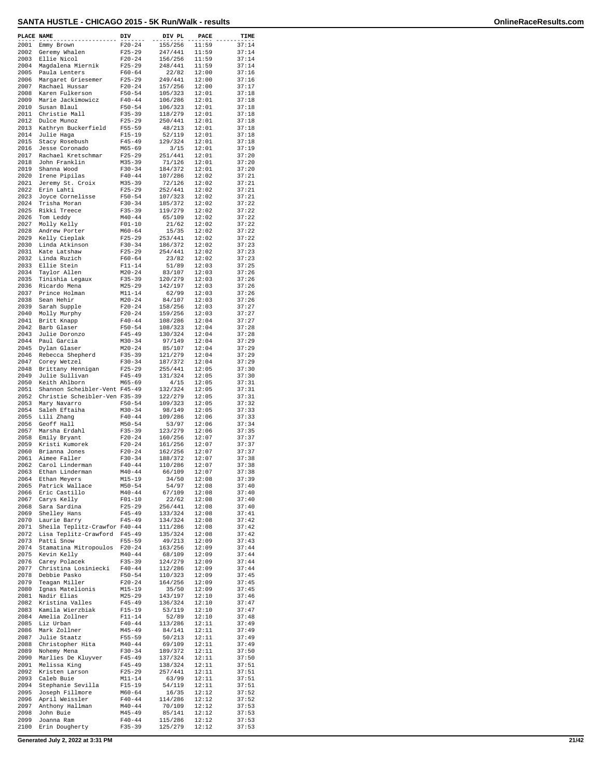| PLACE NAME   |                                               | DIV                      | DIV PL             | PACE           | TIME           |
|--------------|-----------------------------------------------|--------------------------|--------------------|----------------|----------------|
| 2001         | Emmy Brown                                    | $F20 - 24$               | 155/256            | 11:59          | 37:14          |
| 2002<br>2003 | Geremy Whalen<br>Ellie Nicol                  | $F25 - 29$<br>$F20 - 24$ | 247/441<br>156/256 | 11:59<br>11:59 | 37:14<br>37:14 |
| 2004         | Magdalena Miernik                             | $F25 - 29$               | 248/441            | 11:59          | 37:14          |
| 2005<br>2006 | Paula Lenters<br>Margaret Griesemer           | $F60 - 64$<br>$F25 - 29$ | 22/82<br>249/441   | 12:00<br>12:00 | 37:16<br>37:16 |
| 2007         | Rachael Hussar                                | $F20 - 24$               | 157/256            | 12:00          | 37:17          |
| 2008<br>2009 | Karen Fulkerson<br>Marie Jackimowicz          | $F50 - 54$<br>$F40 - 44$ | 105/323<br>106/286 | 12:01<br>12:01 | 37:18<br>37:18 |
| 2010         | Susan Blaul                                   | $F50 - 54$               | 106/323            | 12:01          | 37:18          |
| 2011<br>2012 | Christie Mall<br>Dulce Munoz                  | $F35 - 39$<br>$F25 - 29$ | 118/279<br>250/441 | 12:01<br>12:01 | 37:18<br>37:18 |
| 2013         | Kathryn Buckerfield                           | $F55 - 59$               | 48/213             | 12:01          | 37:18          |
| 2014<br>2015 | Julie Haga                                    | $F15 - 19$<br>$F45 - 49$ | 52/119<br>129/324  | 12:01          | 37:18<br>37:18 |
| 2016         | Stacy Rosebush<br>Jesse Coronado              | $M65 - 69$               | 3/15               | 12:01<br>12:01 | 37:19          |
| 2017         | Rachael Kretschmar                            | $F25 - 29$               | 251/441            | 12:01          | 37:20          |
| 2018<br>2019 | John Franklin<br>Shanna Wood                  | $M35 - 39$<br>$F30 - 34$ | 71/126<br>184/372  | 12:01<br>12:01 | 37:20<br>37:20 |
| 2020         | Irene Pipilas                                 | $F40 - 44$               | 107/286            | 12:02          | 37:21          |
| 2021<br>2022 | Jeremy St. Croix<br>Erin Lahti                | $M35 - 39$<br>$F25 - 29$ | 72/126<br>252/441  | 12:02<br>12:02 | 37:21<br>37:21 |
| 2023         | Joyce Cornelisse                              | $F50 - 54$               | 107/323            | 12:02          | 37:21          |
| 2024<br>2025 | Trisha Moran<br>Rikki Treece                  | $F30-34$<br>$F35 - 39$   | 185/372<br>119/279 | 12:02<br>12:02 | 37:22<br>37:22 |
| 2026         | Tom Leddy                                     | $M40 - 44$               | 65/109             | 12:02          | 37:22          |
| 2027<br>2028 | Molly Kelly<br>Andrew Porter                  | $F01 - 10$<br>$M60 - 64$ | 21/62<br>15/35     | 12:02<br>12:02 | 37:22<br>37:22 |
| 2029         | Kelly Cieplak                                 | $F25 - 29$               | 253/441            | 12:02          | 37:22          |
| 2030<br>2031 | Linda Atkinson<br>Kate Latshaw                | $F30-34$<br>$F25 - 29$   | 186/372<br>254/441 | 12:02<br>12:02 | 37:23<br>37:23 |
| 2032         | Linda Ruzich                                  | $F60 - 64$               | 23/82              | 12:02          | 37:23          |
| 2033<br>2034 | Ellie Stein<br>Taylor Allen                   | $F11 - 14$<br>$M20 - 24$ | 51/89<br>83/107    | 12:03<br>12:03 | 37:25<br>37:26 |
| 2035         | Tinishia Legaux                               | $F35 - 39$               | 120/279            | 12:03          | 37:26          |
| 2036<br>2037 | Ricardo Mena<br>Prince Holman                 | $M25 - 29$<br>$M11 - 14$ | 142/197<br>62/99   | 12:03<br>12:03 | 37:26<br>37:26 |
| 2038         | Sean Hehir                                    | $M20 - 24$               | 84/107             | 12:03          | 37:26          |
| 2039<br>2040 | Sarah Supple<br>Molly Murphy                  | $F20 - 24$<br>$F20 - 24$ | 158/256<br>159/256 | 12:03<br>12:03 | 37:27<br>37:27 |
| 2041         | Britt Knapp                                   | $F40 - 44$               | 108/286            | 12:04          | 37:27          |
| 2042<br>2043 | Barb Glaser                                   | $F50 - 54$               | 108/323            | 12:04<br>12:04 | 37:28<br>37:28 |
| 2044         | Julie Doronzo<br>Paul Garcia                  | $F45 - 49$<br>$M30 - 34$ | 130/324<br>97/149  | 12:04          | 37:29          |
| 2045         | Dylan Glaser                                  | $M20 - 24$               | 85/107             | 12:04          | 37:29          |
| 2046<br>2047 | Rebecca Shepherd<br>Corey Wetzel              | $F35 - 39$<br>$F30 - 34$ | 121/279<br>187/372 | 12:04<br>12:04 | 37:29<br>37:29 |
| 2048         | Brittany Hennigan                             | $F25 - 29$               | 255/441            | 12:05          | 37:30          |
| 2049<br>2050 | Julie Sullivan<br>Keith Ahlborn               | $F45 - 49$<br>$M65 - 69$ | 131/324<br>4/15    | 12:05<br>12:05 | 37:30<br>37:31 |
| 2051         | Shannon Scheibler-Vent F45-49                 |                          | 132/324            | 12:05          | 37:31          |
| 2052<br>2053 | Christie Scheibler-Ven F35-39<br>Mary Navarro | $F50 - 54$               | 122/279<br>109/323 | 12:05<br>12:05 | 37:31<br>37:32 |
| 2054         | Saleh Eftaiha                                 | $M30 - 34$               | 98/149             | 12:05          | 37:33          |
| 2055<br>2056 | Lili Zhang<br>Geoff Hall                      | $F40 - 44$<br>$M50 - 54$ | 109/286<br>53/97   | 12:06<br>12:06 | 37:33<br>37:34 |
| 2057         | Marsha Erdahl                                 | $F35 - 39$               | 123/279            | 12:06          | 37:35          |
| 2058<br>2059 | Emily Bryant<br>Kristi Kumorek                | $F20 - 24$<br>$F20 - 24$ | 160/256<br>161/256 | 12:07<br>12:07 | 37:37<br>37:37 |
| 2060         | Brianna Jones                                 | $F20 - 24$               | 162/256            | 12:07          | 37:37          |
| 2061<br>2062 | Aimee Faller<br>Carol Linderman               | $F30 - 34$<br>$F40 - 44$ | 188/372<br>110/286 | 12:07<br>12:07 | 37:38<br>37:38 |
| 2063         | Ethan Linderman                               | $M40 - 44$               | 66/109             | 12:07          | 37:38          |
| 2064<br>2065 | Ethan Meyers<br>Patrick Wallace               | $M15 - 19$<br>$M50 - 54$ | 34/50<br>54/97     | 12:08<br>12:08 | 37:39<br>37:40 |
| 2066         | Eric Castillo                                 | $M40 - 44$               | 67/109             | 12:08          | 37:40          |
| 2067<br>2068 | Carys Kelly<br>Sara Sardina                   | $F01 - 10$<br>$F25 - 29$ | 22/62<br>256/441   | 12:08<br>12:08 | 37:40<br>37:40 |
| 2069         | Shelley Hans                                  | $F45 - 49$               | 133/324            | 12:08          | 37:41          |
| 2070<br>2071 | Laurie Barry<br>Sheila Teplitz-Crawfor F40-44 | $F45 - 49$               | 134/324<br>111/286 | 12:08<br>12:08 | 37:42<br>37:42 |
| 2072         | Lisa Teplitz-Crawford                         | F45-49                   | 135/324            | 12:08          | 37:42          |
| 2073<br>2074 | Patti Snow<br>Stamatina Mitropoulos           | $F55 - 59$<br>$F20 - 24$ | 49/213<br>163/256  | 12:09<br>12:09 | 37:43<br>37:44 |
| 2075         | Kevin Kelly                                   | $M40 - 44$               | 68/109             | 12:09          | 37:44          |
| 2076<br>2077 | Carey Polacek<br>Christina Losiniecki         | F35-39<br>$F40 - 44$     | 124/279<br>112/286 | 12:09<br>12:09 | 37:44<br>37:44 |
| 2078         | Debbie Pasko                                  | $F50 - 54$               | 110/323            | 12:09          | 37:45          |
| 2079<br>2080 | Teagan Miller<br>Ignas Matelionis             | $F20 - 24$<br>$M15 - 19$ | 164/256<br>35/50   | 12:09<br>12:09 | 37:45<br>37:45 |
| 2081         | Nadir Elias                                   | $M25 - 29$               | 143/197            | 12:10          | 37:46          |
| 2082<br>2083 | Kristina Valles<br>Kamila Wierzbiak           | $F45 - 49$<br>$F15-19$   | 136/324<br>53/119  | 12:10<br>12:10 | 37:47<br>37:47 |
| 2084         | Amelia Zollner                                | F11-14                   | 52/89              | 12:10          | 37:48          |
| 2085<br>2086 | Liz Urban<br>Mark Zollner                     | $F40 - 44$<br>$M45 - 49$ | 113/286            | 12:11<br>12:11 | 37:49<br>37:49 |
| 2087         | Julie Staatz                                  | $F55 - 59$               | 84/141<br>50/213   | 12:11          | 37:49          |
| 2088         | Christopher Hita                              | $M40 - 44$               | 69/109             | 12:11          | 37:49          |
| 2089<br>2090 | Nohemy Mena<br>Marlies De Kluyver             | $F30 - 34$<br>F45-49     | 189/372<br>137/324 | 12:11<br>12:11 | 37:50<br>37:50 |
| 2091         | Melissa King                                  | $F45 - 49$               | 138/324            | 12:11          | 37:51          |
| 2092<br>2093 | Kristen Larson<br>Caleb Buie                  | $F25 - 29$<br>$M11 - 14$ | 257/441<br>63/99   | 12:11<br>12:11 | 37:51<br>37:51 |
| 2094         | Stephanie Sevilla                             | $F15-19$                 | 54/119             | 12:11          | 37:51          |
| 2095<br>2096 | Joseph Fillmore<br>April Weissler             | $M60 - 64$<br>$F40 - 44$ | 16/35<br>114/286   | 12:12<br>12:12 | 37:52<br>37:52 |
| 2097         | Anthony Hallman                               | $M40 - 44$               | 70/109             | 12:12          | 37:53          |
| 2098<br>2099 | John Buie<br>Joanna Ram                       | $M45 - 49$<br>$F40 - 44$ | 85/141<br>115/286  | 12:12<br>12:12 | 37:53<br>37:53 |
| 2100         | Erin Dougherty                                | $F35 - 39$               | 125/279            | 12:12          | 37:53          |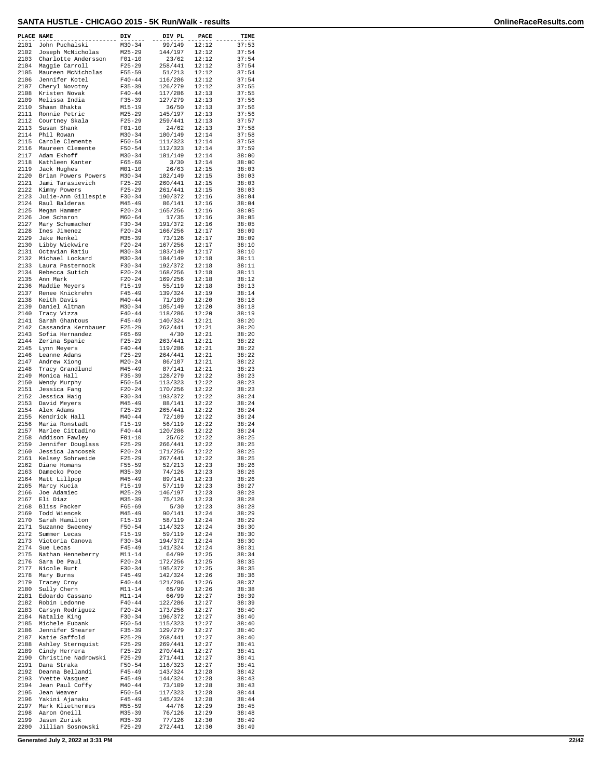| PLACE NAME   |                                       | DIV                      | DIV PL             | PACE           | TIME           |
|--------------|---------------------------------------|--------------------------|--------------------|----------------|----------------|
| 2101         | John Puchalski                        | $M30 - 34$               | 99/149             | 12:12          | 37:53          |
| 2102         | Joseph McNicholas                     | $M25 - 29$               | 144/197            | 12:12          | 37:54          |
| 2103         | Charlotte Andersson                   | $F01 - 10$               | 23/62              | 12:12          | 37:54          |
| 2104<br>2105 | Maggie Carroll                        | $F25 - 29$<br>$F55 - 59$ | 258/441            | 12:12<br>12:12 | 37:54          |
| 2106         | Maureen McNicholas<br>Jennifer Kotel  | $F40 - 44$               | 51/213<br>116/286  | 12:12          | 37:54<br>37:54 |
| 2107         | Cheryl Novotny                        | $F35 - 39$               | 126/279            | 12:12          | 37:55          |
| 2108         | Kristen Novak                         | $F40 - 44$               | 117/286            | 12:13          | 37:55          |
| 2109<br>2110 | Melissa India                         | $F35 - 39$               | 127/279            | 12:13<br>12:13 | 37:56<br>37:56 |
| 2111         | Shaan Bhakta<br>Ronnie Petric         | $M15 - 19$<br>$M25 - 29$ | 36/50<br>145/197   | 12:13          | 37:56          |
| 2112         | Courtney Skala                        | $F25 - 29$               | 259/441            | 12:13          | 37:57          |
| 2113         | Susan Shank                           | $F01 - 10$               | 24/62              | 12:13          | 37:58          |
| 2114<br>2115 | Phil Rowan<br>Carole Clemente         | $M30 - 34$<br>$F50 - 54$ | 100/149<br>111/323 | 12:14<br>12:14 | 37:58<br>37:58 |
| 2116         | Maureen Clemente                      | $F50 - 54$               | 112/323            | 12:14          | 37:59          |
| 2117         | Adam Ekhoff                           | $M30 - 34$               | 101/149            | 12:14          | 38:00          |
| 2118         | Kathleen Kanter                       | $F65 - 69$               | 3/30               | 12:14          | 38:00          |
| 2119<br>2120 | Jack Hughes<br>Brian Powers Powers    | $M01 - 10$<br>$M30 - 34$ | 26/63<br>102/149   | 12:15<br>12:15 | 38:03<br>38:03 |
| 2121         | Jami Tarasievich                      | $F25 - 29$               | 260/441            | 12:15          | 38:03          |
| 2122         | Kimmy Powers                          | $F25 - 29$               | 261/441            | 12:15          | 38:03          |
| 2123         | Julie-Ann Gillespie                   | $F30 - 34$               | 190/372            | 12:16          | 38:04          |
| 2124<br>2125 | Raul Balderas<br>Megan Hammer         | $M45 - 49$<br>$F20-24$   | 86/141<br>165/256  | 12:16<br>12:16 | 38:04<br>38:05 |
| 2126         | Joe Scharon                           | $M60 - 64$               | 17/35              | 12:16          | 38:05          |
| 2127         | Mary Schumacher                       | F30-34                   | 191/372            | 12:16          | 38:05          |
| 2128         | Ines Jimenez                          | $F20 - 24$               | 166/256            | 12:17          | 38:09          |
| 2129<br>2130 | Jake Henkel<br>Libby Wickwire         | $M35 - 39$<br>$F20-24$   | 73/126<br>167/256  | 12:17<br>12:17 | 38:09<br>38:10 |
| 2131         | Octavian Ratiu                        | $M30 - 34$               | 103/149            | 12:17          | 38:10          |
| 2132         | Michael Lockard                       | $M30 - 34$               | 104/149            | 12:18          | 38:11          |
| 2133         | Laura Pasternock                      | F30-34                   | 192/372            | 12:18          | 38:11          |
| 2134<br>2135 | Rebecca Sutich<br>Ann Mark            | $F20 - 24$<br>$F20 - 24$ | 168/256<br>169/256 | 12:18<br>12:18 | 38:11<br>38:12 |
| 2136         | Maddie Meyers                         | $F15 - 19$               | 55/119             | 12:18          | 38:13          |
| 2137         | Renee Knickrehm                       | $F45 - 49$               | 139/324            | 12:19          | 38:14          |
| 2138         | Keith Davis                           | $M40 - 44$               | 71/109             | 12:20          | 38:18          |
| 2139<br>2140 | Daniel Altman<br>Tracy Vizza          | $M30 - 34$<br>$F40 - 44$ | 105/149<br>118/286 | 12:20<br>12:20 | 38:18<br>38:19 |
| 2141         | Sarah Ghantous                        | $F45 - 49$               | 140/324            | 12:21          | 38:20          |
| 2142         | Cassandra Kernbauer                   | $F25 - 29$               | 262/441            | 12:21          | 38:20          |
| 2143         | Sofia Hernandez                       | $F65 - 69$               | 4/30               | 12:21          | 38:20          |
| 2144<br>2145 | Zerina Spahic<br>Lynn Meyers          | $F25 - 29$<br>$F40 - 44$ | 263/441<br>119/286 | 12:21<br>12:21 | 38:22<br>38:22 |
| 2146         | Leanne Adams                          | $F25 - 29$               | 264/441            | 12:21          | 38:22          |
| 2147         | Andrew Xiong                          | $M20 - 24$               | 86/107             | 12:21          | 38:22          |
| 2148         | Tracy Grandlund                       | $M45 - 49$               | 87/141             | 12:21          | 38:23          |
| 2149<br>2150 | Monica Hall<br>Wendy Murphy           | $F35 - 39$<br>$F50 - 54$ | 128/279<br>113/323 | 12:22<br>12:22 | 38:23<br>38:23 |
| 2151         | Jessica Fang                          | $F20-24$                 | 170/256            | 12:22          | 38:23          |
| 2152         | Jessica Haig                          | $F30-34$                 | 193/372            | 12:22          | 38:24          |
| 2153         | David Meyers                          | $M45 - 49$               | 88/141             | 12:22          | 38:24          |
| 2154<br>2155 | Alex Adams<br>Kendrick Hall           | $F25 - 29$<br>$M40 - 44$ | 265/441<br>72/109  | 12:22<br>12:22 | 38:24<br>38:24 |
| 2156         | Maria Ronstadt                        | $F15 - 19$               | 56/119             | 12:22          | 38:24          |
| 2157         | Marlee Cittadino                      | $F40 - 44$               | 120/286            | 12:22          | 38:24          |
| 2158         | Addison Fawley                        | $F01 - 10$               | 25/62              | 12:22          | 38:25          |
| 2159<br>2160 | Jennifer Douglass<br>Jessica Jancosek | $F25 - 29$<br>$F20-24$   | 266/441<br>171/256 | 12:22<br>12:22 | 38:25<br>38:25 |
| 2161         | Kelsey Sohrweide                      | $F25 - 29$               | 267/441            | 12:22          | 38:25          |
| 2162         | Diane Homans                          | $F55 - 59$               | 52/213             | 12:23          | 38:26          |
| 2163         | Damecko Pope                          | M35-39                   | 74/126             | 12:23          | 38:26          |
| 2164<br>2165 | Matt Lillpop<br>Marcy Kucia           | $M45 - 49$<br>$F15 - 19$ | 89/141<br>57/119   | 12:23<br>12:23 | 38:26<br>38:27 |
| 2166         | Joe Adamiec                           | M25-29                   | 146/197            | 12:23          | 38:28          |
| 2167         | Eli Diaz                              | $M35 - 39$               | 75/126             | 12:23          | 38:28          |
| 2168<br>2169 | Bliss Packer<br>Todd Wiencek          | $F65 - 69$<br>$M45 - 49$ | 5/30               | 12:23<br>12:24 | 38:28          |
| 2170         | Sarah Hamilton                        | $F15 - 19$               | 90/141<br>58/119   | 12:24          | 38:29<br>38:29 |
| 2171         | Suzanne Sweeney                       | $F50 - 54$               | 114/323            | 12:24          | 38:30          |
| 2172         | Summer Lecas                          | F15-19                   | 59/119             | 12:24          | 38:30          |
| 2173<br>2174 | Victoria Canova<br>Sue Lecas          | $F30-34$<br>$F45 - 49$   | 194/372<br>141/324 | 12:24          | 38:30          |
| 2175         | Nathan Henneberry                     | $M11 - 14$               | 64/99              | 12:24<br>12:25 | 38:31<br>38:34 |
| 2176         | Sara De Paul                          | $F20 - 24$               | 172/256            | 12:25          | 38:35          |
| 2177         | Nicole Burt                           | $F30 - 34$               | 195/372            | 12:25          | 38:35          |
| 2178<br>2179 | Mary Burns<br>Tracey Croy             | $F45 - 49$<br>$F40 - 44$ | 142/324<br>121/286 | 12:26<br>12:26 | 38:36<br>38:37 |
| 2180         | Sully Chern                           | $M11 - 14$               | 65/99              | 12:26          | 38:38          |
| 2181         | Edoardo Cassano                       | $M11 - 14$               | 66/99              | 12:27          | 38:39          |
| 2182         | Robin Ledonne                         | $F40 - 44$               | 122/286            | 12:27          | 38:39          |
| 2183<br>2184 | Carsyn Rodriguez<br>Natalie King      | $F20 - 24$<br>$F30 - 34$ | 173/256<br>196/372 | 12:27<br>12:27 | 38:40<br>38:40 |
| 2185         | Michele Eubank                        | $F50 - 54$               | 115/323            | 12:27          | 38:40          |
| 2186         | Jennifer Shearer                      | $F35 - 39$               | 129/279            | 12:27          | 38:40          |
| 2187         | Katie Saffold                         | $F25 - 29$               | 268/441            | 12:27          | 38:40          |
| 2188         | Ashley Sternquist<br>Cindy Herrera    | $F25 - 29$               | 269/441<br>270/441 | 12:27<br>12:27 | 38:41          |
| 2189<br>2190 | Christine Nadrowski                   | $F25 - 29$<br>$F25 - 29$ | 271/441            | 12:27          | 38:41<br>38:41 |
| 2191         | Dana Straka                           | $F50 - 54$               | 116/323            | 12:27          | 38:41          |
| 2192         | Deanna Bellandi                       | $F45 - 49$               | 143/324            | 12:28          | 38:42          |
| 2193         | Yvette Vasquez                        | F45-49                   | 144/324            | 12:28          | 38:43          |
| 2194<br>2195 | Jean Paul Coffy<br>Jean Weaver        | $M40 - 44$<br>$F50 - 54$ | 73/109<br>117/323  | 12:28<br>12:28 | 38:43<br>38:44 |
| 2196         | Yakini Ajanaku                        | $F45 - 49$               | 145/324            | 12:28          | 38:44          |
| 2197         | Mark Kliethermes                      | M55-59                   | 44/76              | 12:29          | 38:45          |
| 2198<br>2199 | Aaron Oneill<br>Jasen Zurisk          | $M35 - 39$<br>$M35 - 39$ | 76/126<br>77/126   | 12:29<br>12:30 | 38:48<br>38:49 |
| 2200         | Jillian Sosnowski                     | $F25 - 29$               | 272/441            | 12:30          | 38:49          |
|              |                                       |                          |                    |                |                |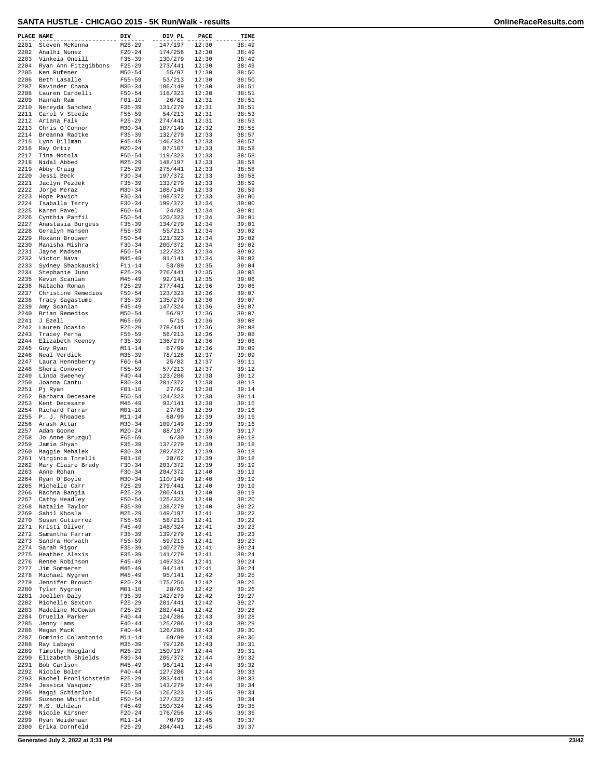| PLACE NAME   |                                      | DIV                      | DIV PL             | PACE           | TIME           |
|--------------|--------------------------------------|--------------------------|--------------------|----------------|----------------|
| 2201         | Steven McKenna                       | $M25 - 29$               | 147/197            | 12:30          | 38:49          |
| 2202<br>2203 | Analhi Nunez<br>Vinkeia Oneill       | $F20 - 24$<br>$F35 - 39$ | 174/256<br>130/279 | 12:30<br>12:30 | 38:49<br>38:49 |
| 2204         | Ryan Ann Fitzgibbons                 | $F25 - 29$               | 273/441            | 12:30          | 38:49          |
| 2205         | Ken Rufener                          | $M50 - 54$               | 55/97              | 12:30          | 38:50          |
| 2206<br>2207 | Beth Lasalle<br>Ravinder Chana       | $F55 - 59$<br>$M30 - 34$ | 53/213<br>106/149  | 12:30<br>12:30 | 38:50<br>38:51 |
| 2208         | Lauren Cardelli                      | $F50 - 54$               | 118/323            | 12:30          | 38:51          |
| 2209         | Hannah Ram                           | $F01 - 10$               | 26/62              | 12:31          | 38:51          |
| 2210<br>2211 | Nereyda Sanchez<br>Carol V Steele    | $F35 - 39$<br>$F55 - 59$ | 131/279<br>54/213  | 12:31<br>12:31 | 38:51<br>38:53 |
| 2212         | Ariana Falk                          | $F25 - 29$               | 274/441            | 12:31          | 38:53          |
| 2213         | Chris O'Connor                       | $M30 - 34$               | 107/149            | 12:32          | 38:55          |
| 2214<br>2215 | Breanna Radtke<br>Lynn Dillman       | $F35 - 39$<br>$F45 - 49$ | 132/279<br>146/324 | 12:33<br>12:33 | 38:57<br>38:57 |
| 2216         | Ray Ortiz                            | $M20 - 24$               | 87/107             | 12:33          | 38:58          |
| 2217         | Tina Motola                          | $F50 - 54$               | 119/323            | 12:33          | 38:58          |
| 2218<br>2219 | Nidal Abbed<br>Abby Craig            | $M25 - 29$<br>$F25-29$   | 148/197<br>275/441 | 12:33<br>12:33 | 38:58<br>38:58 |
| 2220         | Jessi Beck                           | $F30 - 34$               | 197/372            | 12:33          | 38:58          |
| 2221         | Jaclyn Pezdek                        | $F35 - 39$               | 133/279            | 12:33          | 38:59          |
| 2222<br>2223 | Jorge Meraz<br>Hope Pavich           | $M30 - 34$<br>$F30 - 34$ | 108/149<br>198/372 | 12:33<br>12:33 | 38:59<br>39:00 |
| 2224         | Isaballa Terry                       | $F30-34$                 | 199/372            | 12:34          | 39:00          |
| 2225         | Karen Pavel                          | $F60 - 64$               | 24/82              | 12:34          | 39:01          |
| 2226<br>2227 | Cynthia Panfil<br>Anastasia Burgess  | $F50 - 54$<br>$F35 - 39$ | 120/323<br>134/279 | 12:34<br>12:34 | 39:01<br>39:01 |
| 2228         | Geralyn Hansen                       | F55-59                   | 55/213             | 12:34          | 39:02          |
| 2229<br>2230 | Roxann Brouwer<br>Manisha Mishra     | $F50 - 54$<br>$F30-34$   | 121/323<br>200/372 | 12:34<br>12:34 | 39:02<br>39:02 |
| 2231         | Jayne Madsen                         | $F50 - 54$               | 122/323            | 12:34          | 39:02          |
| 2232         | Victor Nava                          | $M45 - 49$               | 91/141             | 12:34          | 39:02          |
| 2233<br>2234 | Sydney Shapkauski                    | $F11 - 14$               | 53/89<br>276/441   | 12:35<br>12:35 | 39:04<br>39:05 |
| 2235         | Stephanie Juno<br>Kevin Scanlan      | $F25 - 29$<br>$M45 - 49$ | 92/141             | 12:35          | 39:06          |
| 2236         | Natacha Roman                        | $F25 - 29$               | 277/441            | 12:36          | 39:06          |
| 2237<br>2238 | Christine Remedios                   | $F50 - 54$<br>$F35 - 39$ | 123/323            | 12:36<br>12:36 | 39:07<br>39:07 |
| 2239         | Tracy Sagastume<br>Amy Scanlan       | $F45 - 49$               | 135/279<br>147/324 | 12:36          | 39:07          |
| 2240         | Brian Remedios                       | $M50 - 54$               | 56/97              | 12:36          | 39:07          |
| 2241<br>2242 | J Ezell<br>Lauren Ocasio             | $M65 - 69$<br>$F25 - 29$ | 5/15<br>278/441    | 12:36<br>12:36 | 39:08<br>39:08 |
| 2243         | Tracey Perna                         | $F55 - 59$               | 56/213             | 12:36          | 39:08          |
| 2244         | Elizabeth Keeney                     | $F35 - 39$               | 136/279            | 12:36          | 39:08          |
| 2245<br>2246 | Guy Ryan<br>Neal Verdick             | $M11 - 14$<br>$M35 - 39$ | 67/99<br>78/126    | 12:36<br>12:37 | 39:09<br>39:09 |
| 2247         | Laura Henneberry                     | $F60 - 64$               | 25/82              | 12:37          | 39:11          |
| 2248         | Sheri Conover                        | F55-59                   | 57/213             | 12:37          | 39:12          |
| 2249<br>2250 | Linda Sweeney<br>Joanna Cantu        | $F40 - 44$<br>$F30 - 34$ | 123/286<br>201/372 | 12:38<br>12:38 | 39:12<br>39:13 |
| 2251         | Pj Ryan                              | $F01 - 10$               | 27/62              | 12:38          | 39:14          |
| 2252         | Barbara Decesare                     | $F50 - 54$               | 124/323            | 12:38          | 39:14          |
| 2253<br>2254 | Kent Decesare<br>Richard Farrar      | $M45 - 49$<br>$M01 - 10$ | 93/141<br>27/63    | 12:38<br>12:39 | 39:15<br>39:16 |
| 2255         | P. J. Rhoades                        | $M11 - 14$               | 68/99              | 12:39          | 39:16          |
| 2256         | Arash Attar                          | $M30 - 34$               | 109/149            | 12:39          | 39:16          |
| 2257<br>2258 | Adam Goone<br>Jo Anne Bruzgul        | $M20 - 24$<br>$F65 - 69$ | 88/107<br>6/30     | 12:39<br>12:39 | 39:17<br>39:18 |
| 2259         | Jamie Shyan                          | $F35 - 39$               | 137/279            | 12:39          | 39:18          |
| 2260<br>2261 | Maggie Mehalek<br>Virginia Torelli   | F30-34                   | 202/372<br>28/62   | 12:39          | 39:18          |
| 2262         | Mary Claire Brady                    | $F01 - 10$<br>$F30 - 34$ | 203/372            | 12:39<br>12:39 | 39:18<br>39:19 |
| 2263         | Anne Rohan                           | F30-34                   | 204/372            | 12:40          | 39:19          |
| 2264<br>2265 | Ryan O'Boyle<br>Michelle Carr        | $M30 - 34$<br>$F25 - 29$ | 110/149<br>279/441 | 12:40          | 39:19          |
| 2266         | Rachna Bangia                        | $F25 - 29$               | 280/441            | 12:40<br>12:40 | 39:19<br>39:19 |
| 2267         | Cathy Headley                        | $F50 - 54$               | 125/323            | 12:40          | 39:20          |
| 2268<br>2269 | Natalie Taylor<br>Sahil Khosla       | $F35 - 39$<br>$M25 - 29$ | 138/279<br>149/197 | 12:40<br>12:41 | 39:22<br>39:22 |
| 2270         | Susan Gutierrez                      | $F55 - 59$               | 58/213             | 12:41          | 39:22          |
| 2271         | Kristi Oliver                        | $F45 - 49$               | 148/324            | 12:41          | 39:23          |
| 2272<br>2273 | Samantha Farrar<br>Sandra Horvath    | $F35 - 39$<br>$F55 - 59$ | 139/279<br>59/213  | 12:41<br>12:41 | 39:23<br>39:23 |
| 2274         | Sarah Rigor                          | $F35 - 39$               | 140/279            | 12:41          | 39:24          |
| 2275         | Heather Alexis                       | $F35 - 39$               | 141/279            | 12:41          | 39:24          |
| 2276<br>2277 | Renee Robinson<br>Jim Sommerer       | $F45 - 49$<br>M45-49     | 149/324<br>94/141  | 12:41<br>12:41 | 39:24<br>39:24 |
| 2278         | Michael Nygren                       | M45-49                   | 95/141             | 12:42          | 39:25          |
| 2279         | Jennifer Brouch                      | $F20-24$                 | 175/256            | 12:42          | 39:26          |
| 2280<br>2281 | Tyler Nygren<br>Joellen Daly         | $M01 - 10$<br>$F35 - 39$ | 28/63<br>142/279   | 12:42<br>12:42 | 39:26<br>39:27 |
| 2282         | Michelle Sexton                      | $F25-29$                 | 281/441            | 12:42          | 39:27          |
| 2283         | Madeline McCowan                     | $F25-29$                 | 282/441            | 12:42          | 39:28          |
| 2284<br>2285 | Druella Parker<br>Jenny Lams         | $F40 - 44$<br>$F40 - 44$ | 124/286<br>125/286 | 12:43<br>12:43 | 39:28<br>39:29 |
| 2286         | Megan MacK                           | $F40 - 44$               | 126/286            | 12:43          | 39:30          |
| 2287         | Dominic Colantonio                   | $M11 - 14$               | 69/99              | 12:43          | 39:30          |
| 2288<br>2289 | Ray Labayo<br>Timothy Hoogland       | M35-39<br>$M25 - 29$     | 79/126<br>150/197  | 12:43<br>12:44 | 39:31<br>39:31 |
| 2290         | Elizabeth Shields                    | $F30 - 34$               | 205/372            | 12:44          | 39:32          |
| 2291         | Bob Carlson                          | M45-49                   | 96/141             | 12:44          | 39:32          |
| 2292<br>2293 | Nicole Boler<br>Rachel Frohlichstein | $F40 - 44$<br>$F25 - 29$ | 127/286<br>283/441 | 12:44<br>12:44 | 39:33<br>39:33 |
| 2294         | Jessica Vasquez                      | $F35 - 39$               | 143/279            | 12:44          | 39:34          |
| 2295         | Maggi Schierloh                      | $F50 - 54$               | 126/323            | 12:45          | 39:34          |
| 2296<br>2297 | Suzanne Whitfield<br>M.S. Uihlein    | F50-54<br>$F45 - 49$     | 127/323<br>150/324 | 12:45<br>12:45 | 39:34<br>39:35 |
| 2298         | Nicole Kirsner                       | $F20-24$                 | 176/256            | 12:45          | 39:36          |
| 2299<br>2300 | Ryan Weidenaar<br>Erika Dornfeld     | $M11 - 14$<br>F25-29     | 70/99<br>284/441   | 12:45<br>12:45 | 39:37<br>39:37 |
|              |                                      |                          |                    |                |                |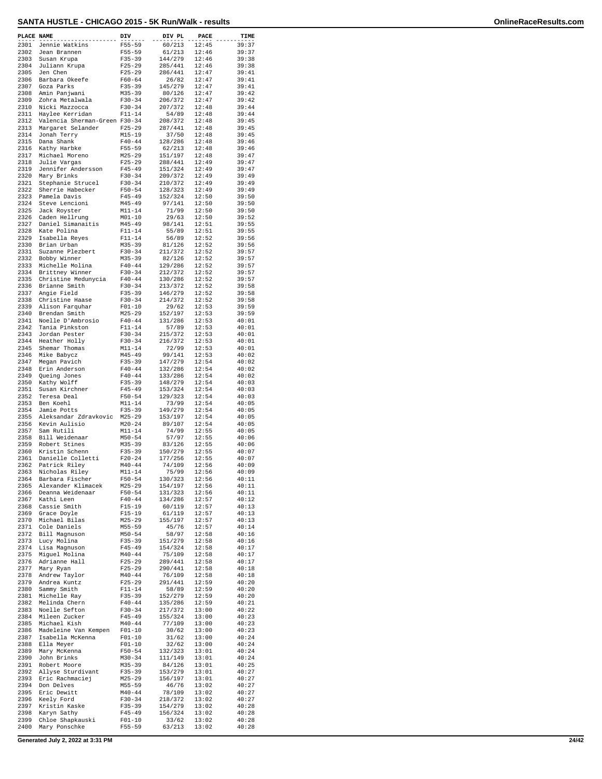| PLACE NAME   |                                        | DIV                      | DIV PL             | PACE           | TIME           |
|--------------|----------------------------------------|--------------------------|--------------------|----------------|----------------|
| 2301         | Jennie Watkins                         | $F55 - 59$               | 60/213             | 12:45          | 39:37          |
| 2302<br>2303 | Jean Brannen<br>Susan Krupa            | $F55 - 59$<br>$F35 - 39$ | 61/213<br>144/279  | 12:46<br>12:46 | 39:37<br>39:38 |
| 2304         | Juliann Krupa                          | $F25 - 29$               | 285/441            | 12:46          | 39:38          |
| 2305         | Jen Chen                               | $F25 - 29$               | 286/441            | 12:47          | 39:41          |
| 2306         | Barbara Okeefe                         | $F60 - 64$               | 26/82              | 12:47          | 39:41          |
| 2307         | Goza Parks                             | $F35 - 39$               | 145/279            | 12:47          | 39:41          |
| 2308         | Amin Panjwani                          | $M35 - 39$               | 80/126             | 12:47          | 39:42          |
| 2309         | Zohra Metalwala                        | $F30 - 34$               | 206/372            | 12:47          | 39:42          |
| 2310<br>2311 | Nicki Mazzocca<br>Haylee Kerridan      | $F30-34$<br>$F11 - 14$   | 207/372<br>54/89   | 12:48<br>12:48 | 39:44<br>39:44 |
| 2312         | Valencia Sherman-Green F30-34          |                          | 208/372            | 12:48          | 39:45          |
| 2313         | Margaret Selander                      | $F25 - 29$               | 287/441            | 12:48          | 39:45          |
| 2314         | Jonah Terry                            | $M15 - 19$               | 37/50              | 12:48          | 39:45          |
| 2315         | Dana Shank                             | $F40 - 44$               | 128/286            | 12:48          | 39:46          |
| 2316         | Kathy Harbke                           | $F55 - 59$               | 62/213             | 12:48          | 39:46          |
| 2317         | Michael Moreno                         | $M25 - 29$               | 151/197            | 12:48          | 39:47          |
| 2318<br>2319 | Julie Vargas<br>Jennifer Andersson     | $F25 - 29$<br>$F45 - 49$ | 288/441<br>151/324 | 12:49<br>12:49 | 39:47<br>39:47 |
| 2320         | Mary Brinks                            | $F30 - 34$               | 209/372            | 12:49          | 39:49          |
| 2321         | Stephanie Strucel                      | $F30 - 34$               | 210/372            | 12:49          | 39:49          |
| 2322         | Sherrie Habecker                       | $F50 - 54$               | 128/323            | 12:49          | 39:49          |
| 2323         | Pamela Davis                           | $F45 - 49$               | 152/324            | 12:50          | 39:50          |
| 2324         | Steve Lencioni                         | M45-49                   | 97/141             | 12:50          | 39:50          |
| 2325<br>2326 | Jack Royster<br>Caden Hellrung         | $M11 - 14$<br>$M01 - 10$ | 71/99<br>29/63     | 12:50<br>12:50 | 39:50<br>39:52 |
| 2327         | Daniel Simanaitis                      | $M45 - 49$               | 98/141             | 12:51          | 39:55          |
| 2328         | Kate Polina                            | $F11 - 14$               | 55/89              | 12:51          | 39:55          |
| 2329         | Isabella Reyes                         | $F11 - 14$               | 56/89              | 12:52          | 39:56          |
| 2330         | Brian Urban                            | $M35 - 39$               | 81/126             | 12:52          | 39:56          |
| 2331         | Suzanne Plezbert                       | $F30-34$                 | 211/372            | 12:52          | 39:57          |
| 2332         | Bobby Winner                           | $M35 - 39$               | 82/126             | 12:52          | 39:57          |
| 2333<br>2334 | Michelle Molina                        | $F40 - 44$               | 129/286            | 12:52<br>12:52 | 39:57<br>39:57 |
| 2335         | Brittney Winner<br>Christine Medunycia | $F30-34$<br>$F40 - 44$   | 212/372<br>130/286 | 12:52          | 39:57          |
| 2336         | Brianne Smith                          | $F30 - 34$               | 213/372            | 12:52          | 39:58          |
| 2337         | Angie Field                            | $F35 - 39$               | 146/279            | 12:52          | 39:58          |
| 2338         | Christine Haase                        | $F30 - 34$               | 214/372            | 12:52          | 39:58          |
| 2339         | Alison Farquhar                        | $F01 - 10$               | 29/62              | 12:53          | 39:59          |
| 2340         | Brendan Smith                          | $M25 - 29$               | 152/197            | 12:53          | 39:59          |
| 2341<br>2342 | Noelle D'Ambrosio                      | $F40 - 44$               | 131/286            | 12:53          | 40:01          |
| 2343         | Tania Pinkston<br>Jordan Pester        | $F11 - 14$<br>$F30 - 34$ | 57/89<br>215/372   | 12:53<br>12:53 | 40:01<br>40:01 |
| 2344         | Heather Holly                          | $F30-34$                 | 216/372            | 12:53          | 40:01          |
| 2345         | Shemar Thomas                          | $M11 - 14$               | 72/99              | 12:53          | 40:01          |
| 2346         | Mike Babycz                            | $M45 - 49$               | 99/141             | 12:53          | 40:02          |
| 2347         | Megan Pavich                           | $F35 - 39$               | 147/279            | 12:54          | 40:02          |
| 2348         | Erin Anderson                          | $F40 - 44$               | 132/286            | 12:54          | 40:02          |
| 2349<br>2350 | Queing Jones<br>Kathy Wolff            | $F40 - 44$<br>$F35 - 39$ | 133/286<br>148/279 | 12:54<br>12:54 | 40:02<br>40:03 |
| 2351         | Susan Kirchner                         | $F45 - 49$               | 153/324            | 12:54          | 40:03          |
| 2352         | Teresa Deal                            | $F50 - 54$               | 129/323            | 12:54          | 40:03          |
| 2353         | Ben Koehl                              | $M11 - 14$               | 73/99              | 12:54          | 40:05          |
| 2354         | Jamie Potts                            | $F35 - 39$               | 149/279            | 12:54          | 40:05          |
| 2355         | Aleksandar Zdravkovic                  | $M25 - 29$               | 153/197            | 12:54          | 40:05          |
| 2356         | Kevin Aulisio<br>Sam Rutili            | $M20 - 24$<br>$M11 - 14$ | 89/107<br>74/99    | 12:54          | 40:05          |
| 2357<br>2358 | Bill Weidenaar                         | $M50 - 54$               | 57/97              | 12:55<br>12:55 | 40:05<br>40:06 |
| 2359         | Robert Stines                          | $M35 - 39$               | 83/126             | 12:55          | 40:06          |
| 2360         | Kristin Schenn                         | $F35 - 39$               | 150/279            | 12:55          | 40:07          |
| 2361         | Danielle Colletti                      | $F20-24$                 | 177/256            | 12:55          | 40:07          |
| 2362         | Patrick Riley                          | $M40 - 44$               | 74/109             | 12:56          | 40:09          |
| 2363         | Nicholas Riley                         | $M11 - 14$               | 75/99              | 12:56          | 40:09          |
| 2364<br>2365 | Barbara Fischer                        | $F50 - 54$<br>$M25 - 29$ | 130/323<br>154/197 | 12:56<br>12:56 | 40:11<br>40:11 |
| 2366         | Alexander Klimacek<br>Deanna Weidenaar | $F50 - 54$               | 131/323            | 12:56          | 40:11          |
| 2367         | Kathi Leen                             | $F40 - 44$               | 134/286            | 12:57          | 40:12          |
| 2368         | Cassie Smith                           | $F15-19$                 | 60/119             | 12:57          | 40:13          |
| 2369         | Grace Doyle                            | $F15-19$                 | 61/119             | 12:57          | 40:13          |
| 2370         | Michael Bilas                          | $M25 - 29$               | 155/197            | 12:57          | 40:13          |
| 2371<br>2372 | Cole Daniels<br>Bill Magnuson          | $M55 - 59$<br>$M50 - 54$ | 45/76<br>58/97     | 12:57<br>12:58 | 40:14<br>40:16 |
| 2373         | Lucy Molina                            | $F35 - 39$               | 151/279            | 12:58          | 40:16          |
| 2374         | Lisa Magnuson                          | $F45 - 49$               | 154/324            | 12:58          | 40:17          |
| 2375         | Miguel Molina                          | $M40 - 44$               | 75/109             | 12:58          | 40:17          |
| 2376         | Adrianne Hall                          | $F25 - 29$               | 289/441            | 12:58          | 40:17          |
| 2377         | Mary Ryan                              | $F25 - 29$               | 290/441            | 12:58          | 40:18          |
| 2378         | Andrew Taylor                          | $M40 - 44$               | 76/109             | 12:58          | 40:18          |
| 2379<br>2380 | Andrea Kuntz<br>Sammy Smith            | $F25 - 29$<br>F11-14     | 291/441<br>58/89   | 12:59<br>12:59 | 40:20<br>40:20 |
| 2381         | Michelle Ray                           | $F35 - 39$               | 152/279            | 12:59          | 40:20          |
| 2382         | Melinda Chern                          | $F40 - 44$               | 135/286            | 12:59          | 40:21          |
| 2383         | Noelle Sefton                          | $F30-34$                 | 217/372            | 13:00          | 40:22          |
| 2384         | Mileen Zucker                          | $F45 - 49$               | 155/324            | 13:00          | 40:23          |
| 2385         | Michael Kish                           | $M40 - 44$               | 77/109             | 13:00          | 40:23          |
| 2386<br>2387 | Madeleine Van Kempen                   | $F01 - 10$<br>$F01 - 10$ | 30/62              | 13:00<br>13:00 | 40:23<br>40:24 |
| 2388         | Isabella McKenna<br>Ella Meyer         | $F01 - 10$               | 31/62<br>32/62     | 13:00          | 40:24          |
| 2389         | Mary McKenna                           | $F50 - 54$               | 132/323            | 13:01          | 40:24          |
| 2390         | John Brinks                            | $M30 - 34$               | 111/149            | 13:01          | 40:24          |
| 2391         | Robert Moore                           | $M35 - 39$               | 84/126             | 13:01          | 40:25          |
| 2392         | Allyse Sturdivant                      | $F35 - 39$               | 153/279            | 13:01          | 40:27          |
| 2393<br>2394 | Eric Rachmaciej<br>Don Delves          | $M25 - 29$<br>$M55 - 59$ | 156/197<br>46/76   | 13:01<br>13:02 | 40:27<br>40:27 |
| 2395         | Eric Dewitt                            | $M40 - 44$               | 78/109             | 13:02          | 40:27          |
| 2396         | Keely Ford                             | $F30-34$                 | 218/372            | 13:02          | 40:27          |
| 2397         | Kristin Kaske                          | $F35 - 39$               | 154/279            | 13:02          | 40:28          |
| 2398         | Karyn Sathy                            | $F45 - 49$               | 156/324            | 13:02          | 40:28          |
| 2399         | Chloe Shapkauski                       | $F01 - 10$               | 33/62              | 13:02          | 40:28          |
| 2400         | Mary Ponschke                          | F55-59                   | 63/213             | 13:02          | 40:28          |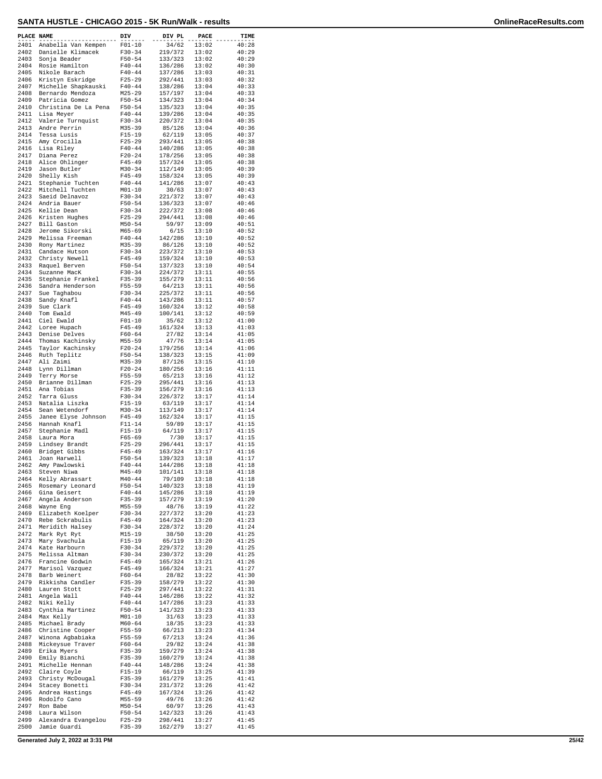| PLACE NAME   |                                         | DIV                      | DIV PL             | PACE           | TIME           |
|--------------|-----------------------------------------|--------------------------|--------------------|----------------|----------------|
| 2401         | Anabella Van Kempen                     | $F01 - 10$               | 34/62              | 13:02          | 40:28          |
| 2402         | Danielle Klimacek                       | $F30-34$                 | 219/372            | 13:02          | 40:29          |
| 2403<br>2404 | Sonja Beader<br>Rosie Hamilton          | $F50 - 54$<br>$F40 - 44$ | 133/323<br>136/286 | 13:02<br>13:02 | 40:29<br>40:30 |
| 2405         | Nikole Barach                           | $F40 - 44$               | 137/286            | 13:03          | 40:31          |
| 2406         | Kristyn Eskridge                        | $F25 - 29$               | 292/441            | 13:03          | 40:32          |
| 2407<br>2408 | Michelle Shapkauski<br>Bernardo Mendoza | $F40 - 44$<br>$M25 - 29$ | 138/286<br>157/197 | 13:04<br>13:04 | 40:33<br>40:33 |
| 2409         | Patricia Gomez                          | $F50 - 54$               | 134/323            | 13:04          | 40:34          |
| 2410         | Christina De La Pena                    | $F50 - 54$               | 135/323            | 13:04          | 40:35          |
| 2411         | Lisa Meyer                              | $F40 - 44$               | 139/286            | 13:04          | 40:35          |
| 2412<br>2413 | Valerie Turnquist<br>Andre Perrin       | $F30 - 34$<br>$M35 - 39$ | 220/372<br>85/126  | 13:04<br>13:04 | 40:35<br>40:36 |
| 2414         | Tessa Lusis                             | $F15 - 19$               | 62/119             | 13:05          | 40:37          |
| 2415         | Amy Crocilla                            | $F25 - 29$               | 293/441            | 13:05          | 40:38          |
| 2416<br>2417 | Lisa Riley<br>Diana Perez               | $F40 - 44$<br>$F20 - 24$ | 140/286<br>178/256 | 13:05<br>13:05 | 40:38<br>40:38 |
| 2418         | Alice Ohlinger                          | $F45 - 49$               | 157/324            | 13:05          | 40:38          |
| 2419         | Jason Butler                            | $M30 - 34$               | 112/149            | 13:05          | 40:39          |
| 2420<br>2421 | Shelly Kish                             | $F45 - 49$<br>$F40 - 44$ | 158/324            | 13:05<br>13:07 | 40:39<br>40:43 |
| 2422         | Stephanie Tuchten<br>Mitchell Tuchten   | $M01 - 10$               | 141/286<br>30/63   | 13:07          | 40:43          |
| 2423         | Saeid Delnavoz                          | $F30-34$                 | 221/372            | 13:07          | 40:43          |
| 2424         | Andria Bauer                            | $F50 - 54$               | 136/323            | 13:07          | 40:46          |
| 2425<br>2426 | Kellie Dean<br>Kristen Hughes           | $F30 - 34$<br>$F25 - 29$ | 222/372<br>294/441 | 13:08<br>13:08 | 40:46<br>40:46 |
| 2427         | Bill Gaston                             | $M50 - 54$               | 59/97              | 13:09          | 40:51          |
| 2428         | Jerome Sikorski                         | $M65 - 69$               | 6/15               | 13:10          | 40:52          |
| 2429<br>2430 | Melissa Freeman<br>Rony Martinez        | $F40 - 44$<br>$M35 - 39$ | 142/286<br>86/126  | 13:10<br>13:10 | 40:52<br>40:52 |
| 2431         | Candace Hutson                          | $F30 - 34$               | 223/372            | 13:10          | 40:53          |
| 2432         | Christy Newell                          | $F45 - 49$               | 159/324            | 13:10          | 40:53          |
| 2433         | Raquel Berven                           | $F50 - 54$<br>$F30 - 34$ | 137/323            | 13:10<br>13:11 | 40:54          |
| 2434<br>2435 | Suzanne MacK<br>Stephanie Frankel       | $F35 - 39$               | 224/372<br>155/279 | 13:11          | 40:55<br>40:56 |
| 2436         | Sandra Henderson                        | $F55 - 59$               | 64/213             | 13:11          | 40:56          |
| 2437         | Sue Taghabou                            | $F30-34$                 | 225/372            | 13:11          | 40:56          |
| 2438<br>2439 | Sandy Knafl<br>Sue Clark                | $F40 - 44$<br>$F45 - 49$ | 143/286<br>160/324 | 13:11<br>13:12 | 40:57<br>40:58 |
| 2440         | Tom Ewald                               | $M45 - 49$               | 100/141            | 13:12          | 40:59          |
| 2441         | Ciel Ewald                              | $F01 - 10$               | 35/62              | 13:12          | 41:00          |
| 2442<br>2443 | Loree Hupach<br>Denise Delves           | $F45 - 49$<br>$F60 - 64$ | 161/324<br>27/82   | 13:13<br>13:14 | 41:03<br>41:05 |
| 2444         | Thomas Kachinsky                        | $M55 - 59$               | 47/76              | 13:14          | 41:05          |
| 2445         | Taylor Kachinsky                        | $F20 - 24$               | 179/256            | 13:14          | 41:06          |
| 2446<br>2447 | Ruth Teplitz                            | $F50 - 54$               | 138/323            | 13:15          | 41:09          |
| 2448         | Ali Zaimi<br>Lynn Dillman               | $M35 - 39$<br>$F20 - 24$ | 87/126<br>180/256  | 13:15<br>13:16 | 41:10<br>41:11 |
| 2449         | Terry Morse                             | $F55 - 59$               | 65/213             | 13:16          | 41:12          |
| 2450<br>2451 | Brianne Dillman<br>Ana Tobias           | $F25 - 29$<br>$F35 - 39$ | 295/441<br>156/279 | 13:16<br>13:16 | 41:13<br>41:13 |
| 2452         | Tarra Gluss                             | $F30 - 34$               | 226/372            | 13:17          | 41:14          |
| 2453         | Natalia Liszka                          | $F15 - 19$               | 63/119             | 13:17          | 41:14          |
| 2454<br>2455 | Sean Wetendorf<br>Janee Elyse Johnson   | $M30 - 34$<br>$F45 - 49$ | 113/149<br>162/324 | 13:17<br>13:17 | 41:14<br>41:15 |
| 2456         | Hannah Knafl                            | $F11 - 14$               | 59/89              | 13:17          | 41:15          |
| 2457         | Stephanie Madl                          | $F15 - 19$               | 64/119             | 13:17          | 41:15          |
| 2458<br>2459 | Laura Mora<br>Lindsey Brandt            | $F65 - 69$<br>$F25 - 29$ | 7/30<br>296/441    | 13:17<br>13:17 | 41:15<br>41:15 |
| 2460         | Bridget Gibbs                           | $F45 - 49$               | 163/324            | 13:17          | 41:16          |
| 2461         | Joan Harwell                            | $F50 - 54$               | 139/323            | 13:18          | 41:17          |
| 2462         | Amy Pawlowski                           | $F40 - 44$<br>M45-49     | 144/286<br>101/141 | 13:18          | 41:18          |
| 2463<br>2464 | Steven Niwa<br>Kelly Abrassart          | $M40 - 44$               | 79/109             | 13:18<br>13:18 | 41:18<br>41:18 |
| 2465         | Rosemary Leonard                        | $F50 - 54$               | 140/323            | 13:18          | 41:19          |
| 2466         | Gina Geisert                            | $F40 - 44$               | 145/286            | 13:18          | 41:19          |
| 2467<br>2468 | Angela Anderson<br>Wayne Eng            | F35-39<br>M55-59         | 157/279<br>48/76   | 13:19<br>13:19 | 41:20<br>41:22 |
| 2469         | Elizabeth Koelper                       | $F30 - 34$               | 227/372            | 13:20          | 41:23          |
| 2470         | Rebe Sckrabulis                         | $F45 - 49$               | 164/324            | 13:20          | 41:23          |
| 2471<br>2472 | Meridith Halsey<br>Mark Ryt Ryt         | $F30-34$<br>$M15 - 19$   | 228/372<br>38/50   | 13:20<br>13:20 | 41:24<br>41:25 |
| 2473         | Mary Svachula                           | $F15 - 19$               | 65/119             | 13:20          | 41:25          |
| 2474         | Kate Harbourn                           | $F30 - 34$               | 229/372            | 13:20          | 41:25          |
| 2475<br>2476 | Melissa Altman<br>Francine Godwin       | $F30 - 34$<br>$F45 - 49$ | 230/372<br>165/324 | 13:20<br>13:21 | 41:25<br>41:26 |
| 2477         | Marisol Vazquez                         | F45-49                   | 166/324            | 13:21          | 41:27          |
| 2478         | Barb Weinert                            | F60-64                   | 28/82              | 13:22          | 41:30          |
| 2479<br>2480 | Rikkisha Candler<br>Lauren Stott        | $F35 - 39$<br>$F25 - 29$ | 158/279<br>297/441 | 13:22<br>13:22 | 41:30<br>41:31 |
| 2481         | Angela Wall                             | $F40 - 44$               | 146/286            | 13:22          | 41:32          |
| 2482         | Niki Kelly                              | $F40 - 44$               | 147/286            | 13:23          | 41:33          |
| 2483<br>2484 | Cynthia Martinez<br>Max Kelly           | $F50 - 54$<br>$M01 - 10$ | 141/323<br>31/63   | 13:23<br>13:23 | 41:33<br>41:33 |
| 2485         | Michael Brady                           | $M60 - 64$               | 18/35              | 13:23          | 41:33          |
| 2486         | Christine Cooper                        | $F55 - 59$               | 66/213             | 13:23          | 41:34          |
| 2487<br>2488 | Winona Agbabiaka<br>Mickeysue Traver    | F55-59<br>$F60 - 64$     | 67/213<br>29/82    | 13:24<br>13:24 | 41:36<br>41:38 |
| 2489         | Erika Myers                             | $F35 - 39$               | 159/279            | 13:24          | 41:38          |
| 2490         | Emily Bianchi                           | $F35 - 39$               | 160/279            | 13:24          | 41:38          |
| 2491<br>2492 | Michelle Hennan<br>Claire Coyle         | $F40 - 44$<br>$F15 - 19$ | 148/286<br>66/119  | 13:24<br>13:25 | 41:38<br>41:39 |
| 2493         | Christy McDougal                        | $F35 - 39$               | 161/279            | 13:25          | 41:41          |
| 2494         | Stacey Bonetti                          | $F30 - 34$               | 231/372            | 13:26          | 41:42          |
| 2495<br>2496 | Andrea Hastings<br>Rodolfo Cano         | $F45 - 49$<br>$M55 - 59$ | 167/324<br>49/76   | 13:26<br>13:26 | 41:42<br>41:42 |
| 2497         | Ron Babe                                | $M50 - 54$               | 60/97              | 13:26          | 41:43          |
| 2498         | Laura Wilson                            | $F50 - 54$               | 142/323            | 13:26          | 41:43          |
| 2499<br>2500 | Alexandra Evangelou<br>Jamie Guardi     | $F25 - 29$<br>F35-39     | 298/441<br>162/279 | 13:27<br>13:27 | 41:45<br>41:45 |
|              |                                         |                          |                    |                |                |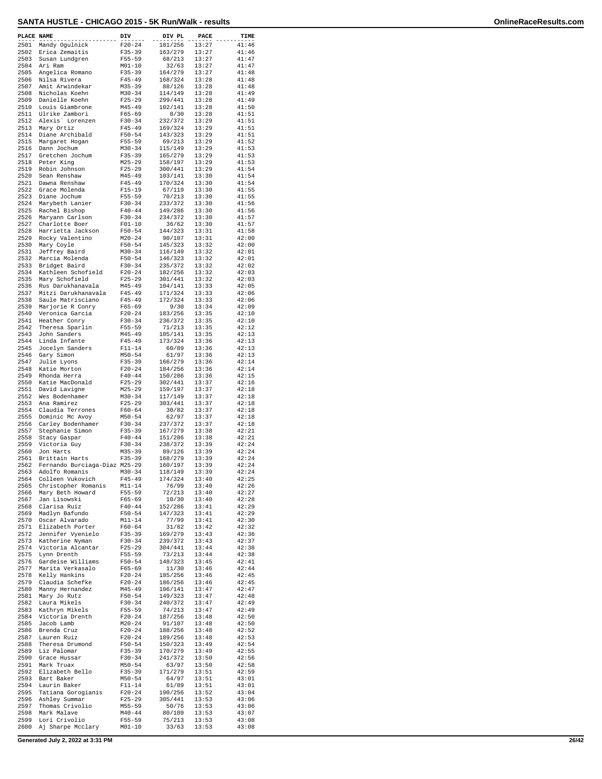| PLACE NAME   |                                                 | DIV                      | DIV PL             | PACE           | TIME           |
|--------------|-------------------------------------------------|--------------------------|--------------------|----------------|----------------|
| 2501         | Mandy Ogulnick                                  | $F20 - 24$               | 181/256            | 13:27          | 41:46          |
| 2502<br>2503 | Erica Zemaitis<br>Susan Lundgren                | $F35 - 39$<br>$F55 - 59$ | 163/279<br>68/213  | 13:27<br>13:27 | 41:46<br>41:47 |
| 2504         | Ari Ram                                         | $M01 - 10$               | 32/63              | 13:27          | 41:47          |
| 2505<br>2506 | Angelica Romano<br>Nilsa Rivera                 | $F35 - 39$<br>$F45 - 49$ | 164/279<br>168/324 | 13:27<br>13:28 | 41:48<br>41:48 |
| 2507         | Amit Arwindekar                                 | $M35 - 39$               | 88/126             | 13:28          | 41:48          |
| 2508<br>2509 | Nicholas Koehn<br>Danielle Koehn                | $M30 - 34$<br>$F25 - 29$ | 114/149<br>299/441 | 13:28<br>13:28 | 41:49<br>41:49 |
| 2510         | Louis Giambrone                                 | $M45 - 49$               | 102/141            | 13:28          | 41:50          |
| 2511         | Ulrike Zambori                                  | $F65 - 69$               | 8/30               | 13:28          | 41:51          |
| 2512<br>2513 | Alexis' Lorenzen<br>Mary Ortiz                  | $F30-34$<br>$F45 - 49$   | 232/372<br>169/324 | 13:29<br>13:29 | 41:51<br>41:51 |
| 2514         | Diane Archibald                                 | $F50 - 54$               | 143/323            | 13:29          | 41:51          |
| 2515<br>2516 | Margaret Hogan<br>Dann Jochum                   | F55-59<br>$M30 - 34$     | 69/213<br>115/149  | 13:29<br>13:29 | 41:52<br>41:53 |
| 2517         | Gretchen Jochum                                 | $F35 - 39$               | 165/279            | 13:29          | 41:53          |
| 2518<br>2519 | Peter King<br>Robin Johnson                     | $M25 - 29$<br>$F25 - 29$ | 158/197<br>300/441 | 13:29<br>13:29 | 41:53<br>41:54 |
| 2520         | Sean Renshaw                                    | $M45 - 49$               | 103/141            | 13:30          | 41:54          |
| 2521<br>2522 | Dawna Renshaw<br>Grace Molenda                  | $F45 - 49$<br>$F15 - 19$ | 170/324<br>67/119  | 13:30<br>13:30 | 41:54<br>41:55 |
| 2523         | Diane Jochum                                    | $F55 - 59$               | 70/213             | 13:30          | 41:55          |
| 2524         | Marybeth Lanier                                 | $F30-34$                 | 233/372            | 13:30          | 41:56          |
| 2525<br>2526 | Rachel Bishop<br>Maryann Carlson                | $F40 - 44$<br>$F30 - 34$ | 149/286<br>234/372 | 13:30<br>13:30 | 41:56<br>41:57 |
| 2527         | Charlotte Boer                                  | $F01 - 10$               | 36/62              | 13:30          | 41:57          |
| 2528<br>2529 | Harrietta Jackson<br>Rocky Valentino            | $F50 - 54$<br>$M20 - 24$ | 144/323<br>90/107  | 13:31<br>13:31 | 41:58<br>42:00 |
| 2530         | Mary Coyle                                      | $F50 - 54$               | 145/323            | 13:32          | 42:00          |
| 2531<br>2532 | Jeffrey Baird<br>Marcia Molenda                 | $M30 - 34$<br>$F50 - 54$ | 116/149<br>146/323 | 13:32<br>13:32 | 42:01<br>42:01 |
| 2533         | Bridget Baird                                   | $F30-34$                 | 235/372            | 13:32          | 42:02          |
| 2534         | Kathleen Schofield                              | $F20 - 24$               | 182/256            | 13:32          | 42:03          |
| 2535<br>2536 | Mary Schofield<br>Rus Darukhanavala             | $F25 - 29$<br>$M45 - 49$ | 301/441<br>104/141 | 13:32<br>13:33 | 42:03<br>42:05 |
| 2537         | Mitzi Darukhanavala                             | $F45 - 49$               | 171/324            | 13:33          | 42:06          |
| 2538<br>2539 | Saule Matrisciano<br>Marjorie R Conry           | $F45 - 49$<br>$F65 - 69$ | 172/324<br>9/30    | 13:33<br>13:34 | 42:06<br>42:09 |
| 2540         | Veronica Garcia                                 | $F20 - 24$               | 183/256            | 13:35          | 42:10          |
| 2541         | Heather Conry                                   | $F30 - 34$               | 236/372            | 13:35          | 42:10          |
| 2542<br>2543 | Theresa Sparlin<br>John Sanders                 | F55-59<br>$M45 - 49$     | 71/213<br>105/141  | 13:35<br>13:35 | 42:12<br>42:13 |
| 2544         | Linda Infante                                   | $F45 - 49$               | 173/324            | 13:36          | 42:13          |
| 2545<br>2546 | Jocelyn Sanders<br>Gary Simon                   | $F11 - 14$<br>$M50 - 54$ | 60/89<br>61/97     | 13:36<br>13:36 | 42:13<br>42:13 |
| 2547         | Julie Lyons                                     | $F35 - 39$               | 166/279            | 13:36          | 42:14          |
| 2548<br>2549 | Katie Morton<br>Rhonda Herra                    | $F20 - 24$<br>$F40 - 44$ | 184/256<br>150/286 | 13:36<br>13:36 | 42:14<br>42:15 |
| 2550         | Katie MacDonald                                 | $F25 - 29$               | 302/441            | 13:37          | 42:16          |
| 2551         | David Lavigne                                   | $M25 - 29$               | 159/197            | 13:37          | 42:18          |
| 2552<br>2553 | Wes Bodenhamer<br>Ana Ramirez                   | $M30 - 34$<br>$F25 - 29$ | 117/149<br>303/441 | 13:37<br>13:37 | 42:18<br>42:18 |
| 2554         | Claudia Terrones                                | $F60 - 64$               | 30/82              | 13:37          | 42:18          |
| 2555<br>2556 | Dominic Mc Avoy<br>Carley Bodenhamer            | $M50 - 54$<br>$F30 - 34$ | 62/97<br>237/372   | 13:37<br>13:37 | 42:18<br>42:18 |
| 2557         | Stephanie Simon                                 | $F35 - 39$               | 167/279            | 13:38          | 42:21          |
| 2558<br>2559 | Stacy Gaspar<br>Victoria Guy                    | $F40 - 44$<br>$F30 - 34$ | 151/286<br>238/372 | 13:38<br>13:39 | 42:21<br>42:24 |
| 2560         | Jon Harts                                       | $M35 - 39$               | 89/126             | 13:39          | 42:24          |
| 2561<br>2562 | Brittain Harts<br>Fernando Burciaga-Diaz M25-29 | $F35 - 39$               | 168/279<br>160/197 | 13:39<br>13:39 | 42:24<br>42:24 |
| 2563         | Adolfo Romanis                                  | $M30 - 34$               | 118/149            | 13:39          | 42:24          |
| 2564         | Colleen Vukovich                                | $F45 - 49$               | 174/324            | 13:40          | 42:25          |
| 2565<br>2566 | Christopher Romanis<br>Mary Beth Howard         | $M11 - 14$<br>F55-59     | 76/99<br>72/213    | 13:40<br>13:40 | 42:26<br>42:27 |
| 2567         | Jan Lisowski                                    | $F65 - 69$               | 10/30              | 13:40          | 42:28          |
| 2568<br>2569 | Clarisa Ruiz<br>Madlyn Bafundo                  | $F40 - 44$<br>$F50 - 54$ | 152/286<br>147/323 | 13:41<br>13:41 | 42:29<br>42:29 |
| 2570         | Oscar Alvarado                                  | $M11 - 14$               | 77/99              | 13:41          | 42:30          |
| 2571<br>2572 | Elizabeth Porter<br>Jennifer Vyenielo           | $F60 - 64$<br>F35-39     | 31/82<br>169/279   | 13:42<br>13:43 | 42:32<br>42:36 |
| 2573         | Katherine Nyman                                 | $F30 - 34$               | 239/372            | 13:43          | 42:37          |
| 2574         | Victoria Alcantar                               | $F25 - 29$               | 304/441            | 13:44          | 42:38          |
| 2575<br>2576 | Lynn Drenth<br>Gardeise Williams                | F55-59<br>$F50 - 54$     | 73/213<br>148/323  | 13:44<br>13:45 | 42:38<br>42:41 |
| 2577         | Marita Verkasalo                                | $F65 - 69$               | 11/30              | 13:46          | 42:44          |
| 2578<br>2579 | Kelly Hankins<br>Claudia Schefke                | $F20 - 24$<br>$F20 - 24$ | 185/256<br>186/256 | 13:46<br>13:46 | 42:45<br>42:45 |
| 2580         | Manny Hernandez                                 | $M45 - 49$               | 106/141            | 13:47          | 42:47          |
| 2581         | Mary Jo Rutz                                    | $F50 - 54$               | 149/323            | 13:47          | 42:48          |
| 2582<br>2583 | Laura Mikels<br>Kathryn Mikels                  | $F30-34$<br>$F55 - 59$   | 240/372<br>74/213  | 13:47<br>13:47 | 42:49<br>42:49 |
| 2584         | Victoria Drenth                                 | $F20 - 24$               | 187/256            | 13:48          | 42:50          |
| 2585<br>2586 | Jacob Lamb<br>Brenda Cruz                       | $M20 - 24$<br>$F20 - 24$ | 91/107<br>188/256  | 13:48<br>13:48 | 42:50<br>42:52 |
| 2587         | Lauren Ruiz                                     | $F20 - 24$               | 189/256            | 13:48          | 42:53          |
| 2588<br>2589 | Theresa Drumond                                 | $F50 - 54$<br>$F35 - 39$ | 150/323            | 13:49<br>13:49 | 42:54<br>42:55 |
| 2590         | Liz Palomar<br>Grace Hussar                     | $F30 - 34$               | 170/279<br>241/372 | 13:50          | 42:56          |
| 2591         | Mark Truax                                      | $M50 - 54$               | 63/97              | 13:50          | 42:58          |
| 2592<br>2593 | Elizabeth Bello<br>Bart Baker                   | $F35 - 39$<br>$M50 - 54$ | 171/279<br>64/97   | 13:51<br>13:51 | 42:59<br>43:01 |
| 2594         | Laurin Baker                                    | $F11 - 14$               | 61/89              | 13:51          | 43:01          |
| 2595<br>2596 | Tatiana Gorogianis<br>Ashley Summar             | $F20 - 24$<br>$F25 - 29$ | 190/256<br>305/441 | 13:52<br>13:53 | 43:04<br>43:06 |
| 2597         | Thomas Crivolio                                 | $M55 - 59$               | 50/76              | 13:53          | 43:06          |
| 2598<br>2599 | Mark Malave<br>Lori Crivolio                    | $M40 - 44$<br>F55-59     | 80/109<br>75/213   | 13:53<br>13:53 | 43:07<br>43:08 |
| 2600         | Aj Sharpe Mcclary                               | $M01 - 10$               | 33/63              | 13:53          | 43:08          |

**Generated July 2, 2022 at 3:31 PM 26/42**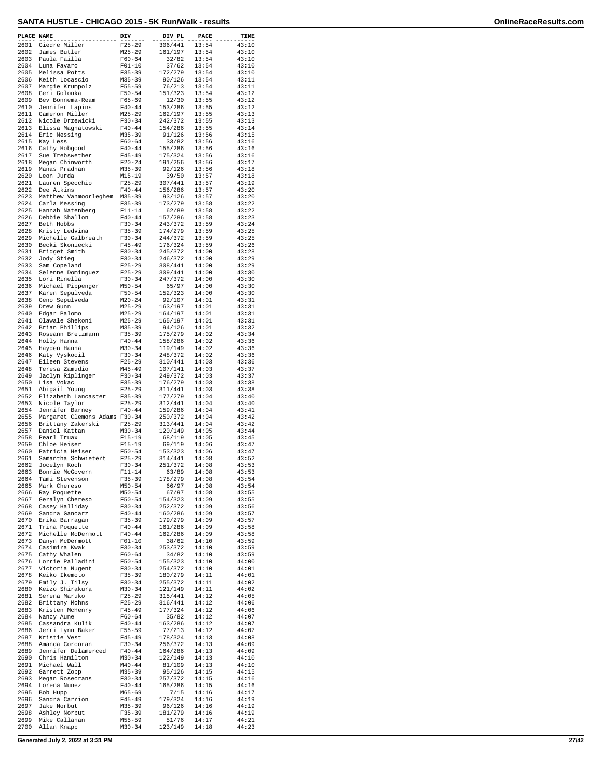| PLACE NAME   |                                           | DIV                      | DIV PL             | PACE           | TIME           |
|--------------|-------------------------------------------|--------------------------|--------------------|----------------|----------------|
| 2601         | Giedre Miller                             | $F25 - 29$               | 306/441            | 13:54          | 43:10          |
| 2602<br>2603 | James Butler<br>Paula Failla              | $M25 - 29$<br>$F60 - 64$ | 161/197<br>32/82   | 13:54<br>13:54 | 43:10<br>43:10 |
| 2604         | Luna Favaro                               | $F01 - 10$               | 37/62              | 13:54          | 43:10          |
| 2605<br>2606 | Melissa Potts<br>Keith Locascio           | $F35 - 39$<br>M35-39     | 172/279<br>90/126  | 13:54<br>13:54 | 43:10<br>43:11 |
| 2607         | Margie Krumpolz                           | $F55 - 59$               | 76/213             | 13:54          | 43:11          |
| 2608<br>2609 | Geri Golonka                              | $F50 - 54$               | 151/323<br>12/30   | 13:54          | 43:12          |
| 2610         | Bev Bonnema-Ream<br>Jennifer Lapins       | $F65 - 69$<br>$F40 - 44$ | 153/286            | 13:55<br>13:55 | 43:12<br>43:12 |
| 2611         | Cameron Miller                            | $M25 - 29$               | 162/197            | 13:55          | 43:13          |
| 2612<br>2613 | Nicole Drzewicki<br>Elissa Magnatowski    | $F30-34$<br>$F40 - 44$   | 242/372<br>154/286 | 13:55<br>13:55 | 43:13<br>43:14 |
| 2614         | Eric Messing                              | $M35 - 39$               | 91/126             | 13:56          | 43:15          |
| 2615         | Kay Less                                  | $F60 - 64$               | 33/82              | 13:56          | 43:16          |
| 2616<br>2617 | Cathy Hobgood<br>Sue Trebswether          | $F40 - 44$<br>$F45 - 49$ | 155/286<br>175/324 | 13:56<br>13:56 | 43:16<br>43:16 |
| 2618         | Megan Chinworth                           | $F20 - 24$               | 191/256            | 13:56          | 43:17          |
| 2619         | Manas Pradhan                             | $M35 - 39$               | 92/126             | 13:56          | 43:18          |
| 2620<br>2621 | Leon Jurda<br>Lauren Specchio             | $M15 - 19$<br>$F25 - 29$ | 39/50<br>307/441   | 13:57<br>13:57 | 43:18<br>43:19 |
| 2622         | Dee Atkins                                | $F40 - 44$               | 156/286            | 13:57          | 43:20          |
| 2623<br>2624 | Matthew Vanmoorleghem<br>Carla Messing    | $M35 - 39$<br>$F35 - 39$ | 93/126<br>173/279  | 13:57<br>13:58 | 43:20<br>43:22 |
| 2625         | Hannah Natenberg                          | $F11 - 14$               | 62/89              | 13:58          | 43:22          |
| 2626         | Debbie Shallon                            | $F40 - 44$               | 157/286            | 13:58          | 43:23          |
| 2627<br>2628 | Beth Hobbs<br>Kristy Ledvina              | $F30-34$<br>$F35 - 39$   | 243/372<br>174/279 | 13:59<br>13:59 | 43:24<br>43:25 |
| 2629         | Michelle Galbreath                        | $F30-34$                 | 244/372            | 13:59          | 43:25          |
| 2630<br>2631 | Becki Skoniecki<br>Bridget Smith          | $F45 - 49$<br>$F30 - 34$ | 176/324<br>245/372 | 13:59<br>14:00 | 43:26<br>43:28 |
| 2632         | Jody Stieg                                | $F30 - 34$               | 246/372            | 14:00          | 43:29          |
| 2633         | Sam Copeland                              | $F25 - 29$               | 308/441            | 14:00          | 43:29          |
| 2634<br>2635 | Selenne Dominguez<br>Lori Rinella         | $F25 - 29$<br>$F30-34$   | 309/441<br>247/372 | 14:00<br>14:00 | 43:30<br>43:30 |
| 2636         | Michael Pippenger                         | $M50 - 54$               | 65/97              | 14:00          | 43:30          |
| 2637         | Karen Sepulveda                           | $F50 - 54$               | 152/323            | 14:00          | 43:30          |
| 2638<br>2639 | Geno Sepulveda<br>Drew Gunn               | $M20 - 24$<br>$M25 - 29$ | 92/107<br>163/197  | 14:01<br>14:01 | 43:31<br>43:31 |
| 2640         | Edgar Palomo                              | $M25 - 29$               | 164/197            | 14:01          | 43:31          |
| 2641         | Olawale Shekoni                           | $M25 - 29$               | 165/197            | 14:01          | 43:31          |
| 2642<br>2643 | Brian Phillips<br>Roseann Bretzmann       | M35-39<br>$F35 - 39$     | 94/126<br>175/279  | 14:01<br>14:02 | 43:32<br>43:34 |
| 2644         | Holly Hanna                               | $F40 - 44$               | 158/286            | 14:02          | 43:36          |
| 2645<br>2646 | Hayden Hanna<br>Katy Vyskocil             | $M30 - 34$<br>$F30 - 34$ | 119/149<br>248/372 | 14:02<br>14:02 | 43:36<br>43:36 |
| 2647         | Eileen Stevens                            | $F25 - 29$               | 310/441            | 14:03          | 43:36          |
| 2648         | Teresa Zamudio                            | M45-49                   | 107/141            | 14:03          | 43:37          |
| 2649<br>2650 | Jaclyn Riplinger<br>Lisa Vokac            | $F30 - 34$<br>$F35 - 39$ | 249/372<br>176/279 | 14:03<br>14:03 | 43:37<br>43:38 |
| 2651         | Abigail Young                             | $F25 - 29$               | 311/441            | 14:03          | 43:38          |
| 2652<br>2653 | Elizabeth Lancaster<br>Nicole Taylor      | $F35 - 39$<br>$F25 - 29$ | 177/279<br>312/441 | 14:04<br>14:04 | 43:40<br>43:40 |
| 2654         | Jennifer Barney                           | $F40 - 44$               | 159/286            | 14:04          | 43:41          |
| 2655         | Margaret Clemons Adams F30-34             |                          | 250/372            | 14:04          | 43:42          |
| 2656<br>2657 | Brittany Zakerski<br>Daniel Kattan        | $F25 - 29$<br>$M30 - 34$ | 313/441<br>120/149 | 14:04<br>14:05 | 43:42<br>43:44 |
| 2658         | Pearl Truax                               | $F15 - 19$               | 68/119             | 14:05          | 43:45          |
| 2659<br>2660 | Chloe Heiser<br>Patricia Heiser           | $F15 - 19$<br>$F50 - 54$ | 69/119<br>153/323  | 14:06<br>14:06 | 43:47<br>43:47 |
| 2661         | Samantha Schwietert                       | $F25 - 29$               | 314/441            | 14:08          | 43:52          |
| 2662         | Jocelyn Koch                              | $F30 - 34$               | 251/372            | 14:08          | 43:53          |
| 2663<br>2664 | Bonnie McGovern<br>Tami Stevenson         | $F11 - 14$<br>$F35 - 39$ | 63/89<br>178/279   | 14:08<br>14:08 | 43:53<br>43:54 |
| 2665         | Mark Chereso                              | $M50 - 54$               | 66/97              | 14:08          | 43:54          |
|              | 2666 Ray Poquette<br>2667 Geralyn Chereso | M50-54<br>$F50 - 54$     | 67/97<br>154/323   | 14:08<br>14:09 | 43:55<br>43:55 |
| 2668         | Casey Halliday                            | $F30-34$                 | 252/372            | 14:09          | 43:56          |
| 2669         | Sandra Gancarz                            | $F40 - 44$               | 160/286            | 14:09          | 43:57          |
| 2670<br>2671 | Erika Barragan<br>Trina Poquette          | $F35 - 39$<br>$F40 - 44$ | 179/279<br>161/286 | 14:09<br>14:09 | 43:57<br>43:58 |
| 2672         | Michelle McDermott                        | $F40 - 44$               | 162/286            | 14:09          | 43:58          |
| 2673<br>2674 | Danyn McDermott<br>Casimira Kwak          | $F01-10$<br>$F30 - 34$   | 38/62<br>253/372   | 14:10<br>14:10 | 43:59<br>43:59 |
| 2675         | Cathy Whalen                              | $F60 - 64$               | 34/82              | 14:10          | 43:59          |
| 2676         | Lorrie Palladini                          | $F50 - 54$               | 155/323            | 14:10          | 44:00          |
| 2677<br>2678 | Victoria Nugent<br>Keiko Ikemoto          | $F30 - 34$<br>F35-39     | 254/372<br>180/279 | 14:10<br>14:11 | 44:01<br>44:01 |
| 2679         | Emily J. Tilsy                            | $F30-34$                 | 255/372            | 14:11          | 44:02          |
| 2680         | Keizo Shirakura                           | $M30 - 34$               | 121/149            | 14:11          | 44:02          |
| 2681<br>2682 | Serena Maruko<br>Brittany Mohns           | $F25-29$<br>$F25 - 29$   | 315/441<br>316/441 | 14:12<br>14:12 | 44:05<br>44:06 |
| 2683         | Kristen McHenry                           | $F45 - 49$               | 177/324            | 14:12          | 44:06          |
| 2684<br>2685 | Nancy Aune<br>Cassandra Kulik             | $F60 - 64$<br>$F40 - 44$ | 35/82<br>163/286   | 14:12<br>14:12 | 44:07<br>44:07 |
| 2686         | Jerri Lynn Baker                          | $F55 - 59$               | 77/213             | 14:12          | 44:07          |
| 2687         | Kristie Vest                              | F45-49                   | 178/324            | 14:13          | 44:08          |
| 2688<br>2689 | Amanda Corcoran<br>Jennifer Delamerced    | F30-34<br>$F40 - 44$     | 256/372<br>164/286 | 14:13<br>14:13 | 44:09<br>44:09 |
| 2690         | Chris Hamilton                            | M30-34                   | 122/149            | 14:13          | 44:10          |
| 2691<br>2692 | Michael Wall                              | $M40 - 44$<br>$M35 - 39$ | 81/109<br>95/126   | 14:13          | 44:10          |
| 2693         | Garrett Zopp<br>Megan Rosecrans           | $F30-34$                 | 257/372            | 14:15<br>14:15 | 44:15<br>44:16 |
| 2694         | Lorena Nunez                              | $F40 - 44$               | 165/286            | 14:15          | 44:16          |
| 2695<br>2696 | Bob Hupp<br>Sandra Carrion                | $M65 - 69$<br>F45-49     | 7/15<br>179/324    | 14:16<br>14:16 | 44:17<br>44:19 |
| 2697         | Jake Norbut                               | $M35 - 39$               | 96/126             | 14:16          | 44:19          |
| 2698         | Ashley Norbut                             | $F35 - 39$               | 181/279            | 14:16          | 44:19          |
| 2699<br>2700 | Mike Callahan<br>Allan Knapp              | $M55 - 59$<br>M30-34     | 51/76<br>123/149   | 14:17<br>14:18 | 44:21<br>44:23 |
|              |                                           |                          |                    |                |                |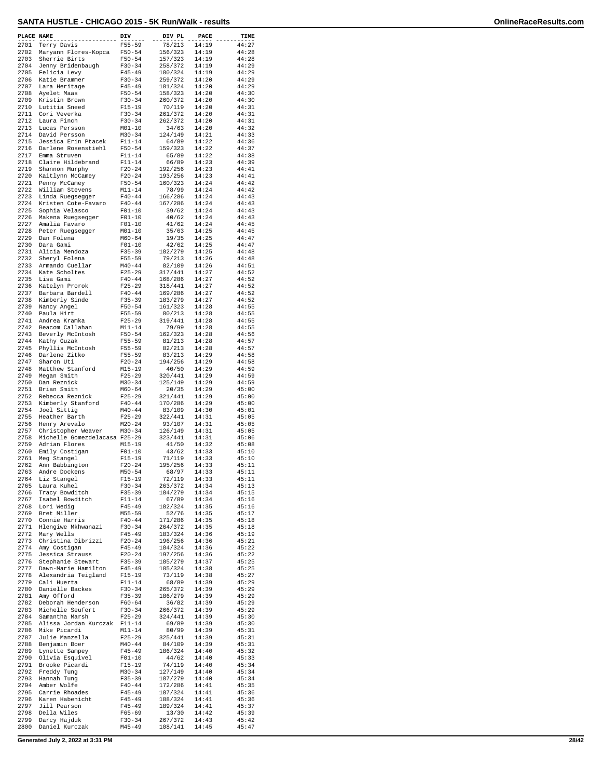| PLACE NAME   |                                                     | DIV                      | DIV PL             | PACE           | TIME           |
|--------------|-----------------------------------------------------|--------------------------|--------------------|----------------|----------------|
| 2701         | Terry Davis                                         | $F55 - 59$               | 78/213             | 14:19          | 44:27          |
| 2702         | Maryann Flores-Kopca                                | $F50 - 54$               | 156/323            | 14:19          | 44:28          |
| 2703<br>2704 | Sherrie Birts                                       | $F50 - 54$<br>$F30-34$   | 157/323<br>258/372 | 14:19<br>14:19 | 44:28<br>44:29 |
| 2705         | Jenny Bridenbaugh<br>Felicia Levy                   | $F45 - 49$               | 180/324            | 14:19          | 44:29          |
| 2706         | Katie Brammer                                       | $F30 - 34$               | 259/372            | 14:20          | 44:29          |
| 2707         | Lara Heritage                                       | $F45 - 49$               | 181/324            | 14:20          | 44:29          |
| 2708         | Ayelet Maas                                         | $F50 - 54$               | 158/323            | 14:20          | 44:30          |
| 2709         | Kristin Brown                                       | $F30-34$                 | 260/372            | 14:20          | 44:30          |
| 2710         | Lutitia Sneed                                       | $F15 - 19$               | 70/119             | 14:20          | 44:31          |
| 2711<br>2712 | Cori Veverka<br>Laura Finch                         | $F30-34$<br>$F30-34$     | 261/372<br>262/372 | 14:20<br>14:20 | 44:31<br>44:31 |
| 2713         | Lucas Persson                                       | $M01 - 10$               | 34/63              | 14:20          | 44:32          |
| 2714         | David Persson                                       | $M30 - 34$               | 124/149            | 14:21          | 44:33          |
| 2715         | Jessica Erin Ptacek                                 | $F11 - 14$               | 64/89              | 14:22          | 44:36          |
| 2716         | Darlene Rosenstiehl                                 | $F50 - 54$               | 159/323            | 14:22          | 44:37          |
| 2717         | Emma Struven                                        | $F11 - 14$               | 65/89              | 14:22          | 44:38          |
| 2718<br>2719 | Claire Hildebrand                                   | $F11 - 14$               | 66/89<br>192/256   | 14:23          | 44:39          |
| 2720         | Shannon Murphy<br>Kaitlynn McCamey                  | $F20 - 24$<br>$F20 - 24$ | 193/256            | 14:23<br>14:23 | 44:41<br>44:41 |
| 2721         | Penny McCamey                                       | $F50 - 54$               | 160/323            | 14:24          | 44:42          |
| 2722         | William Stevens                                     | $M11 - 14$               | 78/99              | 14:24          | 44:42          |
| 2723         | Linda Ruegsegger                                    | $F40 - 44$               | 166/286            | 14:24          | 44:43          |
| 2724         | Kristen Cote-Favaro                                 | $F40 - 44$               | 167/286            | 14:24          | 44:43          |
| 2725         | Sophia Velasco                                      | $F01-10$                 | 39/62              | 14:24          | 44:43          |
| 2726<br>2727 | Makena Ruegsegger                                   | $F01 - 10$               | 40/62<br>41/62     | 14:24<br>14:24 | 44:43<br>44:45 |
| 2728         | Amalia Favaro<br>Peter Ruegsegger                   | $F01-10$<br>$M01 - 10$   | 35/63              | 14:25          | 44:45          |
| 2729         | Dan Folena                                          | $M60 - 64$               | 19/35              | 14:25          | 44:47          |
| 2730         | Dara Gami                                           | $F01 - 10$               | 42/62              | 14:25          | 44:47          |
| 2731         | Alicia Mendoza                                      | $F35 - 39$               | 182/279            | 14:25          | 44:48          |
| 2732         | Sheryl Folena                                       | $F55 - 59$               | 79/213             | 14:26          | 44:48          |
| 2733         | Armando Cuellar                                     | $M40 - 44$               | 82/109             | 14:26          | 44:51          |
| 2734<br>2735 | Kate Scholtes                                       | $F25 - 29$               | 317/441            | 14:27<br>14:27 | 44:52<br>44:52 |
| 2736         | Lisa Gami<br>Katelyn Prorok                         | $F40 - 44$<br>$F25 - 29$ | 168/286<br>318/441 | 14:27          | 44:52          |
| 2737         | Barbara Bardell                                     | $F40 - 44$               | 169/286            | 14:27          | 44:52          |
| 2738         | Kimberly Sinde                                      | $F35 - 39$               | 183/279            | 14:27          | 44:52          |
| 2739         | Nancy Angel                                         | $F50 - 54$               | 161/323            | 14:28          | 44:55          |
| 2740         | Paula Hirt                                          | $F55 - 59$               | 80/213             | 14:28          | 44:55          |
| 2741         | Andrea Kramka                                       | $F25 - 29$               | 319/441            | 14:28          | 44:55          |
| 2742<br>2743 | Beacom Callahan<br>Beverly McIntosh                 | $M11 - 14$<br>$F50 - 54$ | 79/99<br>162/323   | 14:28<br>14:28 | 44:55<br>44:56 |
| 2744         | Kathy Guzak                                         | $F55 - 59$               | 81/213             | 14:28          | 44:57          |
| 2745         | Phyllis McIntosh                                    | $F55 - 59$               | 82/213             | 14:28          | 44:57          |
| 2746         | Darlene Zitko                                       | $F55 - 59$               | 83/213             | 14:29          | 44:58          |
| 2747         | Sharon Uti                                          | $F20-24$                 | 194/256            | 14:29          | 44:58          |
| 2748         | Matthew Stanford                                    | $M15 - 19$               | 40/50              | 14:29          | 44:59          |
| 2749         | Megan Smith                                         | $F25 - 29$               | 320/441            | 14:29          | 44:59          |
| 2750<br>2751 | Dan Reznick<br>Brian Smith                          | $M30 - 34$<br>$M60 - 64$ | 125/149<br>20/35   | 14:29<br>14:29 | 44:59<br>45:00 |
| 2752         | Rebecca Reznick                                     | $F25 - 29$               | 321/441            | 14:29          | 45:00          |
| 2753         | Kimberly Stanford                                   | $F40 - 44$               | 170/286            | 14:29          | 45:00          |
| 2754         | Joel Sittig                                         | $M40 - 44$               | 83/109             | 14:30          | 45:01          |
| 2755         | Heather Barth                                       | $F25 - 29$               | 322/441            | 14:31          | 45:05          |
| 2756         | Henry Arevalo                                       | $M20 - 24$               | 93/107<br>126/149  | 14:31          | 45:05          |
| 2757<br>2758 | Christopher Weaver<br>Michelle Gomezdelacasa F25-29 | $M30 - 34$               | 323/441            | 14:31<br>14:31 | 45:05<br>45:06 |
| 2759         | Adrian Flores                                       | $M15 - 19$               | 41/50              | 14:32          | 45:08          |
| 2760         | Emily Costigan                                      | $F01 - 10$               | 43/62              | 14:33          | 45:10          |
| 2761         | Meg Stangel                                         | $F15 - 19$               | 71/119             | 14:33          | 45:10          |
| 2762         | Ann Babbington                                      | $F20 - 24$               | 195/256            | 14:33          | 45:11          |
| 2763         | Andre Dockens                                       | $M50 - 54$               | 68/97              | 14:33          | 45:11          |
| 2764<br>2765 | Liz Stangel                                         | $F15 - 19$               | 72/119             | 14:33          | 45:11<br>45:13 |
| 2766         | Laura Kuhel<br>Tracy Bowditch                       | $F30-34$<br>$F35 - 39$   | 263/372<br>184/279 | 14:34<br>14:34 | 45:15          |
| 2767         | Isabel Bowditch                                     | $F11 - 14$               | 67/89              | 14:34          | 45:16          |
| 2768         | Lori Wedig                                          | $F45 - 49$               | 182/324            | 14:35          | 45:16          |
| 2769         | Bret Miller                                         | M55-59                   | 52/76              | 14:35          | 45:17          |
| 2770         | Connie Harris                                       | $F40 - 44$               | 171/286            | 14:35          | 45:18          |
| 2771<br>2772 | Hlengiwe Mkhwanazi<br>Mary Wells                    | $F30-34$<br>$F45 - 49$   | 264/372<br>183/324 | 14:35<br>14:36 | 45:18<br>45:19 |
| 2773         | Christina Dibrizzi                                  | $F20 - 24$               | 196/256            | 14:36          | 45:21          |
| 2774         | Amy Costigan                                        | $F45 - 49$               | 184/324            | 14:36          | 45:22          |
| 2775         | Jessica Strauss                                     | $F20 - 24$               | 197/256            | 14:36          | 45:22          |
| 2776         | Stephanie Stewart                                   | $F35 - 39$               | 185/279            | 14:37          | 45:25          |
| 2777         | Dawn-Marie Hamilton                                 | $F45 - 49$               | 185/324            | 14:38          | 45:25          |
| 2778         | Alexandria Teigland                                 | F15-19                   | 73/119             | 14:38          | 45:27          |
| 2779<br>2780 | Cali Huerta<br>Danielle Backes                      | $F11 - 14$<br>$F30-34$   | 68/89<br>265/372   | 14:39<br>14:39 | 45:29<br>45:29 |
| 2781         | Amy Offord                                          | $F35 - 39$               | 186/279            | 14:39          | 45:29          |
| 2782         | Deborah Henderson                                   | $F60 - 64$               | 36/82              | 14:39          | 45:29          |
| 2783         | Michelle Seufert                                    | $F30-34$                 | 266/372            | 14:39          | 45:29          |
| 2784         | Samantha Marsh                                      | $F25 - 29$               | 324/441            | 14:39          | 45:30          |
| 2785         | Alissa Jordan Kurczak                               | $F11 - 14$               | 69/89              | 14:39          | 45:30          |
| 2786<br>2787 | Mike Picardi<br>Julie Manzella                      | $M11 - 14$               | 80/99<br>325/441   | 14:39<br>14:39 | 45:31          |
| 2788         | Benjamin Boer                                       | $F25 - 29$<br>$M40 - 44$ | 84/109             | 14:39          | 45:31<br>45:31 |
| 2789         | Lynette Sampey                                      | $F45 - 49$               | 186/324            | 14:40          | 45:32          |
| 2790         | Olivia Esquivel                                     | $F01 - 10$               | 44/62              | 14:40          | 45:33          |
| 2791         | Brooke Picardi                                      | $F15 - 19$               | 74/119             | 14:40          | 45:34          |
| 2792         | Freddy Tung                                         | $M30 - 34$               | 127/149            | 14:40          | 45:34          |
| 2793         | Hannah Tung                                         | $F35 - 39$               | 187/279            | 14:40          | 45:34          |
| 2794<br>2795 | Amber Wolfe<br>Carrie Rhoades                       | $F40 - 44$<br>$F45 - 49$ | 172/286<br>187/324 | 14:41<br>14:41 | 45:35<br>45:36 |
| 2796         | Karen Habenicht                                     | $F45 - 49$               | 188/324            | 14:41          | 45:36          |
| 2797         | Jill Pearson                                        | $F45 - 49$               | 189/324            | 14:41          | 45:37          |
| 2798         | Della Wiles                                         | $F65 - 69$               | 13/30              | 14:42          | 45:39          |
| 2799         | Darcy Hajduk                                        | F30-34                   | 267/372            | 14:43          | 45:42          |
| 2800         | Daniel Kurczak                                      | $M45 - 49$               | 108/141            | 14:45          | 45:47          |

**Generated July 2, 2022 at 3:31 PM 28/42**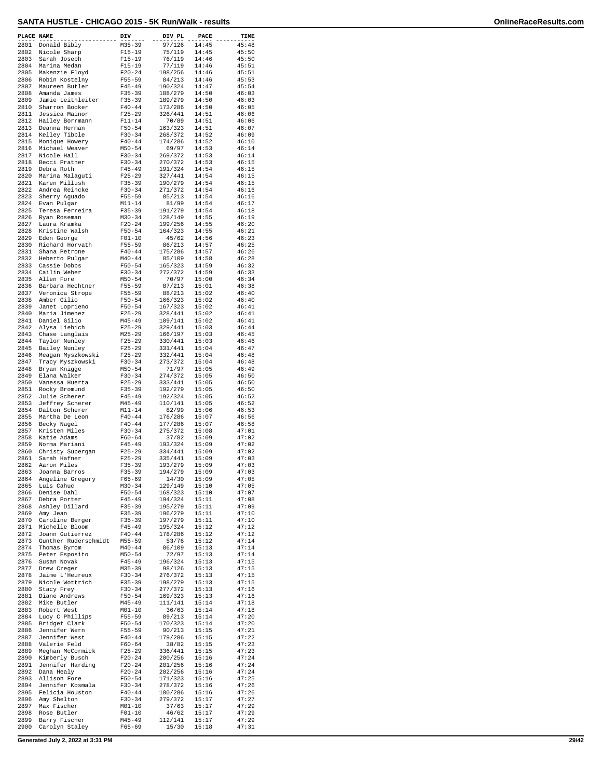| PLACE NAME   |                                      | DIV                      | DIV PL             | PACE           | TIME           |
|--------------|--------------------------------------|--------------------------|--------------------|----------------|----------------|
| 2801         | Donald Bibly                         | $M35 - 39$               | 97/126             | 14:45          | 45:48          |
| 2802<br>2803 | Nicole Sharp<br>Sarah Joseph         | $F15 - 19$<br>$F15 - 19$ | 75/119<br>76/119   | 14:45<br>14:46 | 45:50<br>45:50 |
| 2804         | Marina Medan                         | $F15 - 19$               | 77/119             | 14:46          | 45:51          |
| 2805         | Makenzie Floyd                       | $F20 - 24$               | 198/256            | 14:46          | 45:51          |
| 2806<br>2807 | Robin Kostelny                       | $F55 - 59$               | 84/213             | 14:46          | 45:53          |
| 2808         | Maureen Butler<br>Amanda James       | $F45 - 49$<br>$F35 - 39$ | 190/324<br>188/279 | 14:47<br>14:50 | 45:54<br>46:03 |
| 2809         | Jamie Leithleiter                    | $F35 - 39$               | 189/279            | 14:50          | 46:03          |
| 2810         | Sharron Booker                       | $F40 - 44$               | 173/286            | 14:50          | 46:05          |
| 2811<br>2812 | Jessica Mainor<br>Hailey Borrmann    | $F25 - 29$<br>$F11 - 14$ | 326/441<br>70/89   | 14:51<br>14:51 | 46:06<br>46:06 |
| 2813         | Deanna Herman                        | $F50 - 54$               | 163/323            | 14:51          | 46:07          |
| 2814         | Kelley Tibble                        | $F30 - 34$               | 268/372            | 14:52          | 46:09          |
| 2815<br>2816 | Monique Howery<br>Michael Weaver     | $F40 - 44$               | 174/286            | 14:52<br>14:53 | 46:10          |
| 2817         | Nicole Hall                          | $M50 - 54$<br>$F30 - 34$ | 69/97<br>269/372   | 14:53          | 46:14<br>46:14 |
| 2818         | Becci Prather                        | $F30 - 34$               | 270/372            | 14:53          | 46:15          |
| 2819         | Debra Roth                           | $F45 - 49$               | 191/324            | 14:54          | 46:15          |
| 2820<br>2821 | Marina Malaguti<br>Karen Millush     | $F25 - 29$<br>$F35 - 39$ | 327/441<br>190/279 | 14:54<br>14:54 | 46:15<br>46:15 |
| 2822         | Andrea Reincke                       | $F30-34$                 | 271/372            | 14:54          | 46:16          |
| 2823         | Sherry Aguado                        | $F55 - 59$               | 85/213             | 14:54          | 46:16          |
| 2824         | Evan Pulgar                          | $M11 - 14$               | 81/99              | 14:54          | 46:17          |
| 2825<br>2826 | Teresa Ferreira<br>Ryan Roseman      | $F35 - 39$<br>$M30 - 34$ | 191/279<br>128/149 | 14:54<br>14:55 | 46:18<br>46:19 |
| 2827         | Laura Kramka                         | $F20-24$                 | 199/256            | 14:55          | 46:20          |
| 2828         | Kristine Walsh                       | $F50 - 54$               | 164/323            | 14:55          | 46:21          |
| 2829<br>2830 | Eden George<br>Richard Horvath       | $F01 - 10$<br>$F55 - 59$ | 45/62<br>86/213    | 14:56<br>14:57 | 46:23<br>46:25 |
| 2831         | Shana Petrone                        | $F40 - 44$               | 175/286            | 14:57          | 46:26          |
| 2832         | Heberto Pulgar                       | $M40 - 44$               | 85/109             | 14:58          | 46:28          |
| 2833<br>2834 | Cassie Dobbs                         | $F50 - 54$               | 165/323            | 14:59          | 46:32          |
| 2835         | Cailin Weber<br>Allen Fore           | $F30-34$<br>$M50 - 54$   | 272/372<br>70/97   | 14:59<br>15:00 | 46:33<br>46:34 |
| 2836         | Barbara Hechtner                     | $F55 - 59$               | 87/213             | 15:01          | 46:38          |
| 2837         | Veronica Strope                      | F55-59                   | 88/213             | 15:02          | 46:40          |
| 2838<br>2839 | Amber Gilio<br>Janet Loprieno        | $F50 - 54$<br>$F50 - 54$ | 166/323<br>167/323 | 15:02<br>15:02 | 46:40<br>46:41 |
| 2840         | Maria Jimenez                        | $F25 - 29$               | 328/441            | 15:02          | 46:41          |
| 2841         | Daniel Gilio                         | $M45 - 49$               | 109/141            | 15:02          | 46:41          |
| 2842         | Alysa Liebich                        | $F25 - 29$               | 329/441            | 15:03          | 46:44          |
| 2843<br>2844 | Chase Langlais<br>Taylor Nunley      | $M25 - 29$<br>$F25 - 29$ | 166/197<br>330/441 | 15:03<br>15:03 | 46:45<br>46:46 |
| 2845         | Bailey Nunley                        | $F25 - 29$               | 331/441            | 15:04          | 46:47          |
| 2846         | Meagan Myszkowski                    | $F25 - 29$               | 332/441            | 15:04          | 46:48          |
| 2847<br>2848 | Tracy Myszkowski<br>Bryan Knigge     | $F30-34$<br>$M50 - 54$   | 273/372<br>71/97   | 15:04<br>15:05 | 46:48<br>46:49 |
| 2849         | Elana Walker                         | $F30-34$                 | 274/372            | 15:05          | 46:50          |
| 2850         | Vanessa Huerta                       | $F25 - 29$               | 333/441            | 15:05          | 46:50          |
| 2851<br>2852 | Rocky Bromund<br>Julie Scherer       | $F35 - 39$<br>$F45 - 49$ | 192/279<br>192/324 | 15:05<br>15:05 | 46:50<br>46:52 |
| 2853         | Jeffrey Scherer                      | $M45 - 49$               | 110/141            | 15:05          | 46:52          |
| 2854         | Dalton Scherer                       | $M11 - 14$               | 82/99              | 15:06          | 46:53          |
| 2855<br>2856 | Martha De Leon                       | $F40 - 44$<br>$F40 - 44$ | 176/286            | 15:07          | 46:56<br>46:58 |
| 2857         | Becky Nagel<br>Kristen Miles         | $F30-34$                 | 177/286<br>275/372 | 15:07<br>15:08 | 47:01          |
| 2858         | Katie Adams                          | $F60 - 64$               | 37/82              | 15:09          | 47:02          |
| 2859         | Norma Mariani                        | $F45 - 49$               | 193/324            | 15:09          | 47:02          |
| 2860<br>2861 | Christy Supergan<br>Sarah Hafner     | $F25 - 29$<br>$F25 - 29$ | 334/441<br>335/441 | 15:09<br>15:09 | 47:02<br>47:03 |
| 2862         | Aaron Miles                          | $F35 - 39$               | 193/279            | 15:09          | 47:03          |
|              | 2863 Joanna Barros                   | $F35 - 39$               | 194/279            | 15:09          | 47:03          |
| 2864<br>2865 | Angeline Gregory<br>Luis Cahuc       | $F65 - 69$<br>$M30 - 34$ | 14/30<br>129/149   | 15:09<br>15:10 | 47:05<br>47:05 |
| 2866         | Denise Dahl                          | $F50 - 54$               | 168/323            | 15:10          | 47:07          |
| 2867         | Debra Porter                         | $F45 - 49$               | 194/324            | 15:11          | 47:08          |
| 2868<br>2869 | Ashley Dillard                       | $F35 - 39$               | 195/279<br>196/279 | 15:11          | 47:09<br>47:10 |
| 2870         | Amy Jean<br>Caroline Berger          | $F35 - 39$<br>F35-39     | 197/279            | 15:11<br>15:11 | 47:10          |
| 2871         | Michelle Bloom                       | $F45 - 49$               | 195/324            | 15:12          | 47:12          |
| 2872         | Joann Gutierrez                      | $F40 - 44$               | 178/286            | 15:12          | 47:12          |
| 2873<br>2874 | Gunther Ruderschmidt<br>Thomas Byrom | $M55 - 59$<br>$M40 - 44$ | 53/76<br>86/109    | 15:12<br>15:13 | 47:14<br>47:14 |
| 2875         | Peter Esposito                       | $M50 - 54$               | 72/97              | 15:13          | 47:14          |
| 2876         | Susan Novak                          | F45-49                   | 196/324            | 15:13          | 47:15          |
| 2877<br>2878 | Drew Creger<br>Jaime L'Heureux       | $M35 - 39$<br>$F30 - 34$ | 98/126<br>276/372  | 15:13<br>15:13 | 47:15<br>47:15 |
| 2879         | Nicole Wottrich                      | $F35 - 39$               | 198/279            | 15:13          | 47:15          |
| 2880         | Stacy Frey                           | $F30-34$                 | 277/372            | 15:13          | 47:16          |
| 2881         | Diane Andrews                        | F50-54                   | 169/323            | 15:13          | 47:16          |
| 2882<br>2883 | Mike Butler<br>Robert West           | M45-49<br>$M01 - 10$     | 111/141<br>36/63   | 15:14<br>15:14 | 47:18<br>47:18 |
| 2884         | Lucy C Phillips                      | F55-59                   | 89/213             | 15:14          | 47:20          |
| 2885         | Bridget Clark                        | $F50 - 54$               | 170/323            | 15:14          | 47:20          |
| 2886<br>2887 | Jennifer Wern<br>Jennifer West       | $F55 - 59$<br>$F40 - 44$ | 90/213<br>179/286  | 15:15<br>15:15 | 47:21<br>47:22 |
| 2888         | Valerie Feld                         | F60-64                   | 38/82              | 15:15          | 47:23          |
| 2889         | Meghan McCormick                     | $F25-29$                 | 336/441            | 15:15          | 47:23          |
| 2890         | Kimberly Busch<br>Jennifer Harding   | $F20 - 24$               | 200/256            | 15:16          | 47:24          |
| 2891<br>2892 | Dana Healy                           | $F20 - 24$<br>$F20-24$   | 201/256<br>202/256 | 15:16<br>15:16 | 47:24<br>47:24 |
| 2893         | Allison Fore                         | F50-54                   | 171/323            | 15:16          | 47:25          |
| 2894         | Jennifer Kosmala                     | $F30 - 34$               | 278/372            | 15:16          | 47:26          |
| 2895<br>2896 | Felicia Houston<br>Amy Shelton       | $F40 - 44$<br>$F30-34$   | 180/286<br>279/372 | 15:16<br>15:17 | 47:26<br>47:27 |
| 2897         | Max Fischer                          | $M01 - 10$               | 37/63              | 15:17          | 47:29          |
| 2898         | Rose Butler                          | $F01 - 10$               | 46/62              | 15:17          | 47:29          |
| 2899<br>2900 | Barry Fischer<br>Carolyn Staley      | M45-49<br>F65-69         | 112/141<br>15/30   | 15:17<br>15:18 | 47:29<br>47:31 |
|              |                                      |                          |                    |                |                |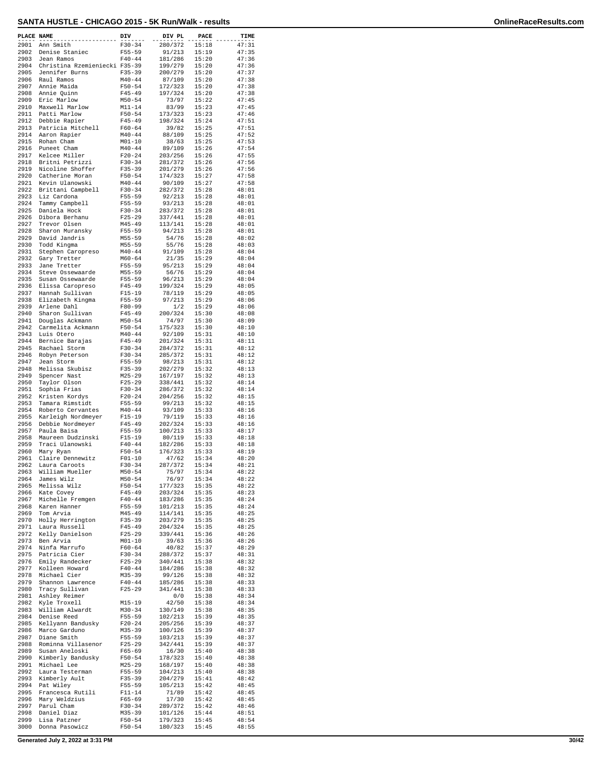| PLACE NAME   |                                      | DIV                      | DIV PL             | PACE           | TIME           |
|--------------|--------------------------------------|--------------------------|--------------------|----------------|----------------|
| 2901         | Ann Smith                            | $F30 - 34$               | 280/372            | 15:18          | 47:31          |
| 2902         | Denise Staniec                       | $F55 - 59$               | 91/213             | 15:19          | 47:35          |
| 2903         | Jean Ramos                           | $F40 - 44$               | 181/286            | 15:20          | 47:36          |
| 2904         | Christina Rzemieniecki F35-39        |                          | 199/279            | 15:20          | 47:36          |
| 2905         | Jennifer Burns                       | $F35 - 39$               | 200/279            | 15:20          | 47:37          |
| 2906         | Raul Ramos                           | $M40 - 44$               | 87/109             | 15:20          | 47:38          |
| 2907         | Annie Maida                          | $F50 - 54$               | 172/323            | 15:20          | 47:38          |
| 2908         | Annie Quinn                          | $F45 - 49$               | 197/324            | 15:20          | 47:38          |
| 2909         | Eric Marlow                          | $M50 - 54$               | 73/97              | 15:22          | 47:45          |
| 2910         | Maxwell Marlow                       | $M11 - 14$               | 83/99              | 15:23          | 47:45          |
| 2911         | Patti Marlow                         | $F50 - 54$               | 173/323            | 15:23          | 47:46          |
| 2912         | Debbie Rapier                        | $F45 - 49$               | 198/324            | 15:24          | 47:51          |
| 2913         | Patricia Mitchell                    | $F60 - 64$               | 39/82              | 15:25          | 47:51          |
| 2914         | Aaron Rapier                         | $M40 - 44$<br>$M01 - 10$ | 88/109             | 15:25          | 47:52<br>47:53 |
| 2915<br>2916 | Rohan Cham                           |                          | 38/63              | 15:25          | 47:54          |
| 2917         | Puneet Cham<br>Kelcee Miller         | $M40 - 44$<br>$F20 - 24$ | 89/109<br>203/256  | 15:26<br>15:26 | 47:55          |
| 2918         | Britni Petrizzi                      | $F30 - 34$               | 281/372            | 15:26          | 47:56          |
| 2919         | Nicoline Shoffer                     | $F35 - 39$               | 201/279            | 15:26          | 47:56          |
| 2920         | Catherine Moran                      | $F50 - 54$               | 174/323            | 15:27          | 47:58          |
| 2921         | Kevin Ulanowski                      | $M40 - 44$               | 90/109             | 15:27          | 47:58          |
| 2922         | Brittani Campbell                    | $F30 - 34$               | 282/372            | 15:28          | 48:01          |
| 2923         | Liz Cardona                          | $F55 - 59$               | 92/213             | 15:28          | 48:01          |
| 2924         | Tammy Campbell                       | $F55 - 59$               | 93/213             | 15:28          | 48:01          |
| 2925         | Daniela Hock                         | $F30-34$                 | 283/372            | 15:28          | 48:01          |
| 2926         | Dibora Berhanu                       | $F25 - 29$               | 337/441            | 15:28          | 48:01          |
| 2927         | Trevor Olsen                         | $M45 - 49$               | 113/141            | 15:28          | 48:01          |
| 2928         | Sharon Muransky                      | $F55 - 59$               | 94/213             | 15:28          | 48:01          |
| 2929         | David Jandris                        | $M55 - 59$               | 54/76              | 15:28          | 48:02          |
| 2930         | Todd Kingma                          | $M55 - 59$               | 55/76              | 15:28          | 48:03          |
| 2931         | Stephen Caropreso                    | $M40 - 44$               | 91/109             | 15:28          | 48:04          |
| 2932         | Gary Tretter                         | $M60 - 64$               | 21/35              | 15:29          | 48:04          |
| 2933         | Jane Tretter                         | $F55 - 59$               | 95/213             | 15:29          | 48:04          |
| 2934         | Steve Ossewaarde                     | $M55 - 59$               | 56/76              | 15:29          | 48:04          |
| 2935         | Susan Ossewaarde                     | $F55 - 59$               | 96/213             | 15:29          | 48:04          |
| 2936         | Elissa Caropreso                     | $F45 - 49$               | 199/324            | 15:29          | 48:05          |
| 2937         | Hannah Sullivan                      | $F15-19$                 | 78/119             | 15:29          | 48:05          |
| 2938<br>2939 | Elizabeth Kingma                     | $F55 - 59$               | 97/213             | 15:29<br>15:29 | 48:06          |
|              | Arlene Dahl                          | $F80 - 99$               | 1/2                |                | 48:06          |
| 2940<br>2941 | Sharon Sullivan                      | $F45 - 49$               | 200/324            | 15:30          | 48:08          |
| 2942         | Douglas Ackmann<br>Carmelita Ackmann | $M50 - 54$<br>$F50 - 54$ | 74/97<br>175/323   | 15:30<br>15:30 | 48:09<br>48:10 |
| 2943         | Luis Otero                           | $M40 - 44$               | 92/109             | 15:31          | 48:10          |
| 2944         | Bernice Barajas                      | $F45 - 49$               | 201/324            | 15:31          | 48:11          |
| 2945         | Rachael Storm                        | $F30-34$                 | 284/372            | 15:31          | 48:12          |
| 2946         | Robyn Peterson                       | $F30-34$                 | 285/372            | 15:31          | 48:12          |
| 2947         | Jean Storm                           | $F55 - 59$               | 98/213             | 15:31          | 48:12          |
| 2948         | Melissa Skubisz                      | $F35 - 39$               | 202/279            | 15:32          | 48:13          |
| 2949         | Spencer Nast                         | $M25 - 29$               | 167/197            | 15:32          | 48:13          |
| 2950         | Taylor Olson                         | $F25 - 29$               | 338/441            | 15:32          | 48:14          |
| 2951         | Sophia Frias                         | $F30-34$                 | 286/372            | 15:32          | 48:14          |
| 2952         | Kristen Kordys                       | $F20 - 24$               | 204/256            | 15:32          | 48:15          |
| 2953         | Tamara Rimstidt                      | $F55 - 59$               | 99/213             | 15:32          | 48:15          |
| 2954         | Roberto Cervantes                    | $M40 - 44$               | 93/109             | 15:33          | 48:16          |
| 2955         | Karleigh Nordmeyer                   | $F15-19$                 | 79/119             | 15:33          | 48:16          |
| 2956         | Debbie Nordmeyer                     | $F45 - 49$               | 202/324            | 15:33          | 48:16          |
| 2957         | Paula Baisa                          | $F55 - 59$               | 100/213            | 15:33          | 48:17          |
| 2958         | Maureen Dudzinski                    | $F15-19$                 | 80/119             | 15:33          | 48:18          |
| 2959         | Traci Ulanowski                      | $F40 - 44$               | 182/286            | 15:33          | 48:18          |
| 2960         | Mary Ryan                            | $F50 - 54$               | 176/323            | 15:33          | 48:19          |
| 2961<br>2962 | Claire Dennewitz                     | $F01 - 10$               | 47/62              | 15:34<br>15:34 | 48:20          |
| 2963         | Laura Caroots<br>William Mueller     | $F30 - 34$<br>$M50 - 54$ | 287/372<br>75/97   | 15:34          | 48:21<br>48:22 |
| 2964         |                                      | $M50 - 54$               | 76/97              | 15:34          | 48:22          |
| 2965         | James Wilz<br>Melissa Wilz           | $F50 - 54$               | 177/323            | 15:35          | 48:22          |
| 2966         | Kate Covey                           | $F45 - 49$               | 203/324            | 15:35          | 48:23          |
| 2967         | Michelle Fremgen                     | $F40 - 44$               | 183/286            | 15:35          | 48:24          |
| 2968         | Karen Hanner                         | $F55 - 59$               | 101/213            | 15:35          | 48:24          |
| 2969         | Tom Arvia                            | M45-49                   | 114/141            | 15:35          | 48:25          |
| 2970         | Holly Herrington                     | $F35 - 39$               | 203/279            | 15:35          | 48:25          |
| 2971         | Laura Russell                        | $F45 - 49$               | 204/324            | 15:35          | 48:25          |
| 2972         | Kelly Danielson                      | $F25-29$                 | 339/441            | 15:36          | 48:26          |
| 2973         | Ben Arvia                            | MO1-10                   | 39/63              | 15:36          | 48:26          |
| 2974         | Ninfa Marrufo                        | $F60 - 64$               | 40/82              | 15:37          | 48:29          |
| 2975         | Patricia Cier                        | $F30-34$                 | 288/372            | 15:37          | 48:31          |
| 2976         | Emily Randecker                      | $F25 - 29$               | 340/441            | 15:38          | 48:32          |
| 2977         | Kolleen Howard                       | $F40 - 44$               | 184/286            | 15:38          | 48:32          |
| 2978         | Michael Cier                         | $M35 - 39$               | 99/126             | 15:38          | 48:32          |
| 2979         | Shannon Lawrence                     | $F40 - 44$               | 185/286            | 15:38          | 48:33          |
| 2980         | Tracy Sullivan                       | $F25-29$                 | 341/441            | 15:38          | 48:33          |
| 2981         | Ashley Reimer                        |                          | 0/0                | 15:38          | 48:34          |
| 2982         | Kyle Troxell                         | M15-19                   | 42/50              | 15:38          | 48:34          |
| 2983<br>2984 | William Alwardt                      | $M30 - 34$               | 130/149            | 15:38          | 48:35          |
| 2985         | Denise Reed                          | F55-59<br>$F20-24$       | 102/213<br>205/256 | 15:39<br>15:39 | 48:35<br>48:37 |
| 2986         | Kellyann Bandusky<br>Marco Garduno   | $M35 - 39$               | 100/126            | 15:39          | 48:37          |
| 2987         | Diane Smith                          | $F55 - 59$               | 103/213            | 15:39          | 48:37          |
| 2988         | Rominna Villasenor                   | $F25 - 29$               | 342/441            | 15:39          | 48:37          |
| 2989         | Susan Aneloski                       | $F65 - 69$               | 16/30              | 15:40          | 48:38          |
| 2990         | Kimberly Bandusky                    | $F50 - 54$               | 178/323            | 15:40          | 48:38          |
| 2991         | Michael Lee                          | $M25 - 29$               | 168/197            | 15:40          | 48:38          |
| 2992         | Laura Testerman                      | $F55 - 59$               | 104/213            | 15:40          | 48:38          |
| 2993         | Kimberly Ault                        | $F35 - 39$               | 204/279            | 15:41          | 48:42          |
| 2994         | Pat Wiley                            | $F55 - 59$               | 105/213            | 15:42          | 48:45          |
| 2995         | Francesca Rutili                     | $F11 - 14$               | 71/89              | 15:42          | 48:45          |
| 2996         | Mary Weldzius                        | $F65 - 69$               | 17/30              | 15:42          | 48:45          |
| 2997         | Parul Cham                           | $F30-34$                 | 289/372            | 15:42          | 48:46          |
| 2998         | Daniel Diaz                          | M35-39                   | 101/126            | 15:44          | 48:51          |
| 2999         | Lisa Patzner                         | $F50 - 54$               | 179/323            | 15:45          | 48:54          |
| 3000         | Donna Pasowicz                       | F50-54                   | 180/323            | 15:45          | 48:55          |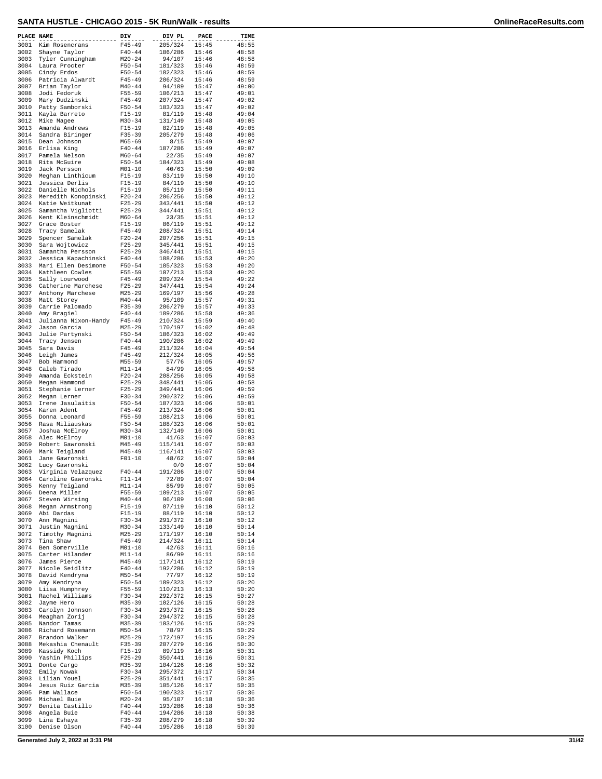| PLACE NAME   |                                       | DIV                      | DIV PL             | PACE           | TIME           |
|--------------|---------------------------------------|--------------------------|--------------------|----------------|----------------|
| 3001         | Kim Rosencrans                        | $F45 - 49$               | 205/324            | 15:45          | 48:55          |
| 3002         | Shayne Taylor                         | $F40 - 44$               | 186/286            | 15:46          | 48:58          |
| 3003         | Tyler Cunningham                      | $M20 - 24$               | 94/107             | 15:46          | 48:58          |
| 3004<br>3005 | Laura Procter<br>Cindy Erdos          | $F50 - 54$<br>$F50 - 54$ | 181/323<br>182/323 | 15:46<br>15:46 | 48:59<br>48:59 |
| 3006         | Patricia Alwardt                      | $F45 - 49$               | 206/324            | 15:46          | 48:59          |
| 3007         | Brian Taylor                          | $M40 - 44$               | 94/109             | 15:47          | 49:00          |
| 3008         | Jodi Fedoruk                          | $F55 - 59$               | 106/213            | 15:47          | 49:01          |
| 3009<br>3010 | Mary Dudzinski<br>Patty Samborski     | $F45 - 49$<br>$F50 - 54$ | 207/324<br>183/323 | 15:47<br>15:47 | 49:02<br>49:02 |
| 3011         | Kayla Barreto                         | $F15 - 19$               | 81/119             | 15:48          | 49:04          |
| 3012         | Mike Magee                            | $M30 - 34$               | 131/149            | 15:48          | 49:05          |
| 3013         | Amanda Andrews                        | $F15 - 19$               | 82/119             | 15:48          | 49:05          |
| 3014<br>3015 | Sandra Biringer<br>Dean Johnson       | $F35 - 39$<br>$M65 - 69$ | 205/279<br>8/15    | 15:48<br>15:49 | 49:06<br>49:07 |
| 3016         | Erlisa King                           | $F40 - 44$               | 187/286            | 15:49          | 49:07          |
| 3017         | Pamela Nelson                         | $M60 - 64$               | 22/35              | 15:49          | 49:07          |
| 3018         | Rita McGuire                          | $F50 - 54$               | 184/323            | 15:49          | 49:08          |
| 3019<br>3020 | Jack Persson<br>Meghan Linthicum      | $M01 - 10$<br>$F15 - 19$ | 40/63<br>83/119    | 15:50<br>15:50 | 49:09<br>49:10 |
| 3021         | Jessica Derlis                        | $F15 - 19$               | 84/119             | 15:50          | 49:10          |
| 3022         | Danielle Nichols                      | $F15 - 19$               | 85/119             | 15:50          | 49:11          |
| 3023         | Meredith Konopinski                   | $F20 - 24$               | 206/256            | 15:50          | 49:12          |
| 3024<br>3025 | Katie Weitkunat<br>Samantha Vigliotti | $F25 - 29$<br>$F25 - 29$ | 343/441<br>344/441 | 15:50<br>15:51 | 49:12<br>49:12 |
| 3026         | Kent Kleinschmidt                     | $M60 - 64$               | 23/35              | 15:51          | 49:12          |
| 3027         | Grace Boster                          | $F15 - 19$               | 86/119             | 15:51          | 49:12          |
| 3028         | Tracy Samelak                         | $F45 - 49$               | 208/324            | 15:51          | 49:14          |
| 3029<br>3030 | Spencer Samelak<br>Sara Wojtowicz     | $F20 - 24$<br>$F25 - 29$ | 207/256<br>345/441 | 15:51<br>15:51 | 49:15<br>49:15 |
| 3031         | Samantha Persson                      | $F25 - 29$               | 346/441            | 15:51          | 49:15          |
| 3032         | Jessica Kapachinski                   | $F40 - 44$               | 188/286            | 15:53          | 49:20          |
| 3033         | Mari Ellen Desimone                   | $F50 - 54$               | 185/323            | 15:53          | 49:20          |
| 3034<br>3035 | Kathleen Cowles                       | $F55 - 59$               | 107/213<br>209/324 | 15:53          | 49:20          |
| 3036         | Sally Lourwood<br>Catherine Marchese  | F45-49<br>$F25 - 29$     | 347/441            | 15:54<br>15:54 | 49:22<br>49:24 |
| 3037         | Anthony Marchese                      | $M25 - 29$               | 169/197            | 15:56          | 49:28          |
| 3038         | Matt Storey                           | $M40 - 44$               | 95/109             | 15:57          | 49:31          |
| 3039         | Carrie Palomado                       | $F35 - 39$               | 206/279            | 15:57          | 49:33          |
| 3040<br>3041 | Amy Bragiel<br>Julianna Nixon-Handy   | $F40 - 44$<br>$F45 - 49$ | 189/286<br>210/324 | 15:58<br>15:59 | 49:36<br>49:40 |
| 3042         | Jason Garcia                          | $M25 - 29$               | 170/197            | 16:02          | 49:48          |
| 3043         | Julie Partynski                       | $F50 - 54$               | 186/323            | 16:02          | 49:49          |
| 3044         | Tracy Jensen                          | $F40 - 44$               | 190/286            | 16:02          | 49:49          |
| 3045<br>3046 | Sara Davis<br>Leigh James             | $F45 - 49$<br>$F45 - 49$ | 211/324<br>212/324 | 16:04<br>16:05 | 49:54<br>49:56 |
| 3047         | Bob Hammond                           | $M55 - 59$               | 57/76              | 16:05          | 49:57          |
| 3048         | Caleb Tirado                          | $M11 - 14$               | 84/99              | 16:05          | 49:58          |
| 3049         | Amanda Eckstein                       | $F20-24$                 | 208/256            | 16:05          | 49:58          |
| 3050<br>3051 | Megan Hammond<br>Stephanie Lerner     | $F25 - 29$<br>$F25 - 29$ | 348/441<br>349/441 | 16:05<br>16:06 | 49:58<br>49:59 |
| 3052         | Megan Lerner                          | $F30-34$                 | 290/372            | 16:06          | 49:59          |
| 3053         | Irene Jasulaitis                      | $F50 - 54$               | 187/323            | 16:06          | 50:01          |
| 3054         | Karen Adent                           | $F45 - 49$               | 213/324            | 16:06          | 50:01          |
| 3055<br>3056 | Donna Leonard<br>Rasa Miliauskas      | $F55 - 59$<br>$F50 - 54$ | 108/213<br>188/323 | 16:06<br>16:06 | 50:01<br>50:01 |
| 3057         | Joshua McElroy                        | $M30 - 34$               | 132/149            | 16:06          | 50:01          |
| 3058         | Alec McElroy                          | $M01 - 10$               | 41/63              | 16:07          | 50:03          |
| 3059<br>3060 | Robert Gawronski                      | $M45 - 49$               | 115/141            | 16:07          | 50:03<br>50:03 |
| 3061         | Mark Teigland<br>Jane Gawronski       | $M45 - 49$<br>$F01 - 10$ | 116/141<br>48/62   | 16:07<br>16:07 | 50:04          |
| 3062         | Lucy Gawronski                        |                          | 0/0                | 16:07          | 50:04          |
| 3063         | Virginia Velazquez                    | $F40 - 44$               | 191/286            | 16:07          | 50:04          |
| 3064         | Caroline Gawronski                    | $F11 - 14$               | 72/89              | 16:07          | 50:04          |
| 3065<br>3066 | Kenny Teigland<br>Deena Miller        | $M11 - 14$<br>F55-59     | 85/99<br>109/213   | 16:07<br>16:07 | 50:05<br>50:05 |
| 3067         | Steven Wirsing                        | $M40 - 44$               | 96/109             | 16:08          | 50:06          |
| 3068         | Megan Armstrong                       | $F15-19$                 | 87/119             | 16:10          | 50:12          |
| 3069         | Abi Dardas                            | $F15-19$                 | 88/119             | 16:10          | 50:12          |
| 3070<br>3071 | Ann Magnini<br>Justin Magnini         | F30-34<br>$M30 - 34$     | 291/372<br>133/149 | 16:10<br>16:10 | 50:12<br>50:14 |
| 3072         | Timothy Magnini                       | $M25 - 29$               | 171/197            | 16:10          | 50:14          |
| 3073         | Tina Shaw                             | $F45 - 49$               | 214/324            | 16:11          | 50:14          |
| 3074         | Ben Somerville                        | $M01 - 10$               | 42/63              | 16:11          | 50:16          |
| 3075<br>3076 | Carter Hilander<br>James Pierce       | $M11 - 14$<br>M45-49     | 86/99<br>117/141   | 16:11<br>16:12 | 50:16<br>50:19 |
| 3077         | Nicole Seidlitz                       | $F40 - 44$               | 192/286            | 16:12          | 50:19          |
| 3078         | David Kendryna                        | $M50 - 54$               | 77/97              | 16:12          | 50:19          |
| 3079         | Amy Kendryna                          | $F50 - 54$               | 189/323            | 16:12          | 50:20          |
| 3080<br>3081 | Liisa Humphrey<br>Rachel Williams     | $F55 - 59$<br>F30-34     | 110/213<br>292/372 | 16:13<br>16:15 | 50:20<br>50:27 |
| 3082         | Jayme Hero                            | $M35 - 39$               | 102/126            | 16:15          | 50:28          |
| 3083         | Carolyn Johnson                       | $F30-34$                 | 293/372            | 16:15          | 50:28          |
| 3084         | Meaghan Zorij                         | $F30 - 34$               | 294/372            | 16:15          | 50:28          |
| 3085<br>3086 | Nandor Tamas<br>Richard Rosemann      | $M35 - 39$<br>$M50 - 54$ | 103/126<br>78/97   | 16:15<br>16:15 | 50:29<br>50:29 |
| 3087         | Brandon Walker                        | $M25 - 29$               | 172/197            | 16:15          | 50:29          |
| 3088         | Mekashia Chenault                     | $F35 - 39$               | 207/279            | 16:16          | 50:30          |
| 3089         | Kassidy Koch                          | $F15-19$                 | 89/119             | 16:16          | 50:31          |
| 3090<br>3091 | Yashin Phillips<br>Donte Cargo        | $F25 - 29$<br>$M35 - 39$ | 350/441<br>104/126 | 16:16<br>16:16 | 50:31<br>50:32 |
| 3092         | Emily Nowak                           | $F30-34$                 | 295/372            | 16:17          | 50:34          |
| 3093         | Lilian Youel                          | $F25 - 29$               | 351/441            | 16:17          | 50:35          |
| 3094         | Jesus Ruiz Garcia                     | M35-39                   | 105/126            | 16:17          | 50:35          |
| 3095<br>3096 | Pam Wallace<br>Michael Buie           | $F50 - 54$<br>$M20 - 24$ | 190/323<br>95/107  | 16:17<br>16:18 | 50:36<br>50:36 |
| 3097         | Benita Castillo                       | $F40 - 44$               | 193/286            | 16:18          | 50:36          |
| 3098         | Angela Buie                           | $F40 - 44$               | 194/286            | 16:18          | 50:38          |
| 3099         | Lina Eshaya                           | $F35 - 39$               | 208/279            | 16:18          | 50:39          |
| 3100         | Denise Olson                          | $F40 - 44$               | 195/286            | 16:18          | 50:39          |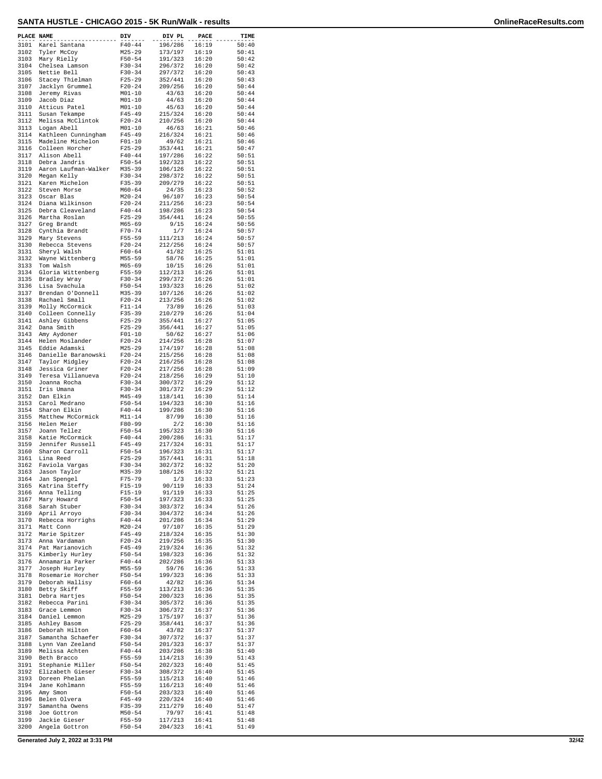| 3101<br>50:40<br>Karel Santana<br>$F40 - 44$<br>196/286<br>16:19<br>3102<br>Tyler McCoy<br>$M25 - 29$<br>173/197<br>16:19<br>50:41<br>3103<br>Mary Rielly<br>$F50 - 54$<br>50:42<br>191/323<br>16:20<br>3104<br>Chelsea Lamson<br>$F30-34$<br>296/372<br>16:20<br>50:42<br>3105<br>Nettie Bell<br>297/372<br>16:20<br>50:43<br>$F30-34$<br>3106<br>Stacey Thielman<br>352/441<br>$F25-29$<br>16:20<br>50:43<br>3107<br>Jacklyn Grummel<br>$F20-24$<br>209/256<br>16:20<br>50:44<br>Jeremy Rivas<br>3108<br>$M01 - 10$<br>43/63<br>16:20<br>50:44<br>3109<br>Jacob Diaz<br>44/63<br>$M01 - 10$<br>16:20<br>50:44<br>3110<br>$M01 - 10$<br>45/63<br>Atticus Patel<br>16:20<br>50:44<br>3111<br>Susan Tekampe<br>$F45 - 49$<br>215/324<br>16:20<br>50:44<br>3112<br>Melissa McClintok<br>$F20 - 24$<br>210/256<br>16:20<br>50:44<br>3113<br>16:21<br>Logan Abell<br>$M01 - 10$<br>46/63<br>50:46<br>3114<br>Kathleen Cunningham<br>$F45 - 49$<br>216/324<br>16:21<br>50:46<br>3115<br>Madeline Michelon<br>49/62<br>$F01-10$<br>16:21<br>50:46<br>3116<br>$F25 - 29$<br>353/441<br>Colleen Horcher<br>16:21<br>50:47<br>3117<br>Alison Abell<br>$F40 - 44$<br>197/286<br>16:22<br>50:51<br>3118<br>Debra Jandris<br>$F50 - 54$<br>16:22<br>192/323<br>50:51<br>3119<br>Aaron Laufman-Walker<br>M35-39<br>106/126<br>16:22<br>50:51<br>3120<br>Megan Kelly<br>$F30 - 34$<br>298/372<br>16:22<br>50:51<br>3121<br>Karen Michelon<br>$F35 - 39$<br>209/279<br>16:22<br>50:51<br>3122<br>Steven Morse<br>M60-64<br>24/35<br>16:23<br>50:52<br>3123<br>Oscar Blas<br>$M20 - 24$<br>96/107<br>16:23<br>50:54<br>3124<br>Diana Wilkinson<br>50:54<br>$F20-24$<br>211/256<br>16:23<br>3125<br>Debra Cleaveland<br>$F40 - 44$<br>198/286<br>16:23<br>50:54<br>3126<br>Martha Roslan<br>$F25 - 29$<br>354/441<br>16:24<br>50:55<br>3127<br>Greg Brandt<br>$M65 - 69$<br>9/15<br>16:24<br>50:56<br>3128<br>1/7<br>Cynthia Brandt<br>F70-74<br>16:24<br>50:57<br>3129<br>Mary Stevens<br>$F55 - 59$<br>111/213<br>16:24<br>50:57<br>3130<br>Rebecca Stevens<br>$F20 - 24$<br>212/256<br>16:24<br>50:57<br>3131<br>Sheryl Walsh<br>$F60 - 64$<br>41/82<br>16:25<br>51:01<br>3132<br>Wayne Wittenberg<br>$M55 - 59$<br>58/76<br>16:25<br>51:01<br>3133<br>$M65 - 69$<br>10/15<br>Tom Walsh<br>16:26<br>51:01<br>3134<br>Gloria Wittenberg<br>F55-59<br>112/213<br>16:26<br>51:01<br>3135<br>Bradley Wray<br>$F30 - 34$<br>299/372<br>16:26<br>51:01<br>3136<br>Lisa Svachula<br>$F50 - 54$<br>193/323<br>51:02<br>16:26<br>3137<br>Brendan O'Donnell<br>M35-39<br>107/126<br>16:26<br>51:02<br>Rachael Small<br>3138<br>$F20 - 24$<br>213/256<br>16:26<br>51:02<br>3139<br>Molly McCormick<br>73/89<br>$F11-14$<br>16:26<br>51:03<br>3140<br>Colleen Connelly<br>$F35 - 39$<br>210/279<br>16:26<br>51:04<br>3141<br>355/441<br>16:27<br>51:05<br>Ashley Gibbens<br>$F25-29$<br>3142<br>$F25 - 29$<br>356/441<br>16:27<br>51:05<br>Dana Smith<br>3143<br>Amy Aydoner<br>$F01-10$<br>50/62<br>16:27<br>51:06<br>3144<br>Helen Moslander<br>$F20 - 24$<br>214/256<br>16:28<br>51:07<br>3145<br>Eddie Adamski<br>$M25 - 29$<br>174/197<br>16:28<br>51:08<br>3146<br>Danielle Baranowski<br>$F20-24$<br>215/256<br>16:28<br>51:08<br>3147<br>Taylor Midgley<br>$F20 - 24$<br>216/256<br>16:28<br>51:08<br>3148<br>Jessica Griner<br>51:09<br>$F20-24$<br>217/256<br>16:28<br>3149<br>Teresa Villanueva<br>$F20-24$<br>218/256<br>16:29<br>51:10<br>3150<br>Joanna Rocha<br>$F30 - 34$<br>300/372<br>16:29<br>51:12<br>3151<br>Iris Umana<br>$F30 - 34$<br>301/372<br>16:29<br>51:12<br>3152<br>Dan Elkin<br>M45-49<br>118/141<br>16:30<br>51:14<br>3153<br>Carol Medrano<br>$F50 - 54$<br>194/323<br>16:30<br>51:16<br>3154<br>Sharon Elkin<br>$F40 - 44$<br>199/286<br>16:30<br>51:16<br>3155<br>Matthew McCormick<br>$M11 - 14$<br>87/99<br>16:30<br>51:16<br>3156<br>Helen Meier<br>2/2<br>16:30<br>F80-99<br>51:16<br>3157<br>Joann Tellez<br>$F50 - 54$<br>195/323<br>16:30<br>51:16<br>3158<br>Katie McCormick<br>$F40 - 44$<br>200/286<br>16:31<br>51:17<br>3159<br>Jennifer Russell<br>217/324<br>16:31<br>51:17<br>F45-49<br>3160<br>$F50 - 54$<br>16:31<br>51:17<br>Sharon Carroll<br>196/323<br>3161<br>16:31<br>Lina Reed<br>$F25-29$<br>357/441<br>51:18<br>3162<br>Faviola Vargas<br>$F30 - 34$<br>302/372<br>16:32<br>51:20<br>M35-39<br>3163<br>Jason Taylor<br>108/126<br>16:32<br>51:21<br>1/3<br>3164<br>Jan Spengel<br>F75-79<br>16:33<br>51:23<br>90/119<br>16:33<br>51:24<br>3165<br>Katrina Steffy<br>$F15-19$<br>51:25<br>3166<br>Anna Telling<br>F15-19<br>91/119<br>16:33<br>3167<br>Mary Howard<br>$F50 - 54$<br>197/323<br>16:33<br>51:25<br>Sarah Stuber<br>$F30 - 34$<br>303/372<br>16:34<br>51:26<br>3168<br>April Arroyo<br>$F30 - 34$<br>3169<br>304/372<br>16:34<br>51:26<br>3170<br>Rebecca Horrighs<br>$F40 - 44$<br>201/286<br>16:34<br>51:29<br>3171<br>$M20 - 24$<br>97/107<br>16:35<br>51:29<br>Matt Conn<br>3172<br>Marie Spitzer<br>$F45 - 49$<br>218/324<br>16:35<br>51:30<br>3173<br>Anna Vardaman<br>$F20-24$<br>219/256<br>16:35<br>51:30<br>3174<br>$F45 - 49$<br>219/324<br>51:32<br>Pat Marianovich<br>16:36<br>3175<br>$F50 - 54$<br>Kimberly Hurley<br>198/323<br>16:36<br>51:32<br>3176<br>$F40 - 44$<br>Annamaria Parker<br>202/286<br>16:36<br>51:33<br>3177<br>M55-59<br>59/76<br>51:33<br>Joseph Hurley<br>16:36<br>3178<br>$F50 - 54$<br>Rosemarie Horcher<br>199/323<br>16:36<br>51:33<br>3179<br>Deborah Hallisy<br>$F60 - 64$<br>42/82<br>16:36<br>51:34<br>Betty Skiff<br>$F55 - 59$<br>113/213<br>16:36<br>51:35<br>3180<br>3181<br>Debra Hartjes<br>$F50 - 54$<br>200/323<br>16:36<br>51:35<br>3182<br>Rebecca Parini<br>$F30-34$<br>305/372<br>16:36<br>51:35<br>3183<br>Grace Lemmon<br>306/372<br>16:37<br>51:36<br>$F30-34$<br>Daniel Lemmon<br>3184<br>M25-29<br>175/197<br>16:37<br>51:36<br>3185<br>Ashley Basom<br>$F25 - 29$<br>358/441<br>16:37<br>51:36<br>3186<br>Deborah Hilton<br>$F60 - 64$<br>43/82<br>16:37<br>51:37<br>307/372<br>3187<br>Samantha Schaefer<br>F30-34<br>16:37<br>51:37<br>3188<br>Lynn Van Zeeland<br>$F50 - 54$<br>201/323<br>16:37<br>51:37<br>3189<br>$F40 - 44$<br>51:40<br>Melissa Achten<br>203/286<br>16:38<br>3190<br>Beth Bracco<br>$F55 - 59$<br>114/213<br>16:39<br>51:43<br>3191<br>Stephanie Miller<br>$F50 - 54$<br>202/323<br>16:40<br>51:45<br>3192<br>Elizabeth Gieser<br>16:40<br>51:45<br>$F30-34$<br>308/372<br>3193<br>Doreen Phelan<br>$F55 - 59$<br>115/213<br>16:40<br>51:46<br>$F55 - 59$<br>3194<br>Jane Kohlmann<br>116/213<br>16:40<br>51:46<br>3195<br>$F50 - 54$<br>203/323<br>51:46<br>Amy Smon<br>16:40<br>3196<br>Belen Olvera<br>$F45 - 49$<br>220/324<br>16:40<br>51:46<br>3197<br>Samantha Owens<br>$F35 - 39$<br>211/279<br>16:40<br>51:47<br>79/97<br>3198<br>Joe Gottron<br>$M50 - 54$<br>16:41<br>51:48<br>3199<br>$F55 - 59$<br>16:41<br>Jackie Gieser<br>117/213<br>51:48<br>3200<br>Angela Gottron<br>$F50 - 54$<br>204/323<br>16:41<br>51:49 | PLACE NAME | DIV | DIV PL | <b>PACE</b> | TIME |
|----------------------------------------------------------------------------------------------------------------------------------------------------------------------------------------------------------------------------------------------------------------------------------------------------------------------------------------------------------------------------------------------------------------------------------------------------------------------------------------------------------------------------------------------------------------------------------------------------------------------------------------------------------------------------------------------------------------------------------------------------------------------------------------------------------------------------------------------------------------------------------------------------------------------------------------------------------------------------------------------------------------------------------------------------------------------------------------------------------------------------------------------------------------------------------------------------------------------------------------------------------------------------------------------------------------------------------------------------------------------------------------------------------------------------------------------------------------------------------------------------------------------------------------------------------------------------------------------------------------------------------------------------------------------------------------------------------------------------------------------------------------------------------------------------------------------------------------------------------------------------------------------------------------------------------------------------------------------------------------------------------------------------------------------------------------------------------------------------------------------------------------------------------------------------------------------------------------------------------------------------------------------------------------------------------------------------------------------------------------------------------------------------------------------------------------------------------------------------------------------------------------------------------------------------------------------------------------------------------------------------------------------------------------------------------------------------------------------------------------------------------------------------------------------------------------------------------------------------------------------------------------------------------------------------------------------------------------------------------------------------------------------------------------------------------------------------------------------------------------------------------------------------------------------------------------------------------------------------------------------------------------------------------------------------------------------------------------------------------------------------------------------------------------------------------------------------------------------------------------------------------------------------------------------------------------------------------------------------------------------------------------------------------------------------------------------------------------------------------------------------------------------------------------------------------------------------------------------------------------------------------------------------------------------------------------------------------------------------------------------------------------------------------------------------------------------------------------------------------------------------------------------------------------------------------------------------------------------------------------------------------------------------------------------------------------------------------------------------------------------------------------------------------------------------------------------------------------------------------------------------------------------------------------------------------------------------------------------------------------------------------------------------------------------------------------------------------------------------------------------------------------------------------------------------------------------------------------------------------------------------------------------------------------------------------------------------------------------------------------------------------------------------------------------------------------------------------------------------------------------------------------------------------------------------------------------------------------------------------------------------------------------------------------------------------------------------------------------------------------------------------------------------------------------------------------------------------------------------------------------------------------------------------------------------------------------------------------------------------------------------------------------------------------------------------------------------------------------------------------------------------------------------------------------------------------------------------------------------------------------------------------------------------------------------------------------------------------------------------------------------------------------------------------------------------------------------------------------------------------------------------------------------------------------------------------------------------------------------------------------------------------------------------------------------------------------------------------------------------------------------------------------------------------------------------------------------------------------------------------------------------------------------------------------------------------------------------------------------------------------------------------------------------------------------------------------------------------------------------------------------------------------------------------------------------------------------------------------------------------------------------------------------------------------------------------------------------------------|------------|-----|--------|-------------|------|
|                                                                                                                                                                                                                                                                                                                                                                                                                                                                                                                                                                                                                                                                                                                                                                                                                                                                                                                                                                                                                                                                                                                                                                                                                                                                                                                                                                                                                                                                                                                                                                                                                                                                                                                                                                                                                                                                                                                                                                                                                                                                                                                                                                                                                                                                                                                                                                                                                                                                                                                                                                                                                                                                                                                                                                                                                                                                                                                                                                                                                                                                                                                                                                                                                                                                                                                                                                                                                                                                                                                                                                                                                                                                                                                                                                                                                                                                                                                                                                                                                                                                                                                                                                                                                                                                                                                                                                                                                                                                                                                                                                                                                                                                                                                                                                                                                                                                                                                                                                                                                                                                                                                                                                                                                                                                                                                                                                                                                                                                                                                                                                                                                                                                                                                                                                                                                                                                                                                                                                                                                                                                                                                                                                                                                                                                                                                                                                                                                                                                                                                                                                                                                                                                                                                                                                                                                                                                                                                                                                      |            |     |        |             |      |
|                                                                                                                                                                                                                                                                                                                                                                                                                                                                                                                                                                                                                                                                                                                                                                                                                                                                                                                                                                                                                                                                                                                                                                                                                                                                                                                                                                                                                                                                                                                                                                                                                                                                                                                                                                                                                                                                                                                                                                                                                                                                                                                                                                                                                                                                                                                                                                                                                                                                                                                                                                                                                                                                                                                                                                                                                                                                                                                                                                                                                                                                                                                                                                                                                                                                                                                                                                                                                                                                                                                                                                                                                                                                                                                                                                                                                                                                                                                                                                                                                                                                                                                                                                                                                                                                                                                                                                                                                                                                                                                                                                                                                                                                                                                                                                                                                                                                                                                                                                                                                                                                                                                                                                                                                                                                                                                                                                                                                                                                                                                                                                                                                                                                                                                                                                                                                                                                                                                                                                                                                                                                                                                                                                                                                                                                                                                                                                                                                                                                                                                                                                                                                                                                                                                                                                                                                                                                                                                                                                      |            |     |        |             |      |
|                                                                                                                                                                                                                                                                                                                                                                                                                                                                                                                                                                                                                                                                                                                                                                                                                                                                                                                                                                                                                                                                                                                                                                                                                                                                                                                                                                                                                                                                                                                                                                                                                                                                                                                                                                                                                                                                                                                                                                                                                                                                                                                                                                                                                                                                                                                                                                                                                                                                                                                                                                                                                                                                                                                                                                                                                                                                                                                                                                                                                                                                                                                                                                                                                                                                                                                                                                                                                                                                                                                                                                                                                                                                                                                                                                                                                                                                                                                                                                                                                                                                                                                                                                                                                                                                                                                                                                                                                                                                                                                                                                                                                                                                                                                                                                                                                                                                                                                                                                                                                                                                                                                                                                                                                                                                                                                                                                                                                                                                                                                                                                                                                                                                                                                                                                                                                                                                                                                                                                                                                                                                                                                                                                                                                                                                                                                                                                                                                                                                                                                                                                                                                                                                                                                                                                                                                                                                                                                                                                      |            |     |        |             |      |
|                                                                                                                                                                                                                                                                                                                                                                                                                                                                                                                                                                                                                                                                                                                                                                                                                                                                                                                                                                                                                                                                                                                                                                                                                                                                                                                                                                                                                                                                                                                                                                                                                                                                                                                                                                                                                                                                                                                                                                                                                                                                                                                                                                                                                                                                                                                                                                                                                                                                                                                                                                                                                                                                                                                                                                                                                                                                                                                                                                                                                                                                                                                                                                                                                                                                                                                                                                                                                                                                                                                                                                                                                                                                                                                                                                                                                                                                                                                                                                                                                                                                                                                                                                                                                                                                                                                                                                                                                                                                                                                                                                                                                                                                                                                                                                                                                                                                                                                                                                                                                                                                                                                                                                                                                                                                                                                                                                                                                                                                                                                                                                                                                                                                                                                                                                                                                                                                                                                                                                                                                                                                                                                                                                                                                                                                                                                                                                                                                                                                                                                                                                                                                                                                                                                                                                                                                                                                                                                                                                      |            |     |        |             |      |
|                                                                                                                                                                                                                                                                                                                                                                                                                                                                                                                                                                                                                                                                                                                                                                                                                                                                                                                                                                                                                                                                                                                                                                                                                                                                                                                                                                                                                                                                                                                                                                                                                                                                                                                                                                                                                                                                                                                                                                                                                                                                                                                                                                                                                                                                                                                                                                                                                                                                                                                                                                                                                                                                                                                                                                                                                                                                                                                                                                                                                                                                                                                                                                                                                                                                                                                                                                                                                                                                                                                                                                                                                                                                                                                                                                                                                                                                                                                                                                                                                                                                                                                                                                                                                                                                                                                                                                                                                                                                                                                                                                                                                                                                                                                                                                                                                                                                                                                                                                                                                                                                                                                                                                                                                                                                                                                                                                                                                                                                                                                                                                                                                                                                                                                                                                                                                                                                                                                                                                                                                                                                                                                                                                                                                                                                                                                                                                                                                                                                                                                                                                                                                                                                                                                                                                                                                                                                                                                                                                      |            |     |        |             |      |
|                                                                                                                                                                                                                                                                                                                                                                                                                                                                                                                                                                                                                                                                                                                                                                                                                                                                                                                                                                                                                                                                                                                                                                                                                                                                                                                                                                                                                                                                                                                                                                                                                                                                                                                                                                                                                                                                                                                                                                                                                                                                                                                                                                                                                                                                                                                                                                                                                                                                                                                                                                                                                                                                                                                                                                                                                                                                                                                                                                                                                                                                                                                                                                                                                                                                                                                                                                                                                                                                                                                                                                                                                                                                                                                                                                                                                                                                                                                                                                                                                                                                                                                                                                                                                                                                                                                                                                                                                                                                                                                                                                                                                                                                                                                                                                                                                                                                                                                                                                                                                                                                                                                                                                                                                                                                                                                                                                                                                                                                                                                                                                                                                                                                                                                                                                                                                                                                                                                                                                                                                                                                                                                                                                                                                                                                                                                                                                                                                                                                                                                                                                                                                                                                                                                                                                                                                                                                                                                                                                      |            |     |        |             |      |
|                                                                                                                                                                                                                                                                                                                                                                                                                                                                                                                                                                                                                                                                                                                                                                                                                                                                                                                                                                                                                                                                                                                                                                                                                                                                                                                                                                                                                                                                                                                                                                                                                                                                                                                                                                                                                                                                                                                                                                                                                                                                                                                                                                                                                                                                                                                                                                                                                                                                                                                                                                                                                                                                                                                                                                                                                                                                                                                                                                                                                                                                                                                                                                                                                                                                                                                                                                                                                                                                                                                                                                                                                                                                                                                                                                                                                                                                                                                                                                                                                                                                                                                                                                                                                                                                                                                                                                                                                                                                                                                                                                                                                                                                                                                                                                                                                                                                                                                                                                                                                                                                                                                                                                                                                                                                                                                                                                                                                                                                                                                                                                                                                                                                                                                                                                                                                                                                                                                                                                                                                                                                                                                                                                                                                                                                                                                                                                                                                                                                                                                                                                                                                                                                                                                                                                                                                                                                                                                                                                      |            |     |        |             |      |
|                                                                                                                                                                                                                                                                                                                                                                                                                                                                                                                                                                                                                                                                                                                                                                                                                                                                                                                                                                                                                                                                                                                                                                                                                                                                                                                                                                                                                                                                                                                                                                                                                                                                                                                                                                                                                                                                                                                                                                                                                                                                                                                                                                                                                                                                                                                                                                                                                                                                                                                                                                                                                                                                                                                                                                                                                                                                                                                                                                                                                                                                                                                                                                                                                                                                                                                                                                                                                                                                                                                                                                                                                                                                                                                                                                                                                                                                                                                                                                                                                                                                                                                                                                                                                                                                                                                                                                                                                                                                                                                                                                                                                                                                                                                                                                                                                                                                                                                                                                                                                                                                                                                                                                                                                                                                                                                                                                                                                                                                                                                                                                                                                                                                                                                                                                                                                                                                                                                                                                                                                                                                                                                                                                                                                                                                                                                                                                                                                                                                                                                                                                                                                                                                                                                                                                                                                                                                                                                                                                      |            |     |        |             |      |
|                                                                                                                                                                                                                                                                                                                                                                                                                                                                                                                                                                                                                                                                                                                                                                                                                                                                                                                                                                                                                                                                                                                                                                                                                                                                                                                                                                                                                                                                                                                                                                                                                                                                                                                                                                                                                                                                                                                                                                                                                                                                                                                                                                                                                                                                                                                                                                                                                                                                                                                                                                                                                                                                                                                                                                                                                                                                                                                                                                                                                                                                                                                                                                                                                                                                                                                                                                                                                                                                                                                                                                                                                                                                                                                                                                                                                                                                                                                                                                                                                                                                                                                                                                                                                                                                                                                                                                                                                                                                                                                                                                                                                                                                                                                                                                                                                                                                                                                                                                                                                                                                                                                                                                                                                                                                                                                                                                                                                                                                                                                                                                                                                                                                                                                                                                                                                                                                                                                                                                                                                                                                                                                                                                                                                                                                                                                                                                                                                                                                                                                                                                                                                                                                                                                                                                                                                                                                                                                                                                      |            |     |        |             |      |
|                                                                                                                                                                                                                                                                                                                                                                                                                                                                                                                                                                                                                                                                                                                                                                                                                                                                                                                                                                                                                                                                                                                                                                                                                                                                                                                                                                                                                                                                                                                                                                                                                                                                                                                                                                                                                                                                                                                                                                                                                                                                                                                                                                                                                                                                                                                                                                                                                                                                                                                                                                                                                                                                                                                                                                                                                                                                                                                                                                                                                                                                                                                                                                                                                                                                                                                                                                                                                                                                                                                                                                                                                                                                                                                                                                                                                                                                                                                                                                                                                                                                                                                                                                                                                                                                                                                                                                                                                                                                                                                                                                                                                                                                                                                                                                                                                                                                                                                                                                                                                                                                                                                                                                                                                                                                                                                                                                                                                                                                                                                                                                                                                                                                                                                                                                                                                                                                                                                                                                                                                                                                                                                                                                                                                                                                                                                                                                                                                                                                                                                                                                                                                                                                                                                                                                                                                                                                                                                                                                      |            |     |        |             |      |
|                                                                                                                                                                                                                                                                                                                                                                                                                                                                                                                                                                                                                                                                                                                                                                                                                                                                                                                                                                                                                                                                                                                                                                                                                                                                                                                                                                                                                                                                                                                                                                                                                                                                                                                                                                                                                                                                                                                                                                                                                                                                                                                                                                                                                                                                                                                                                                                                                                                                                                                                                                                                                                                                                                                                                                                                                                                                                                                                                                                                                                                                                                                                                                                                                                                                                                                                                                                                                                                                                                                                                                                                                                                                                                                                                                                                                                                                                                                                                                                                                                                                                                                                                                                                                                                                                                                                                                                                                                                                                                                                                                                                                                                                                                                                                                                                                                                                                                                                                                                                                                                                                                                                                                                                                                                                                                                                                                                                                                                                                                                                                                                                                                                                                                                                                                                                                                                                                                                                                                                                                                                                                                                                                                                                                                                                                                                                                                                                                                                                                                                                                                                                                                                                                                                                                                                                                                                                                                                                                                      |            |     |        |             |      |
|                                                                                                                                                                                                                                                                                                                                                                                                                                                                                                                                                                                                                                                                                                                                                                                                                                                                                                                                                                                                                                                                                                                                                                                                                                                                                                                                                                                                                                                                                                                                                                                                                                                                                                                                                                                                                                                                                                                                                                                                                                                                                                                                                                                                                                                                                                                                                                                                                                                                                                                                                                                                                                                                                                                                                                                                                                                                                                                                                                                                                                                                                                                                                                                                                                                                                                                                                                                                                                                                                                                                                                                                                                                                                                                                                                                                                                                                                                                                                                                                                                                                                                                                                                                                                                                                                                                                                                                                                                                                                                                                                                                                                                                                                                                                                                                                                                                                                                                                                                                                                                                                                                                                                                                                                                                                                                                                                                                                                                                                                                                                                                                                                                                                                                                                                                                                                                                                                                                                                                                                                                                                                                                                                                                                                                                                                                                                                                                                                                                                                                                                                                                                                                                                                                                                                                                                                                                                                                                                                                      |            |     |        |             |      |
|                                                                                                                                                                                                                                                                                                                                                                                                                                                                                                                                                                                                                                                                                                                                                                                                                                                                                                                                                                                                                                                                                                                                                                                                                                                                                                                                                                                                                                                                                                                                                                                                                                                                                                                                                                                                                                                                                                                                                                                                                                                                                                                                                                                                                                                                                                                                                                                                                                                                                                                                                                                                                                                                                                                                                                                                                                                                                                                                                                                                                                                                                                                                                                                                                                                                                                                                                                                                                                                                                                                                                                                                                                                                                                                                                                                                                                                                                                                                                                                                                                                                                                                                                                                                                                                                                                                                                                                                                                                                                                                                                                                                                                                                                                                                                                                                                                                                                                                                                                                                                                                                                                                                                                                                                                                                                                                                                                                                                                                                                                                                                                                                                                                                                                                                                                                                                                                                                                                                                                                                                                                                                                                                                                                                                                                                                                                                                                                                                                                                                                                                                                                                                                                                                                                                                                                                                                                                                                                                                                      |            |     |        |             |      |
|                                                                                                                                                                                                                                                                                                                                                                                                                                                                                                                                                                                                                                                                                                                                                                                                                                                                                                                                                                                                                                                                                                                                                                                                                                                                                                                                                                                                                                                                                                                                                                                                                                                                                                                                                                                                                                                                                                                                                                                                                                                                                                                                                                                                                                                                                                                                                                                                                                                                                                                                                                                                                                                                                                                                                                                                                                                                                                                                                                                                                                                                                                                                                                                                                                                                                                                                                                                                                                                                                                                                                                                                                                                                                                                                                                                                                                                                                                                                                                                                                                                                                                                                                                                                                                                                                                                                                                                                                                                                                                                                                                                                                                                                                                                                                                                                                                                                                                                                                                                                                                                                                                                                                                                                                                                                                                                                                                                                                                                                                                                                                                                                                                                                                                                                                                                                                                                                                                                                                                                                                                                                                                                                                                                                                                                                                                                                                                                                                                                                                                                                                                                                                                                                                                                                                                                                                                                                                                                                                                      |            |     |        |             |      |
|                                                                                                                                                                                                                                                                                                                                                                                                                                                                                                                                                                                                                                                                                                                                                                                                                                                                                                                                                                                                                                                                                                                                                                                                                                                                                                                                                                                                                                                                                                                                                                                                                                                                                                                                                                                                                                                                                                                                                                                                                                                                                                                                                                                                                                                                                                                                                                                                                                                                                                                                                                                                                                                                                                                                                                                                                                                                                                                                                                                                                                                                                                                                                                                                                                                                                                                                                                                                                                                                                                                                                                                                                                                                                                                                                                                                                                                                                                                                                                                                                                                                                                                                                                                                                                                                                                                                                                                                                                                                                                                                                                                                                                                                                                                                                                                                                                                                                                                                                                                                                                                                                                                                                                                                                                                                                                                                                                                                                                                                                                                                                                                                                                                                                                                                                                                                                                                                                                                                                                                                                                                                                                                                                                                                                                                                                                                                                                                                                                                                                                                                                                                                                                                                                                                                                                                                                                                                                                                                                                      |            |     |        |             |      |
|                                                                                                                                                                                                                                                                                                                                                                                                                                                                                                                                                                                                                                                                                                                                                                                                                                                                                                                                                                                                                                                                                                                                                                                                                                                                                                                                                                                                                                                                                                                                                                                                                                                                                                                                                                                                                                                                                                                                                                                                                                                                                                                                                                                                                                                                                                                                                                                                                                                                                                                                                                                                                                                                                                                                                                                                                                                                                                                                                                                                                                                                                                                                                                                                                                                                                                                                                                                                                                                                                                                                                                                                                                                                                                                                                                                                                                                                                                                                                                                                                                                                                                                                                                                                                                                                                                                                                                                                                                                                                                                                                                                                                                                                                                                                                                                                                                                                                                                                                                                                                                                                                                                                                                                                                                                                                                                                                                                                                                                                                                                                                                                                                                                                                                                                                                                                                                                                                                                                                                                                                                                                                                                                                                                                                                                                                                                                                                                                                                                                                                                                                                                                                                                                                                                                                                                                                                                                                                                                                                      |            |     |        |             |      |
|                                                                                                                                                                                                                                                                                                                                                                                                                                                                                                                                                                                                                                                                                                                                                                                                                                                                                                                                                                                                                                                                                                                                                                                                                                                                                                                                                                                                                                                                                                                                                                                                                                                                                                                                                                                                                                                                                                                                                                                                                                                                                                                                                                                                                                                                                                                                                                                                                                                                                                                                                                                                                                                                                                                                                                                                                                                                                                                                                                                                                                                                                                                                                                                                                                                                                                                                                                                                                                                                                                                                                                                                                                                                                                                                                                                                                                                                                                                                                                                                                                                                                                                                                                                                                                                                                                                                                                                                                                                                                                                                                                                                                                                                                                                                                                                                                                                                                                                                                                                                                                                                                                                                                                                                                                                                                                                                                                                                                                                                                                                                                                                                                                                                                                                                                                                                                                                                                                                                                                                                                                                                                                                                                                                                                                                                                                                                                                                                                                                                                                                                                                                                                                                                                                                                                                                                                                                                                                                                                                      |            |     |        |             |      |
|                                                                                                                                                                                                                                                                                                                                                                                                                                                                                                                                                                                                                                                                                                                                                                                                                                                                                                                                                                                                                                                                                                                                                                                                                                                                                                                                                                                                                                                                                                                                                                                                                                                                                                                                                                                                                                                                                                                                                                                                                                                                                                                                                                                                                                                                                                                                                                                                                                                                                                                                                                                                                                                                                                                                                                                                                                                                                                                                                                                                                                                                                                                                                                                                                                                                                                                                                                                                                                                                                                                                                                                                                                                                                                                                                                                                                                                                                                                                                                                                                                                                                                                                                                                                                                                                                                                                                                                                                                                                                                                                                                                                                                                                                                                                                                                                                                                                                                                                                                                                                                                                                                                                                                                                                                                                                                                                                                                                                                                                                                                                                                                                                                                                                                                                                                                                                                                                                                                                                                                                                                                                                                                                                                                                                                                                                                                                                                                                                                                                                                                                                                                                                                                                                                                                                                                                                                                                                                                                                                      |            |     |        |             |      |
|                                                                                                                                                                                                                                                                                                                                                                                                                                                                                                                                                                                                                                                                                                                                                                                                                                                                                                                                                                                                                                                                                                                                                                                                                                                                                                                                                                                                                                                                                                                                                                                                                                                                                                                                                                                                                                                                                                                                                                                                                                                                                                                                                                                                                                                                                                                                                                                                                                                                                                                                                                                                                                                                                                                                                                                                                                                                                                                                                                                                                                                                                                                                                                                                                                                                                                                                                                                                                                                                                                                                                                                                                                                                                                                                                                                                                                                                                                                                                                                                                                                                                                                                                                                                                                                                                                                                                                                                                                                                                                                                                                                                                                                                                                                                                                                                                                                                                                                                                                                                                                                                                                                                                                                                                                                                                                                                                                                                                                                                                                                                                                                                                                                                                                                                                                                                                                                                                                                                                                                                                                                                                                                                                                                                                                                                                                                                                                                                                                                                                                                                                                                                                                                                                                                                                                                                                                                                                                                                                                      |            |     |        |             |      |
|                                                                                                                                                                                                                                                                                                                                                                                                                                                                                                                                                                                                                                                                                                                                                                                                                                                                                                                                                                                                                                                                                                                                                                                                                                                                                                                                                                                                                                                                                                                                                                                                                                                                                                                                                                                                                                                                                                                                                                                                                                                                                                                                                                                                                                                                                                                                                                                                                                                                                                                                                                                                                                                                                                                                                                                                                                                                                                                                                                                                                                                                                                                                                                                                                                                                                                                                                                                                                                                                                                                                                                                                                                                                                                                                                                                                                                                                                                                                                                                                                                                                                                                                                                                                                                                                                                                                                                                                                                                                                                                                                                                                                                                                                                                                                                                                                                                                                                                                                                                                                                                                                                                                                                                                                                                                                                                                                                                                                                                                                                                                                                                                                                                                                                                                                                                                                                                                                                                                                                                                                                                                                                                                                                                                                                                                                                                                                                                                                                                                                                                                                                                                                                                                                                                                                                                                                                                                                                                                                                      |            |     |        |             |      |
|                                                                                                                                                                                                                                                                                                                                                                                                                                                                                                                                                                                                                                                                                                                                                                                                                                                                                                                                                                                                                                                                                                                                                                                                                                                                                                                                                                                                                                                                                                                                                                                                                                                                                                                                                                                                                                                                                                                                                                                                                                                                                                                                                                                                                                                                                                                                                                                                                                                                                                                                                                                                                                                                                                                                                                                                                                                                                                                                                                                                                                                                                                                                                                                                                                                                                                                                                                                                                                                                                                                                                                                                                                                                                                                                                                                                                                                                                                                                                                                                                                                                                                                                                                                                                                                                                                                                                                                                                                                                                                                                                                                                                                                                                                                                                                                                                                                                                                                                                                                                                                                                                                                                                                                                                                                                                                                                                                                                                                                                                                                                                                                                                                                                                                                                                                                                                                                                                                                                                                                                                                                                                                                                                                                                                                                                                                                                                                                                                                                                                                                                                                                                                                                                                                                                                                                                                                                                                                                                                                      |            |     |        |             |      |
|                                                                                                                                                                                                                                                                                                                                                                                                                                                                                                                                                                                                                                                                                                                                                                                                                                                                                                                                                                                                                                                                                                                                                                                                                                                                                                                                                                                                                                                                                                                                                                                                                                                                                                                                                                                                                                                                                                                                                                                                                                                                                                                                                                                                                                                                                                                                                                                                                                                                                                                                                                                                                                                                                                                                                                                                                                                                                                                                                                                                                                                                                                                                                                                                                                                                                                                                                                                                                                                                                                                                                                                                                                                                                                                                                                                                                                                                                                                                                                                                                                                                                                                                                                                                                                                                                                                                                                                                                                                                                                                                                                                                                                                                                                                                                                                                                                                                                                                                                                                                                                                                                                                                                                                                                                                                                                                                                                                                                                                                                                                                                                                                                                                                                                                                                                                                                                                                                                                                                                                                                                                                                                                                                                                                                                                                                                                                                                                                                                                                                                                                                                                                                                                                                                                                                                                                                                                                                                                                                                      |            |     |        |             |      |
|                                                                                                                                                                                                                                                                                                                                                                                                                                                                                                                                                                                                                                                                                                                                                                                                                                                                                                                                                                                                                                                                                                                                                                                                                                                                                                                                                                                                                                                                                                                                                                                                                                                                                                                                                                                                                                                                                                                                                                                                                                                                                                                                                                                                                                                                                                                                                                                                                                                                                                                                                                                                                                                                                                                                                                                                                                                                                                                                                                                                                                                                                                                                                                                                                                                                                                                                                                                                                                                                                                                                                                                                                                                                                                                                                                                                                                                                                                                                                                                                                                                                                                                                                                                                                                                                                                                                                                                                                                                                                                                                                                                                                                                                                                                                                                                                                                                                                                                                                                                                                                                                                                                                                                                                                                                                                                                                                                                                                                                                                                                                                                                                                                                                                                                                                                                                                                                                                                                                                                                                                                                                                                                                                                                                                                                                                                                                                                                                                                                                                                                                                                                                                                                                                                                                                                                                                                                                                                                                                                      |            |     |        |             |      |
|                                                                                                                                                                                                                                                                                                                                                                                                                                                                                                                                                                                                                                                                                                                                                                                                                                                                                                                                                                                                                                                                                                                                                                                                                                                                                                                                                                                                                                                                                                                                                                                                                                                                                                                                                                                                                                                                                                                                                                                                                                                                                                                                                                                                                                                                                                                                                                                                                                                                                                                                                                                                                                                                                                                                                                                                                                                                                                                                                                                                                                                                                                                                                                                                                                                                                                                                                                                                                                                                                                                                                                                                                                                                                                                                                                                                                                                                                                                                                                                                                                                                                                                                                                                                                                                                                                                                                                                                                                                                                                                                                                                                                                                                                                                                                                                                                                                                                                                                                                                                                                                                                                                                                                                                                                                                                                                                                                                                                                                                                                                                                                                                                                                                                                                                                                                                                                                                                                                                                                                                                                                                                                                                                                                                                                                                                                                                                                                                                                                                                                                                                                                                                                                                                                                                                                                                                                                                                                                                                                      |            |     |        |             |      |
|                                                                                                                                                                                                                                                                                                                                                                                                                                                                                                                                                                                                                                                                                                                                                                                                                                                                                                                                                                                                                                                                                                                                                                                                                                                                                                                                                                                                                                                                                                                                                                                                                                                                                                                                                                                                                                                                                                                                                                                                                                                                                                                                                                                                                                                                                                                                                                                                                                                                                                                                                                                                                                                                                                                                                                                                                                                                                                                                                                                                                                                                                                                                                                                                                                                                                                                                                                                                                                                                                                                                                                                                                                                                                                                                                                                                                                                                                                                                                                                                                                                                                                                                                                                                                                                                                                                                                                                                                                                                                                                                                                                                                                                                                                                                                                                                                                                                                                                                                                                                                                                                                                                                                                                                                                                                                                                                                                                                                                                                                                                                                                                                                                                                                                                                                                                                                                                                                                                                                                                                                                                                                                                                                                                                                                                                                                                                                                                                                                                                                                                                                                                                                                                                                                                                                                                                                                                                                                                                                                      |            |     |        |             |      |
|                                                                                                                                                                                                                                                                                                                                                                                                                                                                                                                                                                                                                                                                                                                                                                                                                                                                                                                                                                                                                                                                                                                                                                                                                                                                                                                                                                                                                                                                                                                                                                                                                                                                                                                                                                                                                                                                                                                                                                                                                                                                                                                                                                                                                                                                                                                                                                                                                                                                                                                                                                                                                                                                                                                                                                                                                                                                                                                                                                                                                                                                                                                                                                                                                                                                                                                                                                                                                                                                                                                                                                                                                                                                                                                                                                                                                                                                                                                                                                                                                                                                                                                                                                                                                                                                                                                                                                                                                                                                                                                                                                                                                                                                                                                                                                                                                                                                                                                                                                                                                                                                                                                                                                                                                                                                                                                                                                                                                                                                                                                                                                                                                                                                                                                                                                                                                                                                                                                                                                                                                                                                                                                                                                                                                                                                                                                                                                                                                                                                                                                                                                                                                                                                                                                                                                                                                                                                                                                                                                      |            |     |        |             |      |
|                                                                                                                                                                                                                                                                                                                                                                                                                                                                                                                                                                                                                                                                                                                                                                                                                                                                                                                                                                                                                                                                                                                                                                                                                                                                                                                                                                                                                                                                                                                                                                                                                                                                                                                                                                                                                                                                                                                                                                                                                                                                                                                                                                                                                                                                                                                                                                                                                                                                                                                                                                                                                                                                                                                                                                                                                                                                                                                                                                                                                                                                                                                                                                                                                                                                                                                                                                                                                                                                                                                                                                                                                                                                                                                                                                                                                                                                                                                                                                                                                                                                                                                                                                                                                                                                                                                                                                                                                                                                                                                                                                                                                                                                                                                                                                                                                                                                                                                                                                                                                                                                                                                                                                                                                                                                                                                                                                                                                                                                                                                                                                                                                                                                                                                                                                                                                                                                                                                                                                                                                                                                                                                                                                                                                                                                                                                                                                                                                                                                                                                                                                                                                                                                                                                                                                                                                                                                                                                                                                      |            |     |        |             |      |
|                                                                                                                                                                                                                                                                                                                                                                                                                                                                                                                                                                                                                                                                                                                                                                                                                                                                                                                                                                                                                                                                                                                                                                                                                                                                                                                                                                                                                                                                                                                                                                                                                                                                                                                                                                                                                                                                                                                                                                                                                                                                                                                                                                                                                                                                                                                                                                                                                                                                                                                                                                                                                                                                                                                                                                                                                                                                                                                                                                                                                                                                                                                                                                                                                                                                                                                                                                                                                                                                                                                                                                                                                                                                                                                                                                                                                                                                                                                                                                                                                                                                                                                                                                                                                                                                                                                                                                                                                                                                                                                                                                                                                                                                                                                                                                                                                                                                                                                                                                                                                                                                                                                                                                                                                                                                                                                                                                                                                                                                                                                                                                                                                                                                                                                                                                                                                                                                                                                                                                                                                                                                                                                                                                                                                                                                                                                                                                                                                                                                                                                                                                                                                                                                                                                                                                                                                                                                                                                                                                      |            |     |        |             |      |
|                                                                                                                                                                                                                                                                                                                                                                                                                                                                                                                                                                                                                                                                                                                                                                                                                                                                                                                                                                                                                                                                                                                                                                                                                                                                                                                                                                                                                                                                                                                                                                                                                                                                                                                                                                                                                                                                                                                                                                                                                                                                                                                                                                                                                                                                                                                                                                                                                                                                                                                                                                                                                                                                                                                                                                                                                                                                                                                                                                                                                                                                                                                                                                                                                                                                                                                                                                                                                                                                                                                                                                                                                                                                                                                                                                                                                                                                                                                                                                                                                                                                                                                                                                                                                                                                                                                                                                                                                                                                                                                                                                                                                                                                                                                                                                                                                                                                                                                                                                                                                                                                                                                                                                                                                                                                                                                                                                                                                                                                                                                                                                                                                                                                                                                                                                                                                                                                                                                                                                                                                                                                                                                                                                                                                                                                                                                                                                                                                                                                                                                                                                                                                                                                                                                                                                                                                                                                                                                                                                      |            |     |        |             |      |
|                                                                                                                                                                                                                                                                                                                                                                                                                                                                                                                                                                                                                                                                                                                                                                                                                                                                                                                                                                                                                                                                                                                                                                                                                                                                                                                                                                                                                                                                                                                                                                                                                                                                                                                                                                                                                                                                                                                                                                                                                                                                                                                                                                                                                                                                                                                                                                                                                                                                                                                                                                                                                                                                                                                                                                                                                                                                                                                                                                                                                                                                                                                                                                                                                                                                                                                                                                                                                                                                                                                                                                                                                                                                                                                                                                                                                                                                                                                                                                                                                                                                                                                                                                                                                                                                                                                                                                                                                                                                                                                                                                                                                                                                                                                                                                                                                                                                                                                                                                                                                                                                                                                                                                                                                                                                                                                                                                                                                                                                                                                                                                                                                                                                                                                                                                                                                                                                                                                                                                                                                                                                                                                                                                                                                                                                                                                                                                                                                                                                                                                                                                                                                                                                                                                                                                                                                                                                                                                                                                      |            |     |        |             |      |
|                                                                                                                                                                                                                                                                                                                                                                                                                                                                                                                                                                                                                                                                                                                                                                                                                                                                                                                                                                                                                                                                                                                                                                                                                                                                                                                                                                                                                                                                                                                                                                                                                                                                                                                                                                                                                                                                                                                                                                                                                                                                                                                                                                                                                                                                                                                                                                                                                                                                                                                                                                                                                                                                                                                                                                                                                                                                                                                                                                                                                                                                                                                                                                                                                                                                                                                                                                                                                                                                                                                                                                                                                                                                                                                                                                                                                                                                                                                                                                                                                                                                                                                                                                                                                                                                                                                                                                                                                                                                                                                                                                                                                                                                                                                                                                                                                                                                                                                                                                                                                                                                                                                                                                                                                                                                                                                                                                                                                                                                                                                                                                                                                                                                                                                                                                                                                                                                                                                                                                                                                                                                                                                                                                                                                                                                                                                                                                                                                                                                                                                                                                                                                                                                                                                                                                                                                                                                                                                                                                      |            |     |        |             |      |
|                                                                                                                                                                                                                                                                                                                                                                                                                                                                                                                                                                                                                                                                                                                                                                                                                                                                                                                                                                                                                                                                                                                                                                                                                                                                                                                                                                                                                                                                                                                                                                                                                                                                                                                                                                                                                                                                                                                                                                                                                                                                                                                                                                                                                                                                                                                                                                                                                                                                                                                                                                                                                                                                                                                                                                                                                                                                                                                                                                                                                                                                                                                                                                                                                                                                                                                                                                                                                                                                                                                                                                                                                                                                                                                                                                                                                                                                                                                                                                                                                                                                                                                                                                                                                                                                                                                                                                                                                                                                                                                                                                                                                                                                                                                                                                                                                                                                                                                                                                                                                                                                                                                                                                                                                                                                                                                                                                                                                                                                                                                                                                                                                                                                                                                                                                                                                                                                                                                                                                                                                                                                                                                                                                                                                                                                                                                                                                                                                                                                                                                                                                                                                                                                                                                                                                                                                                                                                                                                                                      |            |     |        |             |      |
|                                                                                                                                                                                                                                                                                                                                                                                                                                                                                                                                                                                                                                                                                                                                                                                                                                                                                                                                                                                                                                                                                                                                                                                                                                                                                                                                                                                                                                                                                                                                                                                                                                                                                                                                                                                                                                                                                                                                                                                                                                                                                                                                                                                                                                                                                                                                                                                                                                                                                                                                                                                                                                                                                                                                                                                                                                                                                                                                                                                                                                                                                                                                                                                                                                                                                                                                                                                                                                                                                                                                                                                                                                                                                                                                                                                                                                                                                                                                                                                                                                                                                                                                                                                                                                                                                                                                                                                                                                                                                                                                                                                                                                                                                                                                                                                                                                                                                                                                                                                                                                                                                                                                                                                                                                                                                                                                                                                                                                                                                                                                                                                                                                                                                                                                                                                                                                                                                                                                                                                                                                                                                                                                                                                                                                                                                                                                                                                                                                                                                                                                                                                                                                                                                                                                                                                                                                                                                                                                                                      |            |     |        |             |      |
|                                                                                                                                                                                                                                                                                                                                                                                                                                                                                                                                                                                                                                                                                                                                                                                                                                                                                                                                                                                                                                                                                                                                                                                                                                                                                                                                                                                                                                                                                                                                                                                                                                                                                                                                                                                                                                                                                                                                                                                                                                                                                                                                                                                                                                                                                                                                                                                                                                                                                                                                                                                                                                                                                                                                                                                                                                                                                                                                                                                                                                                                                                                                                                                                                                                                                                                                                                                                                                                                                                                                                                                                                                                                                                                                                                                                                                                                                                                                                                                                                                                                                                                                                                                                                                                                                                                                                                                                                                                                                                                                                                                                                                                                                                                                                                                                                                                                                                                                                                                                                                                                                                                                                                                                                                                                                                                                                                                                                                                                                                                                                                                                                                                                                                                                                                                                                                                                                                                                                                                                                                                                                                                                                                                                                                                                                                                                                                                                                                                                                                                                                                                                                                                                                                                                                                                                                                                                                                                                                                      |            |     |        |             |      |
|                                                                                                                                                                                                                                                                                                                                                                                                                                                                                                                                                                                                                                                                                                                                                                                                                                                                                                                                                                                                                                                                                                                                                                                                                                                                                                                                                                                                                                                                                                                                                                                                                                                                                                                                                                                                                                                                                                                                                                                                                                                                                                                                                                                                                                                                                                                                                                                                                                                                                                                                                                                                                                                                                                                                                                                                                                                                                                                                                                                                                                                                                                                                                                                                                                                                                                                                                                                                                                                                                                                                                                                                                                                                                                                                                                                                                                                                                                                                                                                                                                                                                                                                                                                                                                                                                                                                                                                                                                                                                                                                                                                                                                                                                                                                                                                                                                                                                                                                                                                                                                                                                                                                                                                                                                                                                                                                                                                                                                                                                                                                                                                                                                                                                                                                                                                                                                                                                                                                                                                                                                                                                                                                                                                                                                                                                                                                                                                                                                                                                                                                                                                                                                                                                                                                                                                                                                                                                                                                                                      |            |     |        |             |      |
|                                                                                                                                                                                                                                                                                                                                                                                                                                                                                                                                                                                                                                                                                                                                                                                                                                                                                                                                                                                                                                                                                                                                                                                                                                                                                                                                                                                                                                                                                                                                                                                                                                                                                                                                                                                                                                                                                                                                                                                                                                                                                                                                                                                                                                                                                                                                                                                                                                                                                                                                                                                                                                                                                                                                                                                                                                                                                                                                                                                                                                                                                                                                                                                                                                                                                                                                                                                                                                                                                                                                                                                                                                                                                                                                                                                                                                                                                                                                                                                                                                                                                                                                                                                                                                                                                                                                                                                                                                                                                                                                                                                                                                                                                                                                                                                                                                                                                                                                                                                                                                                                                                                                                                                                                                                                                                                                                                                                                                                                                                                                                                                                                                                                                                                                                                                                                                                                                                                                                                                                                                                                                                                                                                                                                                                                                                                                                                                                                                                                                                                                                                                                                                                                                                                                                                                                                                                                                                                                                                      |            |     |        |             |      |
|                                                                                                                                                                                                                                                                                                                                                                                                                                                                                                                                                                                                                                                                                                                                                                                                                                                                                                                                                                                                                                                                                                                                                                                                                                                                                                                                                                                                                                                                                                                                                                                                                                                                                                                                                                                                                                                                                                                                                                                                                                                                                                                                                                                                                                                                                                                                                                                                                                                                                                                                                                                                                                                                                                                                                                                                                                                                                                                                                                                                                                                                                                                                                                                                                                                                                                                                                                                                                                                                                                                                                                                                                                                                                                                                                                                                                                                                                                                                                                                                                                                                                                                                                                                                                                                                                                                                                                                                                                                                                                                                                                                                                                                                                                                                                                                                                                                                                                                                                                                                                                                                                                                                                                                                                                                                                                                                                                                                                                                                                                                                                                                                                                                                                                                                                                                                                                                                                                                                                                                                                                                                                                                                                                                                                                                                                                                                                                                                                                                                                                                                                                                                                                                                                                                                                                                                                                                                                                                                                                      |            |     |        |             |      |
|                                                                                                                                                                                                                                                                                                                                                                                                                                                                                                                                                                                                                                                                                                                                                                                                                                                                                                                                                                                                                                                                                                                                                                                                                                                                                                                                                                                                                                                                                                                                                                                                                                                                                                                                                                                                                                                                                                                                                                                                                                                                                                                                                                                                                                                                                                                                                                                                                                                                                                                                                                                                                                                                                                                                                                                                                                                                                                                                                                                                                                                                                                                                                                                                                                                                                                                                                                                                                                                                                                                                                                                                                                                                                                                                                                                                                                                                                                                                                                                                                                                                                                                                                                                                                                                                                                                                                                                                                                                                                                                                                                                                                                                                                                                                                                                                                                                                                                                                                                                                                                                                                                                                                                                                                                                                                                                                                                                                                                                                                                                                                                                                                                                                                                                                                                                                                                                                                                                                                                                                                                                                                                                                                                                                                                                                                                                                                                                                                                                                                                                                                                                                                                                                                                                                                                                                                                                                                                                                                                      |            |     |        |             |      |
|                                                                                                                                                                                                                                                                                                                                                                                                                                                                                                                                                                                                                                                                                                                                                                                                                                                                                                                                                                                                                                                                                                                                                                                                                                                                                                                                                                                                                                                                                                                                                                                                                                                                                                                                                                                                                                                                                                                                                                                                                                                                                                                                                                                                                                                                                                                                                                                                                                                                                                                                                                                                                                                                                                                                                                                                                                                                                                                                                                                                                                                                                                                                                                                                                                                                                                                                                                                                                                                                                                                                                                                                                                                                                                                                                                                                                                                                                                                                                                                                                                                                                                                                                                                                                                                                                                                                                                                                                                                                                                                                                                                                                                                                                                                                                                                                                                                                                                                                                                                                                                                                                                                                                                                                                                                                                                                                                                                                                                                                                                                                                                                                                                                                                                                                                                                                                                                                                                                                                                                                                                                                                                                                                                                                                                                                                                                                                                                                                                                                                                                                                                                                                                                                                                                                                                                                                                                                                                                                                                      |            |     |        |             |      |
|                                                                                                                                                                                                                                                                                                                                                                                                                                                                                                                                                                                                                                                                                                                                                                                                                                                                                                                                                                                                                                                                                                                                                                                                                                                                                                                                                                                                                                                                                                                                                                                                                                                                                                                                                                                                                                                                                                                                                                                                                                                                                                                                                                                                                                                                                                                                                                                                                                                                                                                                                                                                                                                                                                                                                                                                                                                                                                                                                                                                                                                                                                                                                                                                                                                                                                                                                                                                                                                                                                                                                                                                                                                                                                                                                                                                                                                                                                                                                                                                                                                                                                                                                                                                                                                                                                                                                                                                                                                                                                                                                                                                                                                                                                                                                                                                                                                                                                                                                                                                                                                                                                                                                                                                                                                                                                                                                                                                                                                                                                                                                                                                                                                                                                                                                                                                                                                                                                                                                                                                                                                                                                                                                                                                                                                                                                                                                                                                                                                                                                                                                                                                                                                                                                                                                                                                                                                                                                                                                                      |            |     |        |             |      |
|                                                                                                                                                                                                                                                                                                                                                                                                                                                                                                                                                                                                                                                                                                                                                                                                                                                                                                                                                                                                                                                                                                                                                                                                                                                                                                                                                                                                                                                                                                                                                                                                                                                                                                                                                                                                                                                                                                                                                                                                                                                                                                                                                                                                                                                                                                                                                                                                                                                                                                                                                                                                                                                                                                                                                                                                                                                                                                                                                                                                                                                                                                                                                                                                                                                                                                                                                                                                                                                                                                                                                                                                                                                                                                                                                                                                                                                                                                                                                                                                                                                                                                                                                                                                                                                                                                                                                                                                                                                                                                                                                                                                                                                                                                                                                                                                                                                                                                                                                                                                                                                                                                                                                                                                                                                                                                                                                                                                                                                                                                                                                                                                                                                                                                                                                                                                                                                                                                                                                                                                                                                                                                                                                                                                                                                                                                                                                                                                                                                                                                                                                                                                                                                                                                                                                                                                                                                                                                                                                                      |            |     |        |             |      |
|                                                                                                                                                                                                                                                                                                                                                                                                                                                                                                                                                                                                                                                                                                                                                                                                                                                                                                                                                                                                                                                                                                                                                                                                                                                                                                                                                                                                                                                                                                                                                                                                                                                                                                                                                                                                                                                                                                                                                                                                                                                                                                                                                                                                                                                                                                                                                                                                                                                                                                                                                                                                                                                                                                                                                                                                                                                                                                                                                                                                                                                                                                                                                                                                                                                                                                                                                                                                                                                                                                                                                                                                                                                                                                                                                                                                                                                                                                                                                                                                                                                                                                                                                                                                                                                                                                                                                                                                                                                                                                                                                                                                                                                                                                                                                                                                                                                                                                                                                                                                                                                                                                                                                                                                                                                                                                                                                                                                                                                                                                                                                                                                                                                                                                                                                                                                                                                                                                                                                                                                                                                                                                                                                                                                                                                                                                                                                                                                                                                                                                                                                                                                                                                                                                                                                                                                                                                                                                                                                                      |            |     |        |             |      |
|                                                                                                                                                                                                                                                                                                                                                                                                                                                                                                                                                                                                                                                                                                                                                                                                                                                                                                                                                                                                                                                                                                                                                                                                                                                                                                                                                                                                                                                                                                                                                                                                                                                                                                                                                                                                                                                                                                                                                                                                                                                                                                                                                                                                                                                                                                                                                                                                                                                                                                                                                                                                                                                                                                                                                                                                                                                                                                                                                                                                                                                                                                                                                                                                                                                                                                                                                                                                                                                                                                                                                                                                                                                                                                                                                                                                                                                                                                                                                                                                                                                                                                                                                                                                                                                                                                                                                                                                                                                                                                                                                                                                                                                                                                                                                                                                                                                                                                                                                                                                                                                                                                                                                                                                                                                                                                                                                                                                                                                                                                                                                                                                                                                                                                                                                                                                                                                                                                                                                                                                                                                                                                                                                                                                                                                                                                                                                                                                                                                                                                                                                                                                                                                                                                                                                                                                                                                                                                                                                                      |            |     |        |             |      |
|                                                                                                                                                                                                                                                                                                                                                                                                                                                                                                                                                                                                                                                                                                                                                                                                                                                                                                                                                                                                                                                                                                                                                                                                                                                                                                                                                                                                                                                                                                                                                                                                                                                                                                                                                                                                                                                                                                                                                                                                                                                                                                                                                                                                                                                                                                                                                                                                                                                                                                                                                                                                                                                                                                                                                                                                                                                                                                                                                                                                                                                                                                                                                                                                                                                                                                                                                                                                                                                                                                                                                                                                                                                                                                                                                                                                                                                                                                                                                                                                                                                                                                                                                                                                                                                                                                                                                                                                                                                                                                                                                                                                                                                                                                                                                                                                                                                                                                                                                                                                                                                                                                                                                                                                                                                                                                                                                                                                                                                                                                                                                                                                                                                                                                                                                                                                                                                                                                                                                                                                                                                                                                                                                                                                                                                                                                                                                                                                                                                                                                                                                                                                                                                                                                                                                                                                                                                                                                                                                                      |            |     |        |             |      |
|                                                                                                                                                                                                                                                                                                                                                                                                                                                                                                                                                                                                                                                                                                                                                                                                                                                                                                                                                                                                                                                                                                                                                                                                                                                                                                                                                                                                                                                                                                                                                                                                                                                                                                                                                                                                                                                                                                                                                                                                                                                                                                                                                                                                                                                                                                                                                                                                                                                                                                                                                                                                                                                                                                                                                                                                                                                                                                                                                                                                                                                                                                                                                                                                                                                                                                                                                                                                                                                                                                                                                                                                                                                                                                                                                                                                                                                                                                                                                                                                                                                                                                                                                                                                                                                                                                                                                                                                                                                                                                                                                                                                                                                                                                                                                                                                                                                                                                                                                                                                                                                                                                                                                                                                                                                                                                                                                                                                                                                                                                                                                                                                                                                                                                                                                                                                                                                                                                                                                                                                                                                                                                                                                                                                                                                                                                                                                                                                                                                                                                                                                                                                                                                                                                                                                                                                                                                                                                                                                                      |            |     |        |             |      |
|                                                                                                                                                                                                                                                                                                                                                                                                                                                                                                                                                                                                                                                                                                                                                                                                                                                                                                                                                                                                                                                                                                                                                                                                                                                                                                                                                                                                                                                                                                                                                                                                                                                                                                                                                                                                                                                                                                                                                                                                                                                                                                                                                                                                                                                                                                                                                                                                                                                                                                                                                                                                                                                                                                                                                                                                                                                                                                                                                                                                                                                                                                                                                                                                                                                                                                                                                                                                                                                                                                                                                                                                                                                                                                                                                                                                                                                                                                                                                                                                                                                                                                                                                                                                                                                                                                                                                                                                                                                                                                                                                                                                                                                                                                                                                                                                                                                                                                                                                                                                                                                                                                                                                                                                                                                                                                                                                                                                                                                                                                                                                                                                                                                                                                                                                                                                                                                                                                                                                                                                                                                                                                                                                                                                                                                                                                                                                                                                                                                                                                                                                                                                                                                                                                                                                                                                                                                                                                                                                                      |            |     |        |             |      |
|                                                                                                                                                                                                                                                                                                                                                                                                                                                                                                                                                                                                                                                                                                                                                                                                                                                                                                                                                                                                                                                                                                                                                                                                                                                                                                                                                                                                                                                                                                                                                                                                                                                                                                                                                                                                                                                                                                                                                                                                                                                                                                                                                                                                                                                                                                                                                                                                                                                                                                                                                                                                                                                                                                                                                                                                                                                                                                                                                                                                                                                                                                                                                                                                                                                                                                                                                                                                                                                                                                                                                                                                                                                                                                                                                                                                                                                                                                                                                                                                                                                                                                                                                                                                                                                                                                                                                                                                                                                                                                                                                                                                                                                                                                                                                                                                                                                                                                                                                                                                                                                                                                                                                                                                                                                                                                                                                                                                                                                                                                                                                                                                                                                                                                                                                                                                                                                                                                                                                                                                                                                                                                                                                                                                                                                                                                                                                                                                                                                                                                                                                                                                                                                                                                                                                                                                                                                                                                                                                                      |            |     |        |             |      |
|                                                                                                                                                                                                                                                                                                                                                                                                                                                                                                                                                                                                                                                                                                                                                                                                                                                                                                                                                                                                                                                                                                                                                                                                                                                                                                                                                                                                                                                                                                                                                                                                                                                                                                                                                                                                                                                                                                                                                                                                                                                                                                                                                                                                                                                                                                                                                                                                                                                                                                                                                                                                                                                                                                                                                                                                                                                                                                                                                                                                                                                                                                                                                                                                                                                                                                                                                                                                                                                                                                                                                                                                                                                                                                                                                                                                                                                                                                                                                                                                                                                                                                                                                                                                                                                                                                                                                                                                                                                                                                                                                                                                                                                                                                                                                                                                                                                                                                                                                                                                                                                                                                                                                                                                                                                                                                                                                                                                                                                                                                                                                                                                                                                                                                                                                                                                                                                                                                                                                                                                                                                                                                                                                                                                                                                                                                                                                                                                                                                                                                                                                                                                                                                                                                                                                                                                                                                                                                                                                                      |            |     |        |             |      |
|                                                                                                                                                                                                                                                                                                                                                                                                                                                                                                                                                                                                                                                                                                                                                                                                                                                                                                                                                                                                                                                                                                                                                                                                                                                                                                                                                                                                                                                                                                                                                                                                                                                                                                                                                                                                                                                                                                                                                                                                                                                                                                                                                                                                                                                                                                                                                                                                                                                                                                                                                                                                                                                                                                                                                                                                                                                                                                                                                                                                                                                                                                                                                                                                                                                                                                                                                                                                                                                                                                                                                                                                                                                                                                                                                                                                                                                                                                                                                                                                                                                                                                                                                                                                                                                                                                                                                                                                                                                                                                                                                                                                                                                                                                                                                                                                                                                                                                                                                                                                                                                                                                                                                                                                                                                                                                                                                                                                                                                                                                                                                                                                                                                                                                                                                                                                                                                                                                                                                                                                                                                                                                                                                                                                                                                                                                                                                                                                                                                                                                                                                                                                                                                                                                                                                                                                                                                                                                                                                                      |            |     |        |             |      |
|                                                                                                                                                                                                                                                                                                                                                                                                                                                                                                                                                                                                                                                                                                                                                                                                                                                                                                                                                                                                                                                                                                                                                                                                                                                                                                                                                                                                                                                                                                                                                                                                                                                                                                                                                                                                                                                                                                                                                                                                                                                                                                                                                                                                                                                                                                                                                                                                                                                                                                                                                                                                                                                                                                                                                                                                                                                                                                                                                                                                                                                                                                                                                                                                                                                                                                                                                                                                                                                                                                                                                                                                                                                                                                                                                                                                                                                                                                                                                                                                                                                                                                                                                                                                                                                                                                                                                                                                                                                                                                                                                                                                                                                                                                                                                                                                                                                                                                                                                                                                                                                                                                                                                                                                                                                                                                                                                                                                                                                                                                                                                                                                                                                                                                                                                                                                                                                                                                                                                                                                                                                                                                                                                                                                                                                                                                                                                                                                                                                                                                                                                                                                                                                                                                                                                                                                                                                                                                                                                                      |            |     |        |             |      |
|                                                                                                                                                                                                                                                                                                                                                                                                                                                                                                                                                                                                                                                                                                                                                                                                                                                                                                                                                                                                                                                                                                                                                                                                                                                                                                                                                                                                                                                                                                                                                                                                                                                                                                                                                                                                                                                                                                                                                                                                                                                                                                                                                                                                                                                                                                                                                                                                                                                                                                                                                                                                                                                                                                                                                                                                                                                                                                                                                                                                                                                                                                                                                                                                                                                                                                                                                                                                                                                                                                                                                                                                                                                                                                                                                                                                                                                                                                                                                                                                                                                                                                                                                                                                                                                                                                                                                                                                                                                                                                                                                                                                                                                                                                                                                                                                                                                                                                                                                                                                                                                                                                                                                                                                                                                                                                                                                                                                                                                                                                                                                                                                                                                                                                                                                                                                                                                                                                                                                                                                                                                                                                                                                                                                                                                                                                                                                                                                                                                                                                                                                                                                                                                                                                                                                                                                                                                                                                                                                                      |            |     |        |             |      |
|                                                                                                                                                                                                                                                                                                                                                                                                                                                                                                                                                                                                                                                                                                                                                                                                                                                                                                                                                                                                                                                                                                                                                                                                                                                                                                                                                                                                                                                                                                                                                                                                                                                                                                                                                                                                                                                                                                                                                                                                                                                                                                                                                                                                                                                                                                                                                                                                                                                                                                                                                                                                                                                                                                                                                                                                                                                                                                                                                                                                                                                                                                                                                                                                                                                                                                                                                                                                                                                                                                                                                                                                                                                                                                                                                                                                                                                                                                                                                                                                                                                                                                                                                                                                                                                                                                                                                                                                                                                                                                                                                                                                                                                                                                                                                                                                                                                                                                                                                                                                                                                                                                                                                                                                                                                                                                                                                                                                                                                                                                                                                                                                                                                                                                                                                                                                                                                                                                                                                                                                                                                                                                                                                                                                                                                                                                                                                                                                                                                                                                                                                                                                                                                                                                                                                                                                                                                                                                                                                                      |            |     |        |             |      |
|                                                                                                                                                                                                                                                                                                                                                                                                                                                                                                                                                                                                                                                                                                                                                                                                                                                                                                                                                                                                                                                                                                                                                                                                                                                                                                                                                                                                                                                                                                                                                                                                                                                                                                                                                                                                                                                                                                                                                                                                                                                                                                                                                                                                                                                                                                                                                                                                                                                                                                                                                                                                                                                                                                                                                                                                                                                                                                                                                                                                                                                                                                                                                                                                                                                                                                                                                                                                                                                                                                                                                                                                                                                                                                                                                                                                                                                                                                                                                                                                                                                                                                                                                                                                                                                                                                                                                                                                                                                                                                                                                                                                                                                                                                                                                                                                                                                                                                                                                                                                                                                                                                                                                                                                                                                                                                                                                                                                                                                                                                                                                                                                                                                                                                                                                                                                                                                                                                                                                                                                                                                                                                                                                                                                                                                                                                                                                                                                                                                                                                                                                                                                                                                                                                                                                                                                                                                                                                                                                                      |            |     |        |             |      |
|                                                                                                                                                                                                                                                                                                                                                                                                                                                                                                                                                                                                                                                                                                                                                                                                                                                                                                                                                                                                                                                                                                                                                                                                                                                                                                                                                                                                                                                                                                                                                                                                                                                                                                                                                                                                                                                                                                                                                                                                                                                                                                                                                                                                                                                                                                                                                                                                                                                                                                                                                                                                                                                                                                                                                                                                                                                                                                                                                                                                                                                                                                                                                                                                                                                                                                                                                                                                                                                                                                                                                                                                                                                                                                                                                                                                                                                                                                                                                                                                                                                                                                                                                                                                                                                                                                                                                                                                                                                                                                                                                                                                                                                                                                                                                                                                                                                                                                                                                                                                                                                                                                                                                                                                                                                                                                                                                                                                                                                                                                                                                                                                                                                                                                                                                                                                                                                                                                                                                                                                                                                                                                                                                                                                                                                                                                                                                                                                                                                                                                                                                                                                                                                                                                                                                                                                                                                                                                                                                                      |            |     |        |             |      |
|                                                                                                                                                                                                                                                                                                                                                                                                                                                                                                                                                                                                                                                                                                                                                                                                                                                                                                                                                                                                                                                                                                                                                                                                                                                                                                                                                                                                                                                                                                                                                                                                                                                                                                                                                                                                                                                                                                                                                                                                                                                                                                                                                                                                                                                                                                                                                                                                                                                                                                                                                                                                                                                                                                                                                                                                                                                                                                                                                                                                                                                                                                                                                                                                                                                                                                                                                                                                                                                                                                                                                                                                                                                                                                                                                                                                                                                                                                                                                                                                                                                                                                                                                                                                                                                                                                                                                                                                                                                                                                                                                                                                                                                                                                                                                                                                                                                                                                                                                                                                                                                                                                                                                                                                                                                                                                                                                                                                                                                                                                                                                                                                                                                                                                                                                                                                                                                                                                                                                                                                                                                                                                                                                                                                                                                                                                                                                                                                                                                                                                                                                                                                                                                                                                                                                                                                                                                                                                                                                                      |            |     |        |             |      |
|                                                                                                                                                                                                                                                                                                                                                                                                                                                                                                                                                                                                                                                                                                                                                                                                                                                                                                                                                                                                                                                                                                                                                                                                                                                                                                                                                                                                                                                                                                                                                                                                                                                                                                                                                                                                                                                                                                                                                                                                                                                                                                                                                                                                                                                                                                                                                                                                                                                                                                                                                                                                                                                                                                                                                                                                                                                                                                                                                                                                                                                                                                                                                                                                                                                                                                                                                                                                                                                                                                                                                                                                                                                                                                                                                                                                                                                                                                                                                                                                                                                                                                                                                                                                                                                                                                                                                                                                                                                                                                                                                                                                                                                                                                                                                                                                                                                                                                                                                                                                                                                                                                                                                                                                                                                                                                                                                                                                                                                                                                                                                                                                                                                                                                                                                                                                                                                                                                                                                                                                                                                                                                                                                                                                                                                                                                                                                                                                                                                                                                                                                                                                                                                                                                                                                                                                                                                                                                                                                                      |            |     |        |             |      |
|                                                                                                                                                                                                                                                                                                                                                                                                                                                                                                                                                                                                                                                                                                                                                                                                                                                                                                                                                                                                                                                                                                                                                                                                                                                                                                                                                                                                                                                                                                                                                                                                                                                                                                                                                                                                                                                                                                                                                                                                                                                                                                                                                                                                                                                                                                                                                                                                                                                                                                                                                                                                                                                                                                                                                                                                                                                                                                                                                                                                                                                                                                                                                                                                                                                                                                                                                                                                                                                                                                                                                                                                                                                                                                                                                                                                                                                                                                                                                                                                                                                                                                                                                                                                                                                                                                                                                                                                                                                                                                                                                                                                                                                                                                                                                                                                                                                                                                                                                                                                                                                                                                                                                                                                                                                                                                                                                                                                                                                                                                                                                                                                                                                                                                                                                                                                                                                                                                                                                                                                                                                                                                                                                                                                                                                                                                                                                                                                                                                                                                                                                                                                                                                                                                                                                                                                                                                                                                                                                                      |            |     |        |             |      |
|                                                                                                                                                                                                                                                                                                                                                                                                                                                                                                                                                                                                                                                                                                                                                                                                                                                                                                                                                                                                                                                                                                                                                                                                                                                                                                                                                                                                                                                                                                                                                                                                                                                                                                                                                                                                                                                                                                                                                                                                                                                                                                                                                                                                                                                                                                                                                                                                                                                                                                                                                                                                                                                                                                                                                                                                                                                                                                                                                                                                                                                                                                                                                                                                                                                                                                                                                                                                                                                                                                                                                                                                                                                                                                                                                                                                                                                                                                                                                                                                                                                                                                                                                                                                                                                                                                                                                                                                                                                                                                                                                                                                                                                                                                                                                                                                                                                                                                                                                                                                                                                                                                                                                                                                                                                                                                                                                                                                                                                                                                                                                                                                                                                                                                                                                                                                                                                                                                                                                                                                                                                                                                                                                                                                                                                                                                                                                                                                                                                                                                                                                                                                                                                                                                                                                                                                                                                                                                                                                                      |            |     |        |             |      |
|                                                                                                                                                                                                                                                                                                                                                                                                                                                                                                                                                                                                                                                                                                                                                                                                                                                                                                                                                                                                                                                                                                                                                                                                                                                                                                                                                                                                                                                                                                                                                                                                                                                                                                                                                                                                                                                                                                                                                                                                                                                                                                                                                                                                                                                                                                                                                                                                                                                                                                                                                                                                                                                                                                                                                                                                                                                                                                                                                                                                                                                                                                                                                                                                                                                                                                                                                                                                                                                                                                                                                                                                                                                                                                                                                                                                                                                                                                                                                                                                                                                                                                                                                                                                                                                                                                                                                                                                                                                                                                                                                                                                                                                                                                                                                                                                                                                                                                                                                                                                                                                                                                                                                                                                                                                                                                                                                                                                                                                                                                                                                                                                                                                                                                                                                                                                                                                                                                                                                                                                                                                                                                                                                                                                                                                                                                                                                                                                                                                                                                                                                                                                                                                                                                                                                                                                                                                                                                                                                                      |            |     |        |             |      |
|                                                                                                                                                                                                                                                                                                                                                                                                                                                                                                                                                                                                                                                                                                                                                                                                                                                                                                                                                                                                                                                                                                                                                                                                                                                                                                                                                                                                                                                                                                                                                                                                                                                                                                                                                                                                                                                                                                                                                                                                                                                                                                                                                                                                                                                                                                                                                                                                                                                                                                                                                                                                                                                                                                                                                                                                                                                                                                                                                                                                                                                                                                                                                                                                                                                                                                                                                                                                                                                                                                                                                                                                                                                                                                                                                                                                                                                                                                                                                                                                                                                                                                                                                                                                                                                                                                                                                                                                                                                                                                                                                                                                                                                                                                                                                                                                                                                                                                                                                                                                                                                                                                                                                                                                                                                                                                                                                                                                                                                                                                                                                                                                                                                                                                                                                                                                                                                                                                                                                                                                                                                                                                                                                                                                                                                                                                                                                                                                                                                                                                                                                                                                                                                                                                                                                                                                                                                                                                                                                                      |            |     |        |             |      |
|                                                                                                                                                                                                                                                                                                                                                                                                                                                                                                                                                                                                                                                                                                                                                                                                                                                                                                                                                                                                                                                                                                                                                                                                                                                                                                                                                                                                                                                                                                                                                                                                                                                                                                                                                                                                                                                                                                                                                                                                                                                                                                                                                                                                                                                                                                                                                                                                                                                                                                                                                                                                                                                                                                                                                                                                                                                                                                                                                                                                                                                                                                                                                                                                                                                                                                                                                                                                                                                                                                                                                                                                                                                                                                                                                                                                                                                                                                                                                                                                                                                                                                                                                                                                                                                                                                                                                                                                                                                                                                                                                                                                                                                                                                                                                                                                                                                                                                                                                                                                                                                                                                                                                                                                                                                                                                                                                                                                                                                                                                                                                                                                                                                                                                                                                                                                                                                                                                                                                                                                                                                                                                                                                                                                                                                                                                                                                                                                                                                                                                                                                                                                                                                                                                                                                                                                                                                                                                                                                                      |            |     |        |             |      |
|                                                                                                                                                                                                                                                                                                                                                                                                                                                                                                                                                                                                                                                                                                                                                                                                                                                                                                                                                                                                                                                                                                                                                                                                                                                                                                                                                                                                                                                                                                                                                                                                                                                                                                                                                                                                                                                                                                                                                                                                                                                                                                                                                                                                                                                                                                                                                                                                                                                                                                                                                                                                                                                                                                                                                                                                                                                                                                                                                                                                                                                                                                                                                                                                                                                                                                                                                                                                                                                                                                                                                                                                                                                                                                                                                                                                                                                                                                                                                                                                                                                                                                                                                                                                                                                                                                                                                                                                                                                                                                                                                                                                                                                                                                                                                                                                                                                                                                                                                                                                                                                                                                                                                                                                                                                                                                                                                                                                                                                                                                                                                                                                                                                                                                                                                                                                                                                                                                                                                                                                                                                                                                                                                                                                                                                                                                                                                                                                                                                                                                                                                                                                                                                                                                                                                                                                                                                                                                                                                                      |            |     |        |             |      |
|                                                                                                                                                                                                                                                                                                                                                                                                                                                                                                                                                                                                                                                                                                                                                                                                                                                                                                                                                                                                                                                                                                                                                                                                                                                                                                                                                                                                                                                                                                                                                                                                                                                                                                                                                                                                                                                                                                                                                                                                                                                                                                                                                                                                                                                                                                                                                                                                                                                                                                                                                                                                                                                                                                                                                                                                                                                                                                                                                                                                                                                                                                                                                                                                                                                                                                                                                                                                                                                                                                                                                                                                                                                                                                                                                                                                                                                                                                                                                                                                                                                                                                                                                                                                                                                                                                                                                                                                                                                                                                                                                                                                                                                                                                                                                                                                                                                                                                                                                                                                                                                                                                                                                                                                                                                                                                                                                                                                                                                                                                                                                                                                                                                                                                                                                                                                                                                                                                                                                                                                                                                                                                                                                                                                                                                                                                                                                                                                                                                                                                                                                                                                                                                                                                                                                                                                                                                                                                                                                                      |            |     |        |             |      |
|                                                                                                                                                                                                                                                                                                                                                                                                                                                                                                                                                                                                                                                                                                                                                                                                                                                                                                                                                                                                                                                                                                                                                                                                                                                                                                                                                                                                                                                                                                                                                                                                                                                                                                                                                                                                                                                                                                                                                                                                                                                                                                                                                                                                                                                                                                                                                                                                                                                                                                                                                                                                                                                                                                                                                                                                                                                                                                                                                                                                                                                                                                                                                                                                                                                                                                                                                                                                                                                                                                                                                                                                                                                                                                                                                                                                                                                                                                                                                                                                                                                                                                                                                                                                                                                                                                                                                                                                                                                                                                                                                                                                                                                                                                                                                                                                                                                                                                                                                                                                                                                                                                                                                                                                                                                                                                                                                                                                                                                                                                                                                                                                                                                                                                                                                                                                                                                                                                                                                                                                                                                                                                                                                                                                                                                                                                                                                                                                                                                                                                                                                                                                                                                                                                                                                                                                                                                                                                                                                                      |            |     |        |             |      |
|                                                                                                                                                                                                                                                                                                                                                                                                                                                                                                                                                                                                                                                                                                                                                                                                                                                                                                                                                                                                                                                                                                                                                                                                                                                                                                                                                                                                                                                                                                                                                                                                                                                                                                                                                                                                                                                                                                                                                                                                                                                                                                                                                                                                                                                                                                                                                                                                                                                                                                                                                                                                                                                                                                                                                                                                                                                                                                                                                                                                                                                                                                                                                                                                                                                                                                                                                                                                                                                                                                                                                                                                                                                                                                                                                                                                                                                                                                                                                                                                                                                                                                                                                                                                                                                                                                                                                                                                                                                                                                                                                                                                                                                                                                                                                                                                                                                                                                                                                                                                                                                                                                                                                                                                                                                                                                                                                                                                                                                                                                                                                                                                                                                                                                                                                                                                                                                                                                                                                                                                                                                                                                                                                                                                                                                                                                                                                                                                                                                                                                                                                                                                                                                                                                                                                                                                                                                                                                                                                                      |            |     |        |             |      |
|                                                                                                                                                                                                                                                                                                                                                                                                                                                                                                                                                                                                                                                                                                                                                                                                                                                                                                                                                                                                                                                                                                                                                                                                                                                                                                                                                                                                                                                                                                                                                                                                                                                                                                                                                                                                                                                                                                                                                                                                                                                                                                                                                                                                                                                                                                                                                                                                                                                                                                                                                                                                                                                                                                                                                                                                                                                                                                                                                                                                                                                                                                                                                                                                                                                                                                                                                                                                                                                                                                                                                                                                                                                                                                                                                                                                                                                                                                                                                                                                                                                                                                                                                                                                                                                                                                                                                                                                                                                                                                                                                                                                                                                                                                                                                                                                                                                                                                                                                                                                                                                                                                                                                                                                                                                                                                                                                                                                                                                                                                                                                                                                                                                                                                                                                                                                                                                                                                                                                                                                                                                                                                                                                                                                                                                                                                                                                                                                                                                                                                                                                                                                                                                                                                                                                                                                                                                                                                                                                                      |            |     |        |             |      |
|                                                                                                                                                                                                                                                                                                                                                                                                                                                                                                                                                                                                                                                                                                                                                                                                                                                                                                                                                                                                                                                                                                                                                                                                                                                                                                                                                                                                                                                                                                                                                                                                                                                                                                                                                                                                                                                                                                                                                                                                                                                                                                                                                                                                                                                                                                                                                                                                                                                                                                                                                                                                                                                                                                                                                                                                                                                                                                                                                                                                                                                                                                                                                                                                                                                                                                                                                                                                                                                                                                                                                                                                                                                                                                                                                                                                                                                                                                                                                                                                                                                                                                                                                                                                                                                                                                                                                                                                                                                                                                                                                                                                                                                                                                                                                                                                                                                                                                                                                                                                                                                                                                                                                                                                                                                                                                                                                                                                                                                                                                                                                                                                                                                                                                                                                                                                                                                                                                                                                                                                                                                                                                                                                                                                                                                                                                                                                                                                                                                                                                                                                                                                                                                                                                                                                                                                                                                                                                                                                                      |            |     |        |             |      |
|                                                                                                                                                                                                                                                                                                                                                                                                                                                                                                                                                                                                                                                                                                                                                                                                                                                                                                                                                                                                                                                                                                                                                                                                                                                                                                                                                                                                                                                                                                                                                                                                                                                                                                                                                                                                                                                                                                                                                                                                                                                                                                                                                                                                                                                                                                                                                                                                                                                                                                                                                                                                                                                                                                                                                                                                                                                                                                                                                                                                                                                                                                                                                                                                                                                                                                                                                                                                                                                                                                                                                                                                                                                                                                                                                                                                                                                                                                                                                                                                                                                                                                                                                                                                                                                                                                                                                                                                                                                                                                                                                                                                                                                                                                                                                                                                                                                                                                                                                                                                                                                                                                                                                                                                                                                                                                                                                                                                                                                                                                                                                                                                                                                                                                                                                                                                                                                                                                                                                                                                                                                                                                                                                                                                                                                                                                                                                                                                                                                                                                                                                                                                                                                                                                                                                                                                                                                                                                                                                                      |            |     |        |             |      |
|                                                                                                                                                                                                                                                                                                                                                                                                                                                                                                                                                                                                                                                                                                                                                                                                                                                                                                                                                                                                                                                                                                                                                                                                                                                                                                                                                                                                                                                                                                                                                                                                                                                                                                                                                                                                                                                                                                                                                                                                                                                                                                                                                                                                                                                                                                                                                                                                                                                                                                                                                                                                                                                                                                                                                                                                                                                                                                                                                                                                                                                                                                                                                                                                                                                                                                                                                                                                                                                                                                                                                                                                                                                                                                                                                                                                                                                                                                                                                                                                                                                                                                                                                                                                                                                                                                                                                                                                                                                                                                                                                                                                                                                                                                                                                                                                                                                                                                                                                                                                                                                                                                                                                                                                                                                                                                                                                                                                                                                                                                                                                                                                                                                                                                                                                                                                                                                                                                                                                                                                                                                                                                                                                                                                                                                                                                                                                                                                                                                                                                                                                                                                                                                                                                                                                                                                                                                                                                                                                                      |            |     |        |             |      |
|                                                                                                                                                                                                                                                                                                                                                                                                                                                                                                                                                                                                                                                                                                                                                                                                                                                                                                                                                                                                                                                                                                                                                                                                                                                                                                                                                                                                                                                                                                                                                                                                                                                                                                                                                                                                                                                                                                                                                                                                                                                                                                                                                                                                                                                                                                                                                                                                                                                                                                                                                                                                                                                                                                                                                                                                                                                                                                                                                                                                                                                                                                                                                                                                                                                                                                                                                                                                                                                                                                                                                                                                                                                                                                                                                                                                                                                                                                                                                                                                                                                                                                                                                                                                                                                                                                                                                                                                                                                                                                                                                                                                                                                                                                                                                                                                                                                                                                                                                                                                                                                                                                                                                                                                                                                                                                                                                                                                                                                                                                                                                                                                                                                                                                                                                                                                                                                                                                                                                                                                                                                                                                                                                                                                                                                                                                                                                                                                                                                                                                                                                                                                                                                                                                                                                                                                                                                                                                                                                                      |            |     |        |             |      |
|                                                                                                                                                                                                                                                                                                                                                                                                                                                                                                                                                                                                                                                                                                                                                                                                                                                                                                                                                                                                                                                                                                                                                                                                                                                                                                                                                                                                                                                                                                                                                                                                                                                                                                                                                                                                                                                                                                                                                                                                                                                                                                                                                                                                                                                                                                                                                                                                                                                                                                                                                                                                                                                                                                                                                                                                                                                                                                                                                                                                                                                                                                                                                                                                                                                                                                                                                                                                                                                                                                                                                                                                                                                                                                                                                                                                                                                                                                                                                                                                                                                                                                                                                                                                                                                                                                                                                                                                                                                                                                                                                                                                                                                                                                                                                                                                                                                                                                                                                                                                                                                                                                                                                                                                                                                                                                                                                                                                                                                                                                                                                                                                                                                                                                                                                                                                                                                                                                                                                                                                                                                                                                                                                                                                                                                                                                                                                                                                                                                                                                                                                                                                                                                                                                                                                                                                                                                                                                                                                                      |            |     |        |             |      |
|                                                                                                                                                                                                                                                                                                                                                                                                                                                                                                                                                                                                                                                                                                                                                                                                                                                                                                                                                                                                                                                                                                                                                                                                                                                                                                                                                                                                                                                                                                                                                                                                                                                                                                                                                                                                                                                                                                                                                                                                                                                                                                                                                                                                                                                                                                                                                                                                                                                                                                                                                                                                                                                                                                                                                                                                                                                                                                                                                                                                                                                                                                                                                                                                                                                                                                                                                                                                                                                                                                                                                                                                                                                                                                                                                                                                                                                                                                                                                                                                                                                                                                                                                                                                                                                                                                                                                                                                                                                                                                                                                                                                                                                                                                                                                                                                                                                                                                                                                                                                                                                                                                                                                                                                                                                                                                                                                                                                                                                                                                                                                                                                                                                                                                                                                                                                                                                                                                                                                                                                                                                                                                                                                                                                                                                                                                                                                                                                                                                                                                                                                                                                                                                                                                                                                                                                                                                                                                                                                                      |            |     |        |             |      |
|                                                                                                                                                                                                                                                                                                                                                                                                                                                                                                                                                                                                                                                                                                                                                                                                                                                                                                                                                                                                                                                                                                                                                                                                                                                                                                                                                                                                                                                                                                                                                                                                                                                                                                                                                                                                                                                                                                                                                                                                                                                                                                                                                                                                                                                                                                                                                                                                                                                                                                                                                                                                                                                                                                                                                                                                                                                                                                                                                                                                                                                                                                                                                                                                                                                                                                                                                                                                                                                                                                                                                                                                                                                                                                                                                                                                                                                                                                                                                                                                                                                                                                                                                                                                                                                                                                                                                                                                                                                                                                                                                                                                                                                                                                                                                                                                                                                                                                                                                                                                                                                                                                                                                                                                                                                                                                                                                                                                                                                                                                                                                                                                                                                                                                                                                                                                                                                                                                                                                                                                                                                                                                                                                                                                                                                                                                                                                                                                                                                                                                                                                                                                                                                                                                                                                                                                                                                                                                                                                                      |            |     |        |             |      |
|                                                                                                                                                                                                                                                                                                                                                                                                                                                                                                                                                                                                                                                                                                                                                                                                                                                                                                                                                                                                                                                                                                                                                                                                                                                                                                                                                                                                                                                                                                                                                                                                                                                                                                                                                                                                                                                                                                                                                                                                                                                                                                                                                                                                                                                                                                                                                                                                                                                                                                                                                                                                                                                                                                                                                                                                                                                                                                                                                                                                                                                                                                                                                                                                                                                                                                                                                                                                                                                                                                                                                                                                                                                                                                                                                                                                                                                                                                                                                                                                                                                                                                                                                                                                                                                                                                                                                                                                                                                                                                                                                                                                                                                                                                                                                                                                                                                                                                                                                                                                                                                                                                                                                                                                                                                                                                                                                                                                                                                                                                                                                                                                                                                                                                                                                                                                                                                                                                                                                                                                                                                                                                                                                                                                                                                                                                                                                                                                                                                                                                                                                                                                                                                                                                                                                                                                                                                                                                                                                                      |            |     |        |             |      |
|                                                                                                                                                                                                                                                                                                                                                                                                                                                                                                                                                                                                                                                                                                                                                                                                                                                                                                                                                                                                                                                                                                                                                                                                                                                                                                                                                                                                                                                                                                                                                                                                                                                                                                                                                                                                                                                                                                                                                                                                                                                                                                                                                                                                                                                                                                                                                                                                                                                                                                                                                                                                                                                                                                                                                                                                                                                                                                                                                                                                                                                                                                                                                                                                                                                                                                                                                                                                                                                                                                                                                                                                                                                                                                                                                                                                                                                                                                                                                                                                                                                                                                                                                                                                                                                                                                                                                                                                                                                                                                                                                                                                                                                                                                                                                                                                                                                                                                                                                                                                                                                                                                                                                                                                                                                                                                                                                                                                                                                                                                                                                                                                                                                                                                                                                                                                                                                                                                                                                                                                                                                                                                                                                                                                                                                                                                                                                                                                                                                                                                                                                                                                                                                                                                                                                                                                                                                                                                                                                                      |            |     |        |             |      |
|                                                                                                                                                                                                                                                                                                                                                                                                                                                                                                                                                                                                                                                                                                                                                                                                                                                                                                                                                                                                                                                                                                                                                                                                                                                                                                                                                                                                                                                                                                                                                                                                                                                                                                                                                                                                                                                                                                                                                                                                                                                                                                                                                                                                                                                                                                                                                                                                                                                                                                                                                                                                                                                                                                                                                                                                                                                                                                                                                                                                                                                                                                                                                                                                                                                                                                                                                                                                                                                                                                                                                                                                                                                                                                                                                                                                                                                                                                                                                                                                                                                                                                                                                                                                                                                                                                                                                                                                                                                                                                                                                                                                                                                                                                                                                                                                                                                                                                                                                                                                                                                                                                                                                                                                                                                                                                                                                                                                                                                                                                                                                                                                                                                                                                                                                                                                                                                                                                                                                                                                                                                                                                                                                                                                                                                                                                                                                                                                                                                                                                                                                                                                                                                                                                                                                                                                                                                                                                                                                                      |            |     |        |             |      |
|                                                                                                                                                                                                                                                                                                                                                                                                                                                                                                                                                                                                                                                                                                                                                                                                                                                                                                                                                                                                                                                                                                                                                                                                                                                                                                                                                                                                                                                                                                                                                                                                                                                                                                                                                                                                                                                                                                                                                                                                                                                                                                                                                                                                                                                                                                                                                                                                                                                                                                                                                                                                                                                                                                                                                                                                                                                                                                                                                                                                                                                                                                                                                                                                                                                                                                                                                                                                                                                                                                                                                                                                                                                                                                                                                                                                                                                                                                                                                                                                                                                                                                                                                                                                                                                                                                                                                                                                                                                                                                                                                                                                                                                                                                                                                                                                                                                                                                                                                                                                                                                                                                                                                                                                                                                                                                                                                                                                                                                                                                                                                                                                                                                                                                                                                                                                                                                                                                                                                                                                                                                                                                                                                                                                                                                                                                                                                                                                                                                                                                                                                                                                                                                                                                                                                                                                                                                                                                                                                                      |            |     |        |             |      |
|                                                                                                                                                                                                                                                                                                                                                                                                                                                                                                                                                                                                                                                                                                                                                                                                                                                                                                                                                                                                                                                                                                                                                                                                                                                                                                                                                                                                                                                                                                                                                                                                                                                                                                                                                                                                                                                                                                                                                                                                                                                                                                                                                                                                                                                                                                                                                                                                                                                                                                                                                                                                                                                                                                                                                                                                                                                                                                                                                                                                                                                                                                                                                                                                                                                                                                                                                                                                                                                                                                                                                                                                                                                                                                                                                                                                                                                                                                                                                                                                                                                                                                                                                                                                                                                                                                                                                                                                                                                                                                                                                                                                                                                                                                                                                                                                                                                                                                                                                                                                                                                                                                                                                                                                                                                                                                                                                                                                                                                                                                                                                                                                                                                                                                                                                                                                                                                                                                                                                                                                                                                                                                                                                                                                                                                                                                                                                                                                                                                                                                                                                                                                                                                                                                                                                                                                                                                                                                                                                                      |            |     |        |             |      |
|                                                                                                                                                                                                                                                                                                                                                                                                                                                                                                                                                                                                                                                                                                                                                                                                                                                                                                                                                                                                                                                                                                                                                                                                                                                                                                                                                                                                                                                                                                                                                                                                                                                                                                                                                                                                                                                                                                                                                                                                                                                                                                                                                                                                                                                                                                                                                                                                                                                                                                                                                                                                                                                                                                                                                                                                                                                                                                                                                                                                                                                                                                                                                                                                                                                                                                                                                                                                                                                                                                                                                                                                                                                                                                                                                                                                                                                                                                                                                                                                                                                                                                                                                                                                                                                                                                                                                                                                                                                                                                                                                                                                                                                                                                                                                                                                                                                                                                                                                                                                                                                                                                                                                                                                                                                                                                                                                                                                                                                                                                                                                                                                                                                                                                                                                                                                                                                                                                                                                                                                                                                                                                                                                                                                                                                                                                                                                                                                                                                                                                                                                                                                                                                                                                                                                                                                                                                                                                                                                                      |            |     |        |             |      |
|                                                                                                                                                                                                                                                                                                                                                                                                                                                                                                                                                                                                                                                                                                                                                                                                                                                                                                                                                                                                                                                                                                                                                                                                                                                                                                                                                                                                                                                                                                                                                                                                                                                                                                                                                                                                                                                                                                                                                                                                                                                                                                                                                                                                                                                                                                                                                                                                                                                                                                                                                                                                                                                                                                                                                                                                                                                                                                                                                                                                                                                                                                                                                                                                                                                                                                                                                                                                                                                                                                                                                                                                                                                                                                                                                                                                                                                                                                                                                                                                                                                                                                                                                                                                                                                                                                                                                                                                                                                                                                                                                                                                                                                                                                                                                                                                                                                                                                                                                                                                                                                                                                                                                                                                                                                                                                                                                                                                                                                                                                                                                                                                                                                                                                                                                                                                                                                                                                                                                                                                                                                                                                                                                                                                                                                                                                                                                                                                                                                                                                                                                                                                                                                                                                                                                                                                                                                                                                                                                                      |            |     |        |             |      |
|                                                                                                                                                                                                                                                                                                                                                                                                                                                                                                                                                                                                                                                                                                                                                                                                                                                                                                                                                                                                                                                                                                                                                                                                                                                                                                                                                                                                                                                                                                                                                                                                                                                                                                                                                                                                                                                                                                                                                                                                                                                                                                                                                                                                                                                                                                                                                                                                                                                                                                                                                                                                                                                                                                                                                                                                                                                                                                                                                                                                                                                                                                                                                                                                                                                                                                                                                                                                                                                                                                                                                                                                                                                                                                                                                                                                                                                                                                                                                                                                                                                                                                                                                                                                                                                                                                                                                                                                                                                                                                                                                                                                                                                                                                                                                                                                                                                                                                                                                                                                                                                                                                                                                                                                                                                                                                                                                                                                                                                                                                                                                                                                                                                                                                                                                                                                                                                                                                                                                                                                                                                                                                                                                                                                                                                                                                                                                                                                                                                                                                                                                                                                                                                                                                                                                                                                                                                                                                                                                                      |            |     |        |             |      |
|                                                                                                                                                                                                                                                                                                                                                                                                                                                                                                                                                                                                                                                                                                                                                                                                                                                                                                                                                                                                                                                                                                                                                                                                                                                                                                                                                                                                                                                                                                                                                                                                                                                                                                                                                                                                                                                                                                                                                                                                                                                                                                                                                                                                                                                                                                                                                                                                                                                                                                                                                                                                                                                                                                                                                                                                                                                                                                                                                                                                                                                                                                                                                                                                                                                                                                                                                                                                                                                                                                                                                                                                                                                                                                                                                                                                                                                                                                                                                                                                                                                                                                                                                                                                                                                                                                                                                                                                                                                                                                                                                                                                                                                                                                                                                                                                                                                                                                                                                                                                                                                                                                                                                                                                                                                                                                                                                                                                                                                                                                                                                                                                                                                                                                                                                                                                                                                                                                                                                                                                                                                                                                                                                                                                                                                                                                                                                                                                                                                                                                                                                                                                                                                                                                                                                                                                                                                                                                                                                                      |            |     |        |             |      |
|                                                                                                                                                                                                                                                                                                                                                                                                                                                                                                                                                                                                                                                                                                                                                                                                                                                                                                                                                                                                                                                                                                                                                                                                                                                                                                                                                                                                                                                                                                                                                                                                                                                                                                                                                                                                                                                                                                                                                                                                                                                                                                                                                                                                                                                                                                                                                                                                                                                                                                                                                                                                                                                                                                                                                                                                                                                                                                                                                                                                                                                                                                                                                                                                                                                                                                                                                                                                                                                                                                                                                                                                                                                                                                                                                                                                                                                                                                                                                                                                                                                                                                                                                                                                                                                                                                                                                                                                                                                                                                                                                                                                                                                                                                                                                                                                                                                                                                                                                                                                                                                                                                                                                                                                                                                                                                                                                                                                                                                                                                                                                                                                                                                                                                                                                                                                                                                                                                                                                                                                                                                                                                                                                                                                                                                                                                                                                                                                                                                                                                                                                                                                                                                                                                                                                                                                                                                                                                                                                                      |            |     |        |             |      |
|                                                                                                                                                                                                                                                                                                                                                                                                                                                                                                                                                                                                                                                                                                                                                                                                                                                                                                                                                                                                                                                                                                                                                                                                                                                                                                                                                                                                                                                                                                                                                                                                                                                                                                                                                                                                                                                                                                                                                                                                                                                                                                                                                                                                                                                                                                                                                                                                                                                                                                                                                                                                                                                                                                                                                                                                                                                                                                                                                                                                                                                                                                                                                                                                                                                                                                                                                                                                                                                                                                                                                                                                                                                                                                                                                                                                                                                                                                                                                                                                                                                                                                                                                                                                                                                                                                                                                                                                                                                                                                                                                                                                                                                                                                                                                                                                                                                                                                                                                                                                                                                                                                                                                                                                                                                                                                                                                                                                                                                                                                                                                                                                                                                                                                                                                                                                                                                                                                                                                                                                                                                                                                                                                                                                                                                                                                                                                                                                                                                                                                                                                                                                                                                                                                                                                                                                                                                                                                                                                                      |            |     |        |             |      |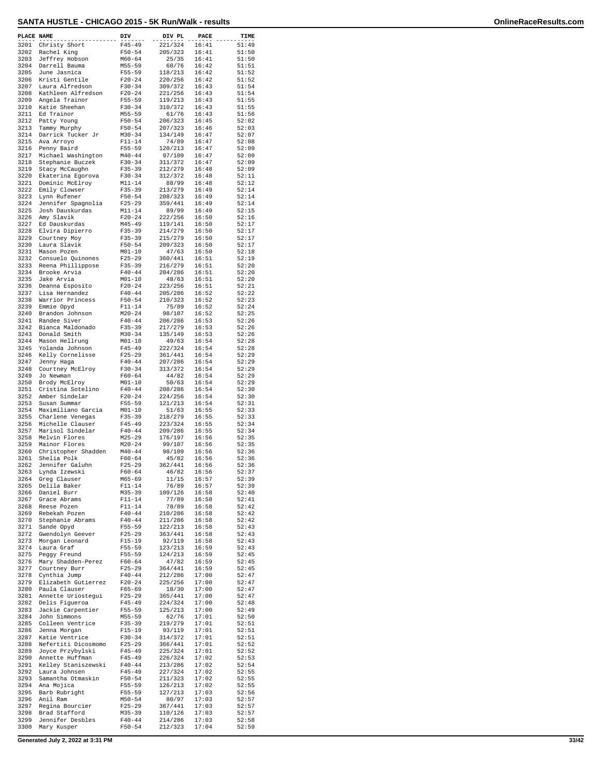| PLACE NAME   |                                        | DIV                      | DIV PL             | PACE           | TIME           |
|--------------|----------------------------------------|--------------------------|--------------------|----------------|----------------|
| 3201         | Christy Short                          | $F45 - 49$               | 221/324            | 16:41          | 51:49          |
| 3202<br>3203 | Rachel King                            | $F50 - 54$               | 205/323            | 16:41          | 51:50          |
| 3204         | Jeffrey Hobson<br>Darrell Bauma        | $M60 - 64$<br>$M55 - 59$ | 25/35<br>60/76     | 16:41<br>16:42 | 51:50<br>51:51 |
| 3205         | June Jasnica                           | $F55 - 59$               | 118/213            | 16:42          | 51:52          |
| 3206         | Kristi Gentile                         | $F20 - 24$               | 220/256            | 16:42          | 51:52          |
| 3207<br>3208 | Laura Alfredson<br>Kathleen Alfredson  | $F30 - 34$<br>$F20 - 24$ | 309/372<br>221/256 | 16:43<br>16:43 | 51:54<br>51:54 |
| 3209         | Angela Trainor                         | F55-59                   | 119/213            | 16:43          | 51:55          |
| 3210         | Katie Sheehan                          | $F30 - 34$               | 310/372            | 16:43          | 51:55          |
| 3211         | Ed Trainor                             | $M55 - 59$               | 61/76              | 16:43          | 51:56          |
| 3212<br>3213 | Patty Young<br>Tammy Murphy            | $F50 - 54$<br>$F50 - 54$ | 206/323<br>207/323 | 16:45<br>16:46 | 52:02<br>52:03 |
| 3214         | Darrick Tucker Jr                      | $M30 - 34$               | 134/149            | 16:47          | 52:07          |
| 3215         | Ava Arroyo                             | $F11 - 14$               | 74/89              | 16:47          | 52:08          |
| 3216         | Penny Baird                            | $F55 - 59$               | 120/213            | 16:47          | 52:09          |
| 3217<br>3218 | Michael Washington<br>Stephanie Buczek | $M40 - 44$<br>$F30 - 34$ | 97/109<br>311/372  | 16:47<br>16:47 | 52:09<br>52:09 |
| 3219         | Stacy McCaughn                         | $F35 - 39$               | 212/279            | 16:48          | 52:09          |
| 3220         | Ekaterina Egorova                      | $F30 - 34$               | 312/372            | 16:48          | 52:11          |
| 3221<br>3222 | Dominic McElroy<br>Emily Clowser       | $M11 - 14$<br>$F35 - 39$ | 88/99<br>213/279   | 16:48<br>16:49 | 52:12<br>52:14 |
| 3223         | Lynn Rufener                           | $F50 - 54$               | 208/323            | 16:49          | 52:14          |
| 3224         | Jennifer Spagnolia                     | $F25 - 29$               | 359/441            | 16:49          | 52:14          |
| 3225         | Josh Dauskurdas                        | $M11 - 14$               | 89/99              | 16:49          | 52:15          |
| 3226<br>3227 | Amy Slavik<br>Ed Dauskurdas            | $F20 - 24$<br>$M45 - 49$ | 222/256<br>119/141 | 16:50<br>16:50 | 52:16<br>52:17 |
| 3228         | Elvira Dipierro                        | $F35 - 39$               | 214/279            | 16:50          | 52:17          |
| 3229         | Courtney Moy                           | $F35 - 39$               | 215/279            | 16:50          | 52:17          |
| 3230         | Laura Slavik                           | $F50 - 54$               | 209/323            | 16:50          | 52:17          |
| 3231<br>3232 | Mason Pozen<br>Consuelo Quinones       | $M01 - 10$<br>$F25 - 29$ | 47/63<br>360/441   | 16:50<br>16:51 | 52:18<br>52:19 |
| 3233         | Reena Phillippose                      | $F35 - 39$               | 216/279            | 16:51          | 52:20          |
| 3234         | Brooke Arvia                           | $F40 - 44$               | 204/286            | 16:51          | 52:20          |
| 3235<br>3236 | Jake Arvia<br>Deanna Esposito          | $M01 - 10$<br>$F20 - 24$ | 48/63<br>223/256   | 16:51<br>16:51 | 52:20<br>52:21 |
| 3237         | Lisa Hernandez                         | $F40 - 44$               | 205/286            | 16:52          | 52:22          |
| 3238         | Warrior Princess                       | $F50 - 54$               | 210/323            | 16:52          | 52:23          |
| 3239         | Emmie Opyd                             | $F11 - 14$               | 75/89              | 16:52          | 52:24          |
| 3240<br>3241 | Brandon Johnson<br>Randee Siver        | $M20 - 24$<br>$F40 - 44$ | 98/107<br>206/286  | 16:52<br>16:53 | 52:25<br>52:26 |
| 3242         | Bianca Maldonado                       | $F35 - 39$               | 217/279            | 16:53          | 52:26          |
| 3243         | Donald Smith                           | $M30 - 34$               | 135/149            | 16:53          | 52:26          |
| 3244         | Mason Hellrung                         | $M01 - 10$               | 49/63              | 16:54          | 52:28          |
| 3245<br>3246 | Yolanda Johnson<br>Kelly Cornelisse    | $F45 - 49$<br>$F25 - 29$ | 222/324<br>361/441 | 16:54<br>16:54 | 52:28<br>52:29 |
| 3247         | Jenny Haga                             | $F40 - 44$               | 207/286            | 16:54          | 52:29          |
| 3248         | Courtney McElroy                       | $F30 - 34$               | 313/372            | 16:54          | 52:29          |
| 3249<br>3250 | Jo Newman                              | $F60 - 64$<br>$M01 - 10$ | 44/82<br>50/63     | 16:54<br>16:54 | 52:29<br>52:29 |
| 3251         | Brody McElroy<br>Cristina Sotelino     | $F40 - 44$               | 208/286            | 16:54          | 52:30          |
| 3252         | Amber Sindelar                         | $F20 - 24$               | 224/256            | 16:54          | 52:30          |
| 3253         | Susan Summar                           | $F55 - 59$               | 121/213            | 16:54          | 52:31          |
| 3254<br>3255 | Maximiliano Garcia<br>Charlene Venegas | $M01 - 10$<br>$F35 - 39$ | 51/63<br>218/279   | 16:55<br>16:55 | 52:33<br>52:33 |
| 3256         | Michelle Clauser                       | $F45 - 49$               | 223/324            | 16:55          | 52:34          |
| 3257         | Marisol Sindelar                       | $F40 - 44$               | 209/286            | 16:55          | 52:34          |
| 3258<br>3259 | Melvin Flores<br>Mainor Flores         | $M25 - 29$<br>$M20 - 24$ | 176/197<br>99/107  | 16:56<br>16:56 | 52:35<br>52:35 |
| 3260         | Christopher Shadden                    | $M40 - 44$               | 98/109             | 16:56          | 52:36          |
| 3261         | Shelia Polk                            | $F60 - 64$               | 45/82              | 16:56          | 52:36          |
| 3262         | Jennifer Galuhn                        | $F25 - 29$               | 362/441            | 16:56          | 52:36          |
| 3263<br>3264 | Lynda Izewski<br>Greg Clauser          | $F60 - 64$<br>M65-69     | 46/82<br>11/15     | 16:56<br>16:57 | 52:37<br>52:39 |
| 3265         | Delila Baker                           | $F11 - 14$               | 76/89              | 16:57          | 52:39          |
| 3266         | Daniel Burr                            | M35-39                   | 109/126            | 16:58          | 52:40          |
| 3267         | Grace Abrams<br>Reese Pozen            | $F11 - 14$               | 77/89<br>78/89     | 16:58<br>16:58 | 52:41<br>52:42 |
| 3268<br>3269 | Rebekah Pozen                          | $F11 - 14$<br>$F40 - 44$ | 210/286            | 16:58          | 52:42          |
| 3270         | Stephanie Abrams                       | $F40 - 44$               | 211/286            | 16:58          | 52:42          |
| 3271         | Sande Opyd                             | $F55 - 59$               | 122/213            | 16:58          | 52:43          |
| 3272<br>3273 | Gwendolyn Geever<br>Morgan Leonard     | $F25 - 29$<br>$F15-19$   | 363/441<br>92/119  | 16:58<br>16:58 | 52:43<br>52:43 |
| 3274         | Laura Graf                             | $F55 - 59$               | 123/213            | 16:59          | 52:43          |
| 3275         | Peggy Freund                           | F55-59                   | 124/213            | 16:59          | 52:45          |
| 3276<br>3277 | Mary Shadden-Perez                     | $F60 - 64$               | 47/82              | 16:59<br>16:59 | 52:45<br>52:45 |
| 3278         | Courtney Burr<br>Cynthia Jump          | $F25-29$<br>$F40 - 44$   | 364/441<br>212/286 | 17:00          | 52:47          |
| 3279         | Elizabeth Gutierrez                    | $F20 - 24$               | 225/256            | 17:00          | 52:47          |
| 3280         | Paula Clauser                          | $F65 - 69$               | 18/30              | 17:00          | 52:47          |
| 3281<br>3282 | Annette Uriostegui<br>Delis Figueroa   | $F25 - 29$<br>$F45 - 49$ | 365/441<br>224/324 | 17:00<br>17:00 | 52:47<br>52:48 |
| 3283         | Jackie Carpentier                      | $F55 - 59$               | 125/213            | 17:00          | 52:49          |
| 3284         | John Simmons                           | M55-59                   | 62/76              | 17:01          | 52:50          |
| 3285         | Colleen Ventrice                       | F35-39                   | 219/279            | 17:01          | 52:51          |
| 3286<br>3287 | Jenna Morgan<br>Katie Ventrice         | $F15 - 19$<br>$F30 - 34$ | 93/119<br>314/372  | 17:01<br>17:01 | 52:51<br>52:51 |
| 3288         | Nefertiti Dicosmomo                    | $F25 - 29$               | 366/441            | 17:01          | 52:52          |
| 3289         | Joyce Przybylski                       | $F45 - 49$               | 225/324            | 17:01          | 52:52          |
| 3290         | Annette Huffman                        | F45-49                   | 226/324            | 17:02          | 52:53          |
| 3291<br>3292 | Kelley Staniszewski<br>Laura Johnsen   | $F40 - 44$<br>$F45 - 49$ | 213/286<br>227/324 | 17:02<br>17:02 | 52:54<br>52:55 |
| 3293         | Samantha Otmaskin                      | $F50 - 54$               | 211/323            | 17:02          | 52:55          |
| 3294         | Ana Mojica                             | F55-59                   | 126/213            | 17:02          | 52:55          |
| 3295<br>3296 | Barb Rubright<br>Anil Ram              | $F55 - 59$<br>$M50 - 54$ | 127/213<br>80/97   | 17:03<br>17:03 | 52:56<br>52:57 |
| 3297         | Regina Bourcier                        | $F25 - 29$               | 367/441            | 17:03          | 52:57          |
| 3298         | Brad Stafford                          | $M35 - 39$               | 110/126            | 17:03          | 52:57          |
| 3299<br>3300 | Jennifer Desbles                       | $F40 - 44$<br>$F50 - 54$ | 214/286            | 17:03<br>17:04 | 52:58<br>52:59 |
|              | Mary Kusper                            |                          | 212/323            |                |                |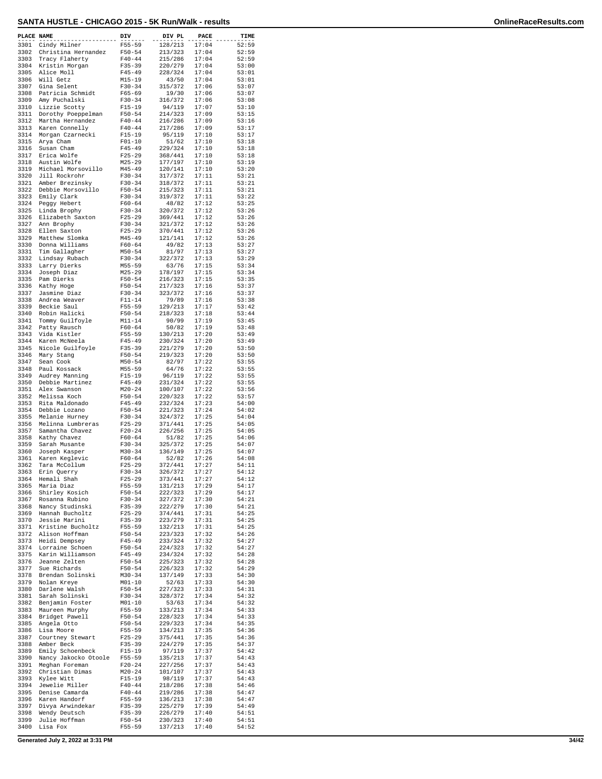| PLACE NAME   |                                        | DIV                      | DIV PL             | PACE           | TIME           |
|--------------|----------------------------------------|--------------------------|--------------------|----------------|----------------|
| 3301<br>3302 | Cindy Milner<br>Christina Hernandez    | $F55 - 59$<br>$F50 - 54$ | 128/213<br>213/323 | 17:04<br>17:04 | 52:59<br>52:59 |
| 3303         | Tracy Flaherty                         | $F40 - 44$               | 215/286            | 17:04          | 52:59          |
| 3304<br>3305 | Kristin Morgan<br>Alice Moll           | $F35 - 39$<br>$F45 - 49$ | 220/279<br>228/324 | 17:04<br>17:04 | 53:00<br>53:01 |
| 3306         | Will Getz                              | $M15 - 19$               | 43/50              | 17:04          | 53:01          |
| 3307<br>3308 | Gina Selent                            | $F30 - 34$<br>$F65 - 69$ | 315/372<br>19/30   | 17:06<br>17:06 | 53:07<br>53:07 |
| 3309         | Patricia Schmidt<br>Amy Puchalski      | $F30-34$                 | 316/372            | 17:06          | 53:08          |
| 3310         | Lizzie Scotty                          | $F15 - 19$               | 94/119             | 17:07          | 53:10          |
| 3311<br>3312 | Dorothy Poeppelman<br>Martha Hernandez | $F50 - 54$<br>$F40 - 44$ | 214/323<br>216/286 | 17:09<br>17:09 | 53:15<br>53:16 |
| 3313         | Karen Connelly                         | $F40 - 44$               | 217/286            | 17:09          | 53:17          |
| 3314<br>3315 | Morgan Czarnecki<br>Arya Cham          | $F15 - 19$<br>$F01 - 10$ | 95/119<br>51/62    | 17:10<br>17:10 | 53:17<br>53:18 |
| 3316         | Susan Cham                             | $F45 - 49$               | 229/324            | 17:10          | 53:18          |
| 3317<br>3318 | Erica Wolfe<br>Austin Wolfe            | $F25 - 29$<br>M25-29     | 368/441<br>177/197 | 17:10<br>17:10 | 53:18<br>53:19 |
| 3319         | Michael Morsovillo                     | $M45 - 49$               | 120/141            | 17:10          | 53:20          |
| 3320<br>3321 | Jill Rockrohr                          | $F30-34$                 | 317/372            | 17:11          | 53:21          |
| 3322         | Amber Brezinsky<br>Debbie Morsovillo   | $F30-34$<br>$F50 - 54$   | 318/372<br>215/323 | 17:11<br>17:11 | 53:21<br>53:21 |
| 3323         | Emily Clark                            | $F30-34$                 | 319/372            | 17:11          | 53:22          |
| 3324<br>3325 | Peggy Hebert<br>Linda Brophy           | $F60 - 64$<br>$F30 - 34$ | 48/82<br>320/372   | 17:12<br>17:12 | 53:25<br>53:26 |
| 3326         | Elizabeth Saxton                       | $F25 - 29$               | 369/441            | 17:12          | 53:26          |
| 3327<br>3328 | Ann Brophy<br>Ellen Saxton             | $F30-34$<br>$F25 - 29$   | 321/372<br>370/441 | 17:12<br>17:12 | 53:26<br>53:26 |
| 3329         | Matthew Slomka                         | $M45 - 49$               | 121/141            | 17:12          | 53:26          |
| 3330<br>3331 | Donna Williams<br>Tim Gallagher        | $F60 - 64$<br>$M50 - 54$ | 49/82<br>81/97     | 17:13<br>17:13 | 53:27<br>53:27 |
| 3332         | Lindsay Rubach                         | $F30-34$                 | 322/372            | 17:13          | 53:29          |
| 3333<br>3334 | Larry Dierks<br>Joseph Diaz            | $M55 - 59$<br>$M25 - 29$ | 63/76<br>178/197   | 17:15<br>17:15 | 53:34<br>53:34 |
| 3335         | Pam Dierks                             | $F50 - 54$               | 216/323            | 17:15          | 53:35          |
| 3336         | Kathy Hoge                             | $F50 - 54$               | 217/323            | 17:16          | 53:37          |
| 3337<br>3338 | Jasmine Diaz<br>Andrea Weaver          | $F30 - 34$<br>$F11 - 14$ | 323/372<br>79/89   | 17:16<br>17:16 | 53:37<br>53:38 |
| 3339         | Beckie Saul                            | $F55 - 59$               | 129/213            | 17:17          | 53:42          |
| 3340<br>3341 | Robin Halicki<br>Tommy Guilfoyle       | $F50 - 54$<br>$M11 - 14$ | 218/323<br>90/99   | 17:18<br>17:19 | 53:44<br>53:45 |
| 3342         | Patty Rausch                           | $F60 - 64$               | 50/82              | 17:19          | 53:48          |
| 3343<br>3344 | Vida Kistler<br>Karen McNeela          | $F55 - 59$<br>$F45 - 49$ | 130/213<br>230/324 | 17:20<br>17:20 | 53:49<br>53:49 |
| 3345         | Nicole Guilfoyle                       | $F35 - 39$               | 221/279            | 17:20          | 53:50          |
| 3346<br>3347 | Mary Stang<br>Sean Cook                | $F50 - 54$<br>$M50 - 54$ | 219/323<br>82/97   | 17:20<br>17:22 | 53:50<br>53:55 |
| 3348         | Paul Kossack                           | M55-59                   | 64/76              | 17:22          | 53:55          |
| 3349<br>3350 | Audrey Manning                         | $F15 - 19$<br>$F45 - 49$ | 96/119<br>231/324  | 17:22<br>17:22 | 53:55<br>53:55 |
| 3351         | Debbie Martinez<br>Alex Swanson        | $M20 - 24$               | 100/107            | 17:22          | 53:56          |
| 3352         | Melissa Koch                           | $F50 - 54$               | 220/323            | 17:22          | 53:57          |
| 3353<br>3354 | Rita Maldonado<br>Debbie Lozano        | $F45 - 49$<br>$F50 - 54$ | 232/324<br>221/323 | 17:23<br>17:24 | 54:00<br>54:02 |
| 3355         | Melanie Hurney                         | $F30 - 34$               | 324/372            | 17:25          | 54:04          |
| 3356<br>3357 | Melinna Lumbreras<br>Samantha Chavez   | $F25 - 29$<br>$F20 - 24$ | 371/441<br>226/256 | 17:25<br>17:25 | 54:05<br>54:05 |
| 3358         | Kathy Chavez                           | $F60 - 64$               | 51/82              | 17:25          | 54:06          |
| 3359<br>3360 | Sarah Musante<br>Joseph Kasper         | $F30 - 34$<br>$M30 - 34$ | 325/372<br>136/149 | 17:25<br>17:25 | 54:07<br>54:07 |
| 3361         | Karen Keglevic                         | $F60 - 64$               | 52/82              | 17:26          | 54:08          |
| 3362<br>3363 | Tara McCollum<br>Erin Querry           | $F25 - 29$<br>$F30-34$   | 372/441<br>326/372 | 17:27<br>17:27 | 54:11<br>54:12 |
| 3364         | Hemali Shah                            | $F25 - 29$               | 373/441            | 17:27          | 54:12          |
| 3365<br>3366 | Maria Diaz<br>Shirley Kosich           | $F55 - 59$<br>$F50 - 54$ | 131/213<br>222/323 | 17:29<br>17:29 | 54:17<br>54:17 |
| 3367         | Rosanna Rubino                         | $F30-34$                 | 327/372            | 17:30          | 54:21          |
| 3368         | Nancy Studinski                        | $F35 - 39$               | 222/279            | 17:30          | 54:21          |
| 3369<br>3370 | Hannah Bucholtz<br>Jessie Marini       | $F25-29$<br>$F35 - 39$   | 374/441<br>223/279 | 17:31<br>17:31 | 54:25<br>54:25 |
| 3371         | Kristine Bucholtz                      | $F55 - 59$               | 132/213            | 17:31          | 54:25          |
| 3372<br>3373 | Alison Hoffman<br>Heidi Dempsey        | $F50 - 54$<br>$F45 - 49$ | 223/323<br>233/324 | 17:32<br>17:32 | 54:26<br>54:27 |
| 3374         | Lorraine Schoen                        | $F50 - 54$               | 224/323            | 17:32          | 54:27          |
| 3375<br>3376 | Karin Williamson<br>Jeanne Zelten      | F45-49<br>$F50 - 54$     | 234/324<br>225/323 | 17:32<br>17:32 | 54:28<br>54:28 |
| 3377         | Sue Richards                           | $F50 - 54$               | 226/323            | 17:32          | 54:29          |
| 3378<br>3379 | Brendan Solinski<br>Nolan Kreye        | M30-34<br>$M01 - 10$     | 137/149<br>52/63   | 17:33<br>17:33 | 54:30<br>54:30 |
| 3380         | Darlene Walsh                          | $F50 - 54$               | 227/323            | 17:33          | 54:31          |
| 3381         | Sarah Solinski<br>3382 Benjamin Foster | $F30-34$<br>$M01 - 10$   | 328/372<br>53/63   | 17:34<br>17:34 | 54:32<br>54:32 |
| 3383         | Maureen Murphy                         | $F55 - 59$               | 133/213            | 17:34          | 54:33          |
| 3384         | Bridget Pawell                         | $F50 - 54$               | 228/323            | 17:34          | 54:33          |
| 3385<br>3386 | Angela Otto<br>Lisa Moore              | $F50 - 54$<br>$F55 - 59$ | 229/323<br>134/213 | 17:34<br>17:35 | 54:35<br>54:36 |
| 3387         | Courtney Stewart                       | $F25-29$                 | 375/441            | 17:35          | 54:36          |
| 3388<br>3389 | Amber Beck<br>Emily Schoenbeck         | $F35 - 39$<br>$F15-19$   | 224/279<br>97/119  | 17:35<br>17:37 | 54:37<br>54:42 |
| 3390         | Nancy Jakocko Otoole                   | F55-59                   | 135/213            | 17:37          | 54:43          |
| 3391<br>3392 | Meghan Foreman<br>Christian Dimas      | $F20 - 24$<br>$M20-24$   | 227/256<br>101/107 | 17:37<br>17:37 | 54:43<br>54:43 |
| 3393         | Kylee Witt                             | $F15-19$                 | 98/119             | 17:37          | 54:43          |
| 3394<br>3395 | Jewelie Miller<br>Denise Camarda       | $F40 - 44$<br>$F40 - 44$ | 218/286<br>219/286 | 17:38<br>17:38 | 54:46<br>54:47 |
| 3396         | Karen Handorf                          | F55-59                   | 136/213            | 17:38          | 54:47          |
| 3397<br>3398 | Divya Arwindekar                       | $F35 - 39$               | 225/279            | 17:39<br>17:40 | 54:49<br>54:51 |
| 3399         | Wendy Deutsch<br>Julie Hoffman         | $F35 - 39$<br>$F50 - 54$ | 226/279<br>230/323 | 17:40          | 54:51          |
| 3400         | Lisa Fox                               | F55-59                   | 137/213            | 17:40          | 54:52          |

**Generated July 2, 2022 at 3:31 PM 34/42**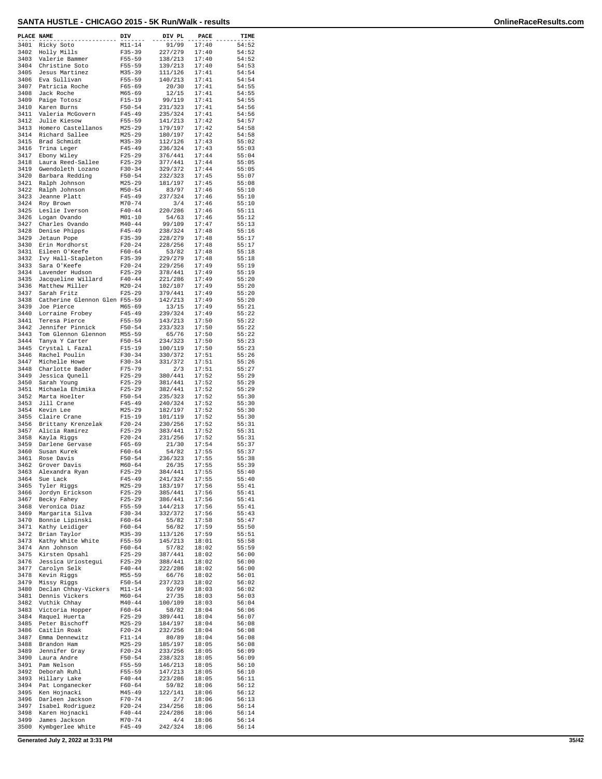| PLACE NAME   |                                             | DIV                      | DIV PL             | PACE           | TIME           |
|--------------|---------------------------------------------|--------------------------|--------------------|----------------|----------------|
| 3401         | Ricky Soto                                  | $M11 - 14$               | 91/99              | 17:40          | 54:52          |
| 3402         | Holly Mills                                 | $F35 - 39$               | 227/279            | 17:40          | 54:52          |
| 3403<br>3404 | Valerie Bammer<br>Christine Soto            | $F55 - 59$<br>$F55 - 59$ | 138/213<br>139/213 | 17:40<br>17:40 | 54:52<br>54:53 |
| 3405         | Jesus Martinez                              | $M35 - 39$               | 111/126            | 17:41          | 54:54          |
| 3406         | Eva Sullivan                                | $F55 - 59$               | 140/213            | 17:41          | 54:54          |
| 3407<br>3408 | Patricia Roche<br>Jack Roche                | $F65 - 69$<br>$M65 - 69$ | 20/30<br>12/15     | 17:41<br>17:41 | 54:55<br>54:55 |
| 3409         | Paige Totosz                                | $F15 - 19$               | 99/119             | 17:41          | 54:55          |
| 3410         | Karen Burns                                 | $F50 - 54$               | 231/323            | 17:41          | 54:56          |
| 3411<br>3412 | Valeria McGovern<br>Julie Kiesow            | $F45 - 49$<br>$F55 - 59$ | 235/324<br>141/213 | 17:41<br>17:42 | 54:56<br>54:57 |
| 3413         | Homero Castellanos                          | $M25 - 29$               | 179/197            | 17:42          | 54:58          |
| 3414         | Richard Sallee                              | $M25 - 29$               | 180/197            | 17:42          | 54:58          |
| 3415<br>3416 | Brad Schmidt<br>Trina Leger                 | $M35 - 39$<br>$F45 - 49$ | 112/126<br>236/324 | 17:43<br>17:43 | 55:02<br>55:03 |
| 3417         | Ebony Wiley                                 | $F25 - 29$               | 376/441            | 17:44          | 55:04          |
| 3418         | Laura Reed-Sallee                           | $F25 - 29$               | 377/441            | 17:44          | 55:05          |
| 3419         | Gwendoleth Lozano                           | $F30-34$                 | 329/372            | 17:44          | 55:05          |
| 3420<br>3421 | Barbara Redding<br>Ralph Johnson            | $F50 - 54$<br>$M25 - 29$ | 232/323<br>181/197 | 17:45<br>17:45 | 55:07<br>55:08 |
| 3422         | Ralph Johnson                               | $M50 - 54$               | 83/97              | 17:46          | 55:10          |
| 3423         | Jeanne Platt                                | $F45 - 49$               | 237/324            | 17:46          | 55:10          |
| 3424<br>3425 | Roy Brown<br>Leslie Iverson                 | $M70 - 74$<br>$F40 - 44$ | 3/4<br>220/286     | 17:46<br>17:46 | 55:10<br>55:11 |
| 3426         | Logan Ovando                                | $M01 - 10$               | 54/63              | 17:46          | 55:12          |
| 3427         | Charles Ovando                              | $M40 - 44$               | 99/109             | 17:47          | 55:13          |
| 3428<br>3429 | Denise Phipps<br>Jetaun Pope                | $F45 - 49$<br>$F35 - 39$ | 238/324<br>228/279 | 17:48<br>17:48 | 55:16<br>55:17 |
| 3430         | Erin Mordhorst                              | $F20-24$                 | 228/256            | 17:48          | 55:17          |
| 3431         | Eileen O'Keefe                              | $F60 - 64$               | 53/82              | 17:48          | 55:18          |
| 3432         | Ivy Hall-Stapleton                          | $F35 - 39$               | 229/279            | 17:48          | 55:18          |
| 3433<br>3434 | Sara O'Keefe<br>Lavender Hudson             | $F20-24$<br>$F25 - 29$   | 229/256<br>378/441 | 17:49<br>17:49 | 55:19<br>55:19 |
| 3435         | Jacqueline Willard                          | $F40 - 44$               | 221/286            | 17:49          | 55:20          |
| 3436         | Matthew Miller                              | $M20 - 24$               | 102/107            | 17:49          | 55:20          |
| 3437         | Sarah Fritz                                 | $F25 - 29$               | 379/441            | 17:49          | 55:20          |
| 3438<br>3439 | Catherine Glennon Glen F55-59<br>Joe Pierce | $M65 - 69$               | 142/213<br>13/15   | 17:49<br>17:49 | 55:20<br>55:21 |
| 3440         | Lorraine Frobey                             | $F45 - 49$               | 239/324            | 17:49          | 55:22          |
| 3441         | Teresa Pierce                               | $F55 - 59$               | 143/213            | 17:50          | 55:22          |
| 3442<br>3443 | Jennifer Pinnick                            | $F50 - 54$<br>$M55 - 59$ | 233/323            | 17:50<br>17:50 | 55:22<br>55:22 |
| 3444         | Tom Glennon Glennon<br>Tanya Y Carter       | $F50 - 54$               | 65/76<br>234/323   | 17:50          | 55:23          |
| 3445         | Crystal L Fazal                             | $F15 - 19$               | 100/119            | 17:50          | 55:23          |
| 3446         | Rachel Poulin                               | $F30-34$                 | 330/372            | 17:51          | 55:26          |
| 3447<br>3448 | Michelle Howe<br>Charlotte Bader            | $F30-34$<br>$F75 - 79$   | 331/372<br>2/3     | 17:51<br>17:51 | 55:26<br>55:27 |
| 3449         | Jessica Qunell                              | $F25 - 29$               | 380/441            | 17:52          | 55:29          |
| 3450         | Sarah Young                                 | $F25 - 29$               | 381/441            | 17:52          | 55:29          |
| 3451         | Michaela Ehimika                            | $F25 - 29$               | 382/441            | 17:52          | 55:29          |
| 3452<br>3453 | Marta Hoelter<br>Jill Crane                 | $F50 - 54$<br>$F45 - 49$ | 235/323<br>240/324 | 17:52<br>17:52 | 55:30<br>55:30 |
| 3454         | Kevin Lee                                   | $M25 - 29$               | 182/197            | 17:52          | 55:30          |
| 3455         | Claire Crane                                | $F15 - 19$               | 101/119            | 17:52          | 55:30          |
| 3456<br>3457 | Brittany Krenzelak<br>Alicia Ramirez        | $F20 - 24$<br>$F25 - 29$ | 230/256<br>383/441 | 17:52<br>17:52 | 55:31<br>55:31 |
| 3458         | Kayla Riggs                                 | $F20-24$                 | 231/256            | 17:52          | 55:31          |
| 3459         | Darlene Gervase                             | $F65 - 69$               | 21/30              | 17:54          | 55:37          |
| 3460         | Susan Kurek                                 | $F60 - 64$               | 54/82              | 17:55<br>17:55 | 55:37          |
| 3461<br>3462 | Rose Davis<br>Grover Davis                  | $F50 - 54$<br>$M60 - 64$ | 236/323<br>26/35   | 17:55          | 55:38<br>55:39 |
| 3463         | Alexandra Ryan                              | $F25 - 29$               | 384/441            | 17:55          | 55:40          |
| 3464         | Sue Lack                                    | $F45 - 49$               | 241/324            | 17:55          | 55:40          |
| 3465<br>3466 | Tyler Riggs<br>Jordyn Erickson              | $M25 - 29$<br>$F25 - 29$ | 183/197<br>385/441 | 17:56<br>17:56 | 55:41<br>55:41 |
| 3467         | Becky Fahey                                 | $F25 - 29$               | 386/441            | 17:56          | 55:41          |
| 3468         | Veronica Diaz                               | $F55 - 59$               | 144/213            | 17:56          | 55:41          |
| 3469         | Margarita Silva                             | F30-34                   | 332/372            | 17:56          | 55:43          |
| 3470<br>3471 | Bonnie Lipinski<br>Kathy Leidiger           | $F60 - 64$<br>$F60 - 64$ | 55/82<br>56/82     | 17:58<br>17:59 | 55:47<br>55:50 |
| 3472         | Brian Taylor                                | M35-39                   | 113/126            | 17:59          | 55:51          |
| 3473         | Kathy White White                           | F55-59                   | 145/213            | 18:01          | 55:58          |
| 3474<br>3475 | Ann Johnson<br>Kirsten Opsahl               | $F60 - 64$<br>F25-29     | 57/82<br>387/441   | 18:02<br>18:02 | 55:59<br>56:00 |
| 3476         | Jessica Uriostegui                          | $F25 - 29$               | 388/441            | 18:02          | 56:00          |
| 3477         | Carolyn Selk                                | $F40 - 44$               | 222/286            | 18:02          | 56:00          |
| 3478         | Kevin Riggs                                 | M55-59                   | 66/76              | 18:02          | 56:01          |
| 3479<br>3480 | Missy Riggs<br>Declan Chhay-Vickers         | $F50 - 54$<br>$M11 - 14$ | 237/323<br>92/99   | 18:02<br>18:03 | 56:02<br>56:02 |
| 3481         | Dennis Vickers                              | M60-64                   | 27/35              | 18:03          | 56:03          |
| 3482         | Vuthik Chhay                                | $M40 - 44$               | 100/109            | 18:03          | 56:04          |
| 3483         | Victoria Hopper                             | $F60 - 64$               | 58/82              | 18:04          | 56:06          |
| 3484<br>3485 | Raquel Huerta<br>Peter Bischoff             | $F25 - 29$<br>$M25 - 29$ | 389/441<br>184/197 | 18:04<br>18:04 | 56:07<br>56:08 |
| 3486         | Caitlin Roak                                | $F20 - 24$               | 232/256            | 18:04          | 56:08          |
| 3487         | Emma Dennewitz                              | F11-14                   | 80/89              | 18:04          | 56:08          |
| 3488         | Brandon Ham                                 | $M25 - 29$               | 185/197            | 18:05          | 56:08          |
| 3489<br>3490 | Jennifer Gray<br>Laura Andre                | $F20 - 24$<br>$F50 - 54$ | 233/256<br>238/323 | 18:05<br>18:05 | 56:09<br>56:09 |
| 3491         | Pam Nelson                                  | F55-59                   | 146/213            | 18:05          | 56:10          |
| 3492         | Deborah Ruhl                                | $F55 - 59$               | 147/213            | 18:05          | 56:10          |
| 3493         | Hillary Lake                                | $F40 - 44$               | 223/286            | 18:05          | 56:11          |
| 3494<br>3495 | Pat Longanecker<br>Ken Hojnacki             | $F60 - 64$<br>$M45 - 49$ | 59/82<br>122/141   | 18:06<br>18:06 | 56:12<br>56:12 |
| 3496         | Darleen Jackson                             | F70-74                   | 2/7                | 18:06          | 56:13          |
| 3497         | Isabel Rodriguez                            | $F20 - 24$               | 234/256            | 18:06          | 56:14          |
| 3498<br>3499 | Karen Hojnacki                              | $F40 - 44$               | 224/286<br>4/4     | 18:06<br>18:06 | 56:14<br>56:14 |
| 3500         | James Jackson<br>Kymbgerlee White           | M70-74<br>$F45 - 49$     | 242/324            | 18:06          | 56:14          |
|              |                                             |                          |                    |                |                |

**Generated July 2, 2022 at 3:31 PM 35/42**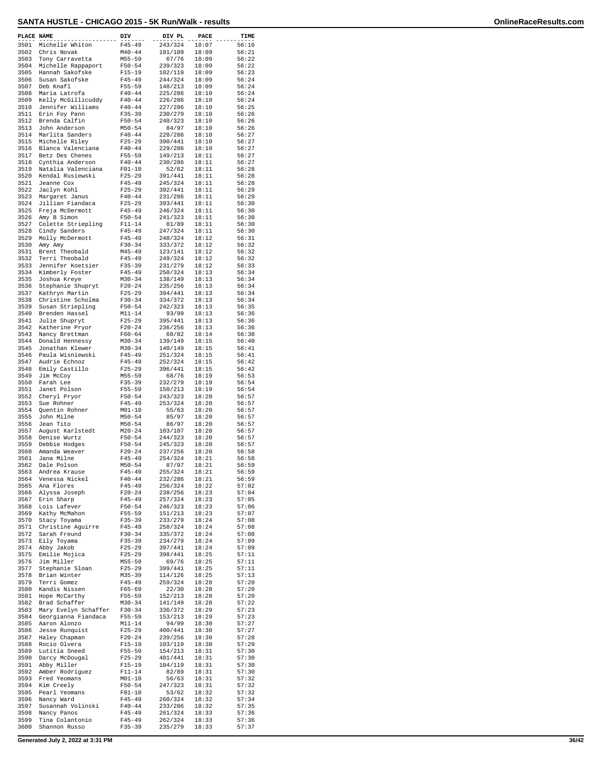| PLACE NAME   |                                             | DIV                      | DIV PL             | PACE           | TIME           |
|--------------|---------------------------------------------|--------------------------|--------------------|----------------|----------------|
| 3501         | Michelle Whiton                             | $F45 - 49$               | 243/324            | 18:07          | 56:16          |
| 3502<br>3503 | Chris Novak<br>Tony Carravetta              | $M40 - 44$<br>$M55 - 59$ | 101/109<br>67/76   | 18:09<br>18:09 | 56:21<br>56:22 |
| 3504         | Michelle Rappaport                          | $F50 - 54$               | 239/323            | 18:09          | 56:22          |
| 3505         | Hannah Sakofske<br>Susan Sakofske           | $F15 - 19$               | 102/119<br>244/324 | 18:09          | 56:23<br>56:24 |
| 3506<br>3507 | Deb Knafl                                   | $F45 - 49$<br>F55-59     | 148/213            | 18:09<br>18:09 | 56:24          |
| 3508         | Maria Latrofa                               | $F40 - 44$               | 225/286            | 18:10          | 56:24          |
| 3509<br>3510 | Kelly McGillicuddy<br>Jennifer Williams     | $F40 - 44$<br>$F40 - 44$ | 226/286<br>227/286 | 18:10<br>18:10 | 56:24<br>56:25 |
| 3511         | Erin Foy Pann                               | $F35 - 39$               | 230/279            | 18:10          | 56:26          |
| 3512         | Brenda Calfin                               | $F50 - 54$               | 240/323            | 18:10          | 56:26          |
| 3513<br>3514 | John Anderson<br>Marlita Sanders            | $M50 - 54$<br>$F40 - 44$ | 84/97<br>228/286   | 18:10<br>18:10 | 56:26<br>56:27 |
| 3515         | Michelle Riley                              | $F25 - 29$               | 390/441            | 18:10          | 56:27          |
| 3516<br>3517 | Blanca Valenciana<br>Betz Des Chenes        | $F40 - 44$<br>$F55 - 59$ | 229/286<br>149/213 | 18:10<br>18:11 | 56:27<br>56:27 |
| 3518         | Cynthia Anderson                            | $F40 - 44$               | 230/286            | 18:11          | 56:27          |
| 3519         | Natalia Valenciana                          | $F01 - 10$               | 52/62              | 18:11          | 56:28          |
| 3520<br>3521 | Kendal Rusiewski<br>Jeanne Cox              | $F25 - 29$<br>$F45 - 49$ | 391/441<br>245/324 | 18:11<br>18:11 | 56:28<br>56:28 |
| 3522         | Jaclyn Kohl                                 | $F25 - 29$               | 392/441            | 18:11          | 56:29          |
| 3523<br>3524 | Margaret Janus<br>Jillian Fiandaca          | $F40 - 44$<br>$F25 - 29$ | 231/286<br>393/441 | 18:11<br>18:11 | 56:29<br>56:30 |
| 3525         | Freja McDermott                             | $F45 - 49$               | 246/324            | 18:11          | 56:30          |
| 3526         | Amy B Simon                                 | $F50 - 54$               | 241/323            | 18:11          | 56:30          |
| 3527<br>3528 | Colette Striepling<br>Cindy Sanders         | $F11 - 14$<br>$F45 - 49$ | 81/89<br>247/324   | 18:11<br>18:11 | 56:30<br>56:30 |
| 3529         | Molly McDermott                             | $F45 - 49$               | 248/324            | 18:12          | 56:31          |
| 3530<br>3531 | Amy Amy                                     | $F30 - 34$               | 333/372            | 18:12          | 56:32          |
| 3532         | Brent Theobald<br>Terri Theobald            | M45-49<br>$F45 - 49$     | 123/141<br>249/324 | 18:12<br>18:12 | 56:32<br>56:32 |
| 3533         | Jennifer Koetsier                           | $F35 - 39$               | 231/279            | 18:12          | 56:33          |
| 3534<br>3535 | Kimberly Foster<br>Joshua Kreye             | $F45 - 49$<br>$M30 - 34$ | 250/324<br>138/149 | 18:13<br>18:13 | 56:34<br>56:34 |
| 3536         | Stephanie Shupryt                           | $F20-24$                 | 235/256            | 18:13          | 56:34          |
| 3537         | Kathryn Martin                              | $F25 - 29$               | 394/441            | 18:13          | 56:34          |
| 3538<br>3539 | Christine Scholma<br>Susan Striepling       | $F30 - 34$<br>$F50 - 54$ | 334/372<br>242/323 | 18:13<br>18:13 | 56:34<br>56:35 |
| 3540         | Brenden Hassel                              | $M11 - 14$               | 93/99              | 18:13          | 56:36          |
| 3541<br>3542 | Julie Shupryt<br>Katherine Pryor            | $F25 - 29$<br>$F20-24$   | 395/441<br>236/256 | 18:13<br>18:13 | 56:36<br>56:36 |
| 3543         | Nancy Brettman                              | $F60 - 64$               | 60/82              | 18:14          | 56:38          |
| 3544         | Donald Hennessy                             | $M30 - 34$               | 139/149            | 18:15          | 56:40          |
| 3545<br>3546 | Jonathan Klewer<br>Paula Wisniewski         | $M30 - 34$<br>$F45 - 49$ | 140/149<br>251/324 | 18:15<br>18:15 | 56:41<br>56:41 |
| 3547         | Audrie Echnoz                               | $F45 - 49$               | 252/324            | 18:15          | 56:42          |
| 3548<br>3549 | Emily Castillo<br>Jim McCoy                 | $F25-29$<br>$M55 - 59$   | 396/441<br>68/76   | 18:15<br>18:19 | 56:42<br>56:53 |
| 3550         | Farah Lee                                   | $F35 - 39$               | 232/279            | 18:19          | 56:54          |
| 3551         | Janet Polson                                | $F55 - 59$               | 150/213            | 18:19          | 56:54          |
| 3552<br>3553 | Cheryl Pryor<br>Sue Rohner                  | $F50 - 54$<br>$F45 - 49$ | 243/323<br>253/324 | 18:20<br>18:20 | 56:57<br>56:57 |
| 3554         | Quentin Rohner                              | $M01 - 10$               | 55/63              | 18:20          | 56:57          |
| 3555<br>3556 | John Milne<br>Jean Tito                     | $M50 - 54$<br>$M50 - 54$ | 85/97<br>86/97     | 18:20<br>18:20 | 56:57<br>56:57 |
| 3557         | August Karlstedt                            | $M20 - 24$               | 103/107            | 18:20          | 56:57          |
| 3558<br>3559 | Denise Wurtz<br>Debbie Hodges               | $F50 - 54$<br>$F50 - 54$ | 244/323<br>245/323 | 18:20<br>18:20 | 56:57<br>56:57 |
| 3560         | Amanda Weaver                               | $F20-24$                 | 237/256            | 18:20          | 56:58          |
| 3561         | Jana Milne                                  | $F45 - 49$               | 254/324            | 18:21          | 56:58          |
| 3562<br>3563 | Dale Polson<br>Andrea Krause                | $M50 - 54$<br>F45-49     | 87/97<br>255/324   | 18:21<br>18:21 | 56:59<br>56:59 |
| 3564         | Venessa Nickel                              | $F40 - 44$               | 232/286            | 18:21          | 56:59          |
| 3565<br>3566 | Ana Flores                                  | $F45 - 49$               | 256/324            | 18:22          | 57:02          |
| 3567         | Alyssa Joseph<br>Erin Sharp                 | $F20-24$<br>$F45 - 49$   | 238/256<br>257/324 | 18:23<br>18:23 | 57:04<br>57:05 |
| 3568         | Lois Lafever                                | $F50 - 54$               | 246/323            | 18:23          | 57:06          |
| 3569<br>3570 | Kathy McMahon<br>Stacy Toyama               | $F55 - 59$<br>$F35 - 39$ | 151/213<br>233/279 | 18:23<br>18:24 | 57:07<br>57:08 |
| 3571         | Christine Aguirre                           | $F45 - 49$               | 258/324            | 18:24          | 57:08          |
| 3572         | Sarah Freund                                | $F30-34$                 | 335/372            | 18:24          | 57:08          |
| 3573<br>3574 | Eily Toyama<br>Abby Jakob                   | $F35 - 39$<br>$F25 - 29$ | 234/279<br>397/441 | 18:24<br>18:24 | 57:09<br>57:09 |
| 3575         | Emilie Mojica                               | $F25 - 29$               | 398/441            | 18:25          | 57:11          |
| 3576<br>3577 | Jim Miller<br>Stephanie Sloan               | $M55 - 59$<br>$F25 - 29$ | 69/76<br>399/441   | 18:25<br>18:25 | 57:11<br>57:11 |
| 3578         | Brian Winter                                | $M35 - 39$               | 114/126            | 18:25          | 57:13          |
| 3579         | Terri Gomez<br>Kandis Nissen                | $F45 - 49$               | 259/324            | 18:28<br>18:28 | 57:20          |
| 3580<br>3581 | Hope McCarthy                               | $F65 - 69$<br>F55-59     | 22/30<br>152/213   | 18:28          | 57:20<br>57:20 |
| 3582         | Brad Schaffer                               | $M30 - 34$               | 141/149            | 18:28          | 57:22          |
| 3583<br>3584 | Mary Evelyn Schaffer<br>Georgianna Fiandaca | $F30-34$<br>F55-59       | 336/372<br>153/213 | 18:29<br>18:29 | 57:23<br>57:23 |
| 3585         | Aaron Alonzo                                | $M11 - 14$               | 94/99              | 18:30          | 57:27          |
| 3586<br>3587 | Jesse Runquist                              | $F25 - 29$               | 400/441            | 18:30          | 57:27          |
| 3588         | Haley Chapman<br>Rocio Olvera               | $F20-24$<br>$F15-19$     | 239/256<br>103/119 | 18:30<br>18:30 | 57:28<br>57:29 |
| 3589         | Lutitia Sneed                               | $F55 - 59$               | 154/213            | 18:31          | 57:30          |
| 3590<br>3591 | Darcy McDougal<br>Abby Miller               | $F25 - 29$<br>$F15-19$   | 401/441<br>104/119 | 18:31<br>18:31 | 57:30<br>57:30 |
| 3592         | Amber Rodriguez                             | $F11 - 14$               | 82/89              | 18:31          | 57:30          |
| 3593         | Fred Yeomans                                | $M01 - 10$               | 56/63              | 18:31          | 57:32          |
| 3594<br>3595 | Kim Creely<br>Pearl Yeomans                 | $F50 - 54$<br>$F01 - 10$ | 247/323<br>53/62   | 18:31<br>18:32 | 57:32<br>57:32 |
| 3596         | Nancy Ward                                  | F45-49                   | 260/324            | 18:32          | 57:34          |
| 3597<br>3598 | Susannah Volinski<br>Nancy Panos            | $F40 - 44$<br>$F45 - 49$ | 233/286<br>261/324 | 18:32<br>18:33 | 57:35<br>57:36 |
| 3599         | Tina Colantonio                             | F45-49                   | 262/324            | 18:33          | 57:36          |
| 3600         | Shannon Russo                               | $F35 - 39$               | 235/279            | 18:33          | 57:37          |

**Generated July 2, 2022 at 3:31 PM 36/42**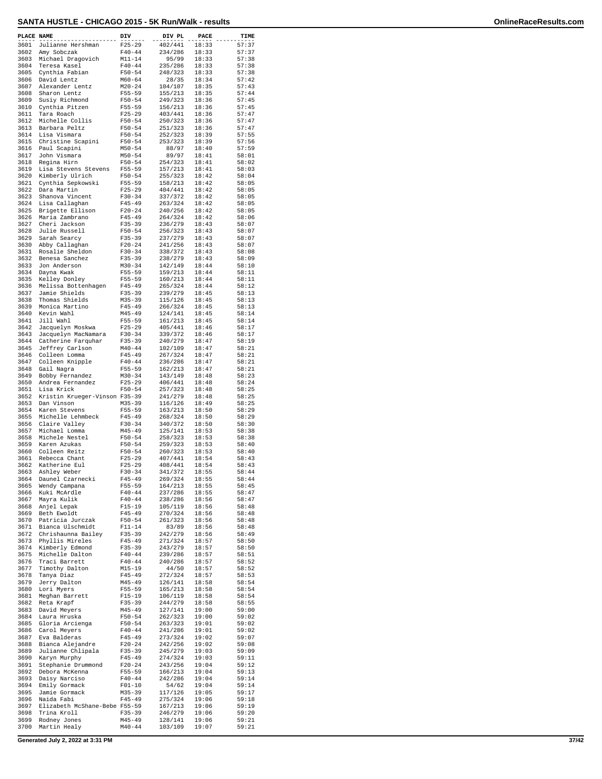| PLACE NAME   |                                              | DIV                      | DIV PL             | PACE           | TIME           |
|--------------|----------------------------------------------|--------------------------|--------------------|----------------|----------------|
| 3601         | Julianne Hershman                            | $F25 - 29$               | 402/441            | 18:33          | 57:37          |
| 3602         | Amy Sobczak                                  | $F40 - 44$               | 234/286            | 18:33          | 57:37          |
| 3603<br>3604 | Michael Dragovich<br>Teresa Kasel            | $M11 - 14$<br>$F40 - 44$ | 95/99<br>235/286   | 18:33<br>18:33 | 57:38<br>57:38 |
| 3605         | Cynthia Fabian                               | $F50 - 54$               | 248/323            | 18:33          | 57:38          |
| 3606         | David Lentz                                  | $M60 - 64$               | 28/35              | 18:34          | 57:42          |
| 3607<br>3608 | Alexander Lentz<br>Sharon Lentz              | $M20 - 24$<br>$F55 - 59$ | 104/107<br>155/213 | 18:35<br>18:35 | 57:43<br>57:44 |
| 3609         | Susiy Richmond                               | $F50 - 54$               | 249/323            | 18:36          | 57:45          |
| 3610         | Cynthia Pitzen                               | $F55 - 59$               | 156/213            | 18:36          | 57:45          |
| 3611         | Tara Roach                                   | $F25 - 29$               | 403/441            | 18:36          | 57:47          |
| 3612<br>3613 | Michelle Collis<br>Barbara Peltz             | $F50 - 54$<br>$F50 - 54$ | 250/323<br>251/323 | 18:36<br>18:36 | 57:47<br>57:47 |
| 3614         | Lisa Vismara                                 | $F50 - 54$               | 252/323            | 18:39          | 57:55          |
| 3615         | Christine Scapini                            | $F50 - 54$               | 253/323            | 18:39          | 57:56          |
| 3616<br>3617 | Paul Scapini<br>John Vismara                 | $M50 - 54$<br>$M50 - 54$ | 88/97<br>89/97     | 18:40<br>18:41 | 57:59<br>58:01 |
| 3618         | Regina Hirn                                  | $F50 - 54$               | 254/323            | 18:41          | 58:02          |
| 3619         | Lisa Stevens Stevens                         | F55-59                   | 157/213            | 18:41          | 58:03          |
| 3620<br>3621 | Kimberly Ulrich<br>Cynthia Sepkowski         | $F50 - 54$<br>F55-59     | 255/323<br>158/213 | 18:42<br>18:42 | 58:04<br>58:05 |
| 3622         | Dara Martin                                  | $F25 - 29$               | 404/441            | 18:42          | 58:05          |
| 3623         | Shanova Vincent                              | $F30-34$                 | 337/372            | 18:42          | 58:05          |
| 3624<br>3625 | Lisa Callaghan<br>Brigette Ellison           | $F45 - 49$<br>$F20-24$   | 263/324<br>240/256 | 18:42<br>18:42 | 58:05<br>58:05 |
| 3626         | Maria Zambrano                               | $F45 - 49$               | 264/324            | 18:42          | 58:06          |
| 3627         | Cheri Jackson                                | $F35 - 39$               | 236/279            | 18:43          | 58:07          |
| 3628         | Julie Russell                                | $F50 - 54$               | 256/323            | 18:43          | 58:07          |
| 3629<br>3630 | Sarah Searcy<br>Abby Callaghan               | $F35 - 39$<br>$F20-24$   | 237/279<br>241/256 | 18:43<br>18:43 | 58:07<br>58:07 |
| 3631         | Rosalie Sheldon                              | $F30-34$                 | 338/372            | 18:43          | 58:08          |
| 3632         | Benesa Sanchez                               | $F35 - 39$               | 238/279            | 18:43          | 58:09          |
| 3633         | Jon Anderson                                 | $M30 - 34$               | 142/149            | 18:44<br>18:44 | 58:10          |
| 3634<br>3635 | Dayna Kwak<br>Kelley Donley                  | $F55 - 59$<br>F55-59     | 159/213<br>160/213 | 18:44          | 58:11<br>58:11 |
| 3636         | Melissa Bottenhagen                          | $F45 - 49$               | 265/324            | 18:44          | 58:12          |
| 3637         | Jamie Shields                                | $F35 - 39$               | 239/279            | 18:45          | 58:13          |
| 3638<br>3639 | Thomas Shields<br>Monica Martino             | $M35 - 39$<br>$F45 - 49$ | 115/126<br>266/324 | 18:45<br>18:45 | 58:13<br>58:13 |
| 3640         | Kevin Wahl                                   | M45-49                   | 124/141            | 18:45          | 58:14          |
| 3641         | Jill Wahl                                    | $F55 - 59$               | 161/213            | 18:45          | 58:14          |
| 3642         | Jacquelyn Moskwa                             | $F25 - 29$               | 405/441            | 18:46          | 58:17          |
| 3643<br>3644 | Jacquelyn MacNamara<br>Catherine Farquhar    | $F30-34$<br>$F35 - 39$   | 339/372<br>240/279 | 18:46<br>18:47 | 58:17<br>58:19 |
| 3645         | Jeffrey Carlson                              | $M40 - 44$               | 102/109            | 18:47          | 58:21          |
| 3646         | Colleen Lomma                                | $F45 - 49$               | 267/324            | 18:47          | 58:21          |
| 3647<br>3648 | Colleen Knipple<br>Gail Nagra                | $F40 - 44$<br>$F55 - 59$ | 236/286<br>162/213 | 18:47<br>18:47 | 58:21<br>58:21 |
| 3649         | Bobby Fernandez                              | $M30 - 34$               | 143/149            | 18:48          | 58:23          |
| 3650         | Andrea Fernandez                             | $F25 - 29$               | 406/441            | 18:48          | 58:24          |
| 3651         | Lisa Krick                                   | $F50 - 54$               | 257/323            | 18:48          | 58:25          |
| 3652<br>3653 | Kristin Krueger-Vinson F35-39<br>Dan Vinson  | $M35 - 39$               | 241/279<br>116/126 | 18:48<br>18:49 | 58:25<br>58:25 |
| 3654         | Karen Stevens                                | $F55 - 59$               | 163/213            | 18:50          | 58:29          |
| 3655         | Michelle Lehmbeck                            | $F45 - 49$               | 268/324            | 18:50          | 58:29          |
| 3656<br>3657 | Claire Valley<br>Michael Lomma               | $F30 - 34$<br>$M45 - 49$ | 340/372<br>125/141 | 18:50<br>18:53 | 58:30<br>58:38 |
| 3658         | Michele Nestel                               | $F50 - 54$               | 258/323            | 18:53          | 58:38          |
| 3659         | Karen Azukas                                 | $F50 - 54$               | 259/323            | 18:53          | 58:40          |
| 3660         | Colleen Reitz                                | $F50 - 54$               | 260/323            | 18:53          | 58:40<br>58:43 |
| 3661<br>3662 | Rebecca Chant<br>Katherine Eul               | $F25 - 29$<br>$F25 - 29$ | 407/441<br>408/441 | 18:54<br>18:54 | 58:43          |
| 3663         | Ashley Weber                                 | $F30-34$                 | 341/372            | 18:55          | 58:44          |
| 3664         | Daunel Czarnecki                             | $F45 - 49$               | 269/324            | 18:55          | 58:44          |
| 3665<br>3666 | Wendy Campana<br>Kuki McArdle                | $F55 - 59$<br>$F40 - 44$ | 164/213<br>237/286 | 18:55<br>18:55 | 58:45<br>58:47 |
| 3667         | Mayra Kulik                                  | $F40 - 44$               | 238/286            | 18:56          | 58:47          |
| 3668         | Anjel Lepak                                  | $F15 - 19$               | 105/119            | 18:56          | 58:48          |
| 3669<br>3670 | Beth Ewoldt<br>Patricia Jurczak              | F45-49<br>$F50 - 54$     | 270/324<br>261/323 | 18:56<br>18:56 | 58:48<br>58:48 |
| 3671         | Bianca Ulschmidt                             | F11-14                   | 83/89              | 18:56          | 58:48          |
| 3672         | Chrishaunna Bailey                           | $F35 - 39$               | 242/279            | 18:56          | 58:49          |
| 3673         | Phyllis Mireles                              | $F45 - 49$               | 271/324            | 18:57          | 58:50          |
| 3674<br>3675 | Kimberly Edmond<br>Michelle Dalton           | $F35 - 39$<br>$F40 - 44$ | 243/279<br>239/286 | 18:57<br>18:57 | 58:50<br>58:51 |
| 3676         | Traci Barrett                                | $F40 - 44$               | 240/286            | 18:57          | 58:52          |
| 3677         | Timothy Dalton                               | $M15 - 19$               | 44/50              | 18:57          | 58:52          |
| 3678<br>3679 | Tanya Diaz<br>Jerry Dalton                   | F45-49<br>$M45 - 49$     | 272/324<br>126/141 | 18:57<br>18:58 | 58:53<br>58:54 |
| 3680         | Lori Myers                                   | $F55 - 59$               | 165/213            | 18:58          | 58:54          |
| 3681         | Meghan Barrett                               | F15-19                   | 106/119            | 18:58          | 58:54          |
| 3682         | Reta Krapf                                   | $F35 - 39$               | 244/279            | 18:58          | 58:55          |
| 3683<br>3684 | David Meyers<br>Laura Hruska                 | $M45 - 49$<br>$F50 - 54$ | 127/141<br>262/323 | 19:00<br>19:00 | 59:00<br>59:02 |
| 3685         | Gloria Arcienga                              | $F50 - 54$               | 263/323            | 19:01          | 59:02          |
| 3686         | Carol Meyers                                 | $F40 - 44$               | 241/286            | 19:01          | 59:02          |
| 3687<br>3688 | Eva Balderas<br>Bianca Alejandre             | F45-49<br>$F20 - 24$     | 273/324<br>242/256 | 19:02<br>19:02 | 59:07<br>59:08 |
| 3689         | Julianne Chlipala                            | $F35 - 39$               | 245/279            | 19:03          | 59:09          |
| 3690         | Karyn Murphy                                 | F45-49                   | 274/324            | 19:03          | 59:11          |
| 3691         | Stephanie Drummond                           | $F20 - 24$               | 243/256            | 19:04          | 59:12          |
| 3692<br>3693 | Debora McKenna<br>Daisy Narciso              | F55-59<br>$F40 - 44$     | 166/213<br>242/286 | 19:04<br>19:04 | 59:13<br>59:14 |
| 3694         | Emily Gormack                                | $F01 - 10$               | 54/62              | 19:04          | 59:14          |
| 3695         | Jamie Gormack                                | M35-39                   | 117/126            | 19:05          | 59:17          |
| 3696         | Naida Fabi                                   | F45-49                   | 275/324            | 19:06          | 59:18          |
| 3697<br>3698 | Elizabeth McShane-Bebe F55-59<br>Trina Kroll | F35-39                   | 167/213<br>246/279 | 19:06<br>19:06 | 59:19<br>59:20 |
| 3699         | Rodney Jones                                 | M45-49                   | 128/141            | 19:06          | 59:21          |
| 3700         | Martin Healy                                 | $M40 - 44$               | 103/109            | 19:07          | 59:21          |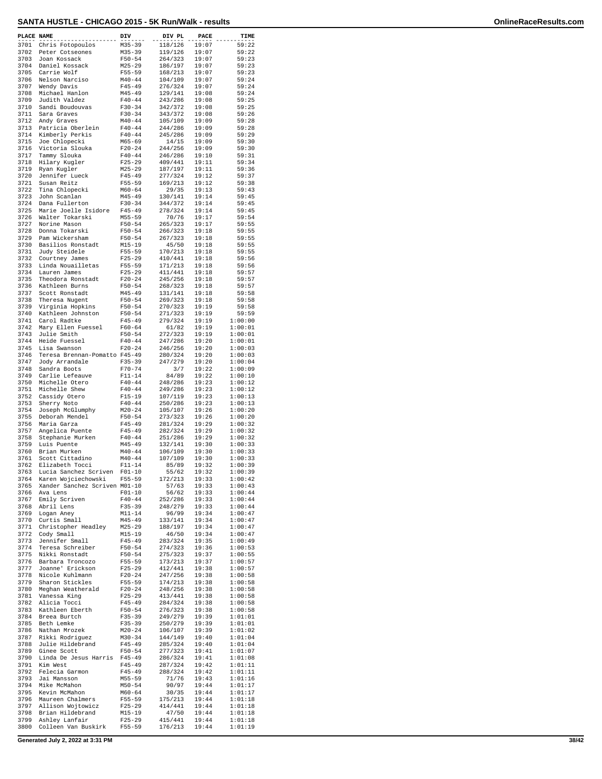| PLACE NAME   |                                          | DIV                      | DIV PL             | PACE           | TIME               |
|--------------|------------------------------------------|--------------------------|--------------------|----------------|--------------------|
| 3701         | Chris Fotopoulos                         | $M35 - 39$               | 118/126            | 19:07          | 59:22              |
| 3702         | Peter Cotseones                          | $M35 - 39$               | 119/126            | 19:07          | 59:22              |
| 3703<br>3704 | Joan Kossack<br>Daniel Kossack           | $F50 - 54$<br>$M25 - 29$ | 264/323<br>186/197 | 19:07<br>19:07 | 59:23<br>59:23     |
| 3705         | Carrie Wolf                              | $F55 - 59$               | 168/213            | 19:07          | 59:23              |
| 3706         | Nelson Narciso                           | $M40 - 44$               | 104/109            | 19:07          | 59:24              |
| 3707         | Wendy Davis                              | $F45 - 49$               | 276/324            | 19:07          | 59:24              |
| 3708<br>3709 | Michael Hanlon                           | $M45 - 49$               | 129/141            | 19:08          | 59:24              |
| 3710         | Judith Valdez<br>Sandi Boudouvas         | $F40 - 44$<br>$F30 - 34$ | 243/286<br>342/372 | 19:08<br>19:08 | 59:25<br>59:25     |
| 3711         | Sara Graves                              | $F30-34$                 | 343/372            | 19:08          | 59:26              |
| 3712         | Andy Graves                              | $M40 - 44$               | 105/109            | 19:09          | 59:28              |
| 3713         | Patricia Oberlein                        | $F40 - 44$               | 244/286            | 19:09          | 59:28              |
| 3714<br>3715 | Kimberly Perkis<br>Joe Chlopecki         | $F40 - 44$<br>$M65 - 69$ | 245/286<br>14/15   | 19:09<br>19:09 | 59:29<br>59:30     |
| 3716         | Victoria Slouka                          | $F20 - 24$               | 244/256            | 19:09          | 59:30              |
| 3717         | Tammy Slouka                             | $F40 - 44$               | 246/286            | 19:10          | 59:31              |
| 3718         | Hilary Kugler                            | $F25 - 29$               | 409/441            | 19:11          | 59:34              |
| 3719<br>3720 | Ryan Kugler<br>Jennifer Lueck            | $M25 - 29$<br>$F45 - 49$ | 187/197<br>277/324 | 19:11<br>19:12 | 59:36<br>59:37     |
| 3721         | Susan Reitz                              | F55-59                   | 169/213            | 19:12          | 59:38              |
| 3722         | Tina Chlopecki                           | $M60 - 64$               | 29/35              | 19:13          | 59:43              |
| 3723         | John Scanlan                             | $M45 - 49$               | 130/141            | 19:14          | 59:45              |
| 3724<br>3725 | Dana Fullerton                           | $F30 - 34$               | 344/372            | 19:14<br>19:14 | 59:45<br>59:45     |
| 3726         | Marie Joelle Isidore<br>Walter Tokarski  | $F45 - 49$<br>$M55 - 59$ | 278/324<br>70/76   | 19:17          | 59:54              |
| 3727         | Norine Mason                             | $F50 - 54$               | 265/323            | 19:17          | 59:55              |
| 3728         | Donna Tokarski                           | $F50 - 54$               | 266/323            | 19:18          | 59:55              |
| 3729         | Pam Wickersham                           | $F50 - 54$               | 267/323            | 19:18          | 59:55              |
| 3730<br>3731 | Basilios Ronstadt<br>Judy Steidele       | $M15 - 19$<br>$F55 - 59$ | 45/50<br>170/213   | 19:18<br>19:18 | 59:55<br>59:55     |
| 3732         | Courtney James                           | $F25 - 29$               | 410/441            | 19:18          | 59:56              |
| 3733         | Linda Nouailletas                        | F55-59                   | 171/213            | 19:18          | 59:56              |
| 3734         | Lauren James                             | $F25 - 29$               | 411/441            | 19:18          | 59:57              |
| 3735         | Theodora Ronstadt<br>Kathleen Burns      | $F20 - 24$<br>$F50 - 54$ | 245/256            | 19:18          | 59:57<br>59:57     |
| 3736<br>3737 | Scott Ronstadt                           | $M45 - 49$               | 268/323<br>131/141 | 19:18<br>19:18 | 59:58              |
| 3738         | Theresa Nugent                           | $F50 - 54$               | 269/323            | 19:18          | 59:58              |
| 3739         | Virginia Hopkins                         | $F50 - 54$               | 270/323            | 19:19          | 59:58              |
| 3740         | Kathleen Johnston                        | $F50 - 54$               | 271/323            | 19:19          | 59:59              |
| 3741<br>3742 | Carol Radtke<br>Mary Ellen Fuessel       | $F45 - 49$<br>$F60 - 64$ | 279/324<br>61/82   | 19:19<br>19:19 | 1:00:00<br>1:00:01 |
| 3743         | Julie Smith                              | $F50 - 54$               | 272/323            | 19:19          | 1:00:01            |
| 3744         | Heide Fuessel                            | $F40 - 44$               | 247/286            | 19:20          | 1:00:01            |
| 3745         | Lisa Swanson                             | $F20 - 24$               | 246/256            | 19:20          | 1:00:03            |
| 3746<br>3747 | Teresa Brennan-Pomatto F45-49            | $F35 - 39$               | 280/324<br>247/279 | 19:20<br>19:20 | 1:00:03<br>1:00:04 |
| 3748         | Jody Arrandale<br>Sandra Boots           | $F70 - 74$               | 3/7                | 19:22          | 1:00:09            |
| 3749         | Carlie Lefeauve                          | $F11 - 14$               | 84/89              | 19:22          | 1:00:10            |
| 3750         | Michelle Otero                           | $F40 - 44$               | 248/286            | 19:23          | 1:00:12            |
| 3751         | Michelle Shew                            | $F40 - 44$               | 249/286            | 19:23<br>19:23 | 1:00:12            |
| 3752<br>3753 | Cassidy Otero<br>Sherry Noto             | $F15 - 19$<br>$F40 - 44$ | 107/119<br>250/286 | 19:23          | 1:00:13<br>1:00:13 |
| 3754         | Joseph McGlumphy                         | $M20 - 24$               | 105/107            | 19:26          | 1:00:20            |
| 3755         | Deborah Mendel                           | $F50 - 54$               | 273/323            | 19:26          | 1:00:20            |
| 3756         | Maria Garza                              | $F45 - 49$               | 281/324            | 19:29          | 1:00:32            |
| 3757<br>3758 | Angelica Puente<br>Stephanie Murken      | $F45 - 49$<br>$F40 - 44$ | 282/324<br>251/286 | 19:29<br>19:29 | 1:00:32<br>1:00:32 |
| 3759         | Luis Puente                              | $M45 - 49$               | 132/141            | 19:30          | 1:00:33            |
| 3760         | Brian Murken                             | $M40 - 44$               | 106/109            | 19:30          | 1:00:33            |
| 3761         | Scott Cittadino                          | $M40 - 44$               | 107/109            | 19:30          | 1:00:33            |
| 3762<br>3763 | Elizabeth Tocci<br>Lucia Sanchez Scriven | $F11 - 14$<br>$F01 - 10$ | 85/89<br>55/62     | 19:32<br>19:32 | 1:00:39<br>1:00:39 |
| 3764         | Karen Wojciechowski                      | F55-59                   | 172/213            | 19:33          | 1:00:42            |
| 3765         | Xander Sanchez Scriven M01-10            |                          | 57/63              | 19:33          | 1:00:43            |
| 3766         | Ava Lens                                 | $F01-10$                 | 56/62              | 19:33          | 1:00:44            |
| 3767         | Emily Scriven                            | $F40 - 44$               | 252/286<br>248/279 | 19:33<br>19:33 | 1:00:44            |
| 3768<br>3769 | Abril Lens<br>Logan Aney                 | $F35 - 39$<br>$M11 - 14$ | 96/99              | 19:34          | 1:00:44<br>1:00:47 |
| 3770         | Curtis Small                             | $M45 - 49$               | 133/141            | 19:34          | 1:00:47            |
| 3771         | Christopher Headley                      | $M25 - 29$               | 188/197            | 19:34          | 1:00:47            |
| 3772         | Cody Small                               | $M15 - 19$               | 46/50              | 19:34          | 1:00:47            |
| 3773<br>3774 | Jennifer Small<br>Teresa Schreiber       | $F45 - 49$<br>$F50 - 54$ | 283/324<br>274/323 | 19:35<br>19:36 | 1:00:49<br>1:00:53 |
| 3775         | Nikki Ronstadt                           | $F50 - 54$               | 275/323            | 19:37          | 1:00:55            |
| 3776         | Barbara Troncozo                         | F55-59                   | 173/213            | 19:37          | 1:00:57            |
| 3777         | Joanne' Erickson                         | $F25-29$                 | 412/441            | 19:38          | 1:00:57            |
| 3778<br>3779 | Nicole Kuhlmann<br>Sharon Stickles       | $F20-24$<br>F55-59       | 247/256<br>174/213 | 19:38<br>19:38 | 1:00:58<br>1:00:58 |
| 3780         | Meghan Weatherald                        | $F20-24$                 | 248/256            | 19:38          | 1:00:58            |
| 3781         | Vanessa King                             | $F25 - 29$               | 413/441            | 19:38          | 1:00:58            |
| 3782         | Alicia Tocci                             | $F45 - 49$               | 284/324            | 19:38          | 1:00:58            |
| 3783<br>3784 | Kathleen Eberth                          | $F50 - 54$<br>$F35 - 39$ | 276/323<br>249/279 | 19:38          | 1:00:58<br>1:01:01 |
| 3785         | Breea Burtch<br>Beth Lemke               | $F35 - 39$               | 250/279            | 19:39<br>19:39 | 1:01:01            |
| 3786         | Nathan Mrozek                            | $M20 - 24$               | 106/107            | 19:39          | 1:01:02            |
| 3787         | Rikki Rodriguez                          | $M30 - 34$               | 144/149            | 19:40          | 1:01:04            |
| 3788         | Julie Hildebrand                         | $F45 - 49$               | 285/324            | 19:40          | 1:01:04            |
| 3789<br>3790 | Ginee Scott<br>Linda De Jesus Harris     | $F50 - 54$<br>$F45 - 49$ | 277/323<br>286/324 | 19:41<br>19:41 | 1:01:07<br>1:01:08 |
| 3791         | Kim West                                 | $F45 - 49$               | 287/324            | 19:42          | 1:01:11            |
| 3792         | Felecia Garmon                           | $F45 - 49$               | 288/324            | 19:42          | 1:01:11            |
| 3793         | Jai Mansson                              | M55-59                   | 71/76              | 19:43          | 1:01:16            |
| 3794<br>3795 | Mike McMahon<br>Kevin McMahon            | $M50 - 54$<br>$M60 - 64$ | 90/97<br>30/35     | 19:44<br>19:44 | 1:01:17<br>1:01:17 |
| 3796         | Maureen Chalmers                         | F55-59                   | 175/213            | 19:44          | 1:01:18            |
| 3797         | Allison Wojtowicz                        | $F25 - 29$               | 414/441            | 19:44          | 1:01:18            |
| 3798         | Brian Hildebrand                         | M15-19                   | 47/50              | 19:44          | 1:01:18            |
| 3799         | Ashley Lanfair                           | F25-29                   | 415/441            | 19:44          | 1:01:18            |
| 3800         | Colleen Van Buskirk                      | F55-59                   | 176/213            | 19:44          | 1:01:19            |

**Generated July 2, 2022 at 3:31 PM 38/42**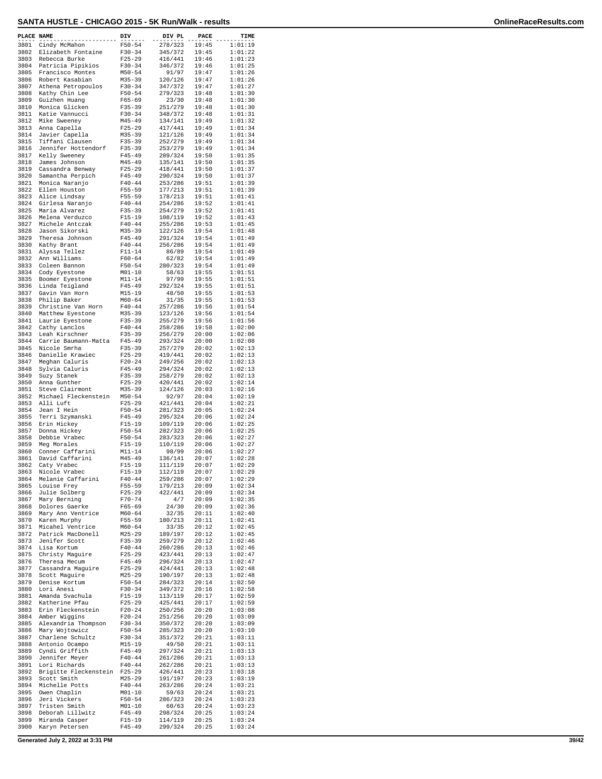| PLACE NAME   |                                        | DIV                      | DIV PL             | PACE           | TIME               |
|--------------|----------------------------------------|--------------------------|--------------------|----------------|--------------------|
| 3801         | Cindy McMahon                          | $F50 - 54$               | 278/323            | 19:45          | 1:01:19            |
| 3802         | Elizabeth Fontaine                     | $F30-34$                 | 345/372            | 19:45          | 1:01:22            |
| 3803<br>3804 | Rebecca Burke                          | $F25 - 29$               | 416/441            | 19:46          | 1:01:23            |
| 3805         | Patricia Pipikios<br>Francisco Montes  | $F30-34$<br>$M50 - 54$   | 346/372<br>91/97   | 19:46<br>19:47 | 1:01:25<br>1:01:26 |
| 3806         | Robert Kasabian                        | $M35 - 39$               | 120/126            | 19:47          | 1:01:26            |
| 3807         | Athena Petropoulos                     | $F30 - 34$               | 347/372            | 19:47          | 1:01:27            |
| 3808         | Kathy Chin Lee                         | $F50 - 54$               | 279/323            | 19:48          | 1:01:30            |
| 3809         | Guizhen Huang                          | $F65 - 69$               | 23/30              | 19:48          | 1:01:30            |
| 3810         | Monica Glicken                         | $F35 - 39$               | 251/279            | 19:48          | 1:01:30            |
| 3811         | Katie Vannucci                         | $F30-34$                 | 348/372            | 19:48          | 1:01:31            |
| 3812         | Mike Sweeney                           | $M45 - 49$               | 134/141            | 19:49          | 1:01:32            |
| 3813<br>3814 | Anna Capella<br>Javier Capella         | $F25 - 29$<br>$M35 - 39$ | 417/441<br>121/126 | 19:49<br>19:49 | 1:01:34<br>1:01:34 |
| 3815         | Tiffani Clausen                        | $F35 - 39$               | 252/279            | 19:49          | 1:01:34            |
| 3816         | Jennifer Hottendorf                    | $F35 - 39$               | 253/279            | 19:49          | 1:01:34            |
| 3817         | Kelly Sweeney                          | $F45 - 49$               | 289/324            | 19:50          | 1:01:35            |
| 3818         | James Johnson                          | M45-49                   | 135/141            | 19:50          | 1:01:35            |
| 3819         | Cassandra Benway                       | $F25 - 29$               | 418/441            | 19:50          | 1:01:37            |
| 3820         | Samantha Perpich                       | $F45 - 49$               | 290/324            | 19:50          | 1:01:37            |
| 3821         | Monica Naranjo                         | $F40 - 44$               | 253/286            | 19:51          | 1:01:39            |
| 3822<br>3823 | Ellen Houston<br>Alice Lindsay         | $F55 - 59$<br>$F55 - 59$ | 177/213<br>178/213 | 19:51<br>19:51 | 1:01:39<br>1:01:41 |
| 3824         | Girlesa Naranjo                        | $F40 - 44$               | 254/286            | 19:52          | 1:01:41            |
| 3825         | Maria Alvarez                          | $F35 - 39$               | 254/279            | 19:52          | 1:01:41            |
| 3826         | Melena Verduzco                        | $F15-19$                 | 108/119            | 19:52          | 1:01:43            |
| 3827         | Michele Antczak                        | $F40 - 44$               | 255/286            | 19:53          | 1:01:45            |
| 3828         | Jason Sikorski                         | $M35 - 39$               | 122/126            | 19:54          | 1:01:48            |
| 3829         | Theresa Johnson                        | $F45 - 49$               | 291/324            | 19:54          | 1:01:49            |
| 3830         | Kathy Brant                            | $F40 - 44$               | 256/286            | 19:54          | 1:01:49            |
| 3831         | Alyssa Tellez                          | $F11 - 14$               | 86/89              | 19:54          | 1:01:49            |
| 3832<br>3833 | Ann Williams                           | $F60 - 64$               | 62/82<br>280/323   | 19:54<br>19:54 | 1:01:49            |
| 3834         | Coleen Bannon<br>Cody Eyestone         | $F50 - 54$<br>$M01 - 10$ | 58/63              | 19:55          | 1:01:49<br>1:01:51 |
| 3835         | Boomer Eyestone                        | $M11 - 14$               | 97/99              | 19:55          | 1:01:51            |
| 3836         | Linda Teigland                         | $F45 - 49$               | 292/324            | 19:55          | 1:01:51            |
| 3837         | Gavin Van Horn                         | $M15 - 19$               | 48/50              | 19:55          | 1:01:53            |
| 3838         | Philip Baker                           | $M60 - 64$               | 31/35              | 19:55          | 1:01:53            |
| 3839         | Christine Van Horn                     | $F40 - 44$               | 257/286            | 19:56          | 1:01:54            |
| 3840         | Matthew Eyestone                       | $M35 - 39$               | 123/126            | 19:56          | 1:01:54            |
| 3841         | Laurie Eyestone                        | $F35 - 39$               | 255/279            | 19:56          | 1:01:56            |
| 3842         | Cathy Lanclos                          | $F40 - 44$               | 258/286            | 19:58          | 1:02:00            |
| 3843<br>3844 | Leah Kirschner<br>Carrie Baumann-Matta | $F35 - 39$<br>$F45 - 49$ | 256/279<br>293/324 | 20:00<br>20:00 | 1:02:06<br>1:02:08 |
| 3845         | Nicole Smrha                           | $F35 - 39$               | 257/279            | 20:02          | 1:02:13            |
| 3846         | Danielle Krawiec                       | $F25 - 29$               | 419/441            | 20:02          | 1:02:13            |
| 3847         | Meghan Caluris                         | $F20 - 24$               | 249/256            | 20:02          | 1:02:13            |
| 3848         | Sylvia Caluris                         | $F45 - 49$               | 294/324            | 20:02          | 1:02:13            |
| 3849         | Suzy Stanek                            | $F35 - 39$               | 258/279            | 20:02          | 1:02:13            |
| 3850         | Anna Gunther                           | $F25 - 29$               | 420/441            | 20:02          | 1:02:14            |
| 3851         | Steve Clairmont                        | $M35 - 39$               | 124/126            | 20:03          | 1:02:16            |
| 3852<br>3853 | Michael Fleckenstein<br>Alli Luft      | $M50 - 54$<br>$F25 - 29$ | 92/97<br>421/441   | 20:04<br>20:04 | 1:02:19<br>1:02:21 |
| 3854         | Jean I Hein                            | $F50 - 54$               | 281/323            | 20:05          | 1:02:24            |
| 3855         | Terri Szymanski                        | $F45 - 49$               | 295/324            | 20:06          | 1:02:24            |
| 3856         | Erin Hickey                            | $F15-19$                 | 109/119            | 20:06          | 1:02:25            |
| 3857         | Donna Hickey                           | $F50 - 54$               | 282/323            | 20:06          | 1:02:25            |
| 3858         | Debbie Vrabec                          | $F50 - 54$               | 283/323            | 20:06          | 1:02:27            |
| 3859         | Meg Morales                            | $F15-19$                 | 110/119            | 20:06          | 1:02:27            |
| 3860         | Conner Caffarini                       | $M11 - 14$               | 98/99              | 20:06          | 1:02:27            |
| 3861<br>3862 | David Caffarini<br>Caty Vrabec         | $M45 - 49$<br>$F15 - 19$ | 136/141<br>111/119 | 20:07<br>20:07 | 1:02:28<br>1:02:29 |
| 3863         | Nicole Vrabec                          | $F15 - 19$               | 112/119            | 20:07          | 1:02:29            |
| 3864         | Melanie Caffarini                      | $F40 - 44$               | 259/286            | 20:07          | 1:02:29            |
| 3865         | Louise Frey                            | $F55 - 59$               | 179/213            | 20:09          | 1:02:34            |
| 3866         | Julie Solberg                          | $F25 - 29$               | 422/441            | 20:09          | 1:02:34            |
| 3867         | Mary Berning                           | $F70 - 74$               | 4/7                | 20:09          | 1:02:35            |
| 3868         | Dolores Gaerke                         | $F65 - 69$               | 24/30              | 20:09          | 1:02:36            |
| 3869<br>3870 | Mary Ann Ventrice                      | $M60 - 64$<br>$F55 - 59$ | 32/35<br>180/213   | 20:11<br>20:11 | 1:02:40<br>1:02:41 |
| 3871         | Karen Murphy<br>Micahel Ventrice       | $M60 - 64$               | 33/35              | 20:12          | 1:02:45            |
| 3872         | Patrick MacDonell                      | $M25 - 29$               | 189/197            | 20:12          | 1:02:45            |
| 3873         | Jenifer Scott                          | $F35 - 39$               | 259/279            | 20:12          | 1:02:46            |
| 3874         | Lisa Kortum                            | $F40 - 44$               | 260/286            | 20:13          | 1:02:46            |
| 3875         | Christy Maguire                        | $F25 - 29$               | 423/441            | 20:13          | 1:02:47            |
| 3876         | Theresa Mecum                          | $F45 - 49$               | 296/324            | 20:13          | 1:02:47            |
| 3877         | Cassandra Maquire                      | $F25 - 29$               | 424/441            | 20:13          | 1:02:48            |
| 3878<br>3879 | Scott Maguire                          | $M25 - 29$               | 190/197            | 20:13          | 1:02:48            |
| 3880         | Denise Kortum<br>Lori Anesi            | $F50 - 54$<br>$F30 - 34$ | 284/323<br>349/372 | 20:14<br>20:16 | 1:02:50<br>1:02:58 |
| 3881         | Amanda Svachula                        | $F15 - 19$               | 113/119            | 20:17          | 1:02:59            |
| 3882         | Katherine Pfau                         | $F25 - 29$               | 425/441            | 20:17          | 1:02:59            |
| 3883         | Erin Fleckenstein                      | $F20 - 24$               | 250/256            | 20:20          | 1:03:08            |
| 3884         | Amber Wiggins                          | $F20 - 24$               | 251/256            | 20:20          | 1:03:09            |
| 3885         | Alexandria Thompson                    | $F30 - 34$               | 350/372            | 20:20          | 1:03:09            |
| 3886         | Mary Wojtowicz                         | $F50 - 54$               | 285/323            | 20:20          | 1:03:10            |
| 3887         | Charlene Schultz                       | $F30 - 34$               | 351/372            | 20:21          | 1:03:11            |
| 3888         | Antonio Ocampo                         | M15-19                   | 49/50              | 20:21          | 1:03:11            |
| 3889<br>3890 | Cyndi Griffith<br>Jennifer Meyer       | $F45 - 49$<br>$F40 - 44$ | 297/324<br>261/286 | 20:21<br>20:21 | 1:03:13<br>1:03:13 |
| 3891         | Lori Richards                          | $F40 - 44$               | 262/286            | 20:21          | 1:03:13            |
| 3892         | Brigitte Fleckenstein                  | $F25 - 29$               | 426/441            | 20:23          | 1:03:18            |
| 3893         | Scott Smith                            | $M25 - 29$               | 191/197            | 20:23          | 1:03:19            |
| 3894         | Michelle Potts                         | $F40 - 44$               | 263/286            | 20:24          | 1:03:21            |
| 3895         | Owen Chaplin                           | $M01 - 10$               | 59/63              | 20:24          | 1:03:21            |
| 3896         | Jeri Vickers                           | $F50 - 54$               | 286/323            | 20:24          | 1:03:23            |
| 3897         | Tristen Smith                          | $M01 - 10$<br>$F45 - 49$ | 60/63              | 20:24          | 1:03:23<br>1:03:24 |
| 3898<br>3899 | Deborah Lillwitz<br>Miranda Casper     | $F15 - 19$               | 298/324<br>114/119 | 20:25<br>20:25 | 1:03:24            |
| 3900         | Karyn Petersen                         | $F45 - 49$               | 299/324            | 20:25          | 1:03:24            |
|              |                                        |                          |                    |                |                    |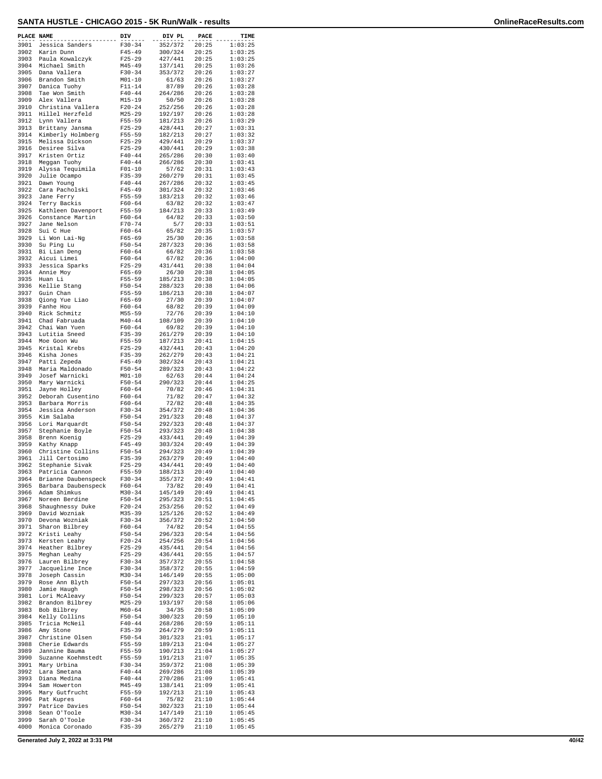| PLACE NAME |                     | DIV        | DIV PL  | PACE  | TIME    |
|------------|---------------------|------------|---------|-------|---------|
| 3901       | Jessica Sanders     | $F30-34$   | 352/372 | 20:25 | 1:03:25 |
| 3902       | Karin Dunn          | $F45 - 49$ | 300/324 | 20:25 | 1:03:25 |
| 3903       | Paula Kowalczyk     | $F25 - 29$ | 427/441 | 20:25 | 1:03:25 |
| 3904       | Michael Smith       | $M45 - 49$ | 137/141 | 20:25 | 1:03:26 |
| 3905       | Dana Vallera        | $F30 - 34$ | 353/372 | 20:26 | 1:03:27 |
| 3906       | Brandon Smith       | $M01 - 10$ | 61/63   | 20:26 | 1:03:27 |
| 3907       | Danica Tuohy        | $F11 - 14$ | 87/89   | 20:26 | 1:03:28 |
| 3908       | Tae Won Smith       | $F40 - 44$ | 264/286 | 20:26 | 1:03:28 |
| 3909       | Alex Vallera        | $M15 - 19$ | 50/50   | 20:26 | 1:03:28 |
| 3910       | Christina Vallera   | $F20-24$   | 252/256 | 20:26 | 1:03:28 |
| 3911       | Hillel Herzfeld     | $M25 - 29$ | 192/197 | 20:26 | 1:03:28 |
| 3912       | Lynn Vallera        | $F55 - 59$ | 181/213 | 20:26 | 1:03:29 |
| 3913       | Brittany Jansma     | $F25 - 29$ | 428/441 | 20:27 | 1:03:31 |
| 3914       | Kimberly Holmberg   | $F55 - 59$ | 182/213 | 20:27 | 1:03:32 |
| 3915       | Melissa Dickson     | $F25 - 29$ | 429/441 | 20:29 | 1:03:37 |
| 3916       | Desiree Silva       | $F25 - 29$ | 430/441 | 20:29 | 1:03:38 |
| 3917       | Kristen Ortiz       | $F40 - 44$ | 265/286 | 20:30 | 1:03:40 |
| 3918       | Meggan Tuohy        | $F40 - 44$ | 266/286 | 20:30 | 1:03:41 |
| 3919       | Alyssa Tequimila    | $F01 - 10$ | 57/62   | 20:31 | 1:03:43 |
| 3920       | Julie Ocampo        | $F35 - 39$ | 260/279 | 20:31 | 1:03:45 |
| 3921       | Dawn Young          | $F40 - 44$ | 267/286 | 20:32 | 1:03:45 |
| 3922       | Cara Pacholski      | $F45 - 49$ | 301/324 | 20:32 | 1:03:46 |
| 3923       | Jane Ferry          | $F55 - 59$ | 183/213 | 20:32 | 1:03:46 |
| 3924       | Terry Backis        | $F60 - 64$ | 63/82   | 20:32 | 1:03:47 |
| 3925       | Kathleen Davenport  | $F55 - 59$ | 184/213 | 20:33 | 1:03:49 |
| 3926       | Constance Martin    | $F60 - 64$ | 64/82   | 20:33 | 1:03:50 |
| 3927       | Jane Nelson         | $F70 - 74$ | 5/7     | 20:33 | 1:03:51 |
| 3928       | Sui C Hue           | $F60 - 64$ | 65/82   | 20:35 | 1:03:57 |
| 3929       | Li Won Lai-Nq       | $F65 - 69$ | 25/30   | 20:36 | 1:03:58 |
| 3930       | Su Ping Lu          | $F50 - 54$ | 287/323 | 20:36 | 1:03:58 |
| 3931       | Bi Lian Deng        | $F60 - 64$ | 66/82   | 20:36 | 1:03:58 |
| 3932       | Aicui Limei         | $F60 - 64$ | 67/82   | 20:36 | 1:04:00 |
| 3933       | Jessica Sparks      | $F25 - 29$ | 431/441 | 20:38 | 1:04:04 |
| 3934       | Annie Moy           | $F65 - 69$ | 26/30   | 20:38 | 1:04:05 |
| 3935       | Huan Li             | $F55 - 59$ | 185/213 | 20:38 | 1:04:05 |
| 3936       | Kellie Stang        | $F50 - 54$ | 288/323 | 20:38 | 1:04:06 |
| 3937       | Guin Chan           | $F55 - 59$ | 186/213 | 20:38 | 1:04:07 |
| 3938       | Qiong Yue Liao      | $F65 - 69$ | 27/30   | 20:39 | 1:04:07 |
| 3939       | Fanhe Hou           | $F60 - 64$ | 68/82   | 20:39 | 1:04:09 |
| 3940       | Rick Schmitz        | $M55 - 59$ | 72/76   | 20:39 | 1:04:10 |
| 3941       | Chad Fabruada       | $M40 - 44$ | 108/109 | 20:39 | 1:04:10 |
| 3942       | Chai Wan Yuen       | $F60 - 64$ | 69/82   | 20:39 | 1:04:10 |
| 3943       | Lutitia Sneed       | $F35 - 39$ | 261/279 | 20:39 | 1:04:10 |
| 3944       | Moe Goon Wu         | $F55 - 59$ | 187/213 | 20:41 | 1:04:15 |
| 3945       | Kristal Krebs       | $F25 - 29$ | 432/441 | 20:43 | 1:04:20 |
| 3946       | Kisha Jones         | $F35 - 39$ | 262/279 | 20:43 | 1:04:21 |
| 3947       | Patti Zepeda        | $F45 - 49$ | 302/324 | 20:43 | 1:04:21 |
| 3948       | Maria Maldonado     | $F50 - 54$ | 289/323 | 20:43 | 1:04:22 |
| 3949       | Josef Warnicki      | $M01 - 10$ | 62/63   | 20:44 | 1:04:24 |
| 3950       | Mary Warnicki       | $F50 - 54$ | 290/323 | 20:44 | 1:04:25 |
| 3951       | Jayne Holley        | $F60 - 64$ | 70/82   | 20:46 | 1:04:31 |
| 3952       | Deborah Cusentino   | $F60 - 64$ | 71/82   | 20:47 | 1:04:32 |
| 3953       | Barbara Morris      | $F60 - 64$ | 72/82   | 20:48 | 1:04:35 |
| 3954       | Jessica Anderson    | $F30-34$   | 354/372 | 20:48 | 1:04:36 |
| 3955       | Kim Salaba          | $F50 - 54$ | 291/323 | 20:48 | 1:04:37 |
| 3956       | Lori Marquardt      | $F50 - 54$ | 292/323 | 20:48 | 1:04:37 |
| 3957       | Stephanie Boyle     | $F50 - 54$ | 293/323 | 20:48 | 1:04:38 |
| 3958       | Brenn Koenig        | $F25 - 29$ | 433/441 | 20:49 | 1:04:39 |
| 3959       | Kathy Knapp         | $F45 - 49$ | 303/324 | 20:49 | 1:04:39 |
| 3960       | Christine Collins   | $F50 - 54$ | 294/323 | 20:49 | 1:04:39 |
| 3961       | Jill Certosimo      | $F35 - 39$ | 263/279 | 20:49 | 1:04:40 |
| 3962       | Stephanie Sivak     | $F25 - 29$ | 434/441 | 20:49 | 1:04:40 |
| 3963       | Patricia Cannon     | $F55 - 59$ | 188/213 | 20:49 | 1:04:40 |
| 3964       | Brianne Daubenspeck | F30-34     | 355/372 | 20:49 | 1:04:41 |
| 3965       | Barbara Daubenspeck | $F60 - 64$ | 73/82   | 20:49 | 1:04:41 |
| 3966       | Adam Shimkus        | $M30 - 34$ | 145/149 | 20:49 | 1:04:41 |
| 3967       | Noreen Berdine      | $F50 - 54$ | 295/323 | 20:51 | 1:04:45 |
| 3968       | Shaughnessy Duke    | $F20 - 24$ | 253/256 | 20:52 | 1:04:49 |
| 3969       | David Wozniak       | M35-39     | 125/126 | 20:52 | 1:04:49 |
| 3970       | Devona Wozniak      | $F30-34$   | 356/372 | 20:52 | 1:04:50 |
| 3971       | Sharon Bilbrey      | $F60 - 64$ | 74/82   | 20:54 | 1:04:55 |
| 3972       | Kristi Leahy        | $F50 - 54$ | 296/323 | 20:54 | 1:04:56 |
| 3973       | Kersten Leahy       | $F20 - 24$ | 254/256 | 20:54 | 1:04:56 |
| 3974       | Heather Bilbrey     | $F25 - 29$ | 435/441 | 20:54 | 1:04:56 |
| 3975       | Meghan Leahy        | $F25 - 29$ | 436/441 | 20:55 | 1:04:57 |
| 3976       | Lauren Bilbrey      | $F30-34$   | 357/372 | 20:55 | 1:04:58 |
| 3977       | Jacqueline Ince     | $F30 - 34$ | 358/372 | 20:55 | 1:04:59 |
| 3978       | Joseph Cassin       | $M30 - 34$ | 146/149 | 20:55 | 1:05:00 |
| 3979       | Rose Ann Blyth      | $F50 - 54$ | 297/323 | 20:56 | 1:05:01 |
| 3980       | Jamie Haugh         | $F50 - 54$ | 298/323 | 20:56 | 1:05:02 |
| 3981       | Lori McAleavy       | $F50 - 54$ | 299/323 | 20:57 | 1:05:03 |
| 3982       | Brandon Bilbrey     | $M25 - 29$ | 193/197 | 20:58 | 1:05:06 |
| 3983       | Bob Bilbrey         | $M60 - 64$ | 34/35   | 20:58 | 1:05:09 |
| 3984       | Kelly Collins       | $F50 - 54$ | 300/323 | 20:59 | 1:05:10 |
| 3985       | Tricia McNeil       | $F40 - 44$ | 268/286 | 20:59 | 1:05:11 |
| 3986       | Amy Stone           | $F35 - 39$ | 264/279 | 20:59 | 1:05:11 |
| 3987       | Christine Olsen     | $F50 - 54$ | 301/323 | 21:01 | 1:05:17 |
| 3988       | Cherie Edwards      | $F55 - 59$ | 189/213 | 21:04 | 1:05:27 |
| 3989       | Jannine Bauma       | $F55 - 59$ | 190/213 | 21:04 | 1:05:27 |
| 3990       | Suzanne Koehmstedt  | F55-59     | 191/213 | 21:07 | 1:05:35 |
| 3991       | Mary Urbina         | $F30-34$   | 359/372 | 21:08 | 1:05:39 |
| 3992       | Lara Smetana        | $F40 - 44$ | 269/286 | 21:08 | 1:05:39 |
| 3993       | Diana Medina        | $F40 - 44$ | 270/286 | 21:09 | 1:05:41 |
| 3994       | Sam Howerton        | $M45 - 49$ | 138/141 | 21:09 | 1:05:41 |
| 3995       | Mary Gutfrucht      | $F55 - 59$ | 192/213 | 21:10 | 1:05:43 |
| 3996       | Pat Kupres          | $F60 - 64$ | 75/82   | 21:10 | 1:05:44 |
| 3997       | Patrice Davies      | $F50 - 54$ | 302/323 | 21:10 | 1:05:44 |
| 3998       | Sean O'Toole        | $M30 - 34$ | 147/149 | 21:10 | 1:05:45 |
| 3999       | Sarah O'Toole       | $F30-34$   | 360/372 | 21:10 | 1:05:45 |
| 4000       | Monica Coronado     | $F35 - 39$ | 265/279 | 21:10 | 1:05:45 |

**Generated July 2, 2022 at 3:31 PM 40/42**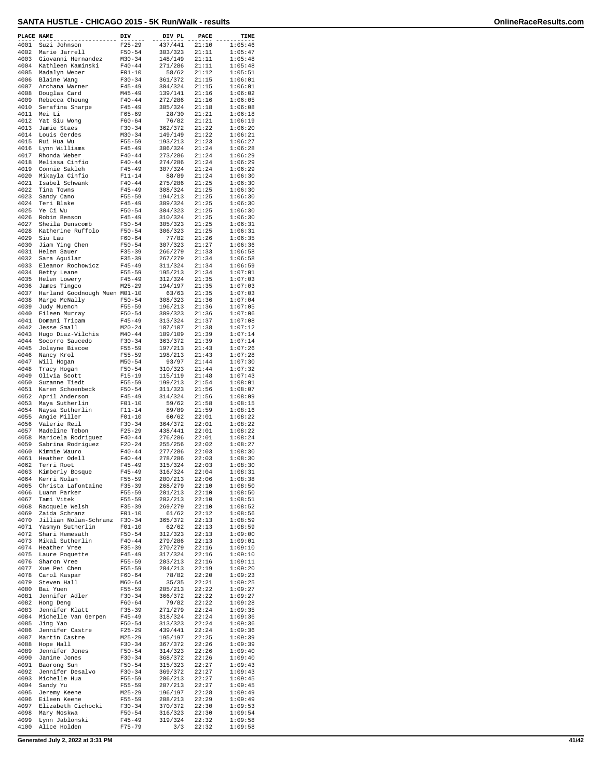| PLACE NAME   |                                 | DIV                      | DIV PL             | PACE           | TIME               |
|--------------|---------------------------------|--------------------------|--------------------|----------------|--------------------|
| 4001         | Suzi Johnson                    | $F25 - 29$               | 437/441            | 21:10          | 1:05:46            |
| 4002         | Marie Jarrell                   | $F50 - 54$               | 303/323            | 21:11          | 1:05:47            |
| 4003         | Giovanni Hernandez              | $M30 - 34$               | 148/149            | 21:11          | 1:05:48            |
| 4004<br>4005 | Kathleen Kaminski               | $F40 - 44$               | 271/286            | 21:11<br>21:12 | 1:05:48            |
| 4006         | Madalyn Weber<br>Blaine Wang    | $F01 - 10$<br>$F30-34$   | 58/62<br>361/372   | 21:15          | 1:05:51<br>1:06:01 |
| 4007         | Archana Warner                  | $F45 - 49$               | 304/324            | 21:15          | 1:06:01            |
| 4008         | Douglas Card                    | $M45 - 49$               | 139/141            | 21:16          | 1:06:02            |
| 4009         | Rebecca Cheung                  | $F40 - 44$               | 272/286            | 21:16          | 1:06:05            |
| 4010         | Serafina Sharpe                 | $F45 - 49$               | 305/324            | 21:18          | 1:06:08            |
| 4011         | Mei Li                          | $F65 - 69$               | 28/30              | 21:21          | 1:06:18            |
| 4012         | Yat Siu Wong                    | $F60 - 64$               | 76/82              | 21:21          | 1:06:19            |
| 4013         | Jamie Staes                     | $F30-34$                 | 362/372            | 21:22          | 1:06:20            |
| 4014<br>4015 | Louis Gerdes                    | $M30 - 34$<br>$F55 - 59$ | 149/149<br>193/213 | 21:22<br>21:23 | 1:06:21            |
| 4016         | Rui Hua Wu<br>Lynn Williams     | $F45 - 49$               | 306/324            | 21:24          | 1:06:27<br>1:06:28 |
| 4017         | Rhonda Weber                    | $F40 - 44$               | 273/286            | 21:24          | 1:06:29            |
| 4018         | Melissa Cinfio                  | $F40 - 44$               | 274/286            | 21:24          | 1:06:29            |
| 4019         | Connie Sakleh                   | $F45 - 49$               | 307/324            | 21:24          | 1:06:29            |
| 4020         | Mikayla Cinfio                  | $F11 - 14$               | 88/89              | 21:24          | 1:06:30            |
| 4021         | Isabel Schwank                  | $F40 - 44$               | 275/286            | 21:25          | 1:06:30            |
| 4022         | Tina Towns                      | $F45 - 49$               | 308/324            | 21:25          | 1:06:30            |
| 4023         | Sandy Cano                      | $F55 - 59$               | 194/213            | 21:25          | 1:06:30            |
| 4024         | Teri Blake                      | $F45 - 49$               | 309/324            | 21:25          | 1:06:30            |
| 4025         | Ye Ci Wu                        | $F50 - 54$               | 304/323            | 21:25          | 1:06:30            |
| 4026<br>4027 | Robin Benson<br>Sheila Dunscomb | $F45 - 49$<br>$F50 - 54$ | 310/324<br>305/323 | 21:25<br>21:25 | 1:06:30<br>1:06:31 |
| 4028         | Katherine Ruffolo               | $F50 - 54$               | 306/323            | 21:25          | 1:06:31            |
| 4029         | Siu Lau                         | $F60 - 64$               | 77/82              | 21:26          | 1:06:35            |
| 4030         | Jiam Ying Chen                  | $F50 - 54$               | 307/323            | 21:27          | 1:06:36            |
| 4031         | Helen Sauer                     | $F35 - 39$               | 266/279            | 21:33          | 1:06:58            |
| 4032         | Sara Aguilar                    | $F35 - 39$               | 267/279            | 21:34          | 1:06:58            |
| 4033         | Eleanor Rochowicz               | $F45 - 49$               | 311/324            | 21:34          | 1:06:59            |
| 4034         | Betty Leane                     | $F55 - 59$               | 195/213            | 21:34          | 1:07:01            |
| 4035         | Helen Lowery                    | $F45 - 49$               | 312/324            | 21:35          | 1:07:03            |
| 4036         | James Tingco                    | $M25 - 29$               | 194/197            | 21:35          | 1:07:03            |
| 4037         | Harland Goodnough Muen M01-10   |                          | 63/63              | 21:35          | 1:07:03            |
| 4038         | Marge McNally                   | $F50 - 54$               | 308/323            | 21:36          | 1:07:04<br>1:07:05 |
| 4039<br>4040 | Judy Muench                     | $F55 - 59$               | 196/213            | 21:36          |                    |
| 4041         | Eileen Murray                   | $F50 - 54$<br>$F45 - 49$ | 309/323            | 21:36          | 1:07:06<br>1:07:08 |
| 4042         | Domani Tripam<br>Jesse Small    | $M20 - 24$               | 313/324<br>107/107 | 21:37<br>21:38 | 1:07:12            |
| 4043         | Hugo Diaz-Vilchis               | $M40 - 44$               | 109/109            | 21:39          | 1:07:14            |
| 4044         | Socorro Saucedo                 | $F30-34$                 | 363/372            | 21:39          | 1:07:14            |
| 4045         | Jolayne Biscoe                  | F55-59                   | 197/213            | 21:43          | 1:07:26            |
| 4046         | Nancy Krol                      | $F55 - 59$               | 198/213            | 21:43          | 1:07:28            |
| 4047         | Will Hogan                      | $M50 - 54$               | 93/97              | 21:44          | 1:07:30            |
| 4048         | Tracy Hogan                     | $F50 - 54$               | 310/323            | 21:44          | 1:07:32            |
| 4049         | Olivia Scott                    | $F15 - 19$               | 115/119            | 21:48          | 1:07:43            |
| 4050         | Suzanne Tiedt                   | $F55 - 59$               | 199/213            | 21:54          | 1:08:01            |
| 4051         | Karen Schoenbeck                | $F50 - 54$               | 311/323            | 21:56          | 1:08:07            |
| 4052         | April Anderson                  | $F45 - 49$               | 314/324            | 21:56          | 1:08:09            |
| 4053         | Maya Sutherlin                  | $F01 - 10$               | 59/62              | 21:58          | 1:08:15            |
| 4054         | Naysa Sutherlin                 | $F11 - 14$               | 89/89              | 21:59          | 1:08:16            |
| 4055<br>4056 | Angie Miller<br>Valerie Reil    | $F01-10$<br>$F30 - 34$   | 60/62<br>364/372   | 22:01<br>22:01 | 1:08:22<br>1:08:22 |
| 4057         | Madeline Tebon                  | $F25-29$                 | 438/441            | 22:01          | 1:08:22            |
| 4058         | Maricela Rodriquez              | $F40 - 44$               | 276/286            | 22:01          | 1:08:24            |
| 4059         | Sabrina Rodriguez               | $F20-24$                 | 255/256            | 22:02          | 1:08:27            |
| 4060         | Kimmie Wauro                    | $F40 - 44$               | 277/286            | 22:03          | 1:08:30            |
| 4061         | Heather Odell                   | $F40 - 44$               | 278/286            | 22:03          | 1:08:30            |
| 4062         | Terri Root                      | $F45 - 49$               | 315/324            | 22:03          | 1:08:30            |
| 4063         | Kimberly Bosque                 | $F45 - 49$               | 316/324            | 22:04          | 1:08:31            |
| 4064         | Kerri Nolan                     | F55-59                   | 200/213            | 22:06          | 1:08:38            |
| 4065         | Christa Lafontaine              | $F35 - 39$               | 268/279            | 22:10          | 1:08:50            |
| 4066         | Luann Parker                    | $F55 - 59$               | 201/213<br>202/213 | 22:10<br>22:10 | 1:08:50            |
| 4067<br>4068 | Tami Vitek<br>Racquele Welsh    | $F55 - 59$<br>$F35 - 39$ | 269/279            | 22:10          | 1:08:51<br>1:08:52 |
| 4069         | Zaida Schranz                   | $F01 - 10$               | 61/62              | 22:12          | 1:08:56            |
| 4070         | Jillian Nolan-Schranz           | $F30-34$                 | 365/372            | 22:13          | 1:08:59            |
| 4071         | Yasmyn Sutherlin                | $F01-10$                 | 62/62              | 22:13          | 1:08:59            |
| 4072         | Shari Hemesath                  | $F50 - 54$               | 312/323            | 22:13          | 1:09:00            |
| 4073         | Mikal Sutherlin                 | $F40 - 44$               | 279/286            | 22:13          | 1:09:01            |
| 4074         | Heather Vree                    | $F35 - 39$               | 270/279            | 22:16          | 1:09:10            |
| 4075         | Laure Poquette                  | $F45 - 49$               | 317/324            | 22:16          | 1:09:10            |
| 4076         | Sharon Vree                     | $F55 - 59$               | 203/213            | 22:16          | 1:09:11            |
| 4077         | Xue Pei Chen                    | $F55 - 59$               | 204/213            | 22:19          | 1:09:20            |
| 4078         | Carol Kaspar                    | $F60 - 64$               | 78/82              | 22:20          | 1:09:23            |
| 4079         | Steven Hall<br>Bai Yuen         | $M60 - 64$               | 35/35              | 22:21          | 1:09:25<br>1:09:27 |
| 4080<br>4081 | Jennifer Adler                  | $F55 - 59$<br>$F30-34$   | 205/213<br>366/372 | 22:22<br>22:22 | 1:09:27            |
| 4082         | Hong Deng                       | $F60 - 64$               | 79/82              | 22:22          | 1:09:28            |
| 4083         | Jennifer Klatt                  | $F35 - 39$               | 271/279            | 22:24          | 1:09:35            |
| 4084         | Michelle Van Gerpen             | $F45 - 49$               | 318/324            | 22:24          | 1:09:36            |
| 4085         | Jing Yao                        | $F50 - 54$               | 313/323            | 22:24          | 1:09:36            |
| 4086         | Jennifer Castre                 | $F25 - 29$               | 439/441            | 22:24          | 1:09:36            |
| 4087         | Martin Castre                   | $M25 - 29$               | 195/197            | 22:25          | 1:09:39            |
| 4088         | Hope Hall                       | $F30-34$                 | 367/372            | 22:26          | 1:09:39            |
| 4089         | Jennifer Jones                  | $F50 - 54$               | 314/323            | 22:26          | 1:09:40            |
| 4090         | Janine Jones                    | $F30-34$                 | 368/372            | 22:26          | 1:09:40            |
| 4091         | Baorong Sun                     | $F50 - 54$               | 315/323            | 22:27          | 1:09:43            |
| 4092         | Jennifer Desalvo                | $F30 - 34$               | 369/372            | 22:27          | 1:09:43            |
| 4093<br>4094 | Michelle Hua                    | $F55 - 59$<br>$F55 - 59$ | 206/213<br>207/213 | 22:27<br>22:27 | 1:09:45<br>1:09:45 |
| 4095         | Sandy Yu<br>Jeremy Keene        | $M25 - 29$               | 196/197            | 22:28          | 1:09:49            |
| 4096         | Eileen Keene                    | $F55 - 59$               | 208/213            | 22:29          | 1:09:49            |
| 4097         | Elizabeth Cichocki              | $F30-34$                 | 370/372            | 22:30          | 1:09:53            |
| 4098         | Mary Moskwa                     | $F50 - 54$               | 316/323            | 22:30          | 1:09:54            |
| 4099         | Lynn Jablonski                  | $F45 - 49$               | 319/324            | 22:32          | 1:09:58            |
| 4100         | Alice Holden                    | F75-79                   | 3/3                | 22:32          | 1:09:58            |
|              |                                 |                          |                    |                |                    |

**Generated July 2, 2022 at 3:31 PM 41/42**